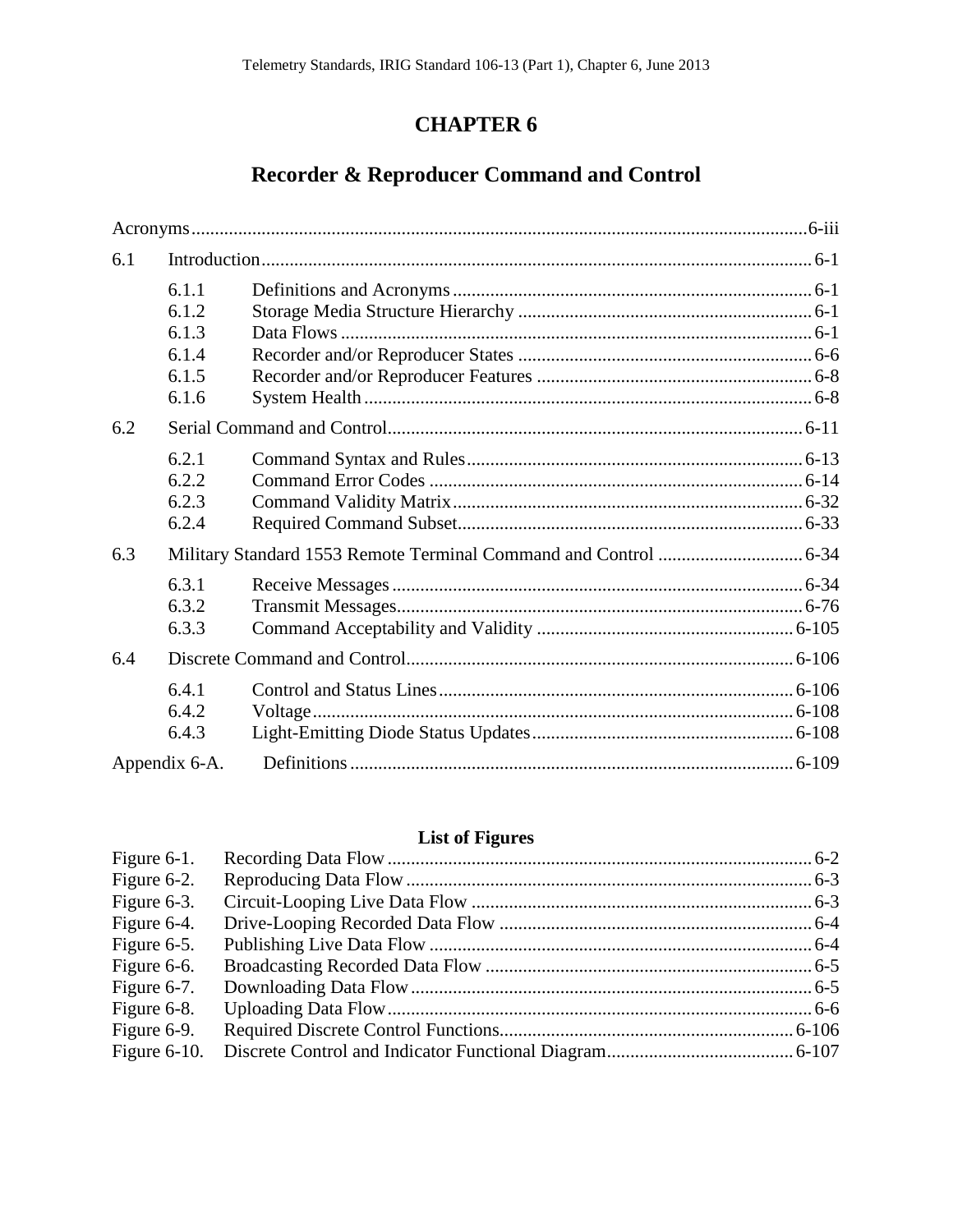# **CHAPTER 6**

# Recorder & Reproducer Command and Control

| 6.1           |                                                    |  |  |
|---------------|----------------------------------------------------|--|--|
|               | 6.1.1<br>6.1.2<br>6.1.3<br>6.1.4<br>6.1.5<br>6.1.6 |  |  |
| 6.2           |                                                    |  |  |
|               | 6.2.1<br>6.2.2<br>6.2.3<br>6.2.4                   |  |  |
| 6.3           |                                                    |  |  |
|               | 6.3.1<br>6.3.2<br>6.3.3                            |  |  |
| 6.4           |                                                    |  |  |
|               | 6.4.1<br>6.4.2<br>6.4.3                            |  |  |
| Appendix 6-A. |                                                    |  |  |

### **List of Figures**

| Figure $6-1$ .  |  |
|-----------------|--|
| Figure 6-2.     |  |
| Figure 6-3.     |  |
| Figure 6-4.     |  |
| Figure 6-5.     |  |
| Figure 6-6.     |  |
| Figure 6-7.     |  |
| Figure 6-8.     |  |
| Figure 6-9.     |  |
| Figure $6-10$ . |  |
|                 |  |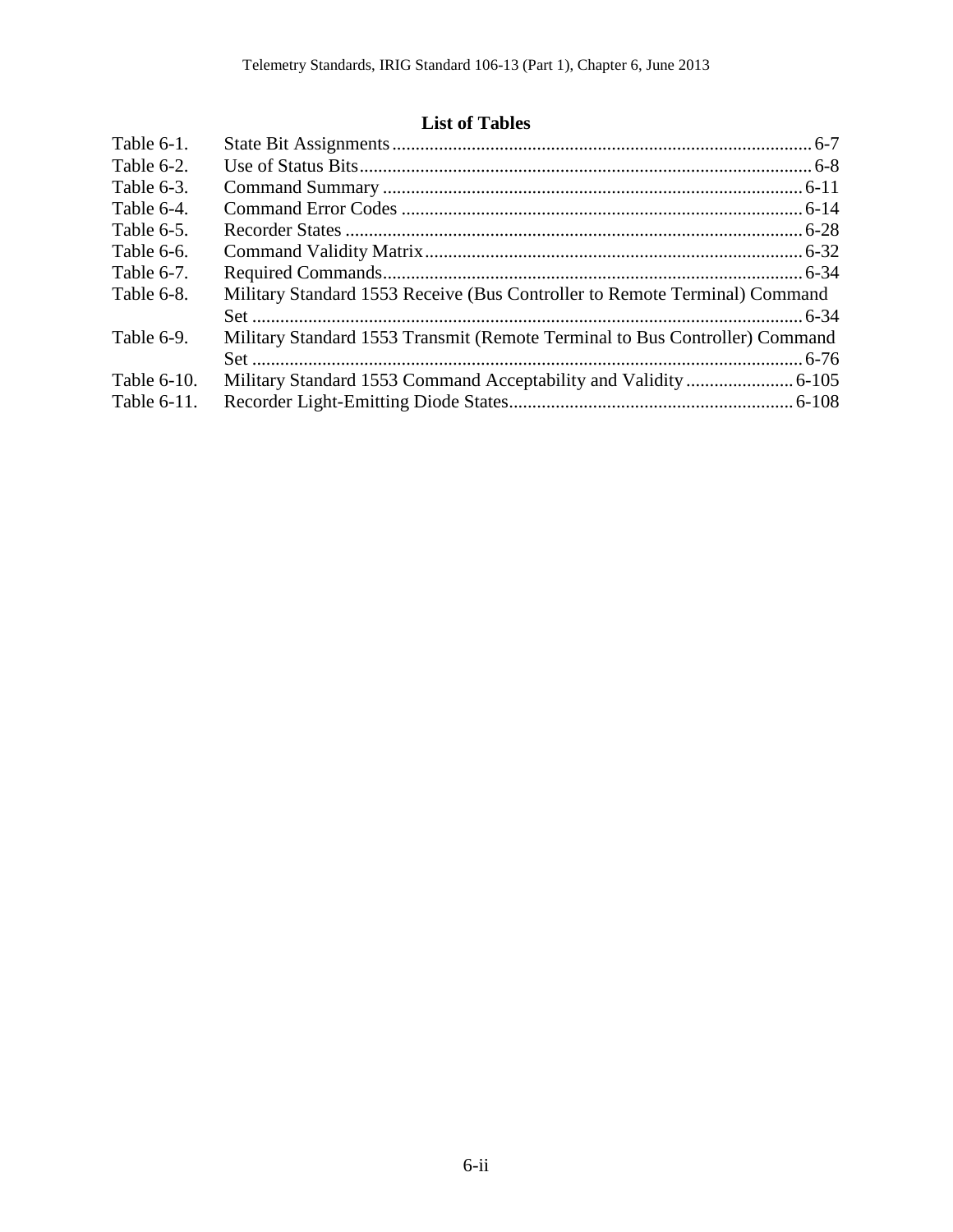## **List of Tables**

| Table 6-1.  |                                                                             |
|-------------|-----------------------------------------------------------------------------|
| Table 6-2.  |                                                                             |
| Table 6-3.  |                                                                             |
| Table 6-4.  |                                                                             |
| Table 6-5.  |                                                                             |
| Table 6-6.  |                                                                             |
| Table 6-7.  |                                                                             |
| Table 6-8.  | Military Standard 1553 Receive (Bus Controller to Remote Terminal) Command  |
|             |                                                                             |
| Table 6-9.  | Military Standard 1553 Transmit (Remote Terminal to Bus Controller) Command |
|             |                                                                             |
| Table 6-10. |                                                                             |
| Table 6-11. |                                                                             |
|             |                                                                             |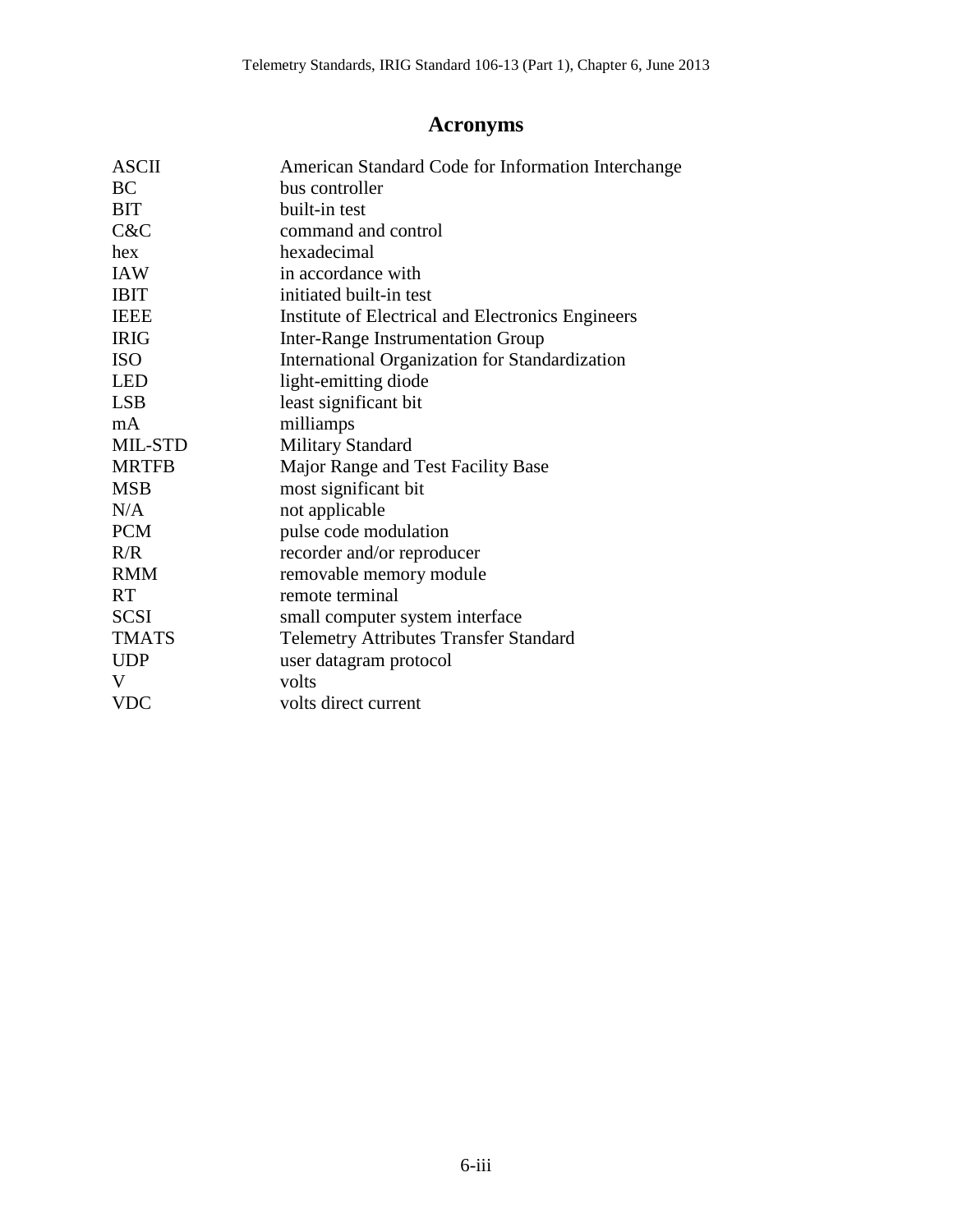# **Acronyms**

<span id="page-2-0"></span>

| <b>ASCII</b> | American Standard Code for Information Interchange    |
|--------------|-------------------------------------------------------|
| <b>BC</b>    | bus controller                                        |
| <b>BIT</b>   | built-in test                                         |
| C&C          | command and control                                   |
| hex          | hexadecimal                                           |
| <b>IAW</b>   | in accordance with                                    |
| <b>IBIT</b>  | initiated built-in test                               |
| <b>IEEE</b>  | Institute of Electrical and Electronics Engineers     |
| <b>IRIG</b>  | <b>Inter-Range Instrumentation Group</b>              |
| <b>ISO</b>   | <b>International Organization for Standardization</b> |
| <b>LED</b>   | light-emitting diode                                  |
| <b>LSB</b>   | least significant bit                                 |
| mA           | milliamps                                             |
| MIL-STD      | Military Standard                                     |
| <b>MRTFB</b> | Major Range and Test Facility Base                    |
| <b>MSB</b>   | most significant bit                                  |
| N/A          | not applicable                                        |
| <b>PCM</b>   | pulse code modulation                                 |
| R/R          | recorder and/or reproducer                            |
| <b>RMM</b>   | removable memory module                               |
| <b>RT</b>    | remote terminal                                       |
| <b>SCSI</b>  | small computer system interface                       |
| <b>TMATS</b> | <b>Telemetry Attributes Transfer Standard</b>         |
| <b>UDP</b>   | user datagram protocol                                |
| V            | volts                                                 |
| <b>VDC</b>   | volts direct current                                  |
|              |                                                       |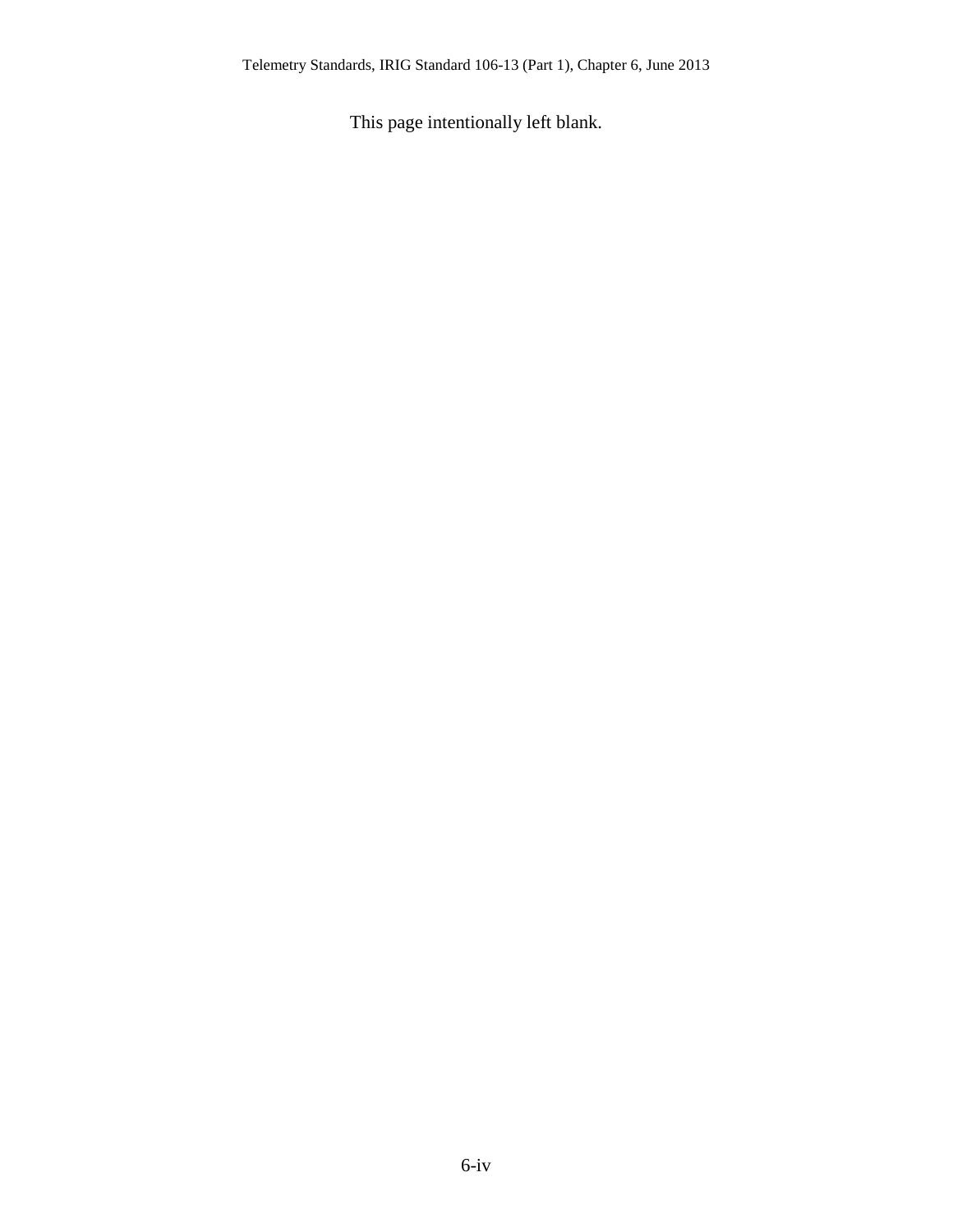This page intentionally left blank.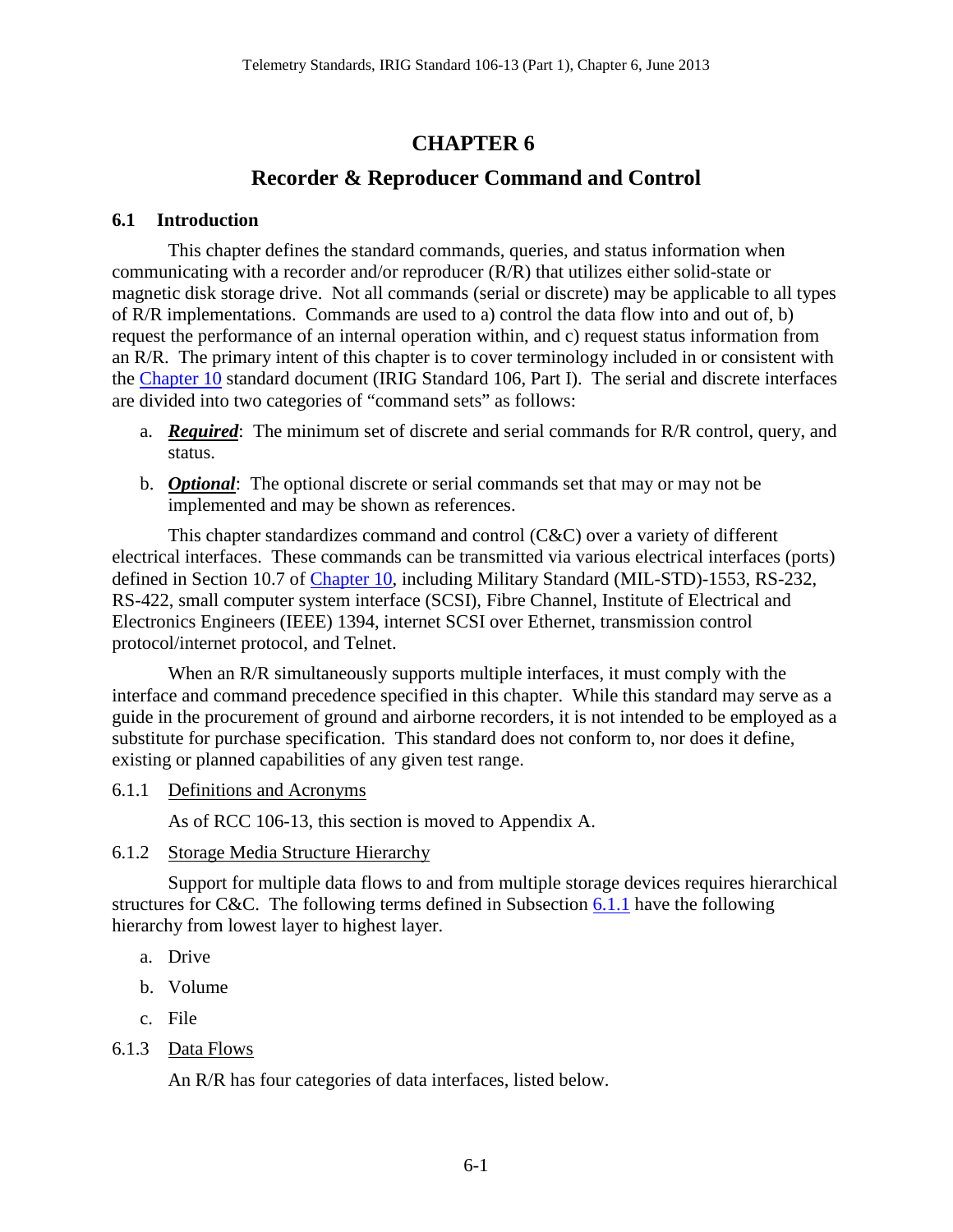## **CHAPTER 6**

## **Recorder & Reproducer Command and Control**

#### <span id="page-4-0"></span>**6.1 Introduction**

This chapter defines the standard commands, queries, and status information when communicating with a recorder and/or reproducer (R/R) that utilizes either solid-state or magnetic disk storage drive. Not all commands (serial or discrete) may be applicable to all types of R/R implementations. Commands are used to a) control the data flow into and out of, b) request the performance of an internal operation within, and c) request status information from an R/R. The primary intent of this chapter is to cover terminology included in or consistent with the [Chapter 10](http://www.wsmr.army.mil/RCCsite/Documents/106-13_Telemetry_Standards/chapter%2010.pdf) standard document (IRIG Standard 106, Part I). The serial and discrete interfaces are divided into two categories of "command sets" as follows:

- a. *Required*: The minimum set of discrete and serial commands for R/R control, query, and status.
- b. *Optional*: The optional discrete or serial commands set that may or may not be implemented and may be shown as references.

This chapter standardizes command and control (C&C) over a variety of different electrical interfaces. These commands can be transmitted via various electrical interfaces (ports) defined in Section 10.7 of [Chapter 10,](http://www.wsmr.army.mil/RCCsite/Documents/106-13_Telemetry_Standards/chapter%2010.pdf) including Military Standard (MIL-STD)-1553, RS-232, RS-422, small computer system interface (SCSI), Fibre Channel, Institute of Electrical and Electronics Engineers (IEEE) 1394, internet SCSI over Ethernet, transmission control protocol/internet protocol, and Telnet.

When an R/R simultaneously supports multiple interfaces, it must comply with the interface and command precedence specified in this chapter. While this standard may serve as a guide in the procurement of ground and airborne recorders, it is not intended to be employed as a substitute for purchase specification. This standard does not conform to, nor does it define, existing or planned capabilities of any given test range.

<span id="page-4-1"></span>6.1.1 Definitions and Acronyms

As of RCC 106-13, this section is moved to Appendix A.

<span id="page-4-2"></span>6.1.2 Storage Media Structure Hierarchy

Support for multiple data flows to and from multiple storage devices requires hierarchical structures for C&C. The following terms defined in Subsection [6.1.1](#page-4-1) have the following hierarchy from lowest layer to highest layer.

- a. Drive
- b. Volume
- c. File
- <span id="page-4-3"></span>6.1.3 Data Flows

An R/R has four categories of data interfaces, listed below.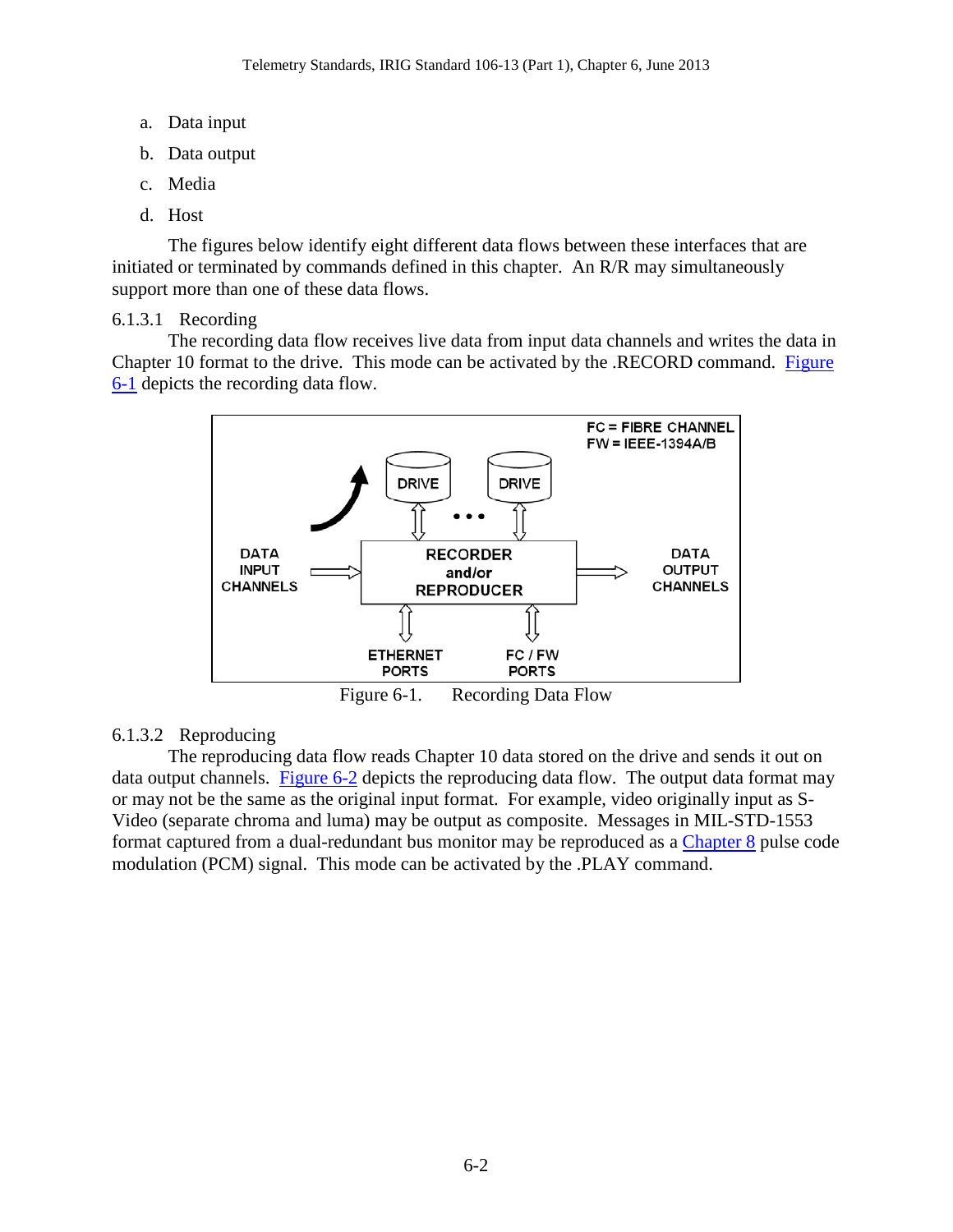- a. Data input
- b. Data output
- c. Media
- d. Host

The figures below identify eight different data flows between these interfaces that are initiated or terminated by commands defined in this chapter. An R/R may simultaneously support more than one of these data flows.

#### 6.1.3.1 Recording

The recording data flow receives live data from input data channels and writes the data in Chapter 10 format to the drive. This mode can be activated by the .RECORD command. Figure [6-1](#page-5-0) depicts the recording data flow.



Figure 6-1. Recording Data Flow

#### <span id="page-5-0"></span>6.1.3.2 Reproducing

The reproducing data flow reads Chapter 10 data stored on the drive and sends it out on data output channels. [Figure 6-2](#page-6-0) depicts the reproducing data flow. The output data format may or may not be the same as the original input format. For example, video originally input as S-Video (separate chroma and luma) may be output as composite. Messages in MIL-STD-1553 format captured from a dual-redundant bus monitor may be reproduced as a [Chapter 8](http://www.wsmr.army.mil/RCCsite/Documents/106-13_Telemetry_Standards/chapter8.pdf) pulse code modulation (PCM) signal. This mode can be activated by the .PLAY command.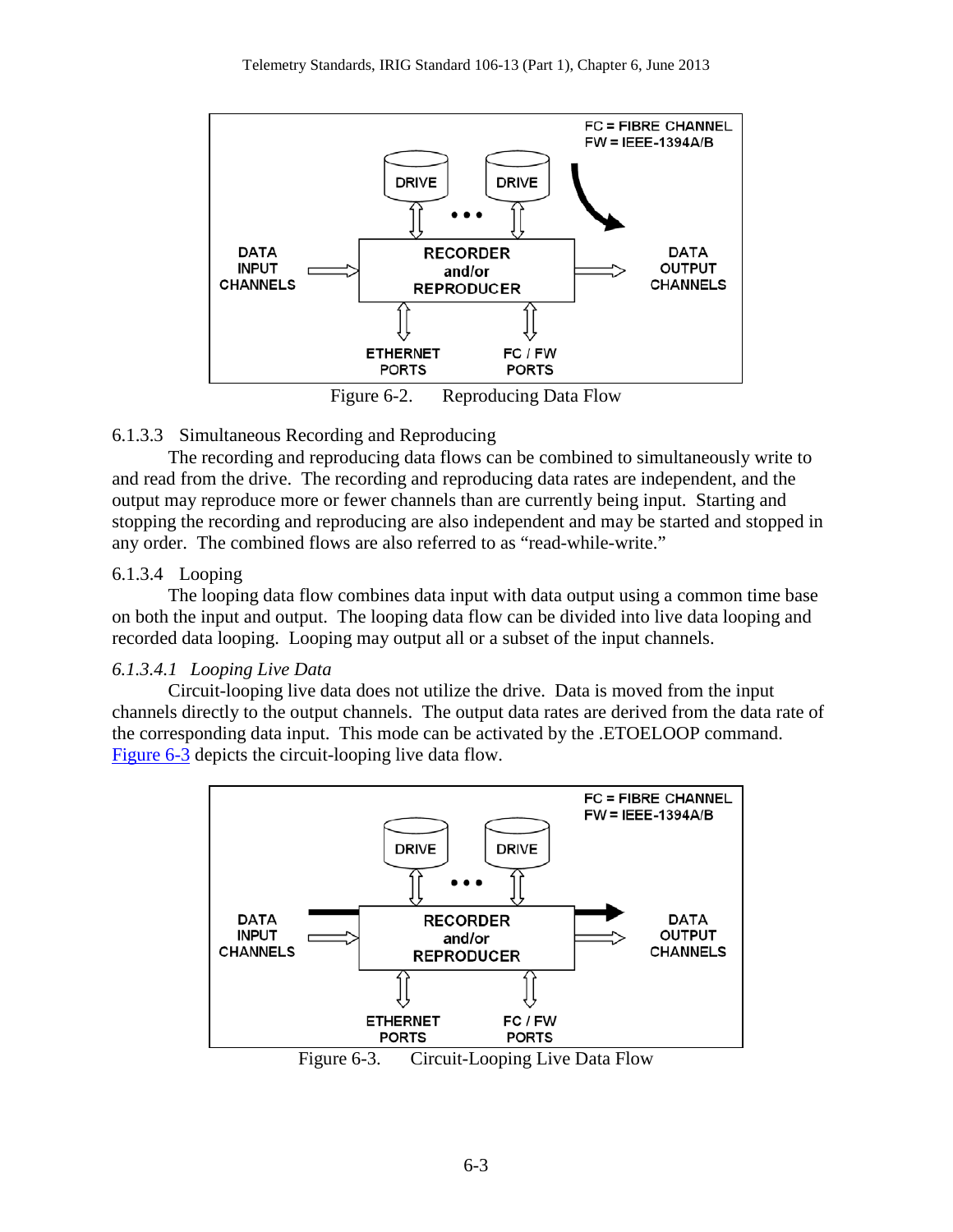

Figure 6-2. Reproducing Data Flow

#### <span id="page-6-0"></span>6.1.3.3 Simultaneous Recording and Reproducing

The recording and reproducing data flows can be combined to simultaneously write to and read from the drive. The recording and reproducing data rates are independent, and the output may reproduce more or fewer channels than are currently being input. Starting and stopping the recording and reproducing are also independent and may be started and stopped in any order. The combined flows are also referred to as "read-while-write."

#### 6.1.3.4 Looping

The looping data flow combines data input with data output using a common time base on both the input and output. The looping data flow can be divided into live data looping and recorded data looping. Looping may output all or a subset of the input channels.

### *6.1.3.4.1 Looping Live Data*

Circuit-looping live data does not utilize the drive. Data is moved from the input channels directly to the output channels. The output data rates are derived from the data rate of the corresponding data input. This mode can be activated by the .ETOELOOP command. [Figure 6-3](#page-6-1) depicts the circuit-looping live data flow.



<span id="page-6-1"></span>Figure 6-3. Circuit-Looping Live Data Flow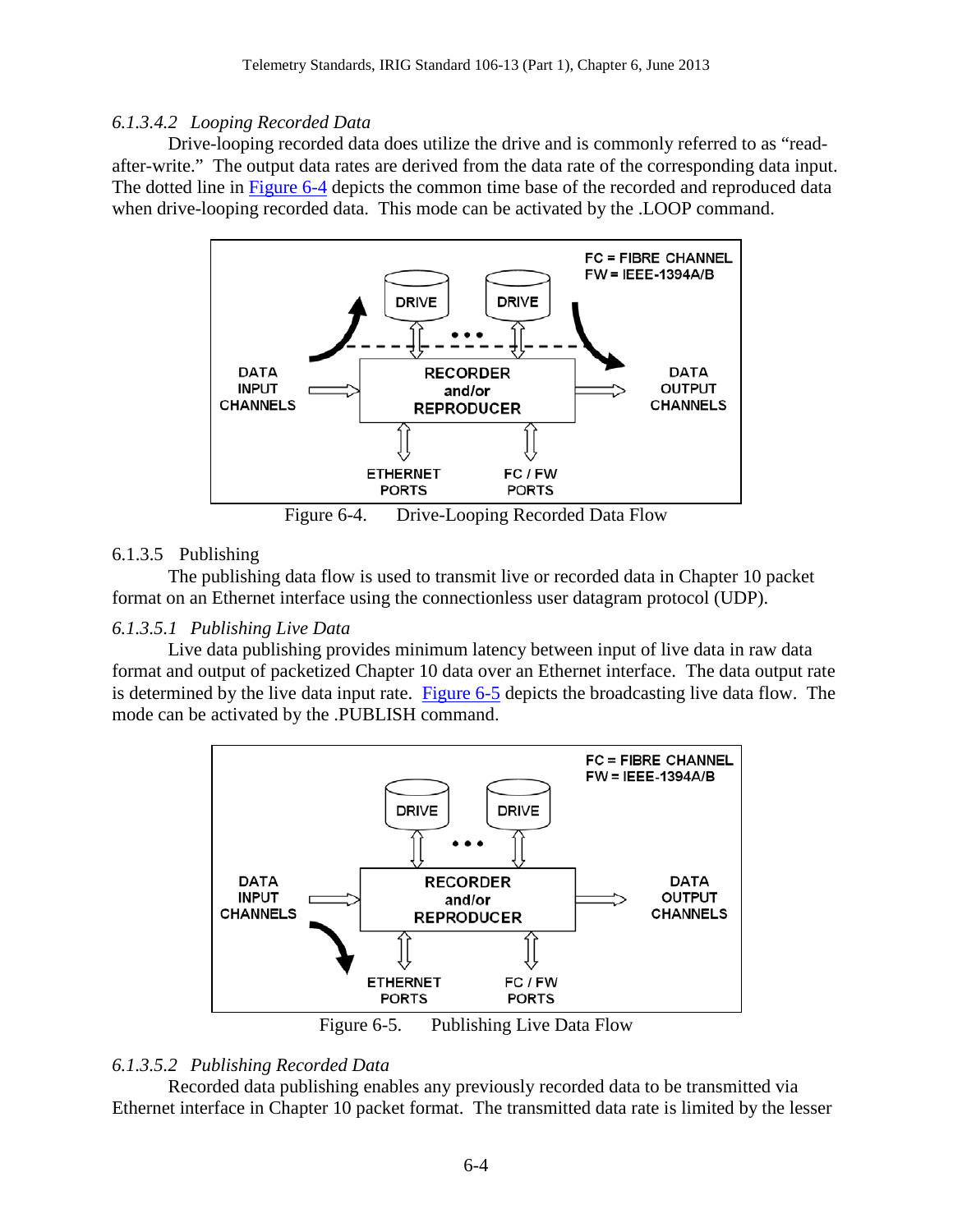#### *6.1.3.4.2 Looping Recorded Data*

Drive-looping recorded data does utilize the drive and is commonly referred to as "readafter-write." The output data rates are derived from the data rate of the corresponding data input. The dotted line in [Figure 6-4](#page-7-0) depicts the common time base of the recorded and reproduced data when drive-looping recorded data. This mode can be activated by the .LOOP command.



Figure 6-4. Drive-Looping Recorded Data Flow

#### <span id="page-7-0"></span>6.1.3.5 Publishing

The publishing data flow is used to transmit live or recorded data in Chapter 10 packet format on an Ethernet interface using the connectionless user datagram protocol (UDP).

#### *6.1.3.5.1 Publishing Live Data*

Live data publishing provides minimum latency between input of live data in raw data format and output of packetized Chapter 10 data over an Ethernet interface. The data output rate is determined by the live data input rate. [Figure 6-5](#page-7-1) depicts the broadcasting live data flow. The mode can be activated by the .PUBLISH command.



Figure 6-5. Publishing Live Data Flow

#### <span id="page-7-1"></span>*6.1.3.5.2 Publishing Recorded Data*

Recorded data publishing enables any previously recorded data to be transmitted via Ethernet interface in Chapter 10 packet format. The transmitted data rate is limited by the lesser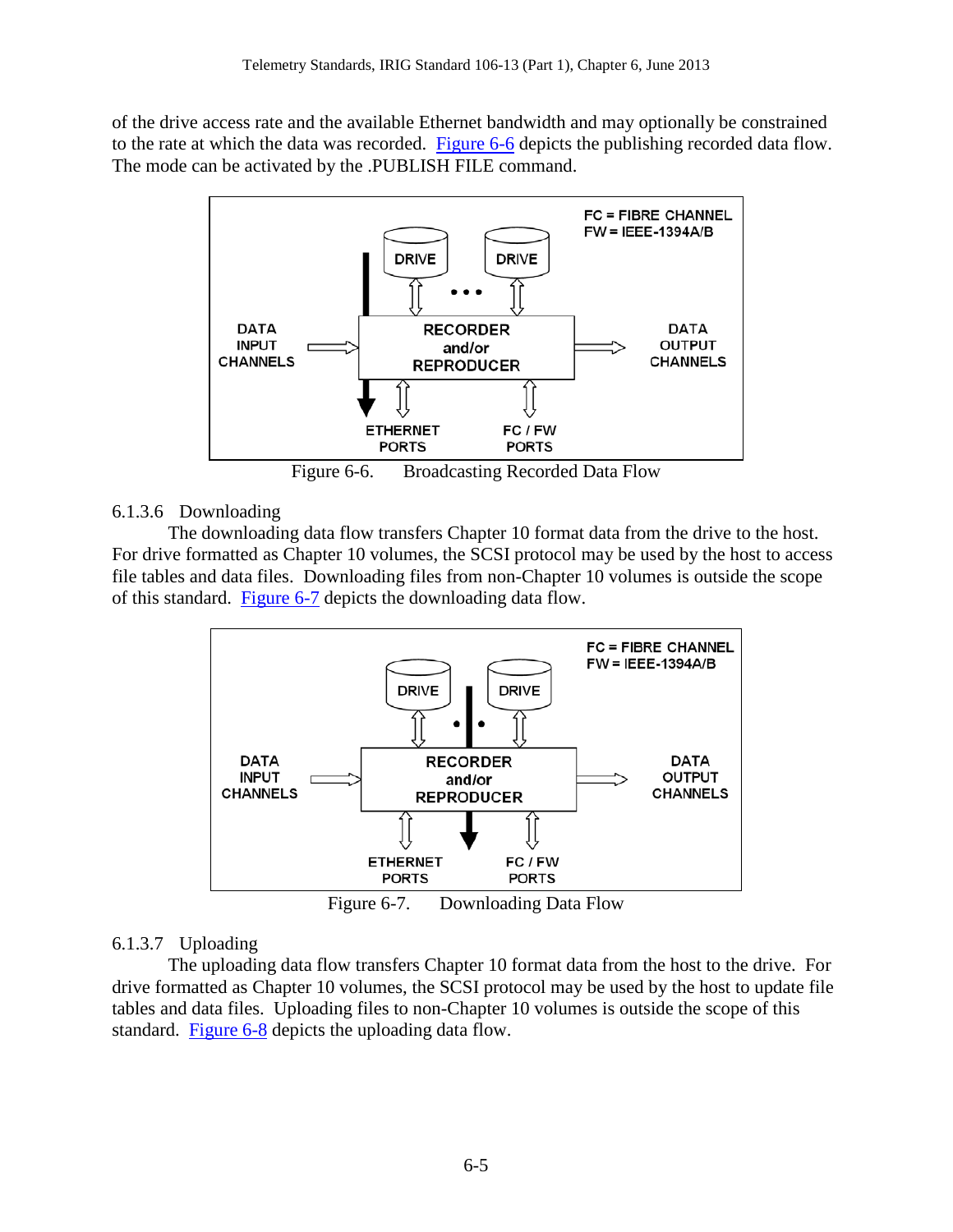of the drive access rate and the available Ethernet bandwidth and may optionally be constrained to the rate at which the data was recorded. [Figure 6-6](#page-8-0) depicts the publishing recorded data flow. The mode can be activated by the .PUBLISH FILE command.



Figure 6-6. Broadcasting Recorded Data Flow

#### <span id="page-8-0"></span>6.1.3.6 Downloading

The downloading data flow transfers Chapter 10 format data from the drive to the host. For drive formatted as Chapter 10 volumes, the SCSI protocol may be used by the host to access file tables and data files. Downloading files from non-Chapter 10 volumes is outside the scope of this standard. [Figure 6-7](#page-8-1) depicts the downloading data flow.



Figure 6-7. Downloading Data Flow

### <span id="page-8-1"></span>6.1.3.7 Uploading

The uploading data flow transfers Chapter 10 format data from the host to the drive. For drive formatted as Chapter 10 volumes, the SCSI protocol may be used by the host to update file tables and data files. Uploading files to non-Chapter 10 volumes is outside the scope of this standard. [Figure 6-8](#page-9-1) depicts the uploading data flow.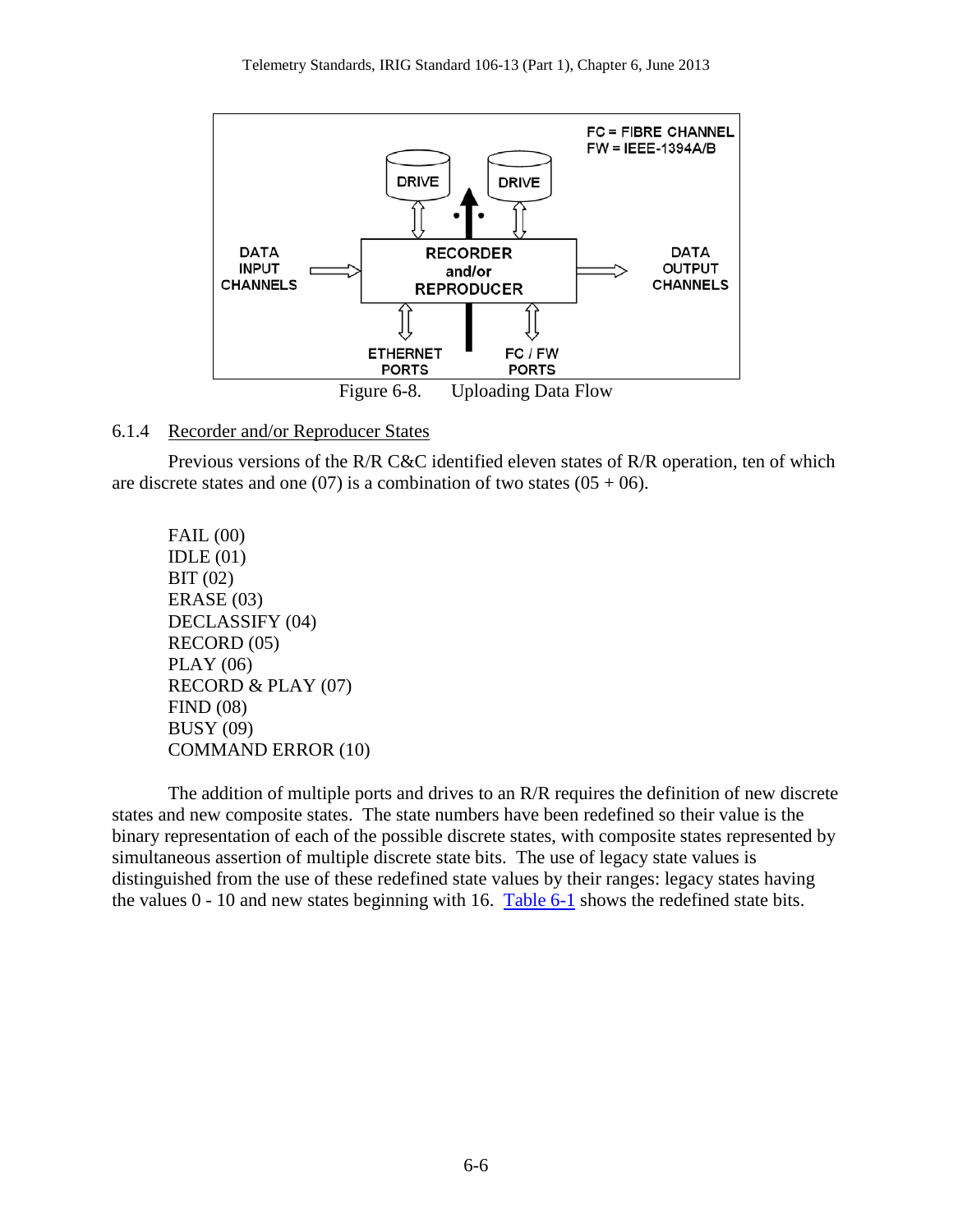

#### <span id="page-9-1"></span><span id="page-9-0"></span>6.1.4 Recorder and/or Reproducer States

Previous versions of the R/R C&C identified eleven states of R/R operation, ten of which are discrete states and one (07) is a combination of two states ( $0.5 + 0.6$ ).

```
FAIL (00)
IDLE (01)
BIT (02)
ERASE (03)
DECLASSIFY (04)
RECORD (05)
PLAY (06)
RECORD & PLAY (07)
FIND (08)
BUSY (09)
COMMAND ERROR (10)
```
The addition of multiple ports and drives to an R/R requires the definition of new discrete states and new composite states. The state numbers have been redefined so their value is the binary representation of each of the possible discrete states, with composite states represented by simultaneous assertion of multiple discrete state bits. The use of legacy state values is distinguished from the use of these redefined state values by their ranges: legacy states having the values 0 - 10 and new states beginning with 16. [Table 6-1](#page-10-0) shows the redefined state bits.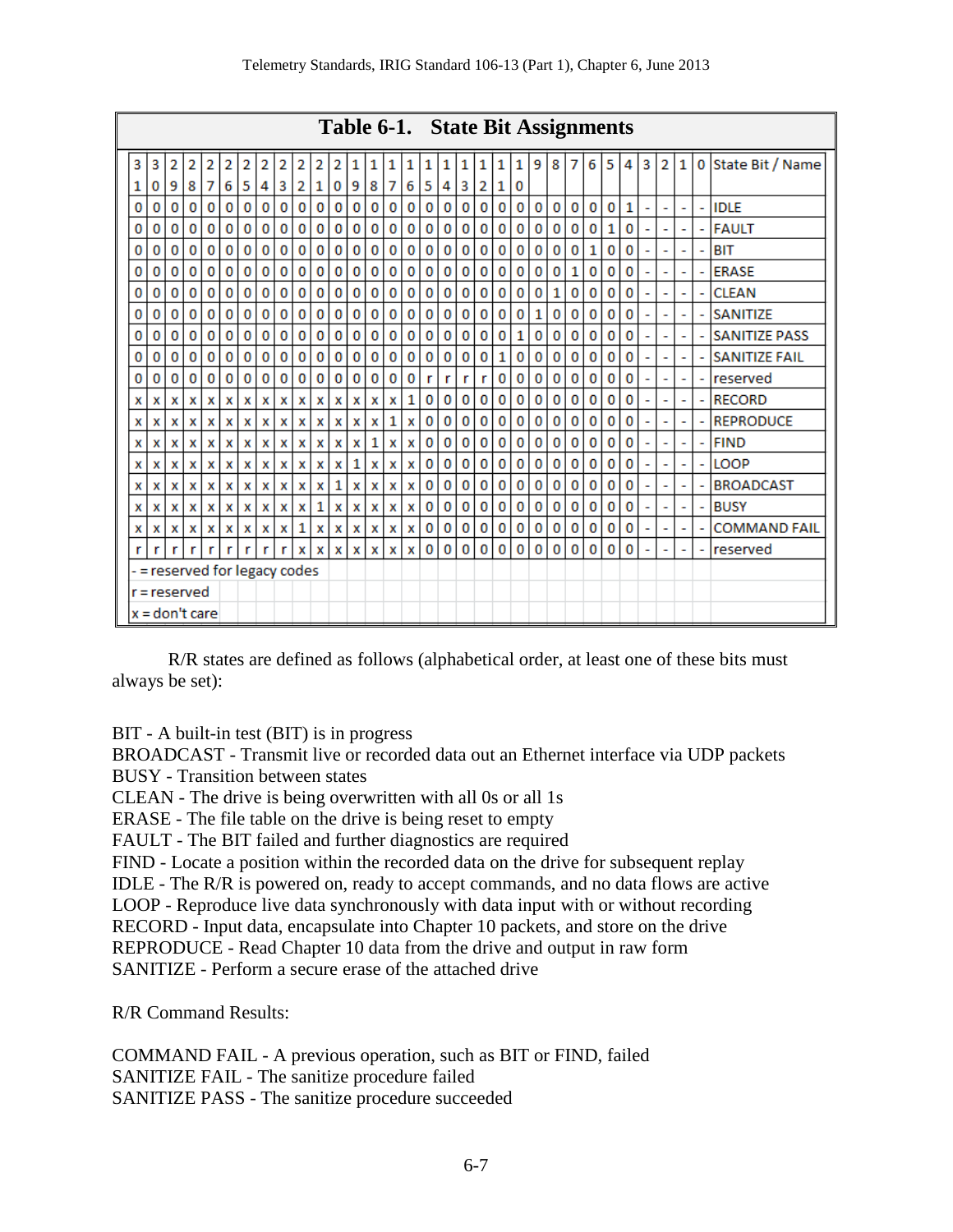<span id="page-10-0"></span>

|   |   |                               |   |   |   |   |   |   |   |   |   |   |   |   |   |   | Table 6-1. State Bit Assignments |   |   |   |   |              |   |   |   |   |   |   |                |                |                          |
|---|---|-------------------------------|---|---|---|---|---|---|---|---|---|---|---|---|---|---|----------------------------------|---|---|---|---|--------------|---|---|---|---|---|---|----------------|----------------|--------------------------|
| 3 | 3 | 2                             | 2 | 2 | 2 | 2 | 2 | 2 | 2 | 2 | 2 |   | 1 |   |   |   | 1                                |   |   |   | 1 | 9.           | 8 | 7 | 6 | 5 | 4 | 3 | 2 <sup>1</sup> |                | 1   0   State Bit / Name |
| 1 | 0 | 9                             | 8 | 7 | 6 | 5 | 4 | 3 | 2 | 1 | 0 | 9 | 8 | 7 | 6 | 5 | 4                                | 3 | 2 | 1 | 0 |              |   |   |   |   |   |   |                |                |                          |
| 0 | 0 | 0                             | 0 | 0 | 0 | 0 | 0 | 0 | 0 | 0 | 0 | 0 | 0 | 0 | 0 | 0 | 0                                | 0 | 0 | 0 | 0 | 0            | 0 | 0 | 0 | 0 | 1 |   |                | ۰              | <b>IDLE</b>              |
| 0 | 0 | 0                             | 0 | o | 0 | 0 | 0 | 0 | 0 | 0 | 0 | 0 | 0 | 0 | 0 | 0 | 0                                | 0 | 0 | 0 | 0 | 0            | 0 | 0 | 0 | 1 | 0 |   |                |                | <b>FAULT</b>             |
| 0 | 0 | 0                             | 0 | 0 | 0 | 0 | 0 | 0 | 0 | 0 | 0 | 0 | 0 | 0 | 0 | 0 | 0                                | 0 | 0 | 0 | 0 | 0            | 0 | 0 | 1 | 0 | 0 |   |                |                | <b>BIT</b>               |
| 0 | 0 | 0                             | 0 | 0 | 0 | 0 | 0 | 0 | 0 | 0 | 0 | 0 | 0 | 0 | 0 | 0 | 0                                | 0 | 0 | 0 | 0 | 0            | 0 | 1 | 0 | 0 | 0 |   |                |                | <b>ERASE</b>             |
| 0 | 0 | 0                             | 0 | 0 | 0 | 0 | 0 | 0 | 0 | 0 | 0 | 0 | 0 | 0 | 0 | 0 | 0                                | 0 | 0 | 0 | 0 | 0            |   | 0 | 0 | 0 | 0 |   |                |                | <b>CLEAN</b>             |
| 0 | 0 | 0                             | 0 | 0 | 0 | 0 | 0 | 0 | 0 | 0 | 0 | 0 | 0 | 0 | 0 | 0 | 0                                | 0 | 0 | 0 | 0 | 1            | 0 | 0 | 0 | 0 | 0 |   |                | ۰              | <b>SANITIZE</b>          |
| 0 | 0 | 0                             | 0 | 0 | 0 | 0 | 0 | 0 | 0 | 0 | 0 | 0 | 0 | 0 | 0 | 0 | 0                                | 0 | 0 | 0 | 1 | 0            | 0 | 0 | 0 | 0 | 0 |   |                |                | <b>SANITIZE PASS</b>     |
| 0 | 0 | 0                             | 0 | 0 | 0 | 0 | 0 | 0 | 0 | 0 | 0 | 0 | 0 | 0 | 0 | 0 | 0                                | 0 | 0 | 1 | 0 | $\mathbf{0}$ | 0 | 0 | 0 | 0 | 0 |   |                | ۰              | <b>SANITIZE FAIL</b>     |
| 0 | 0 | 0                             | 0 | 0 | 0 | 0 | 0 | 0 | 0 | 0 | 0 | 0 | 0 | 0 | 0 | r | r                                | r | r | 0 | 0 | 0            | 0 | 0 | 0 | 0 | 0 |   |                |                | lreserved                |
| x | x | x                             | x | x | x | x | x | x | x | x | x | x | x | x | 1 | 0 | 0                                | 0 | 0 | 0 | 0 | 0            | 0 | 0 | 0 | 0 | 0 |   |                | $\overline{a}$ | <b>RECORD</b>            |
| x | x | x                             | x | x | x | x | x | x | x | x | x | x | x | 1 | x | 0 | 0                                | 0 | 0 | 0 | 0 | 0            | 0 | 0 | 0 | 0 | 0 |   |                |                | <b>REPRODUCE</b>         |
| x | x | x                             | x | x | x | x | x | x | x | X | x | x | 1 | x | x | 0 | 0                                | 0 | 0 | 0 | 0 | 0            | 0 | 0 | 0 | 0 | 0 |   |                | ۰              | <b>FIND</b>              |
| x | x | x                             | x | x | x | x | x | x | x | x | x | 1 | x | x | x | 0 | 0                                | 0 | 0 | 0 | 0 | $\mathbf{0}$ | 0 | 0 | 0 | 0 | 0 |   |                |                | LOOP                     |
| x | x | x                             | x | x | x | x | x | x | x | x | 1 | x | x | x | x | 0 | 0                                | 0 | 0 | 0 | 0 | 0            | 0 | 0 | 0 | 0 | 0 |   |                |                | <b>BROADCAST</b>         |
| x | x | x                             | x | x | x | x | x | x | x | 1 | x | x | x | x | x | 0 | 0                                | 0 | 0 | 0 | 0 | $\mathbf{0}$ | 0 | 0 | 0 | 0 | 0 |   |                | ۰              | <b>BUSY</b>              |
| x | x | x                             | x | x | x | x | x | x | 1 | X | x | x | x | x | x | 0 | 0                                | 0 | 0 | 0 | 0 | 0            | 0 | 0 | 0 | 0 | 0 |   |                |                | <b>COMMAND FAIL</b>      |
| r |   |                               |   |   |   |   |   | r | x | x | x | x | x | x | x | 0 | 0                                | 0 | 0 | 0 | 0 | $\mathbf{0}$ | 0 | 0 | 0 | 0 | 0 |   |                |                | lreserved                |
|   |   | - = reserved for legacy codes |   |   |   |   |   |   |   |   |   |   |   |   |   |   |                                  |   |   |   |   |              |   |   |   |   |   |   |                |                |                          |
|   |   | $r =$ reserved                |   |   |   |   |   |   |   |   |   |   |   |   |   |   |                                  |   |   |   |   |              |   |   |   |   |   |   |                |                |                          |
|   |   | $x =$ don't care              |   |   |   |   |   |   |   |   |   |   |   |   |   |   |                                  |   |   |   |   |              |   |   |   |   |   |   |                |                |                          |

R/R states are defined as follows (alphabetical order, at least one of these bits must always be set):

BIT - A built-in test (BIT) is in progress

BROADCAST - Transmit live or recorded data out an Ethernet interface via UDP packets BUSY - Transition between states

CLEAN - The drive is being overwritten with all 0s or all 1s

ERASE - The file table on the drive is being reset to empty

FAULT - The BIT failed and further diagnostics are required

FIND - Locate a position within the recorded data on the drive for subsequent replay

IDLE - The R/R is powered on, ready to accept commands, and no data flows are active

LOOP - Reproduce live data synchronously with data input with or without recording

RECORD - Input data, encapsulate into Chapter 10 packets, and store on the drive

REPRODUCE - Read Chapter 10 data from the drive and output in raw form SANITIZE - Perform a secure erase of the attached drive

R/R Command Results:

COMMAND FAIL - A previous operation, such as BIT or FIND, failed SANITIZE FAIL - The sanitize procedure failed SANITIZE PASS - The sanitize procedure succeeded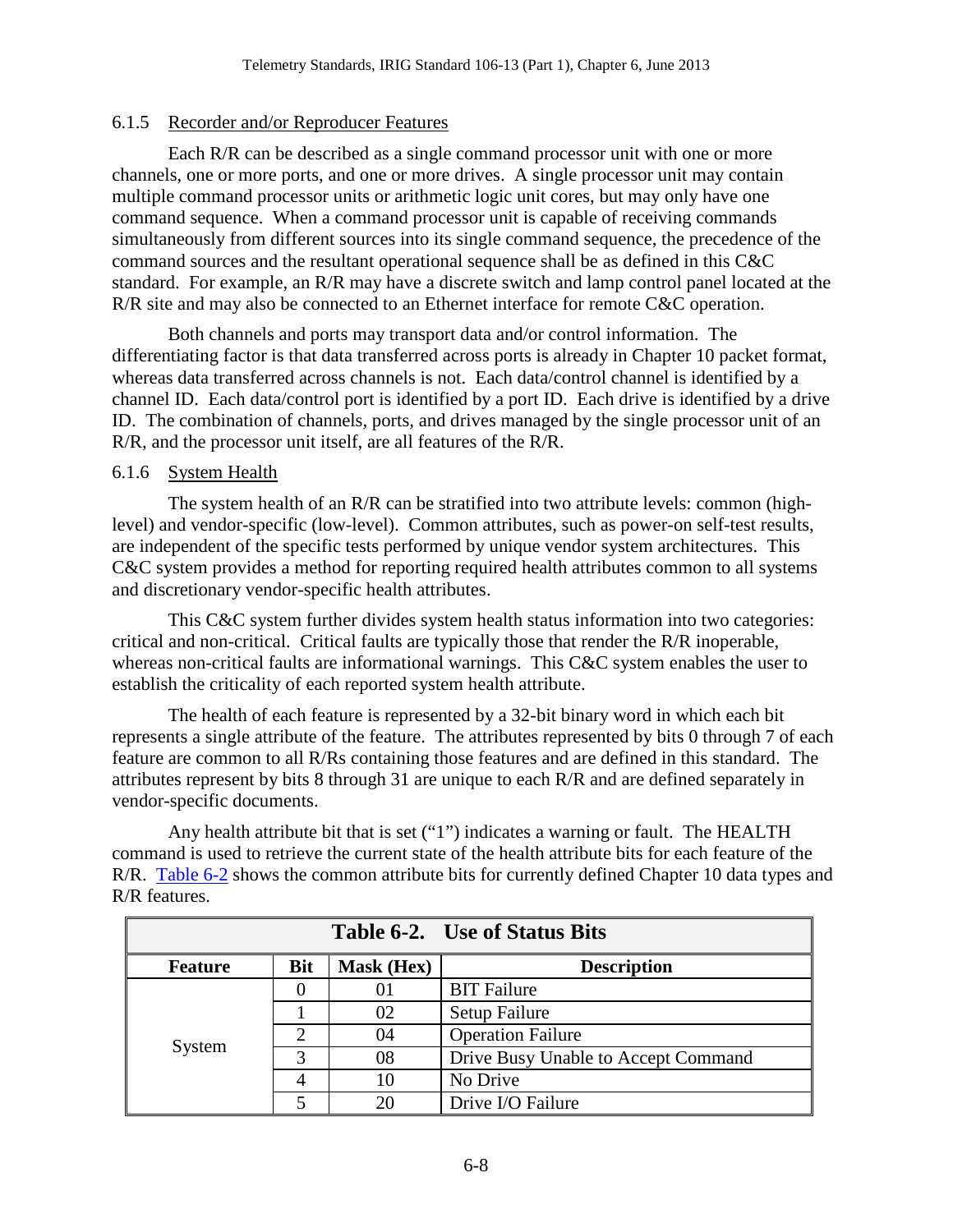#### <span id="page-11-0"></span>6.1.5 Recorder and/or Reproducer Features

Each R/R can be described as a single command processor unit with one or more channels, one or more ports, and one or more drives. A single processor unit may contain multiple command processor units or arithmetic logic unit cores, but may only have one command sequence. When a command processor unit is capable of receiving commands simultaneously from different sources into its single command sequence, the precedence of the command sources and the resultant operational sequence shall be as defined in this C&C standard. For example, an R/R may have a discrete switch and lamp control panel located at the R/R site and may also be connected to an Ethernet interface for remote C&C operation.

Both channels and ports may transport data and/or control information. The differentiating factor is that data transferred across ports is already in Chapter 10 packet format, whereas data transferred across channels is not. Each data/control channel is identified by a channel ID. Each data/control port is identified by a port ID. Each drive is identified by a drive ID. The combination of channels, ports, and drives managed by the single processor unit of an R/R, and the processor unit itself, are all features of the R/R.

#### <span id="page-11-1"></span>6.1.6 System Health

The system health of an R/R can be stratified into two attribute levels: common (highlevel) and vendor-specific (low-level). Common attributes, such as power-on self-test results, are independent of the specific tests performed by unique vendor system architectures. This C&C system provides a method for reporting required health attributes common to all systems and discretionary vendor-specific health attributes.

This C&C system further divides system health status information into two categories: critical and non-critical. Critical faults are typically those that render the R/R inoperable, whereas non-critical faults are informational warnings. This C&C system enables the user to establish the criticality of each reported system health attribute.

The health of each feature is represented by a 32-bit binary word in which each bit represents a single attribute of the feature. The attributes represented by bits 0 through 7 of each feature are common to all R/Rs containing those features and are defined in this standard. The attributes represent by bits 8 through 31 are unique to each R/R and are defined separately in vendor-specific documents.

Any health attribute bit that is set ("1") indicates a warning or fault. The HEALTH command is used to retrieve the current state of the health attribute bits for each feature of the R/R. [Table 6-2](#page-11-2) shows the common attribute bits for currently defined Chapter 10 data types and R/R features.

<span id="page-11-2"></span>

|                |                             |                   | Table 6-2. Use of Status Bits       |
|----------------|-----------------------------|-------------------|-------------------------------------|
| <b>Feature</b> | <b>Bit</b>                  | <b>Mask (Hex)</b> | <b>Description</b>                  |
|                |                             | 01                | <b>BIT</b> Failure                  |
|                |                             | 02                | Setup Failure                       |
| System         | $\mathcal{D}_{\mathcal{L}}$ | 04                | <b>Operation Failure</b>            |
|                | 3                           | 08                | Drive Busy Unable to Accept Command |
|                |                             | 10                | No Drive                            |
|                |                             | 20                | Drive I/O Failure                   |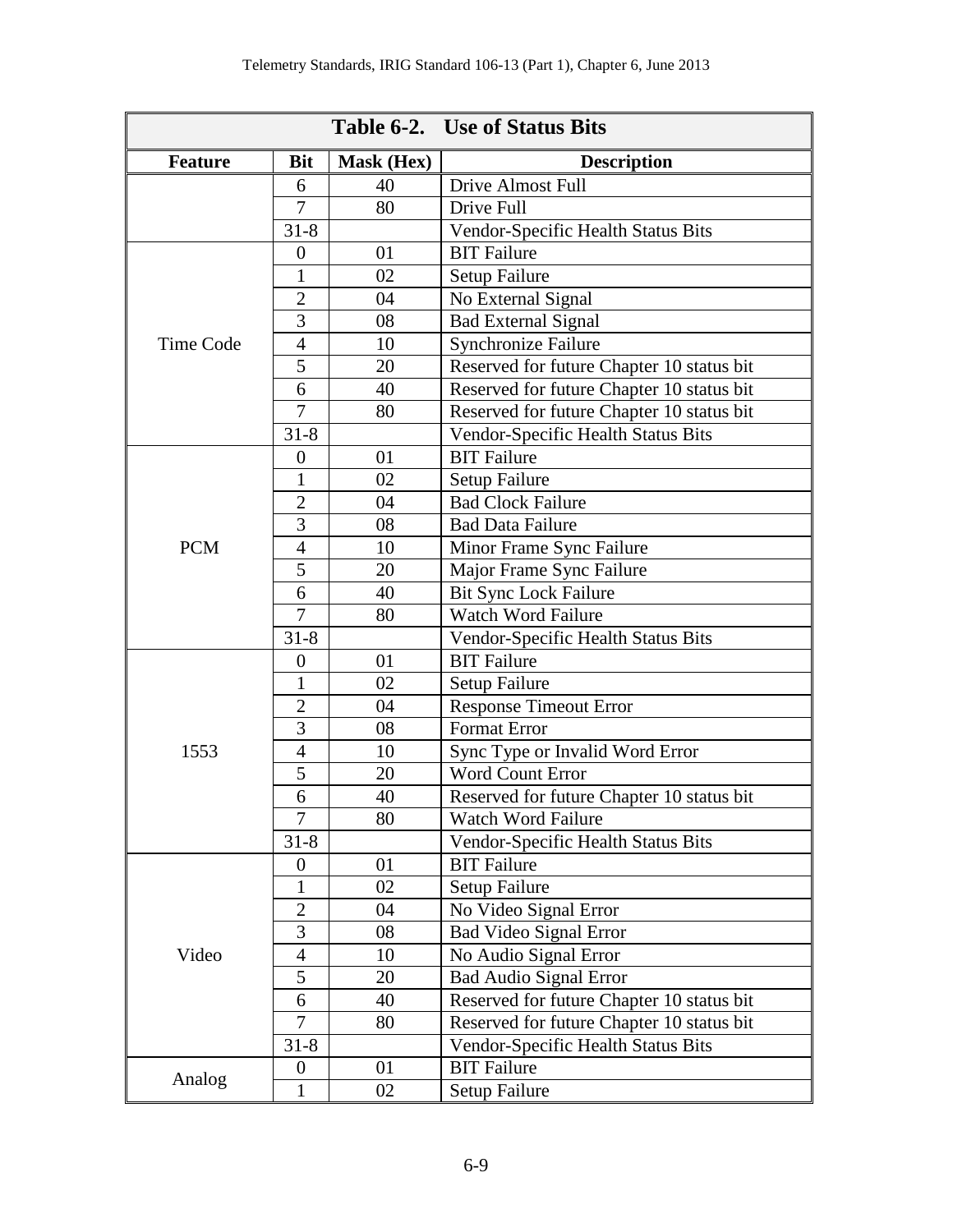|                  |                  |                   | Table 6-2. Use of Status Bits             |
|------------------|------------------|-------------------|-------------------------------------------|
| <b>Feature</b>   | <b>Bit</b>       | <b>Mask (Hex)</b> | <b>Description</b>                        |
|                  | 6                | 40                | Drive Almost Full                         |
|                  | 7                | 80                | Drive Full                                |
|                  | $31 - 8$         |                   | Vendor-Specific Health Status Bits        |
|                  | $\boldsymbol{0}$ | 01                | <b>BIT</b> Failure                        |
|                  | $\mathbf{1}$     | 02                | Setup Failure                             |
|                  | $\overline{2}$   | 04                | No External Signal                        |
|                  | 3                | 08                | <b>Bad External Signal</b>                |
| <b>Time Code</b> | 4                | 10                | Synchronize Failure                       |
|                  | 5                | 20                | Reserved for future Chapter 10 status bit |
|                  | 6                | 40                | Reserved for future Chapter 10 status bit |
|                  | $\overline{7}$   | 80                | Reserved for future Chapter 10 status bit |
|                  | $31 - 8$         |                   | Vendor-Specific Health Status Bits        |
|                  | $\boldsymbol{0}$ | 01                | <b>BIT</b> Failure                        |
|                  | $\mathbf{1}$     | 02                | Setup Failure                             |
|                  | $\overline{2}$   | 04                | <b>Bad Clock Failure</b>                  |
|                  | $\overline{3}$   | 08                | <b>Bad Data Failure</b>                   |
| <b>PCM</b>       | $\overline{4}$   | 10                | Minor Frame Sync Failure                  |
|                  | 5                | 20                | Major Frame Sync Failure                  |
|                  | 6                | 40                | <b>Bit Sync Lock Failure</b>              |
|                  | 7                | 80                | <b>Watch Word Failure</b>                 |
|                  | $31 - 8$         |                   | Vendor-Specific Health Status Bits        |
|                  | $\overline{0}$   | 01                | <b>BIT</b> Failure                        |
|                  | 1                | 02                | Setup Failure                             |
|                  | $\overline{2}$   | 04                | <b>Response Timeout Error</b>             |
|                  | 3                | 08                | <b>Format Error</b>                       |
| 1553             | $\overline{4}$   | 10                | Sync Type or Invalid Word Error           |
|                  | 5                | 20                | <b>Word Count Error</b>                   |
|                  | 6                | 40                | Reserved for future Chapter 10 status bit |
|                  | 7                | 80                | <b>Watch Word Failure</b>                 |
|                  | $31 - 8$         |                   | <b>Vendor-Specific Health Status Bits</b> |
|                  | $\overline{0}$   | 01                | <b>BIT</b> Failure                        |
|                  | 1                | 02                | Setup Failure                             |
|                  | $\overline{2}$   | 04                | No Video Signal Error                     |
|                  | 3                | 08                | <b>Bad Video Signal Error</b>             |
| Video            | 4                | 10                | No Audio Signal Error                     |
|                  | 5                | 20                | <b>Bad Audio Signal Error</b>             |
|                  | 6                | 40                | Reserved for future Chapter 10 status bit |
|                  | 7                | 80                | Reserved for future Chapter 10 status bit |
|                  | $31 - 8$         |                   | Vendor-Specific Health Status Bits        |
|                  | $\boldsymbol{0}$ | 01                | <b>BIT</b> Failure                        |
| Analog           | $\mathbf{1}$     | 02                | Setup Failure                             |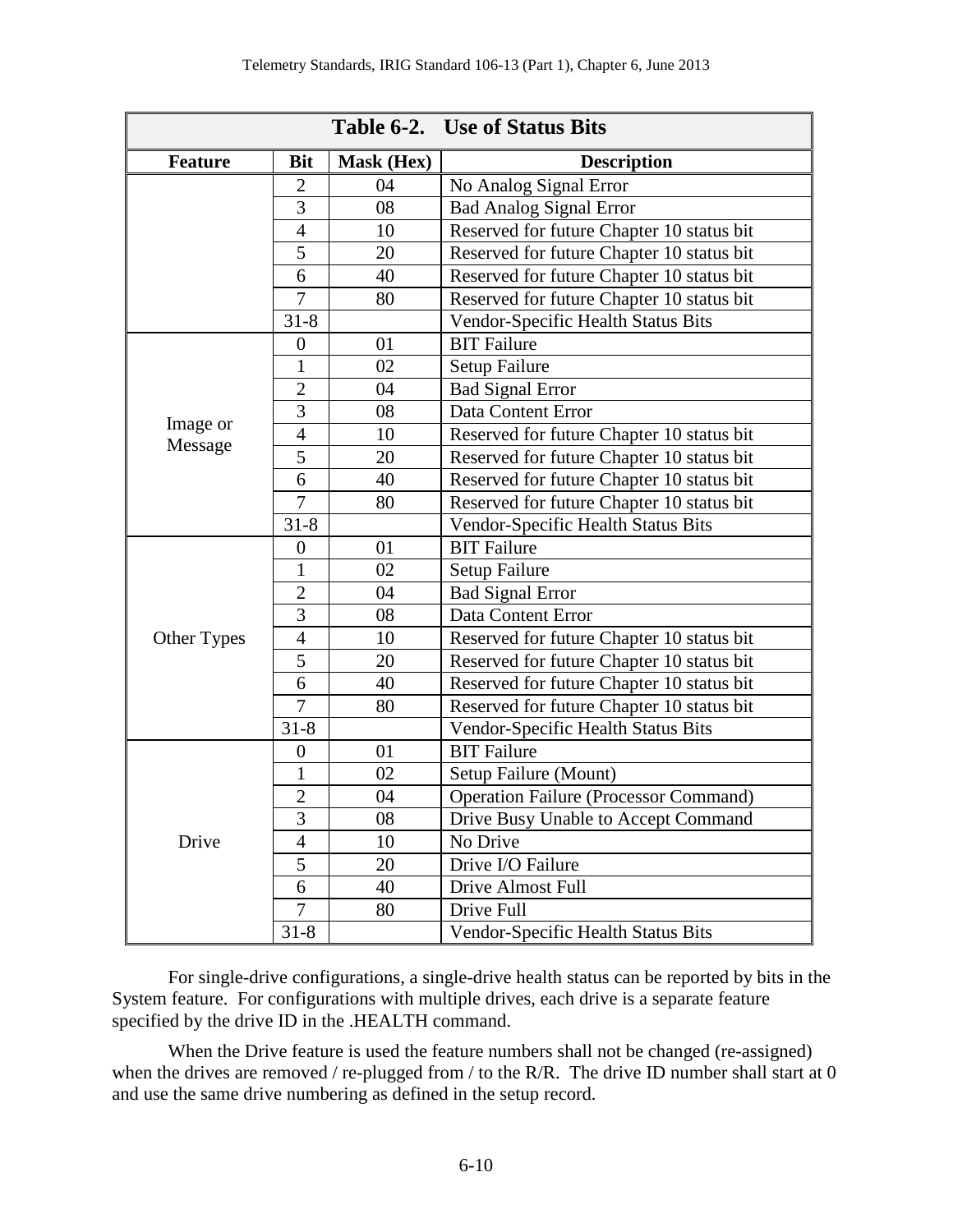|                     |                  |                   | Table 6-2. Use of Status Bits                |
|---------------------|------------------|-------------------|----------------------------------------------|
| <b>Feature</b>      | <b>Bit</b>       | <b>Mask (Hex)</b> | <b>Description</b>                           |
|                     | $\overline{2}$   | 04                | No Analog Signal Error                       |
|                     | 3                | 08                | <b>Bad Analog Signal Error</b>               |
|                     | $\overline{4}$   | 10                | Reserved for future Chapter 10 status bit    |
|                     | 5                | 20                | Reserved for future Chapter 10 status bit    |
|                     | 6                | 40                | Reserved for future Chapter 10 status bit    |
|                     | $\overline{7}$   | 80                | Reserved for future Chapter 10 status bit    |
|                     | $31 - 8$         |                   | <b>Vendor-Specific Health Status Bits</b>    |
|                     | $\boldsymbol{0}$ | 01                | <b>BIT</b> Failure                           |
|                     | 1                | 02                | Setup Failure                                |
|                     | $\overline{2}$   | 04                | <b>Bad Signal Error</b>                      |
|                     | $\overline{3}$   | 08                | Data Content Error                           |
| Image or<br>Message | $\overline{4}$   | 10                | Reserved for future Chapter 10 status bit    |
|                     | 5                | 20                | Reserved for future Chapter 10 status bit    |
|                     | 6                | 40                | Reserved for future Chapter 10 status bit    |
|                     | 7                | 80                | Reserved for future Chapter 10 status bit    |
|                     | $31 - 8$         |                   | Vendor-Specific Health Status Bits           |
|                     | $\overline{0}$   | 01                | <b>BIT</b> Failure                           |
|                     | 1                | 02                | Setup Failure                                |
|                     | $\overline{2}$   | 04                | <b>Bad Signal Error</b>                      |
|                     | 3                | 08                | Data Content Error                           |
| Other Types         | $\overline{4}$   | 10                | Reserved for future Chapter 10 status bit    |
|                     | 5                | 20                | Reserved for future Chapter 10 status bit    |
|                     | 6                | 40                | Reserved for future Chapter 10 status bit    |
|                     | $\overline{7}$   | 80                | Reserved for future Chapter 10 status bit    |
|                     | $31 - 8$         |                   | <b>Vendor-Specific Health Status Bits</b>    |
|                     | $\boldsymbol{0}$ | 01                | <b>BIT</b> Failure                           |
|                     | $\mathbf{1}$     | 02                | Setup Failure (Mount)                        |
|                     | $\overline{2}$   | 04                | <b>Operation Failure (Processor Command)</b> |
|                     | 3                | 08                | Drive Busy Unable to Accept Command          |
| Drive               | 4                | 10                | No Drive                                     |
|                     | 5                | 20                | Drive I/O Failure                            |
|                     | 6                | 40                | Drive Almost Full                            |
|                     | $\overline{7}$   | 80                | Drive Full                                   |
|                     | $31 - 8$         |                   | Vendor-Specific Health Status Bits           |

For single-drive configurations, a single-drive health status can be reported by bits in the System feature. For configurations with multiple drives, each drive is a separate feature specified by the drive ID in the .HEALTH command.

When the Drive feature is used the feature numbers shall not be changed (re-assigned) when the drives are removed / re-plugged from / to the R/R. The drive ID number shall start at and use the same drive numbering as defined in the setup record.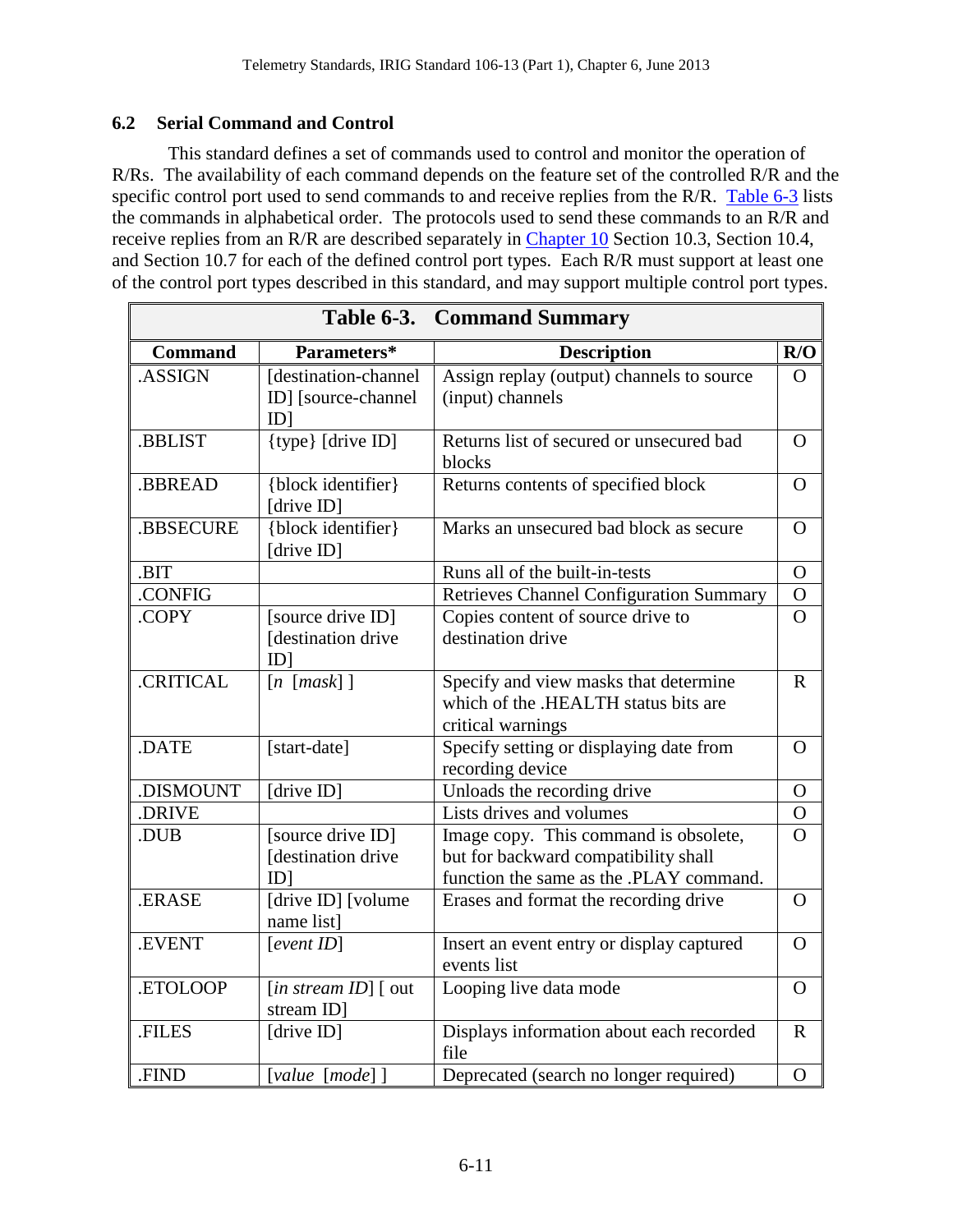### <span id="page-14-0"></span>**6.2 Serial Command and Control**

This standard defines a set of commands used to control and monitor the operation of R/Rs. The availability of each command depends on the feature set of the controlled R/R and the specific control port used to send commands to and receive replies from the R/R. [Table 6-3](#page-14-1) lists the commands in alphabetical order. The protocols used to send these commands to an R/R and receive replies from an R/R are described separately in [Chapter 10](http://www.wsmr.army.mil/RCCsite/Documents/106-13_Telemetry_Standards/chapter%2010.pdf) Section 10.3, Section 10.4, and Section 10.7 for each of the defined control port types. Each R/R must support at least one of the control port types described in this standard, and may support multiple control port types.

<span id="page-14-1"></span>

| Table 6-3. Command Summary |                                                            |                                                                                                                          |                |  |  |  |
|----------------------------|------------------------------------------------------------|--------------------------------------------------------------------------------------------------------------------------|----------------|--|--|--|
| <b>Command</b>             | Parameters*                                                | <b>Description</b>                                                                                                       | R/O            |  |  |  |
| .ASSIGN                    | [destination-channel<br>ID] [source-channel<br>ID          | Assign replay (output) channels to source<br>(input) channels                                                            | $\Omega$       |  |  |  |
| .BBLIST                    | {type} [drive ID]                                          | Returns list of secured or unsecured bad<br>blocks                                                                       | $\Omega$       |  |  |  |
| .BBREAD                    | {block identifier}<br>[drive ID]                           | Returns contents of specified block                                                                                      | $\Omega$       |  |  |  |
| .BBSECURE                  | {block identifier}<br>[drive ID]                           | Marks an unsecured bad block as secure                                                                                   | $\Omega$       |  |  |  |
| .BIT                       |                                                            | Runs all of the built-in-tests                                                                                           | $\mathbf{O}$   |  |  |  |
| .CONFIG                    |                                                            | Retrieves Channel Configuration Summary                                                                                  | $\mathbf O$    |  |  |  |
| .COPY                      | [source drive ID]<br>[destination drive<br>ID              | Copies content of source drive to<br>destination drive                                                                   | $\overline{O}$ |  |  |  |
| .CRITICAL                  | $[n \; [mask] ]$                                           | Specify and view masks that determine<br>which of the .HEALTH status bits are<br>critical warnings                       | $\mathbf R$    |  |  |  |
| .DATE                      | [start-date]                                               | Specify setting or displaying date from<br>recording device                                                              | $\mathbf{O}$   |  |  |  |
| .DISMOUNT                  | [drive ID]                                                 | Unloads the recording drive                                                                                              | $\mathbf{O}$   |  |  |  |
| .DRIVE                     |                                                            | Lists drives and volumes                                                                                                 | $\overline{O}$ |  |  |  |
| .DUB                       | [source drive ID]<br>[destination drive<br>ID <sub>1</sub> | Image copy. This command is obsolete,<br>but for backward compatibility shall<br>function the same as the .PLAY command. | $\overline{O}$ |  |  |  |
| <b>.ERASE</b>              | [drive ID] [volume]<br>name list]                          | Erases and format the recording drive                                                                                    | $\mathbf{O}$   |  |  |  |
| .EVENT                     | [event ID]                                                 | Insert an event entry or display captured<br>events list                                                                 | $\mathbf{O}$   |  |  |  |
| .ETOLOOP                   | [in stream ID] [ out<br>stream ID]                         | Looping live data mode                                                                                                   | $\mathbf{O}$   |  |  |  |
| .FILES                     | [drive ID]                                                 | Displays information about each recorded<br>file                                                                         | $\mathbf R$    |  |  |  |
| .FIND                      | $[value \ [mode] ]$                                        | Deprecated (search no longer required)                                                                                   | $\mathbf O$    |  |  |  |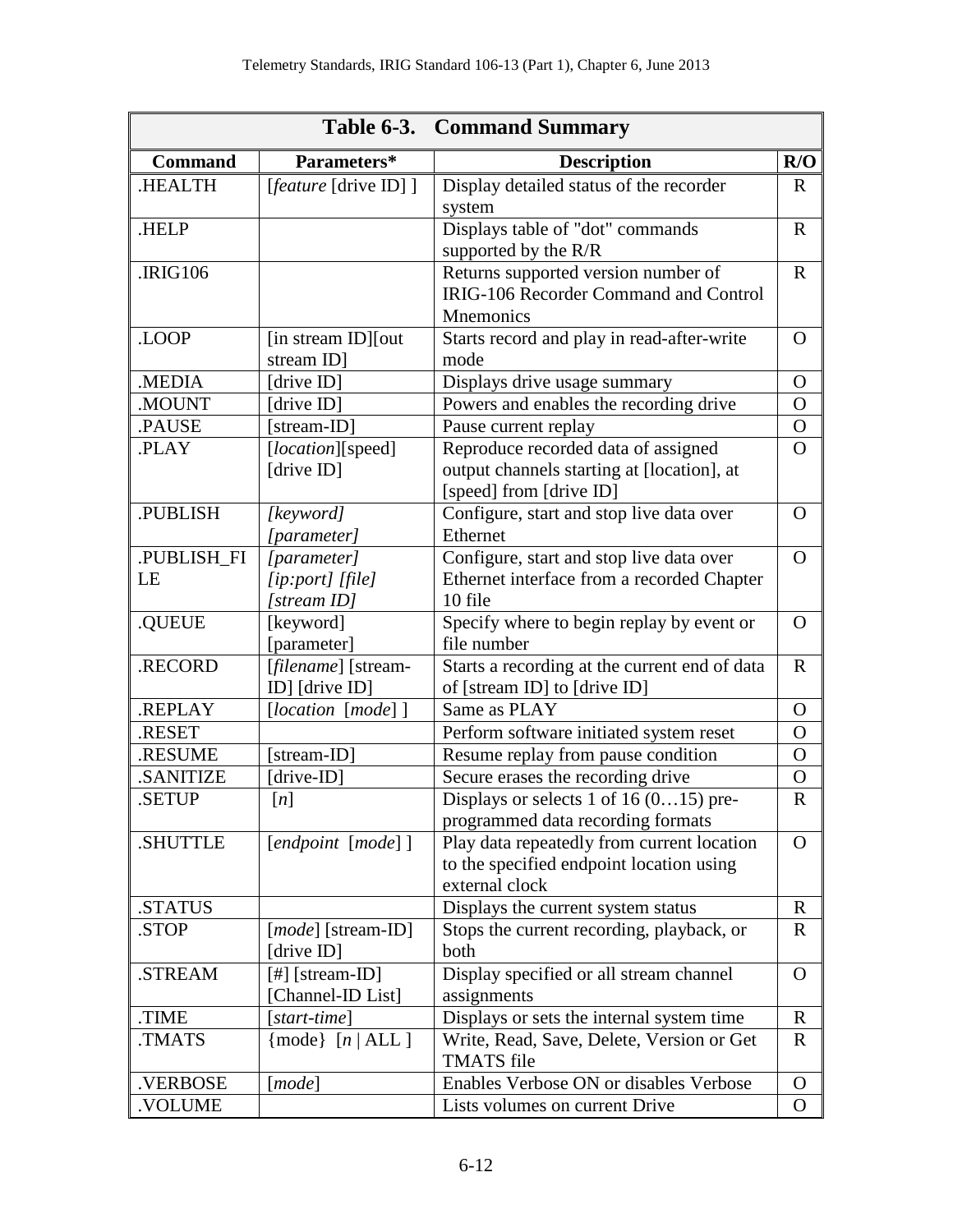|                   |                                                | Table 6-3. Command Summary                                                                                   |                |
|-------------------|------------------------------------------------|--------------------------------------------------------------------------------------------------------------|----------------|
| <b>Command</b>    | Parameters*                                    | <b>Description</b>                                                                                           | R/O            |
| .HEALTH           | [feature [drive ID]]                           | Display detailed status of the recorder<br>system                                                            | R              |
| .HELP             |                                                | Displays table of "dot" commands<br>supported by the $R/R$                                                   | $\mathbf R$    |
| <b>.IRIG106</b>   |                                                | Returns supported version number of<br>IRIG-106 Recorder Command and Control<br><b>M</b> nemonics            | $\mathbf R$    |
| LOOP              | [in stream ID][out<br>stream ID]               | Starts record and play in read-after-write<br>mode                                                           | O              |
| .MEDIA            | [drive ID]                                     | Displays drive usage summary                                                                                 | $\Omega$       |
| .MOUNT            | [drive ID]                                     | Powers and enables the recording drive                                                                       | $\overline{O}$ |
| .PAUSE            | [stream-ID]                                    | Pause current replay                                                                                         | $\overline{O}$ |
| PLAY.             | [location][speed]<br>[drive ID]                | Reproduce recorded data of assigned<br>output channels starting at [location], at<br>[speed] from [drive ID] | $\overline{O}$ |
| .PUBLISH          | [keyword]<br>[parameter]                       | Configure, start and stop live data over<br>Ethernet                                                         | $\mathbf{O}$   |
| .PUBLISH_FI<br>LE | [parameter]<br>[ip:port] [file]<br>[stream ID] | Configure, start and stop live data over<br>Ethernet interface from a recorded Chapter<br>10 file            | $\Omega$       |
| .QUEUE            | [keyword]<br>[parameter]                       | Specify where to begin replay by event or<br>file number                                                     | $\mathbf{O}$   |
| .RECORD           | [ <i>filename</i> ] [stream-<br>ID] [drive ID] | Starts a recording at the current end of data<br>of [stream ID] to [drive ID]                                | $\mathbf R$    |
| .REPLAY           | [location [mode]]                              | Same as PLAY                                                                                                 | $\Omega$       |
| .RESET            |                                                | Perform software initiated system reset                                                                      | $\mathbf O$    |
| .RESUME           | stream-ID]                                     | Resume replay from pause condition                                                                           | O              |
| <b>SANITIZE</b>   | [drive-ID]                                     | Secure erases the recording drive                                                                            | O              |
| .SETUP            | [n]                                            | Displays or selects 1 of 16 $(015)$ pre-<br>programmed data recording formats                                | $\mathbf R$    |
| .SHUTTLE          | [endpoint [mode]]                              | Play data repeatedly from current location<br>to the specified endpoint location using<br>external clock     | $\mathbf{O}$   |
| .STATUS           |                                                | Displays the current system status                                                                           | R              |
| .STOP             | $[mode]$ [stream-ID]<br>drive ID]              | Stops the current recording, playback, or<br>both                                                            | R              |
| .STREAM           | [#] [stream-ID]<br>[Channel-ID List]           | Display specified or all stream channel<br>assignments                                                       | $\mathbf{O}$   |
| TIME.             | [start-time]                                   | Displays or sets the internal system time                                                                    | R              |
| TMATS.            | ${mode}$ [n   ALL ]                            | Write, Read, Save, Delete, Version or Get<br><b>TMATS</b> file                                               | $\mathbf R$    |
| .VERBOSE          | [mode]                                         | Enables Verbose ON or disables Verbose                                                                       | $\mathbf{O}$   |
| .VOLUME           |                                                | Lists volumes on current Drive                                                                               | $\mathbf{O}$   |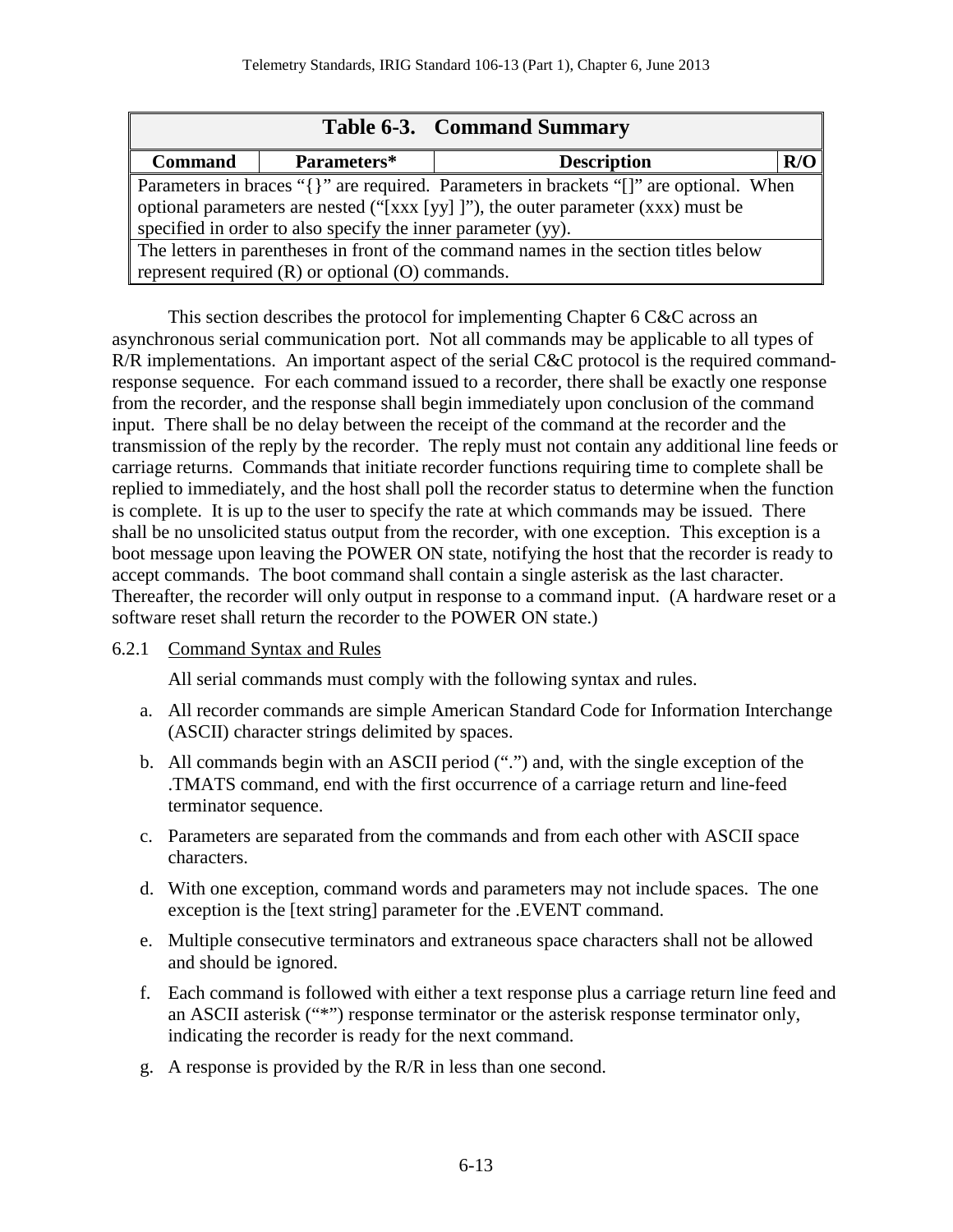| <b>Table 6-3. Command Summary</b>                                                      |                                                              |                                                                                    |     |  |  |  |  |
|----------------------------------------------------------------------------------------|--------------------------------------------------------------|------------------------------------------------------------------------------------|-----|--|--|--|--|
| <b>Command</b>                                                                         | Parameters*                                                  | <b>Description</b>                                                                 | R/O |  |  |  |  |
| Parameters in braces "{}" are required. Parameters in brackets "[]" are optional. When |                                                              |                                                                                    |     |  |  |  |  |
|                                                                                        |                                                              | optional parameters are nested ("[xxx [yy]]"), the outer parameter $(xxx)$ must be |     |  |  |  |  |
|                                                                                        | specified in order to also specify the inner parameter (yy). |                                                                                    |     |  |  |  |  |
| The letters in parentheses in front of the command names in the section titles below   |                                                              |                                                                                    |     |  |  |  |  |
|                                                                                        | represent required $(R)$ or optional $(O)$ commands.         |                                                                                    |     |  |  |  |  |

This section describes the protocol for implementing Chapter 6 C&C across an asynchronous serial communication port. Not all commands may be applicable to all types of R/R implementations. An important aspect of the serial C&C protocol is the required commandresponse sequence. For each command issued to a recorder, there shall be exactly one response from the recorder, and the response shall begin immediately upon conclusion of the command input. There shall be no delay between the receipt of the command at the recorder and the transmission of the reply by the recorder. The reply must not contain any additional line feeds or carriage returns. Commands that initiate recorder functions requiring time to complete shall be replied to immediately, and the host shall poll the recorder status to determine when the function is complete. It is up to the user to specify the rate at which commands may be issued. There shall be no unsolicited status output from the recorder, with one exception. This exception is a boot message upon leaving the POWER ON state, notifying the host that the recorder is ready to accept commands. The boot command shall contain a single asterisk as the last character. Thereafter, the recorder will only output in response to a command input. (A hardware reset or a software reset shall return the recorder to the POWER ON state.)

#### <span id="page-16-0"></span>6.2.1 Command Syntax and Rules

All serial commands must comply with the following syntax and rules.

- a. All recorder commands are simple American Standard Code for Information Interchange (ASCII) character strings delimited by spaces.
- b. All commands begin with an ASCII period (".") and, with the single exception of the .TMATS command, end with the first occurrence of a carriage return and line-feed terminator sequence.
- c. Parameters are separated from the commands and from each other with ASCII space characters.
- d. With one exception, command words and parameters may not include spaces. The one exception is the [text string] parameter for the .EVENT command.
- e. Multiple consecutive terminators and extraneous space characters shall not be allowed and should be ignored.
- f. Each command is followed with either a text response plus a carriage return line feed and an ASCII asterisk ("\*") response terminator or the asterisk response terminator only, indicating the recorder is ready for the next command.
- g. A response is provided by the R/R in less than one second.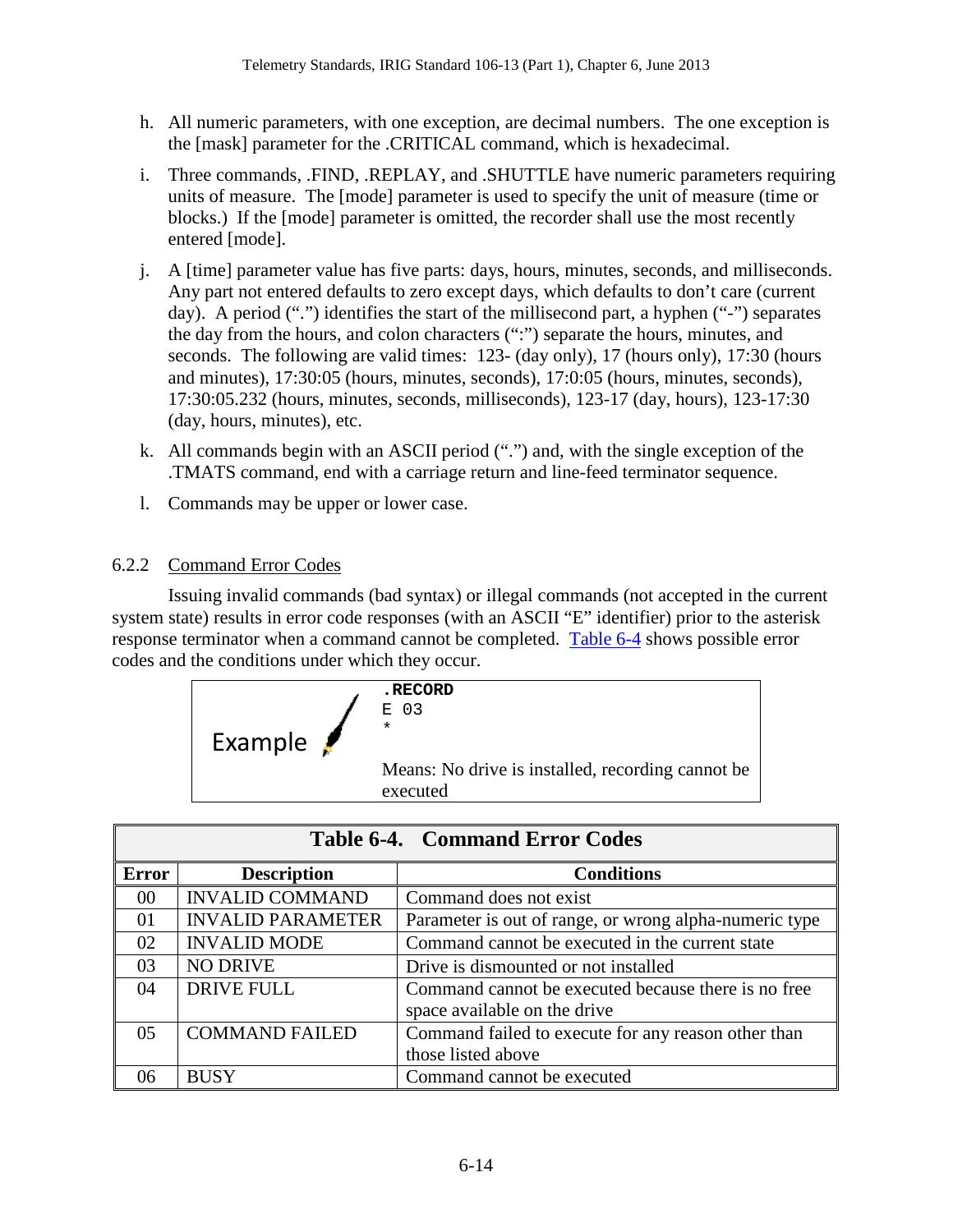- h. All numeric parameters, with one exception, are decimal numbers. The one exception is the [mask] parameter for the .CRITICAL command, which is hexadecimal.
- i. Three commands, .FIND, .REPLAY, and .SHUTTLE have numeric parameters requiring units of measure. The [mode] parameter is used to specify the unit of measure (time or blocks.) If the [mode] parameter is omitted, the recorder shall use the most recently entered [mode].
- <span id="page-17-2"></span>j. A [time] parameter value has five parts: days, hours, minutes, seconds, and milliseconds. Any part not entered defaults to zero except days, which defaults to don't care (current day). A period (".") identifies the start of the millisecond part, a hyphen ("-") separates the day from the hours, and colon characters (":") separate the hours, minutes, and seconds. The following are valid times: 123- (day only), 17 (hours only), 17:30 (hours and minutes), 17:30:05 (hours, minutes, seconds), 17:0:05 (hours, minutes, seconds), 17:30:05.232 (hours, minutes, seconds, milliseconds), 123-17 (day, hours), 123-17:30 (day, hours, minutes), etc.
- k. All commands begin with an ASCII period (".") and, with the single exception of the .TMATS command, end with a carriage return and line-feed terminator sequence.
- l. Commands may be upper or lower case.

### <span id="page-17-0"></span>6.2.2 Command Error Codes

Issuing invalid commands (bad syntax) or illegal commands (not accepted in the current system state) results in error code responses (with an ASCII "E" identifier) prior to the asterisk response terminator when a command cannot be completed. [Table 6-4](#page-17-1) shows possible error codes and the conditions under which they occur.

| Example $\blacktriangleright$ | .RECORD<br>E 03                                                 |
|-------------------------------|-----------------------------------------------------------------|
|                               | Means: No drive is installed, recording cannot be  <br>executed |

<span id="page-17-1"></span>

| <b>Table 6-4. Command Error Codes</b> |                          |                                                        |  |
|---------------------------------------|--------------------------|--------------------------------------------------------|--|
| <b>Error</b>                          | <b>Description</b>       | <b>Conditions</b>                                      |  |
| 00 <sup>°</sup>                       | <b>INVALID COMMAND</b>   | Command does not exist                                 |  |
| 01                                    | <b>INVALID PARAMETER</b> | Parameter is out of range, or wrong alpha-numeric type |  |
| 02                                    | <b>INVALID MODE</b>      | Command cannot be executed in the current state        |  |
| 03                                    | <b>NO DRIVE</b>          | Drive is dismounted or not installed                   |  |
| 04                                    | <b>DRIVE FULL</b>        | Command cannot be executed because there is no free    |  |
|                                       |                          | space available on the drive                           |  |
| 05                                    | <b>COMMAND FAILED</b>    | Command failed to execute for any reason other than    |  |
|                                       |                          | those listed above                                     |  |
| 06                                    | <b>BUSY</b>              | Command cannot be executed                             |  |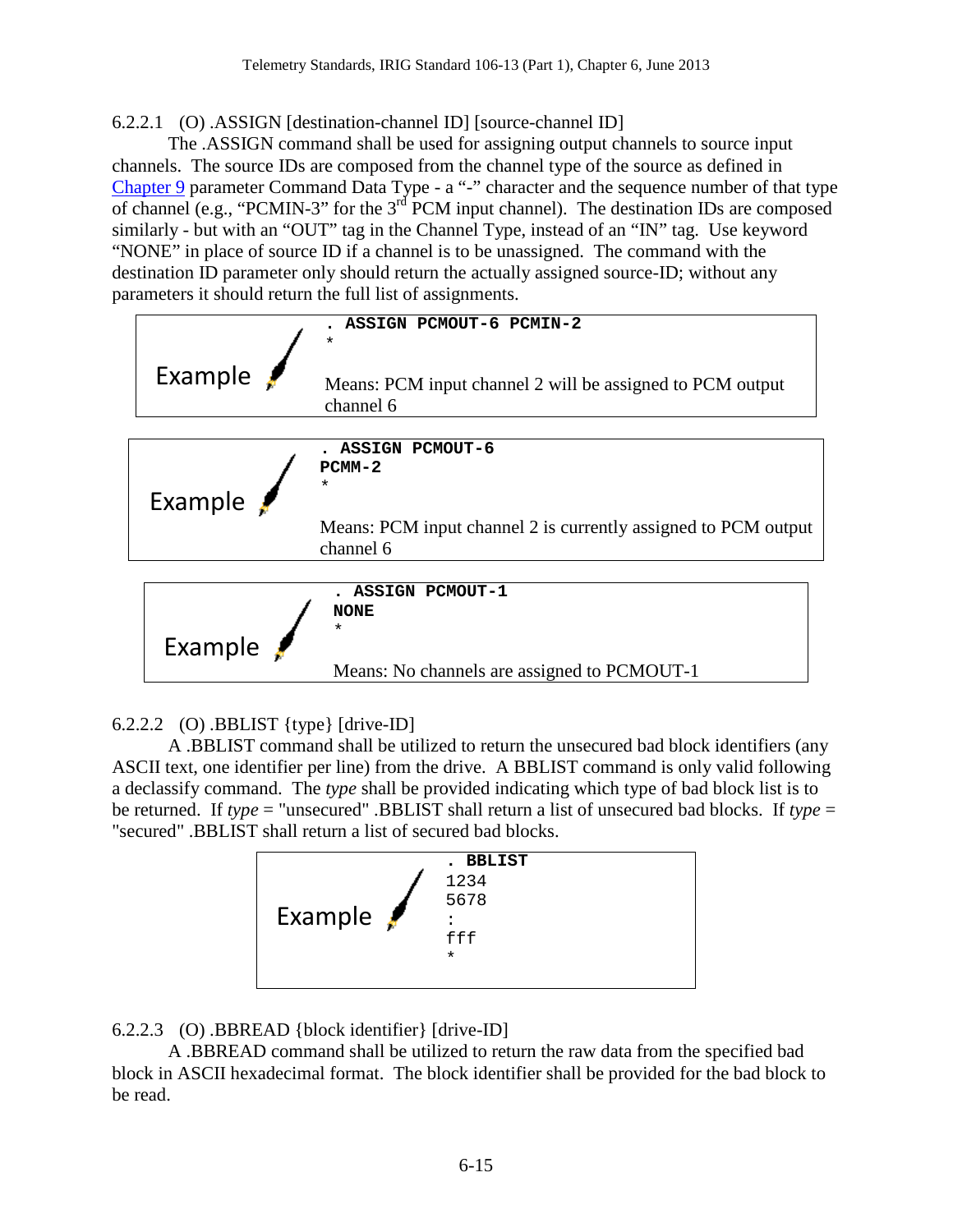6.2.2.1 (O) .ASSIGN [destination-channel ID] [source-channel ID]

The .ASSIGN command shall be used for assigning output channels to source input channels. The source IDs are composed from the channel type of the source as defined in [Chapter 9](http://www.wsmr.army.mil/RCCsite/Documents/106-13_Telemetry_Standards/Chapter%209.pdf) parameter Command Data Type - a "-" character and the sequence number of that type of channel (e.g., "PCMIN-3" for the  $3<sup>rd</sup>$  PCM input channel). The destination IDs are composed similarly - but with an "OUT" tag in the Channel Type, instead of an "IN" tag. Use keyword "NONE" in place of source ID if a channel is to be unassigned. The command with the destination ID parameter only should return the actually assigned source-ID; without any parameters it should return the full list of assignments.



6.2.2.2 (O) .BBLIST {type} [drive-ID]

A .BBLIST command shall be utilized to return the unsecured bad block identifiers (any ASCII text, one identifier per line) from the drive. A BBLIST command is only valid following a declassify command. The *type* shall be provided indicating which type of bad block list is to be returned. If *type* = "unsecured" .BBLIST shall return a list of unsecured bad blocks. If *type* = "secured" .BBLIST shall return a list of secured bad blocks.



6.2.2.3 (O) .BBREAD {block identifier} [drive-ID]

A .BBREAD command shall be utilized to return the raw data from the specified bad block in ASCII hexadecimal format. The block identifier shall be provided for the bad block to be read.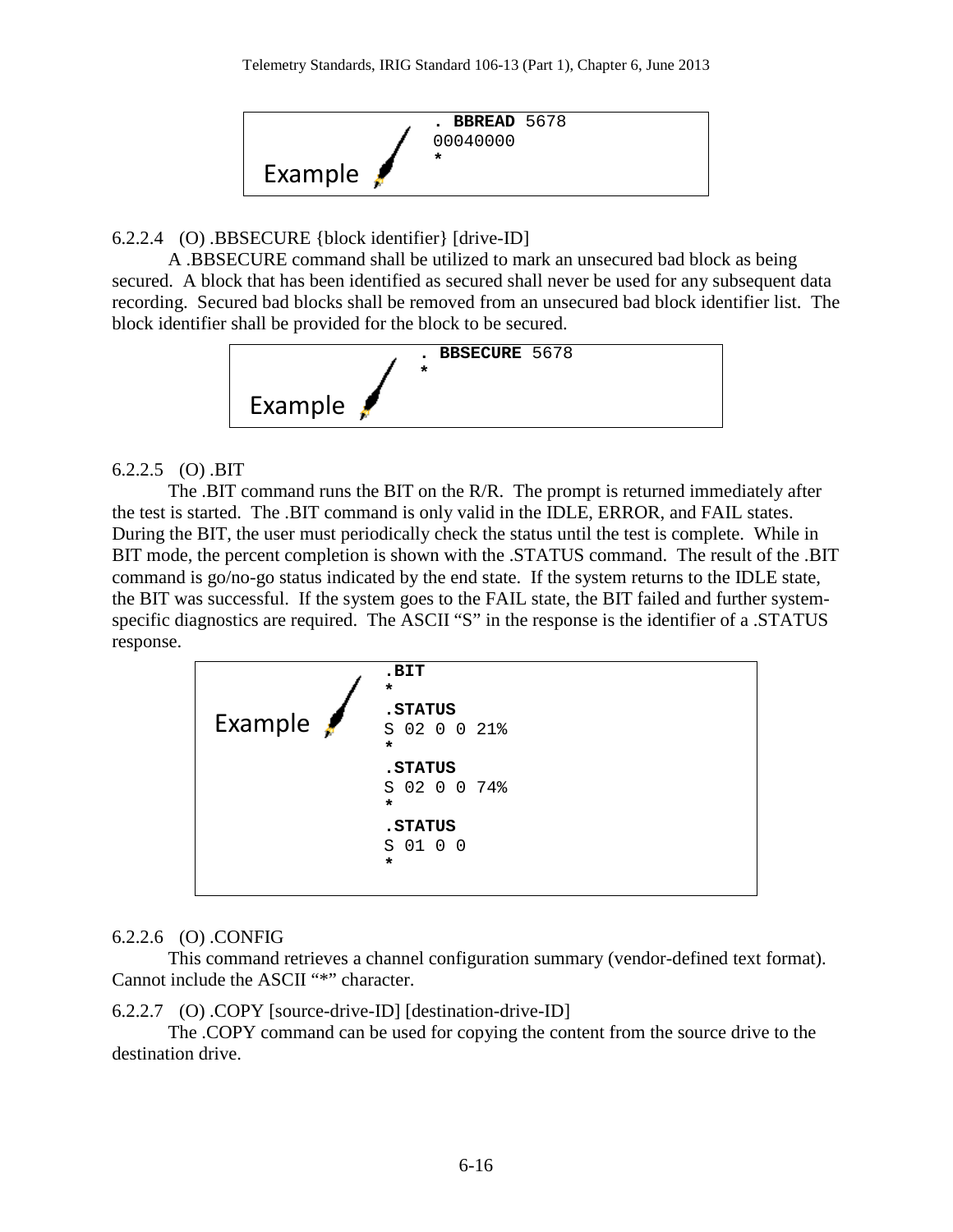

6.2.2.4 (O) .BBSECURE {block identifier} [drive-ID]

A .BBSECURE command shall be utilized to mark an unsecured bad block as being secured. A block that has been identified as secured shall never be used for any subsequent data recording. Secured bad blocks shall be removed from an unsecured bad block identifier list. The block identifier shall be provided for the block to be secured.



#### 6.2.2.5 (O) .BIT

The .BIT command runs the BIT on the R/R. The prompt is returned immediately after the test is started. The .BIT command is only valid in the IDLE, ERROR, and FAIL states. During the BIT, the user must periodically check the status until the test is complete. While in BIT mode, the percent completion is shown with the .STATUS command. The result of the .BIT command is go/no-go status indicated by the end state. If the system returns to the IDLE state, the BIT was successful. If the system goes to the FAIL state, the BIT failed and further systemspecific diagnostics are required. The ASCII "S" in the response is the identifier of a .STATUS response.

|                               | .BIT<br>$\star$                    |
|-------------------------------|------------------------------------|
| Example $\blacktriangleright$ | .STATUS<br>S 02 0 0 21%<br>$\star$ |
|                               | .STATUS<br>S 02 0 0 74%<br>$\star$ |
|                               | .STATUS                            |
|                               | S 01 0 0                           |
|                               | $\star$                            |

#### 6.2.2.6 (O) .CONFIG

This command retrieves a channel configuration summary (vendor-defined text format). Cannot include the ASCII "\*" character.

6.2.2.7 (O) .COPY [source-drive-ID] [destination-drive-ID]

The .COPY command can be used for copying the content from the source drive to the destination drive.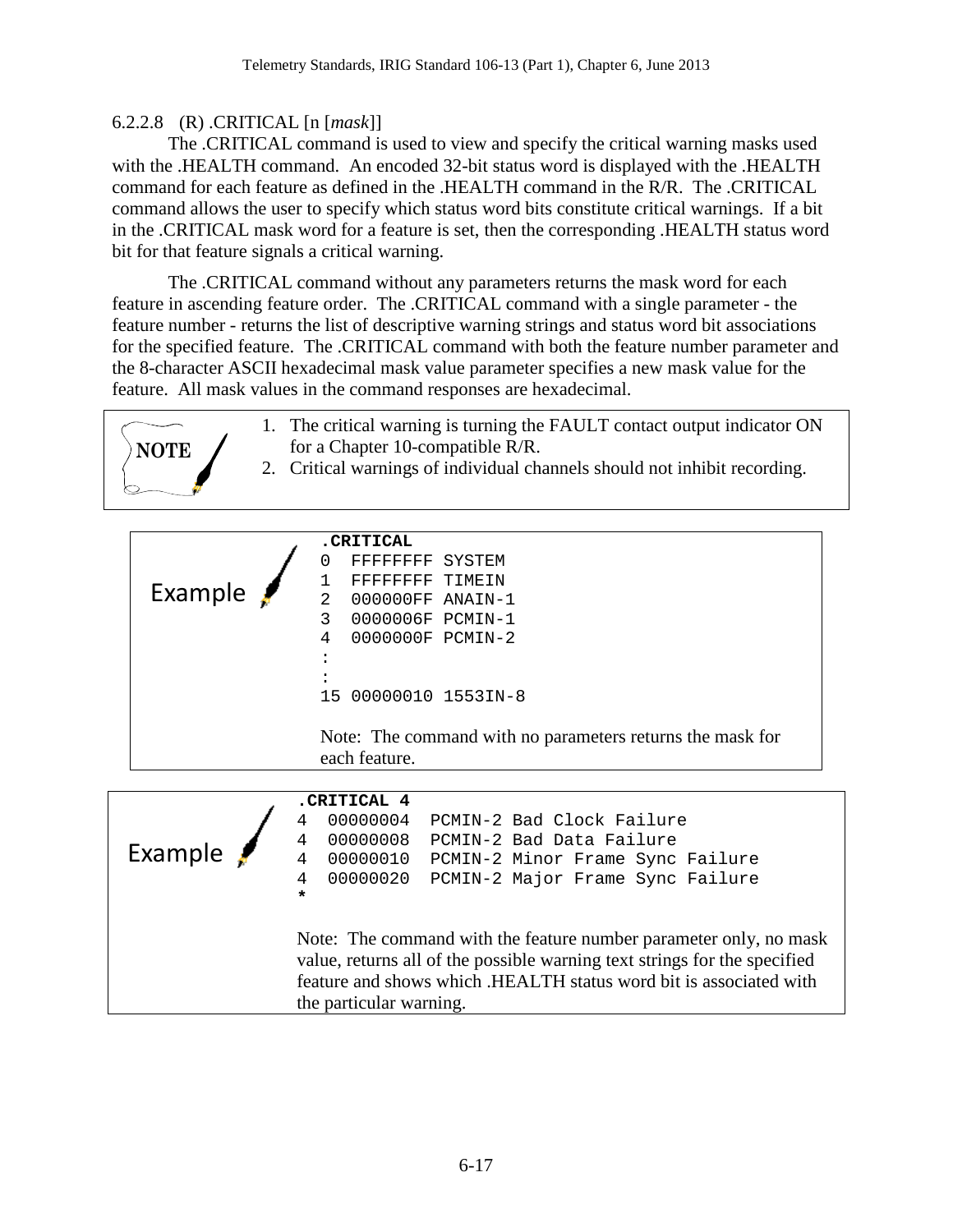### 6.2.2.8 (R) .CRITICAL [n [*mask*]]

The .CRITICAL command is used to view and specify the critical warning masks used with the .HEALTH command. An encoded 32-bit status word is displayed with the .HEALTH command for each feature as defined in the .HEALTH command in the R/R. The .CRITICAL command allows the user to specify which status word bits constitute critical warnings. If a bit in the .CRITICAL mask word for a feature is set, then the corresponding .HEALTH status word bit for that feature signals a critical warning.

The .CRITICAL command without any parameters returns the mask word for each feature in ascending feature order. The .CRITICAL command with a single parameter - the feature number - returns the list of descriptive warning strings and status word bit associations for the specified feature. The .CRITICAL command with both the feature number parameter and the 8-character ASCII hexadecimal mask value parameter specifies a new mask value for the feature. All mask values in the command responses are hexadecimal.





Note: The command with no parameters returns the mask for each feature.

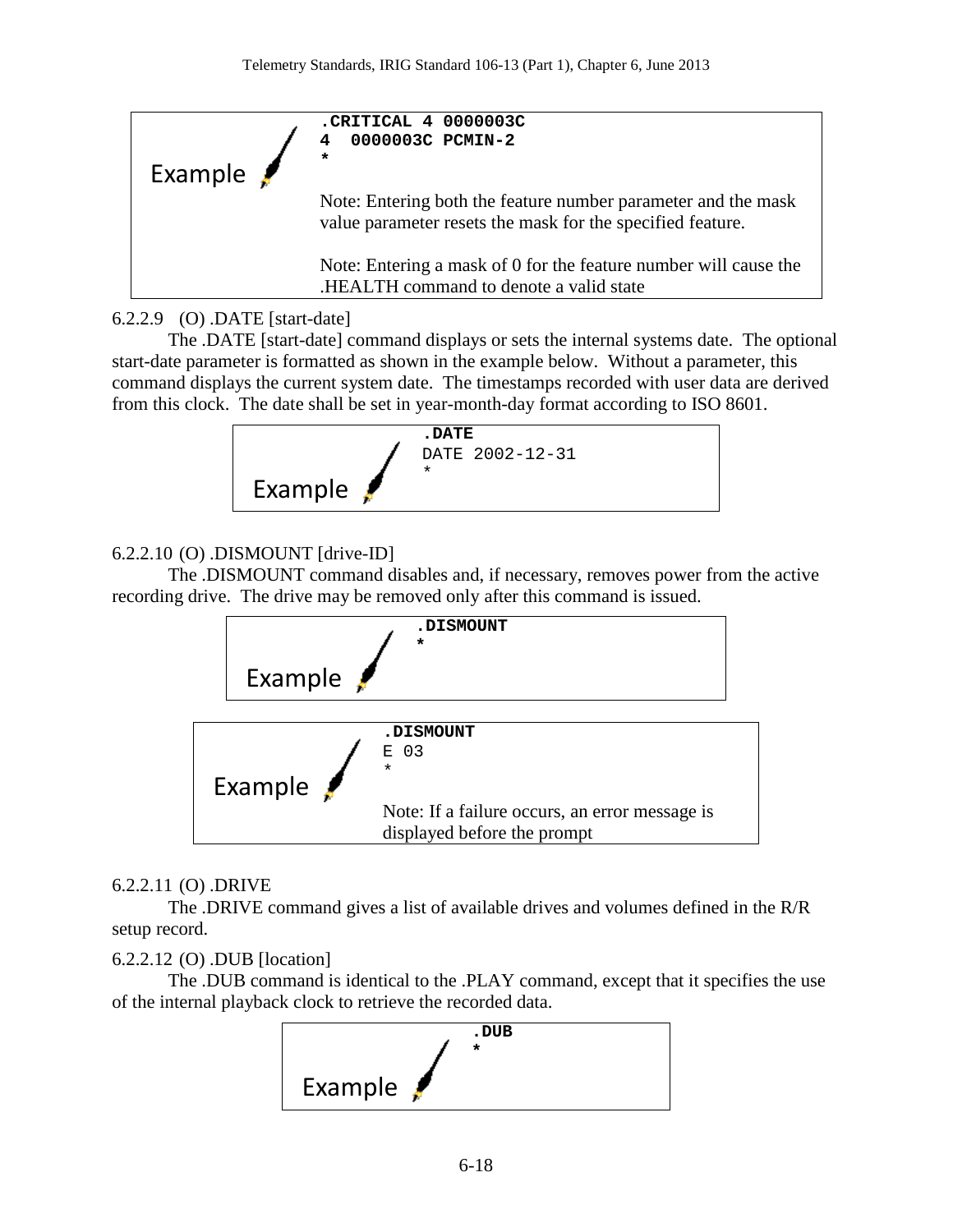



The .DATE [start-date] command displays or sets the internal systems date. The optional start-date parameter is formatted as shown in the example below. Without a parameter, this command displays the current system date. The timestamps recorded with user data are derived from this clock. The date shall be set in year-month-day format according to ISO 8601.



### 6.2.2.10 (O) .DISMOUNT [drive-ID]

The .DISMOUNT command disables and, if necessary, removes power from the active recording drive. The drive may be removed only after this command is issued.



displayed before the prompt

### 6.2.2.11 (O) .DRIVE

The .DRIVE command gives a list of available drives and volumes defined in the R/R setup record.

### 6.2.2.12 (O) .DUB [location]

The .DUB command is identical to the .PLAY command, except that it specifies the use of the internal playback clock to retrieve the recorded data.

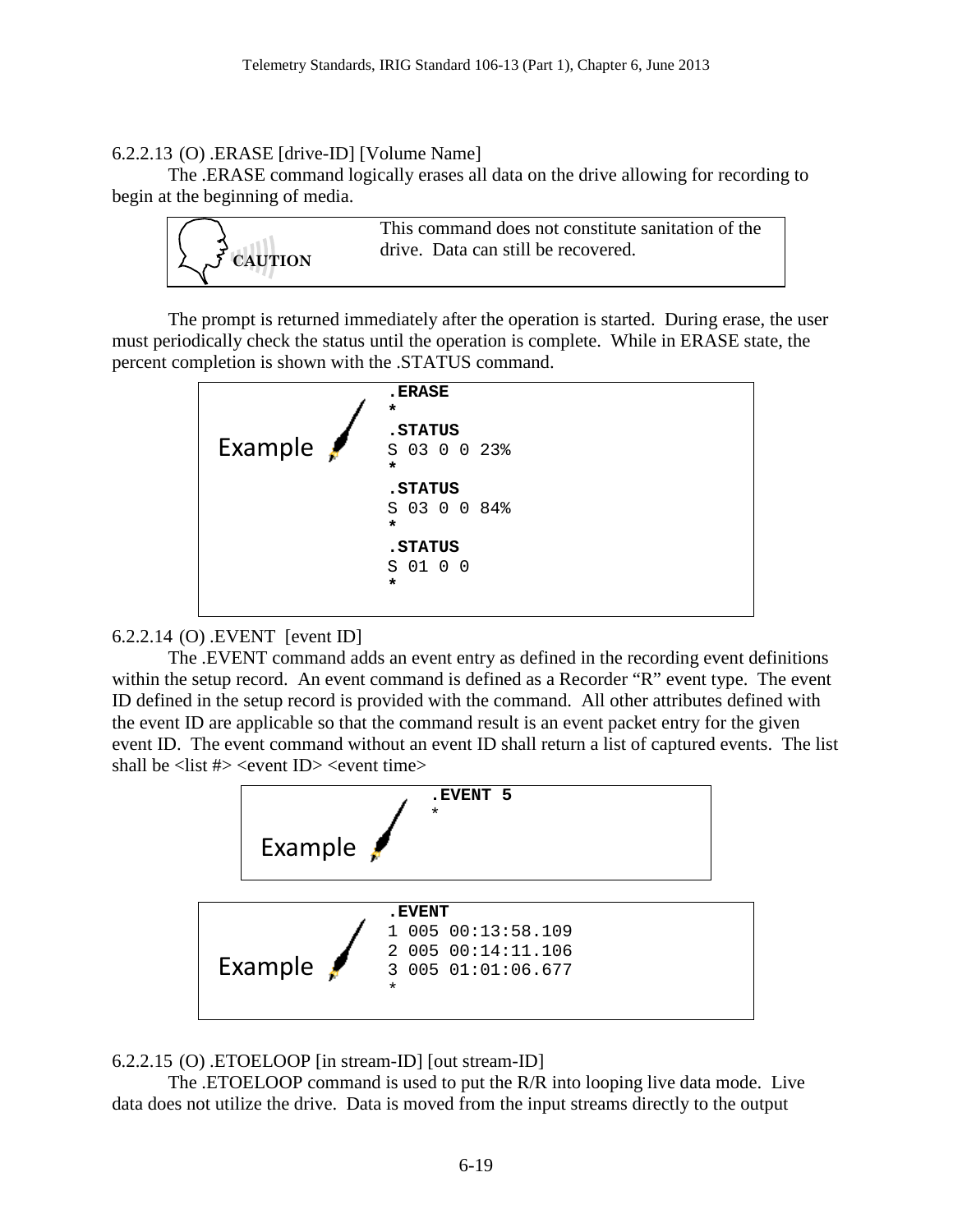### 6.2.2.13 (O) .ERASE [drive-ID] [Volume Name]

The .ERASE command logically erases all data on the drive allowing for recording to begin at the beginning of media.

| $\lambda$ of caution | This command does not constitute sanitation of the<br>drive. Data can still be recovered. |
|----------------------|-------------------------------------------------------------------------------------------|
|----------------------|-------------------------------------------------------------------------------------------|

The prompt is returned immediately after the operation is started. During erase, the user must periodically check the status until the operation is complete. While in ERASE state, the percent completion is shown with the .STATUS command.



### 6.2.2.14 (O) .EVENT [event ID]

The .EVENT command adds an event entry as defined in the recording event definitions within the setup record. An event command is defined as a Recorder "R" event type. The event ID defined in the setup record is provided with the command. All other attributes defined with the event ID are applicable so that the command result is an event packet entry for the given event ID. The event command without an event ID shall return a list of captured events. The list shall be  $\langle$ list # $\rangle$   $\langle$  event ID $\rangle$   $\langle$  event time $\rangle$ 



6.2.2.15 (O) .ETOELOOP [in stream-ID] [out stream-ID]

The .ETOELOOP command is used to put the R/R into looping live data mode. Live data does not utilize the drive. Data is moved from the input streams directly to the output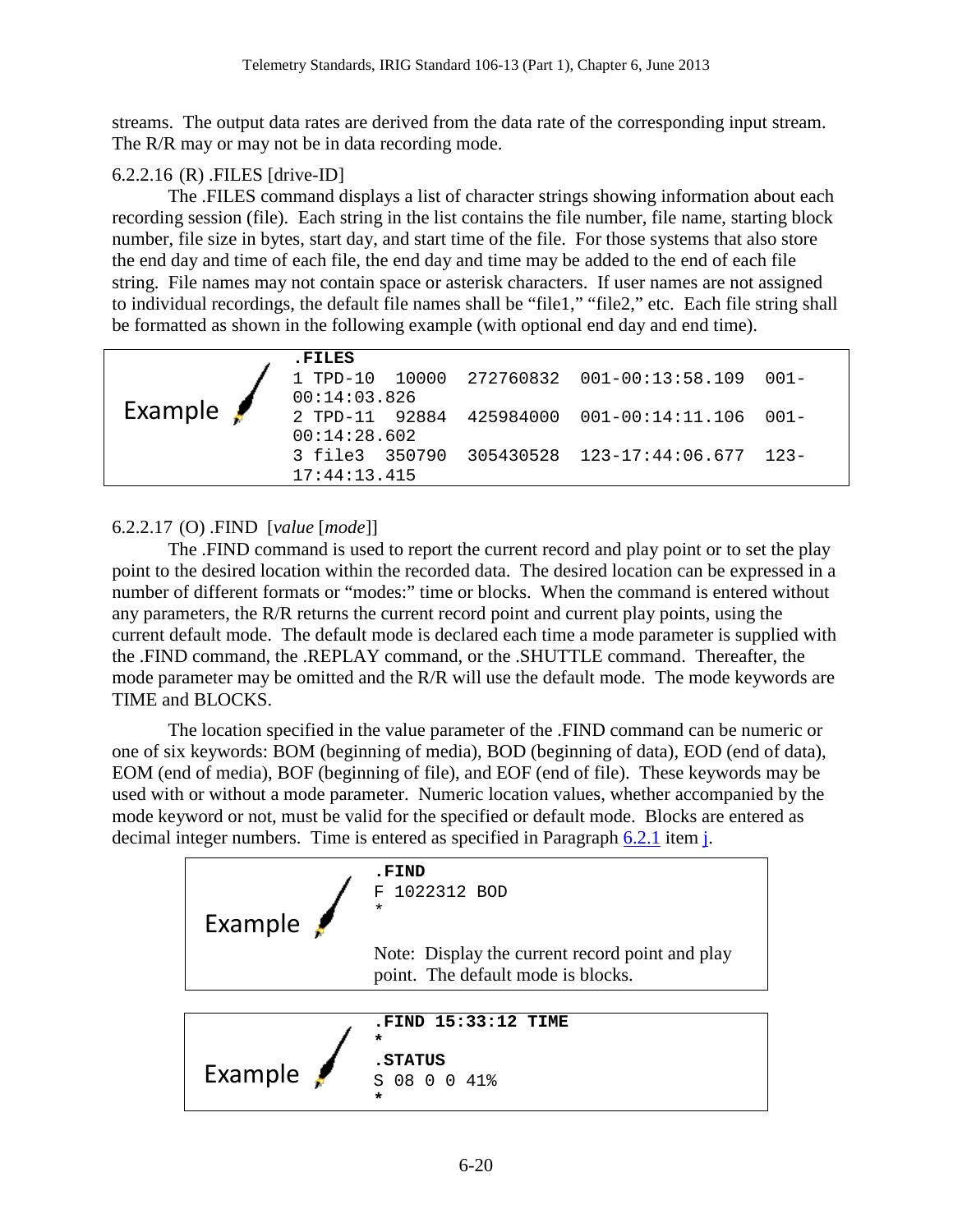streams. The output data rates are derived from the data rate of the corresponding input stream. The R/R may or may not be in data recording mode.

#### 6.2.2.16 (R) .FILES [drive-ID]

The .FILES command displays a list of character strings showing information about each recording session (file). Each string in the list contains the file number, file name, starting block number, file size in bytes, start day, and start time of the file. For those systems that also store the end day and time of each file, the end day and time may be added to the end of each file string. File names may not contain space or asterisk characters. If user names are not assigned to individual recordings, the default file names shall be "file1," "file2," etc. Each file string shall be formatted as shown in the following example (with optional end day and end time).



#### 6.2.2.17 (O) .FIND [*value* [*mode*]]

The .FIND command is used to report the current record and play point or to set the play point to the desired location within the recorded data. The desired location can be expressed in a number of different formats or "modes:" time or blocks. When the command is entered without any parameters, the R/R returns the current record point and current play points, using the current default mode. The default mode is declared each time a mode parameter is supplied with the .FIND command, the .REPLAY command, or the .SHUTTLE command. Thereafter, the mode parameter may be omitted and the R/R will use the default mode. The mode keywords are TIME and BLOCKS.

The location specified in the value parameter of the .FIND command can be numeric or one of six keywords: BOM (beginning of media), BOD (beginning of data), EOD (end of data), EOM (end of media), BOF (beginning of file), and EOF (end of file). These keywords may be used with or without a mode parameter. Numeric location values, whether accompanied by the mode keyword or not, must be valid for the specified or default mode. Blocks are entered as decimal integer numbers. Time is entered as specified in Paragraph [6.2.1](#page-16-0) item [j.](#page-17-2)

| Example $\blacktriangleright$ | .FIND<br>1022312 BOD<br>F<br>$\star$                                                  |
|-------------------------------|---------------------------------------------------------------------------------------|
|                               | Note: Display the current record point and play<br>point. The default mode is blocks. |
|                               |                                                                                       |
|                               | <b>.FIND 15:33:12 TIME</b><br>$\star$                                                 |
| Example $\sqrt{\frac{1}{2}}$  | .STATUS<br>S 08 0 0 41%<br>$\star$                                                    |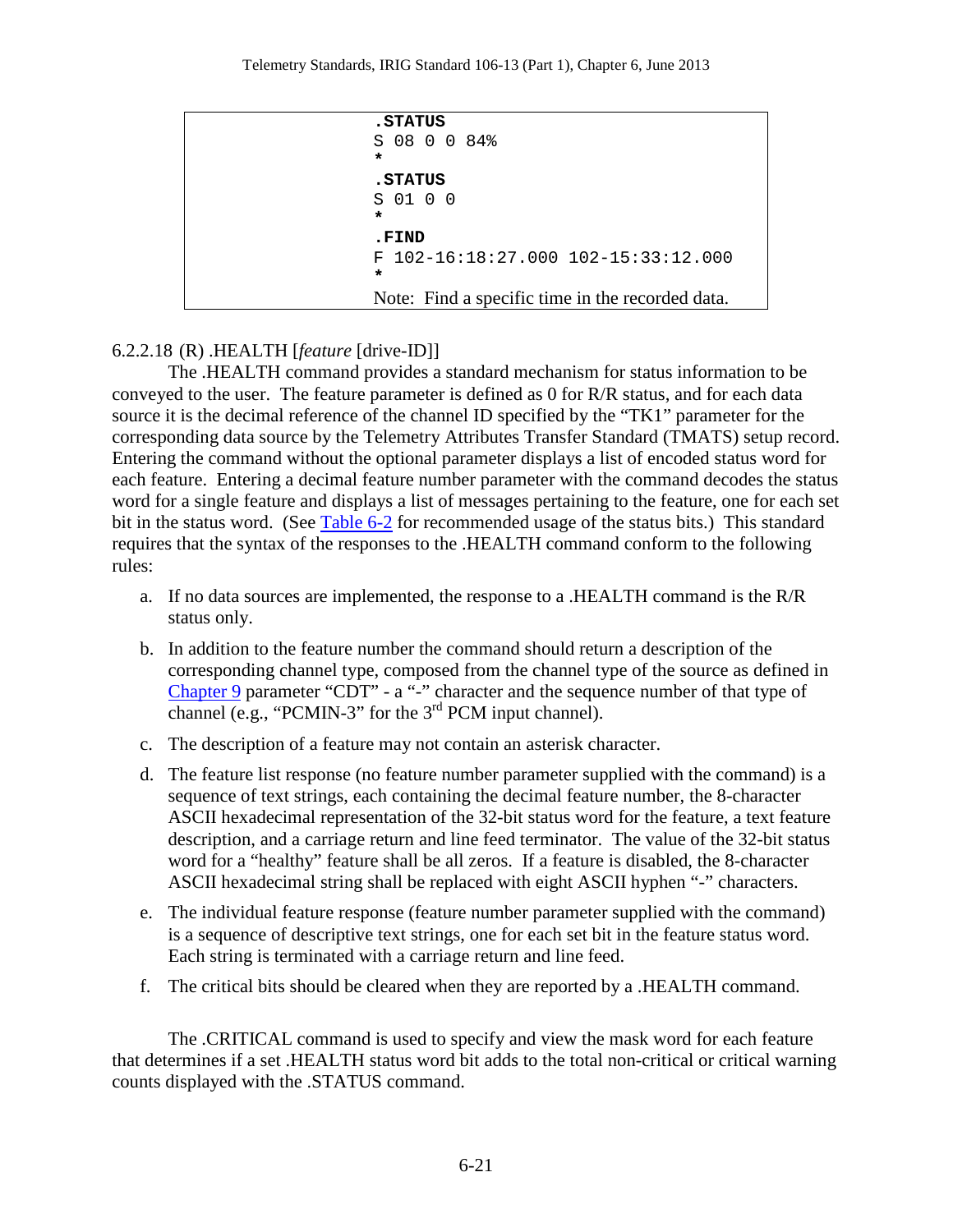```
.STATUS
S 08 0 0 84%
*
.STATUS
S 01 0 0
*
.FIND
F 102-16:18:27.000 102-15:33:12.000
*
Note: Find a specific time in the recorded data.
```
6.2.2.18 (R) .HEALTH [*feature* [drive-ID]]

The .HEALTH command provides a standard mechanism for status information to be conveyed to the user. The feature parameter is defined as 0 for R/R status, and for each data source it is the decimal reference of the channel ID specified by the "TK1" parameter for the corresponding data source by the Telemetry Attributes Transfer Standard (TMATS) setup record. Entering the command without the optional parameter displays a list of encoded status word for each feature. Entering a decimal feature number parameter with the command decodes the status word for a single feature and displays a list of messages pertaining to the feature, one for each set bit in the status word. (See [Table 6-2](#page-11-2) for recommended usage of the status bits.) This standard requires that the syntax of the responses to the .HEALTH command conform to the following rules:

- a. If no data sources are implemented, the response to a .HEALTH command is the R/R status only.
- b. In addition to the feature number the command should return a description of the corresponding channel type, composed from the channel type of the source as defined in [Chapter 9](http://www.wsmr.army.mil/RCCsite/Documents/106-13_Telemetry_Standards/chapter%209.pdf) parameter "CDT" - a "-" character and the sequence number of that type of channel (e.g., "PCMIN-3" for the  $3<sup>rd</sup>$  PCM input channel).
- c. The description of a feature may not contain an asterisk character.
- d. The feature list response (no feature number parameter supplied with the command) is a sequence of text strings, each containing the decimal feature number, the 8-character ASCII hexadecimal representation of the 32-bit status word for the feature, a text feature description, and a carriage return and line feed terminator. The value of the 32-bit status word for a "healthy" feature shall be all zeros. If a feature is disabled, the 8-character ASCII hexadecimal string shall be replaced with eight ASCII hyphen "-" characters.
- e. The individual feature response (feature number parameter supplied with the command) is a sequence of descriptive text strings, one for each set bit in the feature status word. Each string is terminated with a carriage return and line feed.
- f. The critical bits should be cleared when they are reported by a .HEALTH command.

The .CRITICAL command is used to specify and view the mask word for each feature that determines if a set .HEALTH status word bit adds to the total non-critical or critical warning counts displayed with the .STATUS command.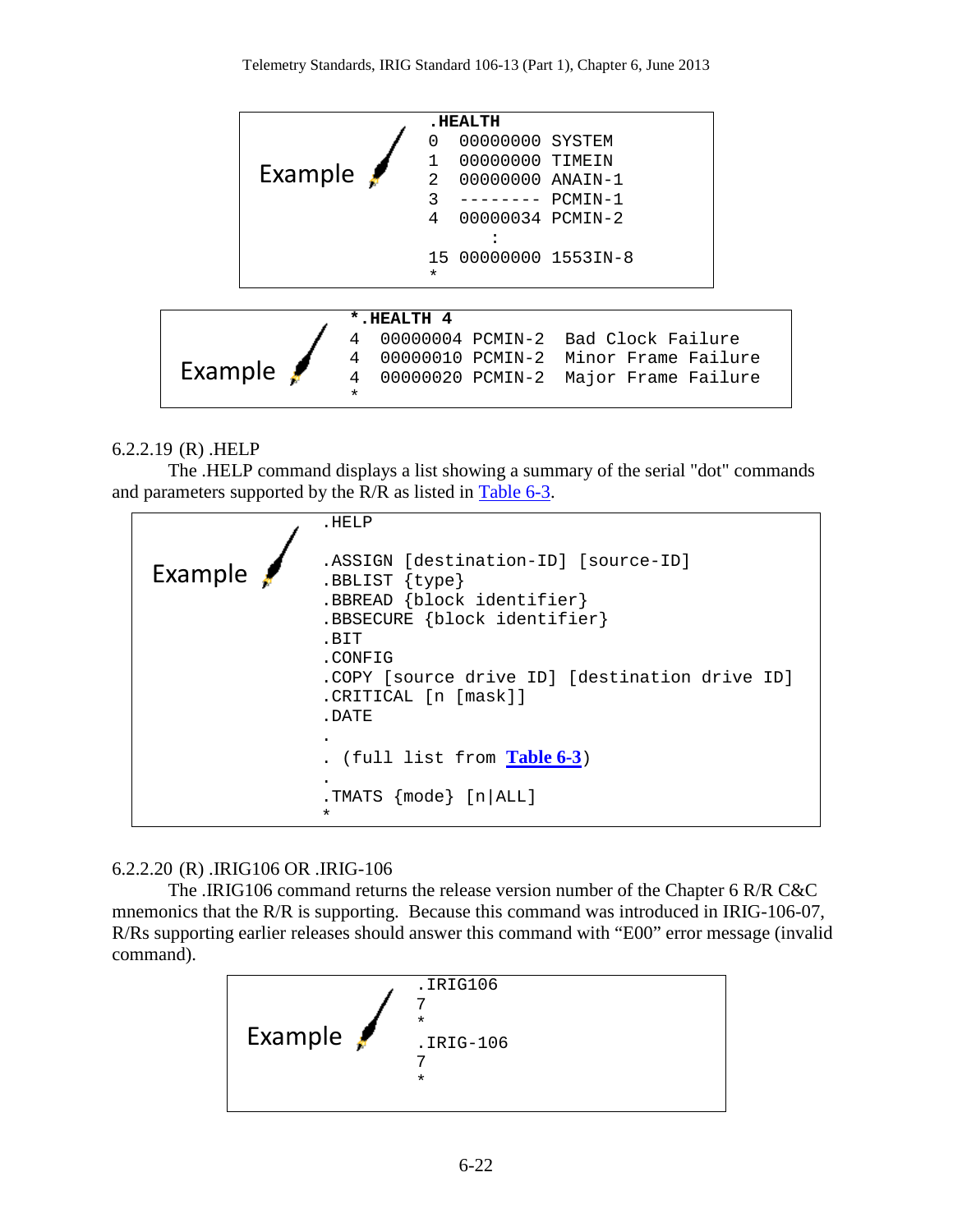|         |         | .HRAI.TH             |              |
|---------|---------|----------------------|--------------|
|         |         | 00000000 SYSTEM      |              |
|         |         | 00000000 TIMEIN      |              |
| Example | 2       | 00000000 ANAIN-1     |              |
|         | 3       |                      | ---- PCMIN-1 |
|         |         | 00000034 PCMIN-2     |              |
|         |         |                      |              |
|         |         | 15 00000000 1553IN-8 |              |
|         | $\star$ |                      |              |

| *.HEALTH 4                    |  |  |  |  |                                                                                |
|-------------------------------|--|--|--|--|--------------------------------------------------------------------------------|
|                               |  |  |  |  | 4 00000004 PCMIN-2 Bad Clock Failure<br>4 00000010 PCMIN-2 Minor Frame Failure |
|                               |  |  |  |  |                                                                                |
| Example $\blacktriangleright$ |  |  |  |  | 4 00000020 PCMIN-2 Major Frame Failure                                         |
|                               |  |  |  |  |                                                                                |

### 6.2.2.19 (R) .HELP

The .HELP command displays a list showing a summary of the serial "dot" commands and parameters supported by the R/R as listed in [Table 6-3.](#page-14-1)



### 6.2.2.20 (R) .IRIG106 OR .IRIG-106

The .IRIG106 command returns the release version number of the Chapter 6 R/R C&C mnemonics that the R/R is supporting. Because this command was introduced in IRIG-106-07, R/Rs supporting earlier releases should answer this command with "E00" error message (invalid command).

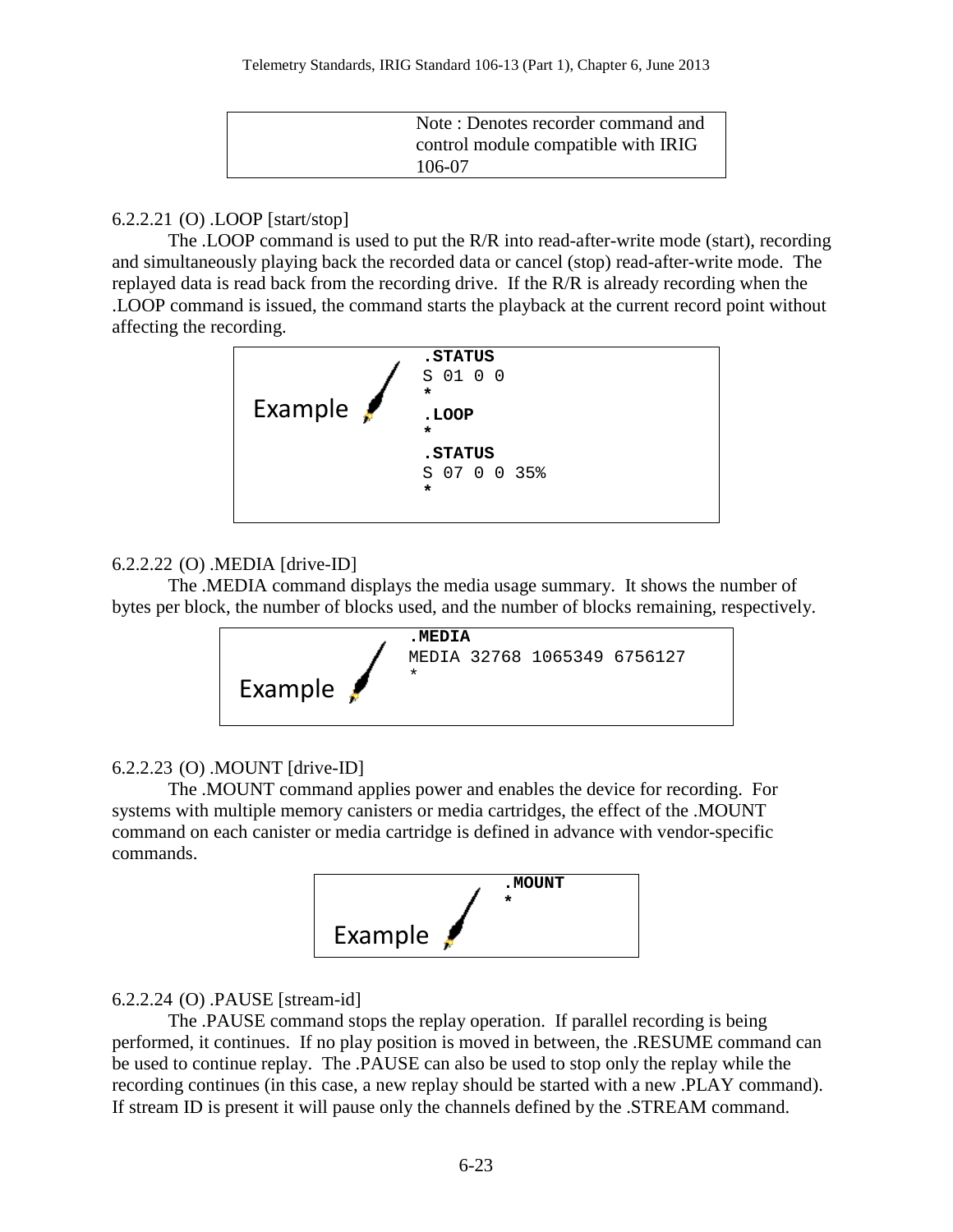| Note: Denotes recorder command and  |
|-------------------------------------|
| control module compatible with IRIG |
| 106-07                              |

### 6.2.2.21 (O) .LOOP [start/stop]

The .LOOP command is used to put the R/R into read-after-write mode (start), recording and simultaneously playing back the recorded data or cancel (stop) read-after-write mode. The replayed data is read back from the recording drive. If the R/R is already recording when the .LOOP command is issued, the command starts the playback at the current record point without affecting the recording.



### 6.2.2.22 (O) .MEDIA [drive-ID]

The .MEDIA command displays the media usage summary. It shows the number of bytes per block, the number of blocks used, and the number of blocks remaining, respectively.



### 6.2.2.23 (O) .MOUNT [drive-ID]

The .MOUNT command applies power and enables the device for recording. For systems with multiple memory canisters or media cartridges, the effect of the .MOUNT command on each canister or media cartridge is defined in advance with vendor-specific commands.



### 6.2.2.24 (O) .PAUSE [stream-id]

The .PAUSE command stops the replay operation. If parallel recording is being performed, it continues. If no play position is moved in between, the .RESUME command can be used to continue replay. The .PAUSE can also be used to stop only the replay while the recording continues (in this case, a new replay should be started with a new .PLAY command). If stream ID is present it will pause only the channels defined by the .STREAM command.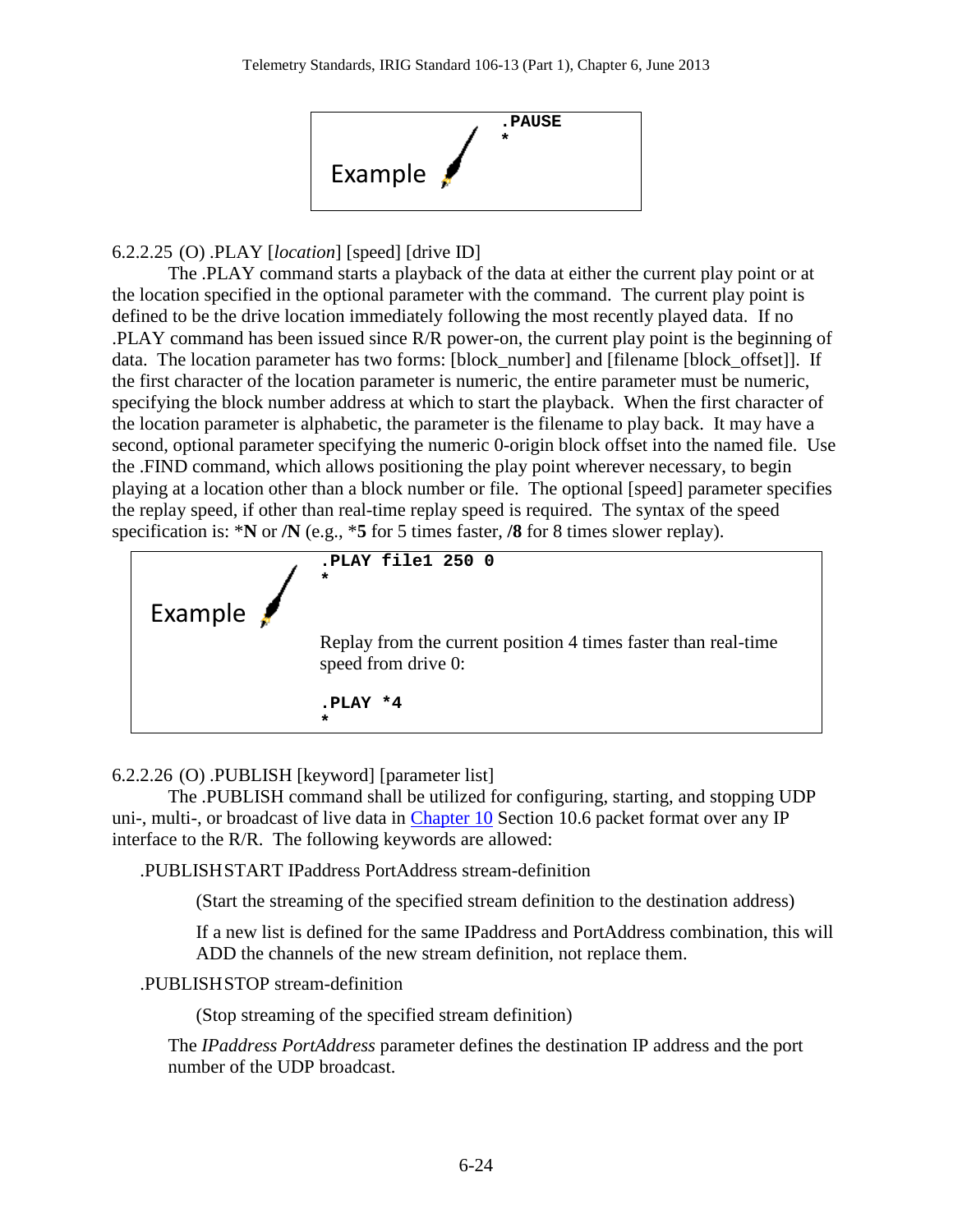

6.2.2.25 (O) .PLAY [*location*] [speed] [drive ID]

The .PLAY command starts a playback of the data at either the current play point or at the location specified in the optional parameter with the command. The current play point is defined to be the drive location immediately following the most recently played data. If no .PLAY command has been issued since R/R power-on, the current play point is the beginning of data. The location parameter has two forms: [block\_number] and [filename [block\_offset]]. If the first character of the location parameter is numeric, the entire parameter must be numeric, specifying the block number address at which to start the playback. When the first character of the location parameter is alphabetic, the parameter is the filename to play back. It may have a second, optional parameter specifying the numeric 0-origin block offset into the named file. Use the .FIND command, which allows positioning the play point wherever necessary, to begin playing at a location other than a block number or file. The optional [speed] parameter specifies the replay speed, if other than real-time replay speed is required. The syntax of the speed specification is: \***N** or **/N** (e.g., \***5** for 5 times faster, **/8** for 8 times slower replay).



6.2.2.26 (O) .PUBLISH [keyword] [parameter list]

The .PUBLISH command shall be utilized for configuring, starting, and stopping UDP uni-, multi-, or broadcast of live data in [Chapter 10](http://www.wsmr.army.mil/RCCsite/Documents/106-13_Telemetry_Standards/chapter%2010.pdf) Section 10.6 packet format over any IP interface to the R/R. The following keywords are allowed:

.PUBLISHSTART IPaddress PortAddress stream-definition

(Start the streaming of the specified stream definition to the destination address)

If a new list is defined for the same IPaddress and PortAddress combination, this will ADD the channels of the new stream definition, not replace them.

.PUBLISHSTOP stream-definition

(Stop streaming of the specified stream definition)

The *IPaddress PortAddress* parameter defines the destination IP address and the port number of the UDP broadcast.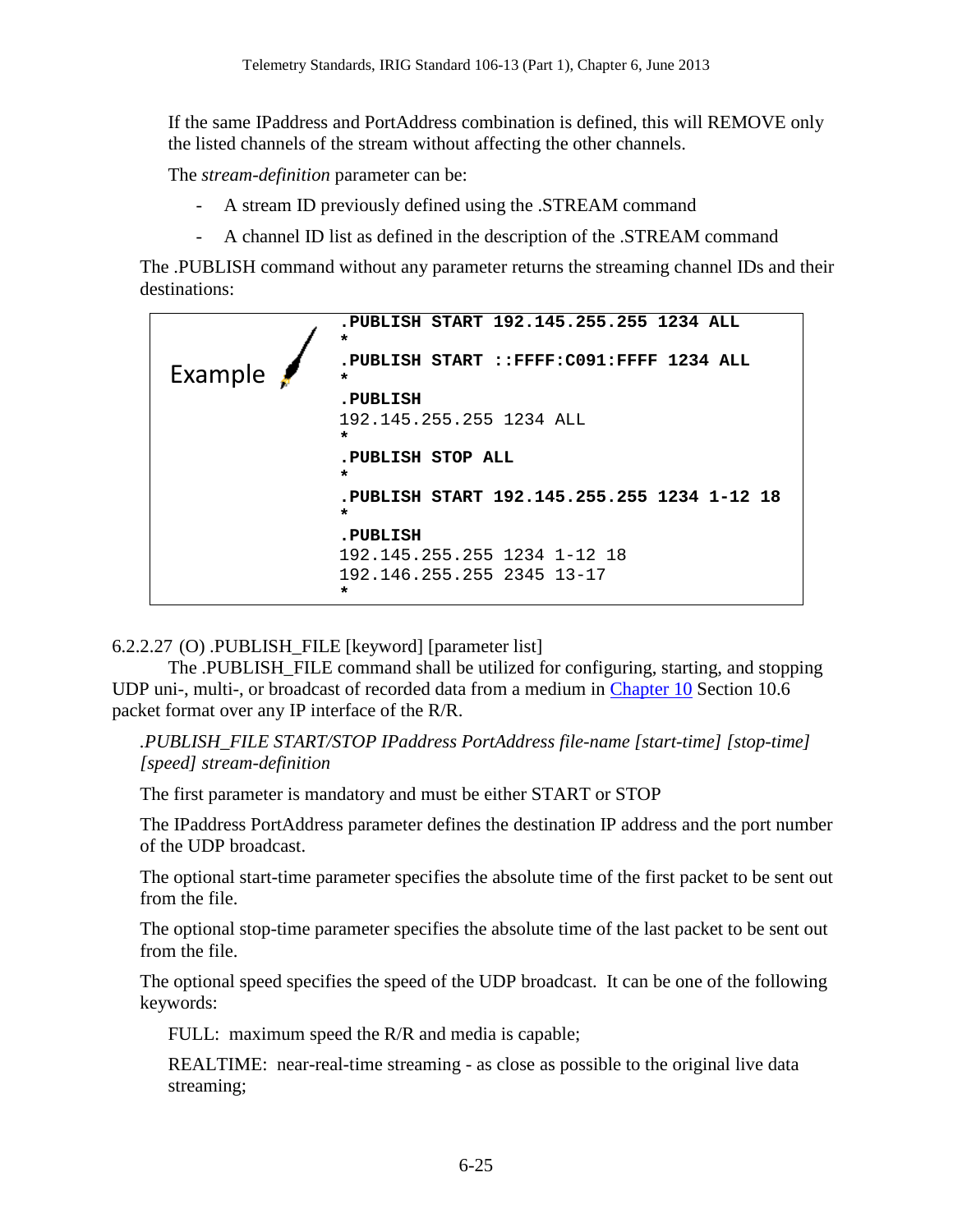If the same IPaddress and PortAddress combination is defined, this will REMOVE only the listed channels of the stream without affecting the other channels.

The *stream-definition* parameter can be:

- A stream ID previously defined using the .STREAM command
- A channel ID list as defined in the description of the .STREAM command

The .PUBLISH command without any parameter returns the streaming channel IDs and their destinations:

|         | PUBLISH START 192.145.255.255 1234 ALL.<br>$\star$     |
|---------|--------------------------------------------------------|
| Example | PUBLISH START ::FFFF:C091:FFFF 1234 ALL.<br>$\star$    |
|         | .PUBLISH                                               |
|         | 192.145.255.255 1234 ALL<br>$\star$                    |
|         | PUBLISH STOP ALL                                       |
|         | $\star$                                                |
|         | PUBLISH START 192.145.255.255 1234 1-12 18.<br>$\star$ |
|         | .PUBLISH                                               |
|         | 192.145.255.255 1234 1-12 18                           |
|         | 192.146.255.255 2345 13-17<br>$\star$                  |

### 6.2.2.27 (O) .PUBLISH\_FILE [keyword] [parameter list]

The .PUBLISH\_FILE command shall be utilized for configuring, starting, and stopping UDP uni-, multi-, or broadcast of recorded data from a medium in [Chapter 10](http://www.wsmr.army.mil/RCCsite/Documents/106-13_Telemetry_Standards/chapter%2010.pdf) Section 10.6 packet format over any IP interface of the R/R.

*.PUBLISH\_FILE START/STOP IPaddress PortAddress file-name [start-time] [stop-time] [speed] stream-definition*

The first parameter is mandatory and must be either START or STOP

The IPaddress PortAddress parameter defines the destination IP address and the port number of the UDP broadcast.

The optional start-time parameter specifies the absolute time of the first packet to be sent out from the file.

The optional stop-time parameter specifies the absolute time of the last packet to be sent out from the file.

The optional speed specifies the speed of the UDP broadcast. It can be one of the following keywords:

FULL: maximum speed the R/R and media is capable;

REALTIME: near-real-time streaming - as close as possible to the original live data streaming;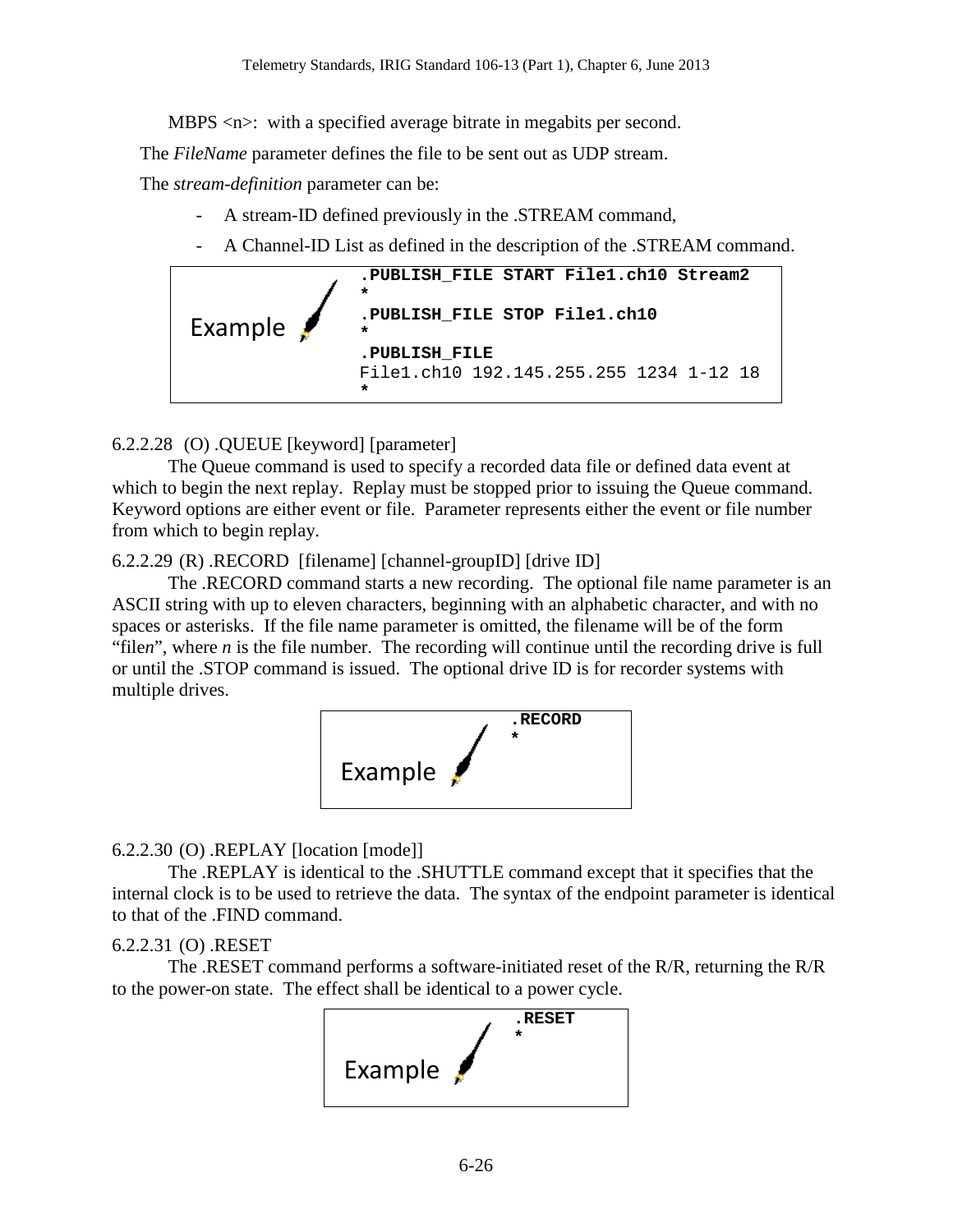MBPS  $\langle n \rangle$ : with a specified average bitrate in megabits per second.

The *FileName* parameter defines the file to be sent out as UDP stream.

The *stream-definition* parameter can be:

- A stream-ID defined previously in the .STREAM command,
- A Channel-ID List as defined in the description of the .STREAM command.

|                               | .PUBLISH_FILE START File1.ch10 Stream2<br>$\star$ |
|-------------------------------|---------------------------------------------------|
| Example $\blacktriangleright$ | .PUBLISH_FILE STOP File1.ch10<br>$\star$          |
|                               | PUBLISH FILE.                                     |
|                               | File1.ch10 192.145.255.255 1234 1-12 18<br>*      |

6.2.2.28 (O) .QUEUE [keyword] [parameter]

The Queue command is used to specify a recorded data file or defined data event at which to begin the next replay. Replay must be stopped prior to issuing the Queue command. Keyword options are either event or file. Parameter represents either the event or file number from which to begin replay.

6.2.2.29 (R) .RECORD [filename] [channel-groupID] [drive ID]

The .RECORD command starts a new recording. The optional file name parameter is an ASCII string with up to eleven characters, beginning with an alphabetic character, and with no spaces or asterisks. If the file name parameter is omitted, the filename will be of the form "file*n*", where *n* is the file number. The recording will continue until the recording drive is full or until the .STOP command is issued. The optional drive ID is for recorder systems with multiple drives.



6.2.2.30 (O) .REPLAY [location [mode]]

The .REPLAY is identical to the .SHUTTLE command except that it specifies that the internal clock is to be used to retrieve the data. The syntax of the endpoint parameter is identical to that of the .FIND command.

#### 6.2.2.31 (O) .RESET

The .RESET command performs a software-initiated reset of the R/R, returning the R/R to the power-on state. The effect shall be identical to a power cycle.

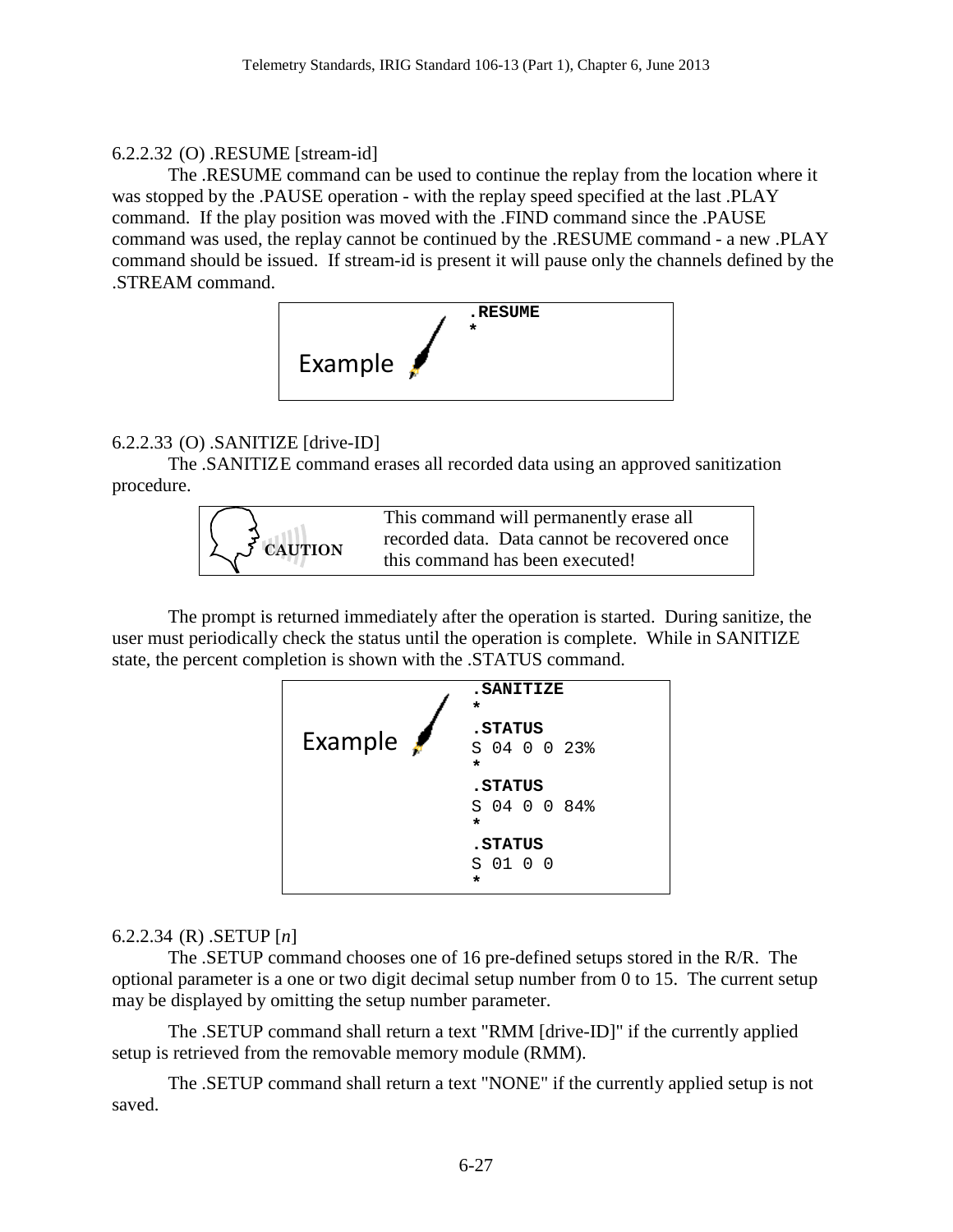### 6.2.2.32 (O) .RESUME [stream-id]

The .RESUME command can be used to continue the replay from the location where it was stopped by the .PAUSE operation - with the replay speed specified at the last .PLAY command. If the play position was moved with the .FIND command since the .PAUSE command was used, the replay cannot be continued by the .RESUME command - a new .PLAY command should be issued. If stream-id is present it will pause only the channels defined by the .STREAM command.



### 6.2.2.33 (O) .SANITIZE [drive-ID]

The .SANITIZE command erases all recorded data using an approved sanitization procedure.



The prompt is returned immediately after the operation is started. During sanitize, the user must periodically check the status until the operation is complete. While in SANITIZE state, the percent completion is shown with the .STATUS command.

|                               | <b>.SANITIZE</b><br>*               |
|-------------------------------|-------------------------------------|
| Example $\blacktriangleright$ | <b>.STATUS</b><br>S 04 0 0 23%<br>* |
|                               | <b>.STATUS</b><br>S 04 0 0 84%<br>* |
|                               | <b>.STATUS</b><br>S 01 0 0<br>*     |
|                               |                                     |

### 6.2.2.34 (R) .SETUP [*n*]

The .SETUP command chooses one of 16 pre-defined setups stored in the R/R. The optional parameter is a one or two digit decimal setup number from 0 to 15. The current setup may be displayed by omitting the setup number parameter.

The .SETUP command shall return a text "RMM [drive-ID]" if the currently applied setup is retrieved from the removable memory module (RMM).

The .SETUP command shall return a text "NONE" if the currently applied setup is not saved.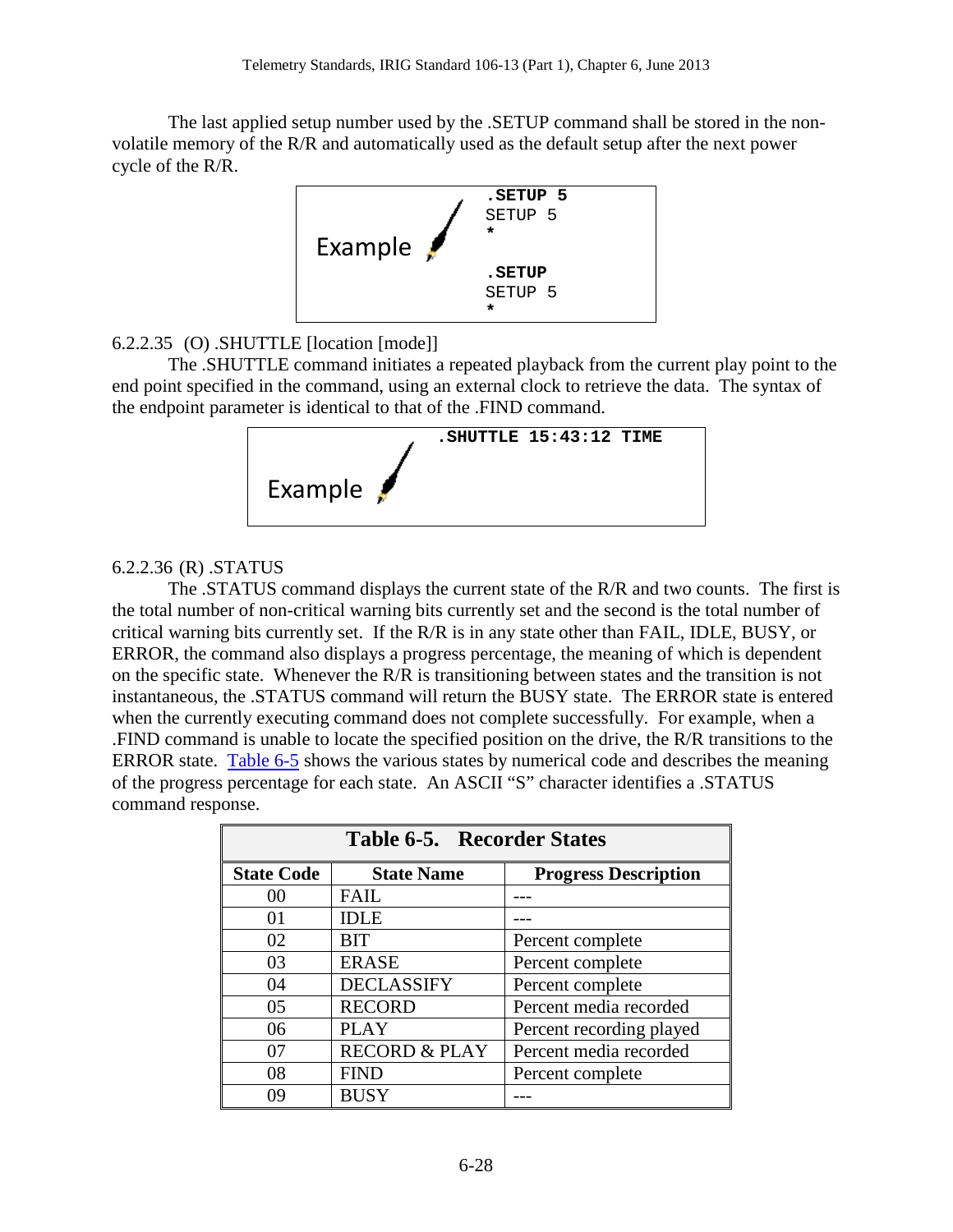The last applied setup number used by the .SETUP command shall be stored in the nonvolatile memory of the R/R and automatically used as the default setup after the next power cycle of the R/R.



6.2.2.35 (O) .SHUTTLE [location [mode]]

The .SHUTTLE command initiates a repeated playback from the current play point to the end point specified in the command, using an external clock to retrieve the data. The syntax of the endpoint parameter is identical to that of the .FIND command.



### 6.2.2.36 (R) .STATUS

The .STATUS command displays the current state of the R/R and two counts. The first is the total number of non-critical warning bits currently set and the second is the total number of critical warning bits currently set. If the R/R is in any state other than FAIL, IDLE, BUSY, or ERROR, the command also displays a progress percentage, the meaning of which is dependent on the specific state. Whenever the R/R is transitioning between states and the transition is not instantaneous, the .STATUS command will return the BUSY state. The ERROR state is entered when the currently executing command does not complete successfully. For example, when a .FIND command is unable to locate the specified position on the drive, the R/R transitions to the ERROR state. [Table 6-5](#page-31-0) shows the various states by numerical code and describes the meaning of the progress percentage for each state. An ASCII "S" character identifies a .STATUS command response.

<span id="page-31-0"></span>

| <b>Table 6-5. Recorder States</b> |                          |                             |  |  |
|-----------------------------------|--------------------------|-----------------------------|--|--|
| <b>State Code</b>                 | <b>State Name</b>        | <b>Progress Description</b> |  |  |
| 00                                | <b>FAIL</b>              |                             |  |  |
| 01                                | <b>IDLE</b>              |                             |  |  |
| 02                                | BIT                      | Percent complete            |  |  |
| 03                                | <b>ERASE</b>             | Percent complete            |  |  |
| 04                                | <b>DECLASSIFY</b>        | Percent complete            |  |  |
| 05                                | <b>RECORD</b>            | Percent media recorded      |  |  |
| 06                                | PLAY                     | Percent recording played    |  |  |
| 07                                | <b>RECORD &amp; PLAY</b> | Percent media recorded      |  |  |
| 08                                | <b>FIND</b>              | Percent complete            |  |  |
| 09                                | <b>BUSY</b>              |                             |  |  |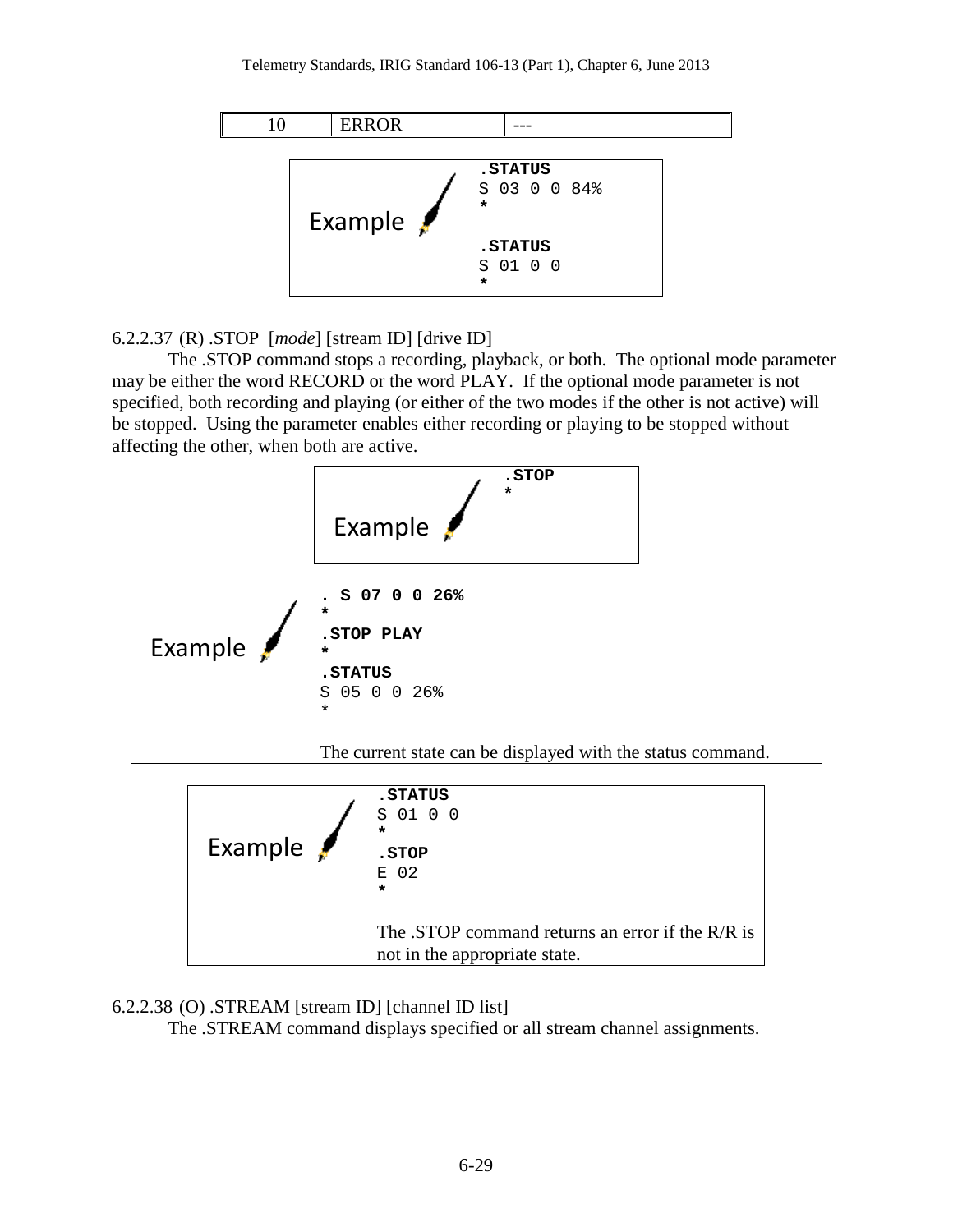| <b>ERROR</b>                  |                                    |  |
|-------------------------------|------------------------------------|--|
| Example $\blacktriangleright$ | .STATUS<br>S 03 0 0 84%<br>$\star$ |  |
|                               | .STATUS<br>S 01 0 0<br>*           |  |

6.2.2.37 (R) .STOP [*mode*] [stream ID] [drive ID]

The .STOP command stops a recording, playback, or both. The optional mode parameter may be either the word RECORD or the word PLAY. If the optional mode parameter is not specified, both recording and playing (or either of the two modes if the other is not active) will be stopped. Using the parameter enables either recording or playing to be stopped without affecting the other, when both are active.





| Example $\blacktriangleright$ | . 514105<br>S 01 0 0<br>.STOP<br>E 02<br>*                                        |
|-------------------------------|-----------------------------------------------------------------------------------|
|                               | The .STOP command returns an error if the R/R is<br>not in the appropriate state. |

6.2.2.38 (O) .STREAM [stream ID] [channel ID list]

The .STREAM command displays specified or all stream channel assignments.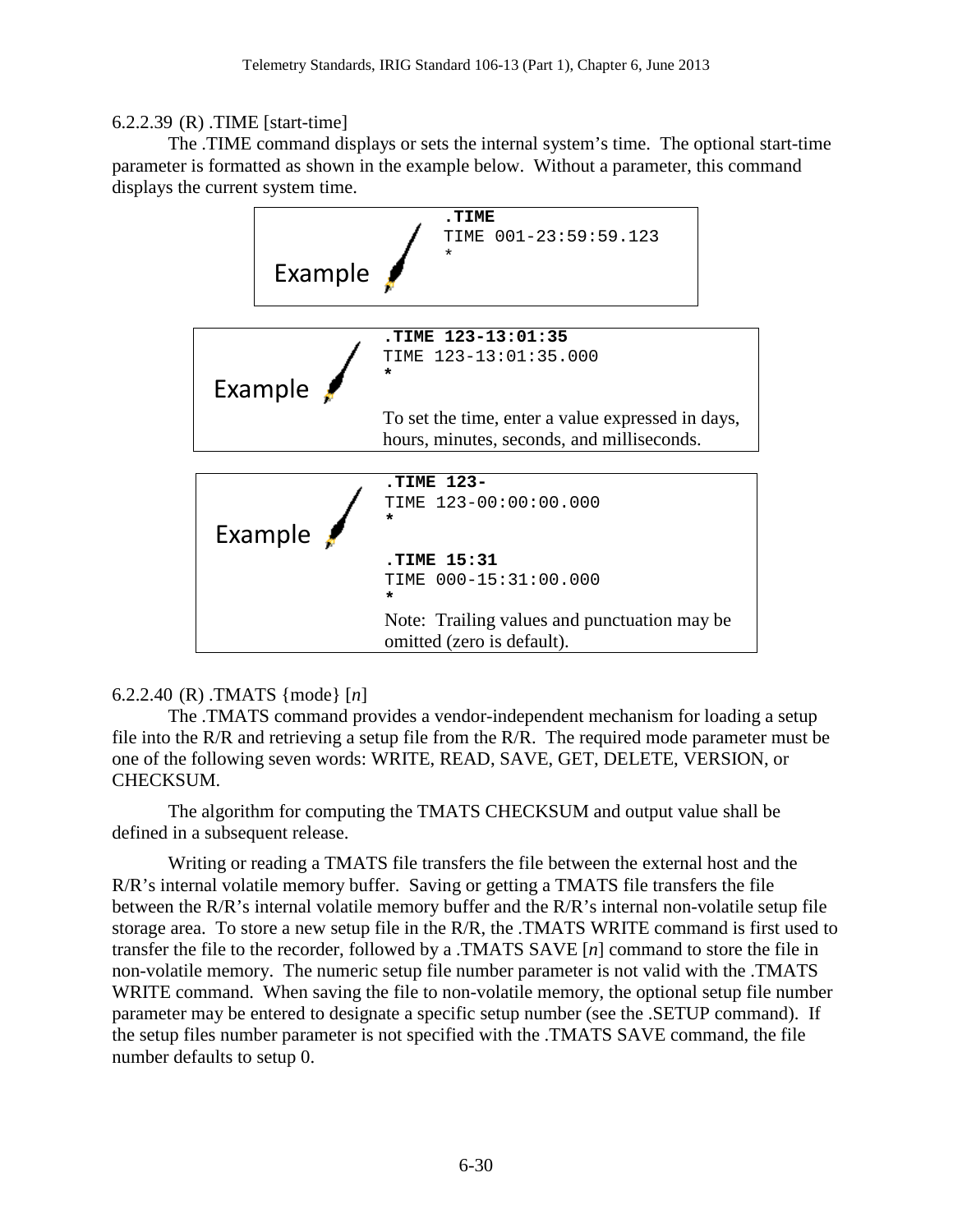### 6.2.2.39 (R) .TIME [start-time]

The .TIME command displays or sets the internal system's time. The optional start-time parameter is formatted as shown in the example below. Without a parameter, this command displays the current system time.



### 6.2.2.40 (R) .TMATS {mode} [*n*]

The .TMATS command provides a vendor-independent mechanism for loading a setup file into the R/R and retrieving a setup file from the R/R. The required mode parameter must be one of the following seven words: WRITE, READ, SAVE, GET, DELETE, VERSION, or CHECKSUM.

The algorithm for computing the TMATS CHECKSUM and output value shall be defined in a subsequent release.

Writing or reading a TMATS file transfers the file between the external host and the R/R's internal volatile memory buffer. Saving or getting a TMATS file transfers the file between the R/R's internal volatile memory buffer and the R/R's internal non-volatile setup file storage area. To store a new setup file in the R/R, the .TMATS WRITE command is first used to transfer the file to the recorder, followed by a .TMATS SAVE [*n*] command to store the file in non-volatile memory. The numeric setup file number parameter is not valid with the .TMATS WRITE command. When saving the file to non-volatile memory, the optional setup file number parameter may be entered to designate a specific setup number (see the .SETUP command). If the setup files number parameter is not specified with the .TMATS SAVE command, the file number defaults to setup 0.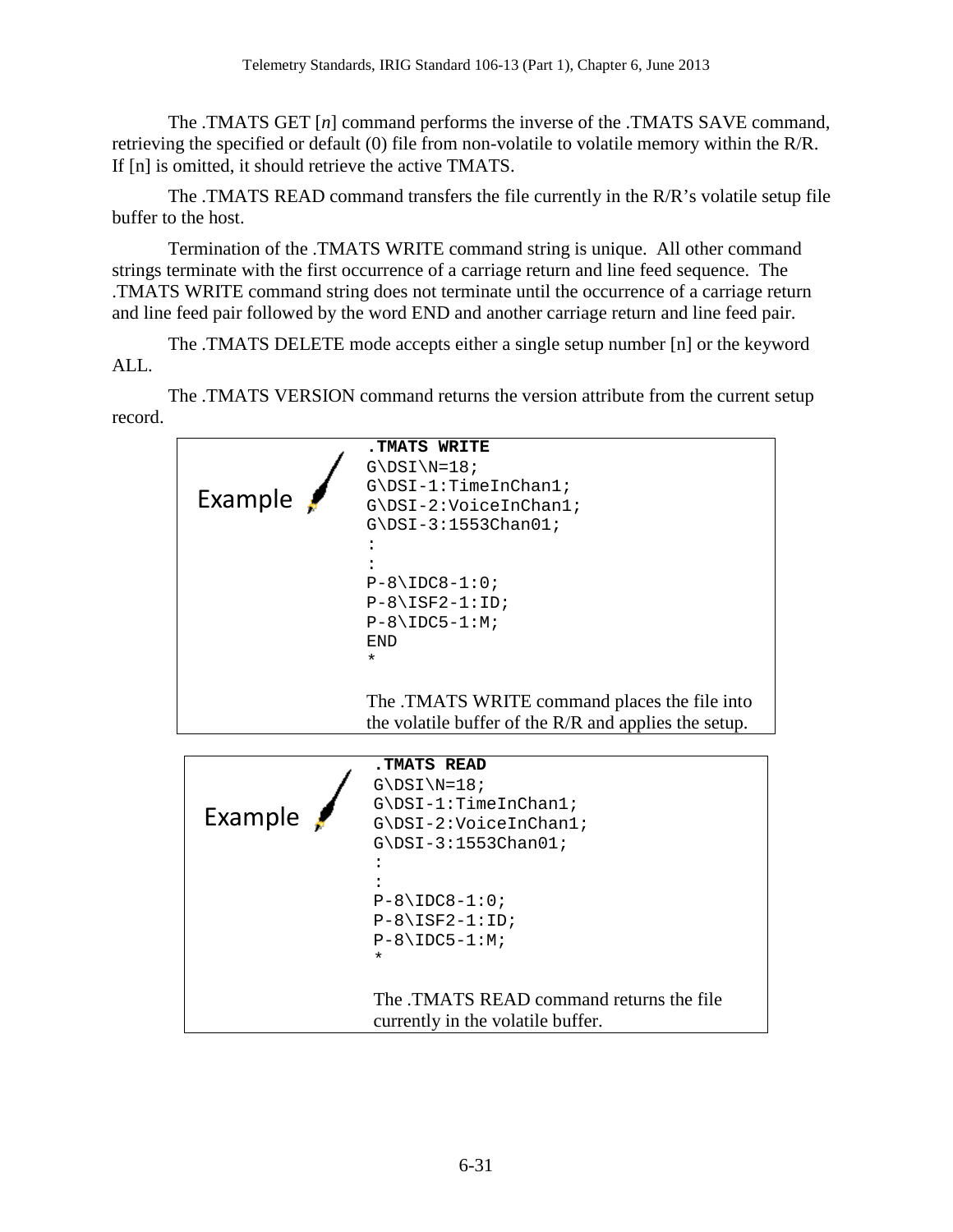The .TMATS GET [*n*] command performs the inverse of the .TMATS SAVE command, retrieving the specified or default (0) file from non-volatile to volatile memory within the R/R. If [n] is omitted, it should retrieve the active TMATS.

The .TMATS READ command transfers the file currently in the R/R's volatile setup file buffer to the host.

Termination of the .TMATS WRITE command string is unique. All other command strings terminate with the first occurrence of a carriage return and line feed sequence. The .TMATS WRITE command string does not terminate until the occurrence of a carriage return and line feed pair followed by the word END and another carriage return and line feed pair.

The .TMATS DELETE mode accepts either a single setup number [n] or the keyword ALL.

The .TMATS VERSION command returns the version attribute from the current setup record.

|  |                                               | <b>.TMATS WRITE</b>                                   |  |  |  |  |  |  |  |
|--|-----------------------------------------------|-------------------------------------------------------|--|--|--|--|--|--|--|
|  |                                               | $G\DSI\N=18;$                                         |  |  |  |  |  |  |  |
|  | Example                                       | $G\Delta 1:TimeInChan1;$                              |  |  |  |  |  |  |  |
|  |                                               | G\DSI-2:VoiceInChan1;                                 |  |  |  |  |  |  |  |
|  |                                               | $G\DSI-3:1553Chan01;$                                 |  |  |  |  |  |  |  |
|  |                                               |                                                       |  |  |  |  |  |  |  |
|  |                                               |                                                       |  |  |  |  |  |  |  |
|  |                                               | $P-8\IDC8-1:0;$                                       |  |  |  |  |  |  |  |
|  |                                               | $P-8\ISF2-1:ID;$                                      |  |  |  |  |  |  |  |
|  |                                               | $P-8\IDC5-1:M;$                                       |  |  |  |  |  |  |  |
|  |                                               | <b>END</b>                                            |  |  |  |  |  |  |  |
|  |                                               | $\star$                                               |  |  |  |  |  |  |  |
|  |                                               |                                                       |  |  |  |  |  |  |  |
|  | The .TMATS WRITE command places the file into |                                                       |  |  |  |  |  |  |  |
|  |                                               | the volatile buffer of the R/R and applies the setup. |  |  |  |  |  |  |  |
|  |                                               |                                                       |  |  |  |  |  |  |  |
|  |                                               | .TMATS READ                                           |  |  |  |  |  |  |  |
|  |                                               | $G\DSI\N=18;$                                         |  |  |  |  |  |  |  |
|  |                                               | $G\Delta 1:TimeInChan1;$                              |  |  |  |  |  |  |  |
|  | Example                                       | G\DSI-2:VoiceInChan1;                                 |  |  |  |  |  |  |  |
|  |                                               | $G\DSI-3:1553Chan01;$                                 |  |  |  |  |  |  |  |
|  |                                               |                                                       |  |  |  |  |  |  |  |
|  |                                               |                                                       |  |  |  |  |  |  |  |
|  |                                               | $P-8\IDC8-1:0;$                                       |  |  |  |  |  |  |  |
|  |                                               | $P-8\ISF2-1:ID;$                                      |  |  |  |  |  |  |  |
|  |                                               |                                                       |  |  |  |  |  |  |  |
|  |                                               | $P-8\IDC5-1:M;$<br>¥                                  |  |  |  |  |  |  |  |
|  |                                               |                                                       |  |  |  |  |  |  |  |
|  |                                               | The TMATS READ command returns the file               |  |  |  |  |  |  |  |
|  |                                               | currently in the volatile buffer.                     |  |  |  |  |  |  |  |
|  |                                               |                                                       |  |  |  |  |  |  |  |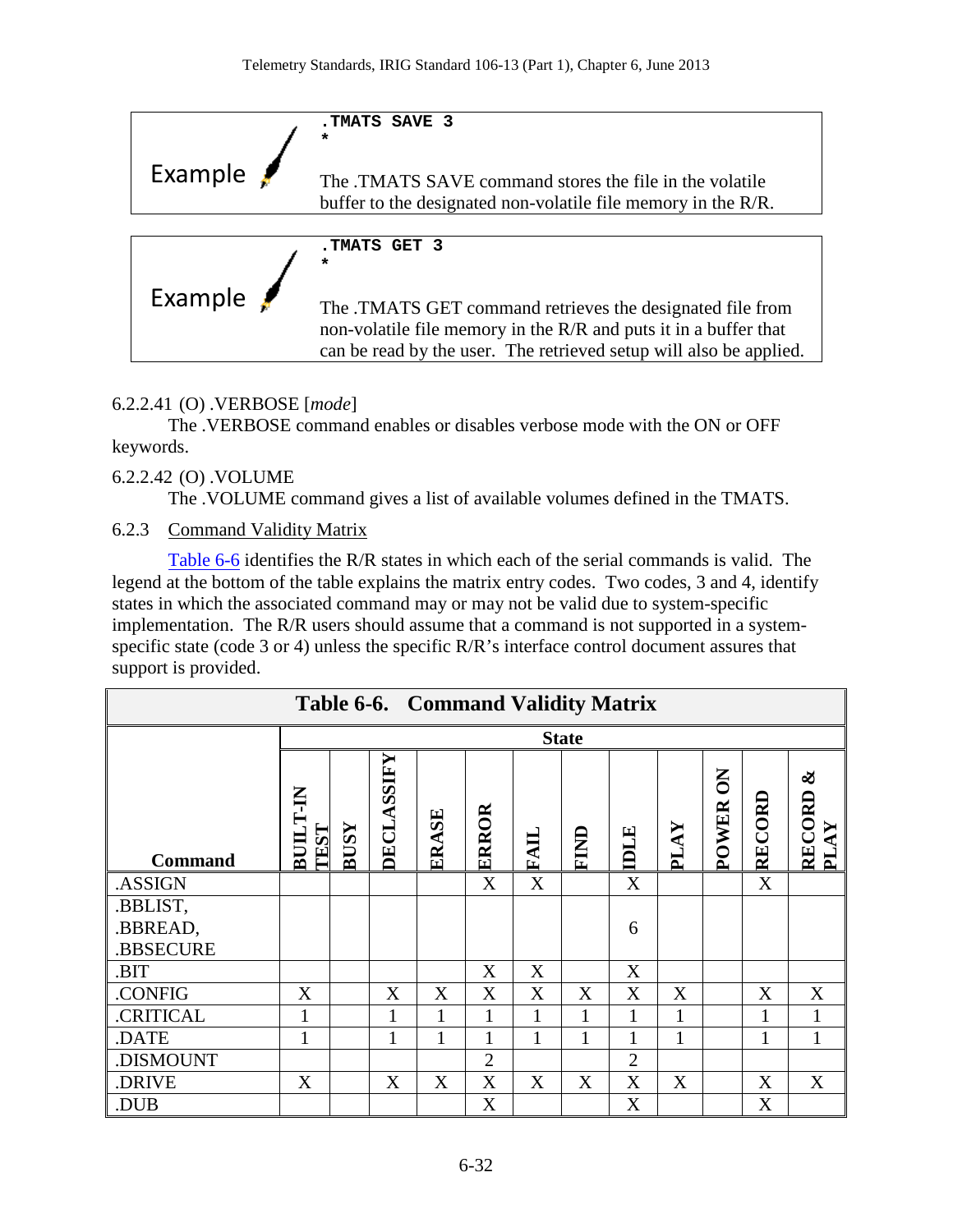

### 6.2.2.41 (O) .VERBOSE [*mode*]

The .VERBOSE command enables or disables verbose mode with the ON or OFF keywords.

#### 6.2.2.42 (O) .VOLUME

The .VOLUME command gives a list of available volumes defined in the TMATS.

#### <span id="page-35-0"></span>6.2.3 Command Validity Matrix

[Table 6-6](#page-35-1) identifies the R/R states in which each of the serial commands is valid. The legend at the bottom of the table explains the matrix entry codes. Two codes, 3 and 4, identify states in which the associated command may or may not be valid due to system-specific implementation. The R/R users should assume that a command is not supported in a systemspecific state (code 3 or 4) unless the specific R/R's interface control document assures that support is provided.

<span id="page-35-1"></span>

| Table 6-6. Command Validity Matrix |                    |             |                   |              |                |              |              |                |              |          |              |                                              |
|------------------------------------|--------------------|-------------|-------------------|--------------|----------------|--------------|--------------|----------------|--------------|----------|--------------|----------------------------------------------|
|                                    | <b>State</b>       |             |                   |              |                |              |              |                |              |          |              |                                              |
| <b>Command</b>                     | Š<br>BUILT<br>TEST | <b>BUSY</b> | <b>DECLASSIFY</b> | ERASE        | <b>ERROR</b>   | FAIL         | FIND         | <b>HTOIT</b>   | PLA          | POWER ON | RECORD       | $\infty$<br>RECORD<br>≻<br>⋖<br>$\mathbf{E}$ |
| .ASSIGN                            |                    |             |                   |              | X              | X            |              | X              |              |          | $\mathbf X$  |                                              |
| .BBLIST,                           |                    |             |                   |              |                |              |              |                |              |          |              |                                              |
| .BBREAD,                           |                    |             |                   |              |                |              |              | 6              |              |          |              |                                              |
| .BBSECURE                          |                    |             |                   |              |                |              |              |                |              |          |              |                                              |
| .BIT                               |                    |             |                   |              | X              | X            |              | X              |              |          |              |                                              |
| .CONFIG                            | X                  |             | X                 | X            | X              | X            | X            | X              | X            |          | X            | X                                            |
| .CRITICAL                          | $\mathbf{1}$       |             | 1                 | $\mathbf{1}$ | $\mathbf{1}$   | $\mathbf{1}$ | $\mathbf{1}$ | $\mathbf{1}$   | $\mathbf{1}$ |          | 1            | $\mathbf{1}$                                 |
| .DATE                              | $\mathbf{1}$       |             | $\mathbf{1}$      | $\mathbf{1}$ | $\mathbf{1}$   | $\mathbf{1}$ | $\mathbf{1}$ | $\mathbf{1}$   | $\mathbf{1}$ |          | $\mathbf{1}$ | $\mathbf{1}$                                 |
| .DISMOUNT                          |                    |             |                   |              | $\overline{2}$ |              |              | $\overline{2}$ |              |          |              |                                              |
| .DRIVE                             | X                  |             | X                 | X            | X              | X            | X            | X              | X            |          | X            | X                                            |
| .DUB                               |                    |             |                   |              | X              |              |              | X              |              |          | X            |                                              |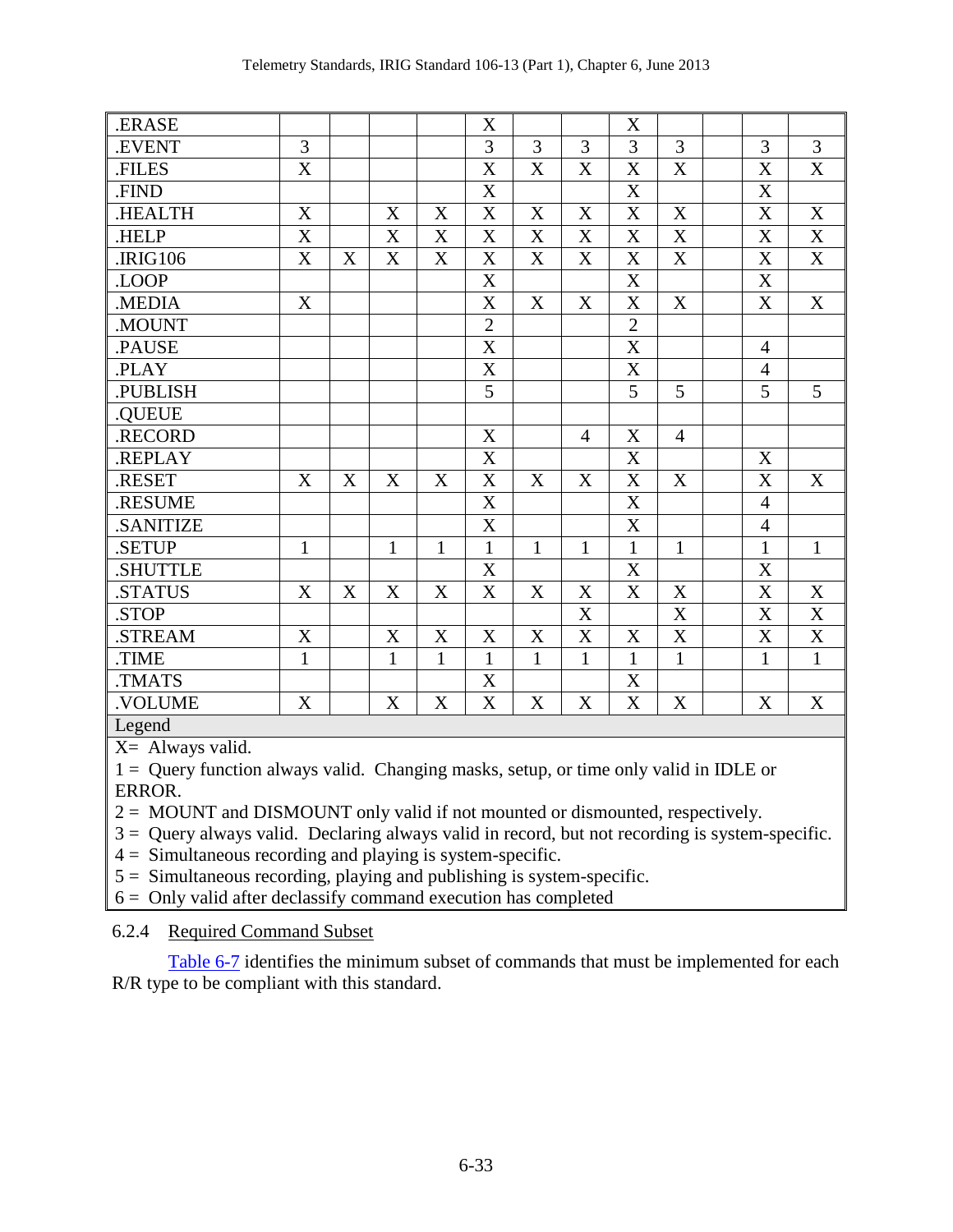| .ERASE          |                           |   |              |                           | X                         |                           |                           | X                         |                           |                           |                |
|-----------------|---------------------------|---|--------------|---------------------------|---------------------------|---------------------------|---------------------------|---------------------------|---------------------------|---------------------------|----------------|
| <b>.EVENT</b>   | 3                         |   |              |                           | 3                         | 3                         | 3                         | $\overline{3}$            | $\overline{3}$            | 3                         | 3              |
| <b>FILES</b>    | X                         |   |              |                           | $\overline{\text{X}}$     | $\overline{\text{X}}$     | $\mathbf X$               | $\overline{\text{X}}$     | $\boldsymbol{\mathrm{X}}$ | X                         | $\overline{X}$ |
| .FIND           |                           |   |              |                           | $\boldsymbol{\mathrm{X}}$ |                           |                           | X                         |                           | $\boldsymbol{\mathrm{X}}$ |                |
| <b>.HEALTH</b>  | X                         |   | X            | X                         | X                         | X                         | X                         | X                         | X                         | $\boldsymbol{X}$          | $\mathbf X$    |
| .HELP           | X                         |   | $\mathbf X$  | $\mathbf X$               | X                         | X                         | $\mathbf X$               | X                         | $\mathbf X$               | X                         | $\mathbf X$    |
| .IRIG106        | $\boldsymbol{\mathrm{X}}$ | X | X            | X                         | $\boldsymbol{\mathrm{X}}$ | X                         | $\boldsymbol{\mathrm{X}}$ | X                         | X                         | $\mathbf X$               | X              |
| .LOOP           |                           |   |              |                           | $\mathbf X$               |                           |                           | $\mathbf X$               |                           | $\boldsymbol{\mathrm{X}}$ |                |
| .MEDIA          | $\boldsymbol{\mathrm{X}}$ |   |              |                           | X                         | X                         | X                         | X                         | $\mathbf X$               | $\mathbf X$               | $\mathbf X$    |
| .MOUNT          |                           |   |              |                           | $\overline{2}$            |                           |                           | $\overline{2}$            |                           |                           |                |
| PAUSE.          |                           |   |              |                           | $\overline{\text{X}}$     |                           |                           | $\overline{\text{X}}$     |                           | $\overline{4}$            |                |
| .PLAY           |                           |   |              |                           | X                         |                           |                           | $\overline{\text{X}}$     |                           | $\overline{4}$            |                |
| .PUBLISH        |                           |   |              |                           | 5                         |                           |                           | $\overline{5}$            | 5                         | 5                         | 5              |
| .QUEUE          |                           |   |              |                           |                           |                           |                           |                           |                           |                           |                |
| .RECORD         |                           |   |              |                           | X                         |                           | $\overline{4}$            | $\mathbf X$               | $\overline{4}$            |                           |                |
| .REPLAY         |                           |   |              |                           | $\mathbf X$               |                           |                           | $\boldsymbol{X}$          |                           | X                         |                |
| <b>RESET</b>    | X                         | X | X            | $\boldsymbol{X}$          | X                         | X                         | X                         | X                         | X                         | X                         | X              |
| .RESUME         |                           |   |              |                           | X                         |                           |                           | $\boldsymbol{\mathrm{X}}$ |                           | $\overline{4}$            |                |
| <b>SANITIZE</b> |                           |   |              |                           | $\boldsymbol{\mathrm{X}}$ |                           |                           | $\boldsymbol{\mathrm{X}}$ |                           | $\overline{4}$            |                |
| .SETUP          | $\mathbf{1}$              |   | $\mathbf{1}$ | $\mathbf{1}$              | $\mathbf{1}$              | $\mathbf{1}$              | $\mathbf{1}$              | $\mathbf{1}$              | $\mathbf{1}$              | $\mathbf{1}$              | $\mathbf{1}$   |
| .SHUTTLE        |                           |   |              |                           | X                         |                           |                           | X                         |                           | $\boldsymbol{\mathrm{X}}$ |                |
| .STATUS         | X                         | X | X            | X                         | X                         | X                         | X                         | X                         | X                         | X                         | $\mathbf X$    |
| .STOP           |                           |   |              |                           |                           |                           | $\boldsymbol{\mathrm{X}}$ |                           | $\mathbf X$               | X                         | $\mathbf X$    |
| .STREAM         | $\boldsymbol{\mathrm{X}}$ |   | X            | $\mathbf X$               | $\boldsymbol{\mathrm{X}}$ | X                         | $\boldsymbol{\mathrm{X}}$ | X                         | $\mathbf X$               | $\mathbf X$               | $\mathbf X$    |
| .TIME           | $\mathbf{1}$              |   | $\mathbf{1}$ | $\mathbf{1}$              | $\mathbf{1}$              | $\mathbf{1}$              | $\mathbf{1}$              | $\mathbf{1}$              | $\mathbf{1}$              | $\mathbf{1}$              | $\mathbf{1}$   |
| .TMATS          |                           |   |              |                           | X                         |                           |                           | X                         |                           |                           |                |
| .VOLUME         | X                         |   | X            | $\boldsymbol{\mathrm{X}}$ | $\boldsymbol{\mathrm{X}}$ | $\boldsymbol{\mathrm{X}}$ | X                         | $\mathbf X$               | $\boldsymbol{\mathrm{X}}$ | X                         | $\mathbf X$    |
| Legend          |                           |   |              |                           |                           |                           |                           |                           |                           |                           |                |

X= Always valid.

1 = Query function always valid. Changing masks, setup, or time only valid in IDLE or ERROR.

 $2 = MOUNT$  and DISMOUNT only valid if not mounted or dismounted, respectively.

 $3 =$  Query always valid. Declaring always valid in record, but not recording is system-specific.

 $4 =$  Simultaneous recording and playing is system-specific.

 $5 =$  Simultaneous recording, playing and publishing is system-specific.

 $6 =$  Only valid after declassify command execution has completed

6.2.4 Required Command Subset

[Table 6-7](#page-37-0) identifies the minimum subset of commands that must be implemented for each R/R type to be compliant with this standard.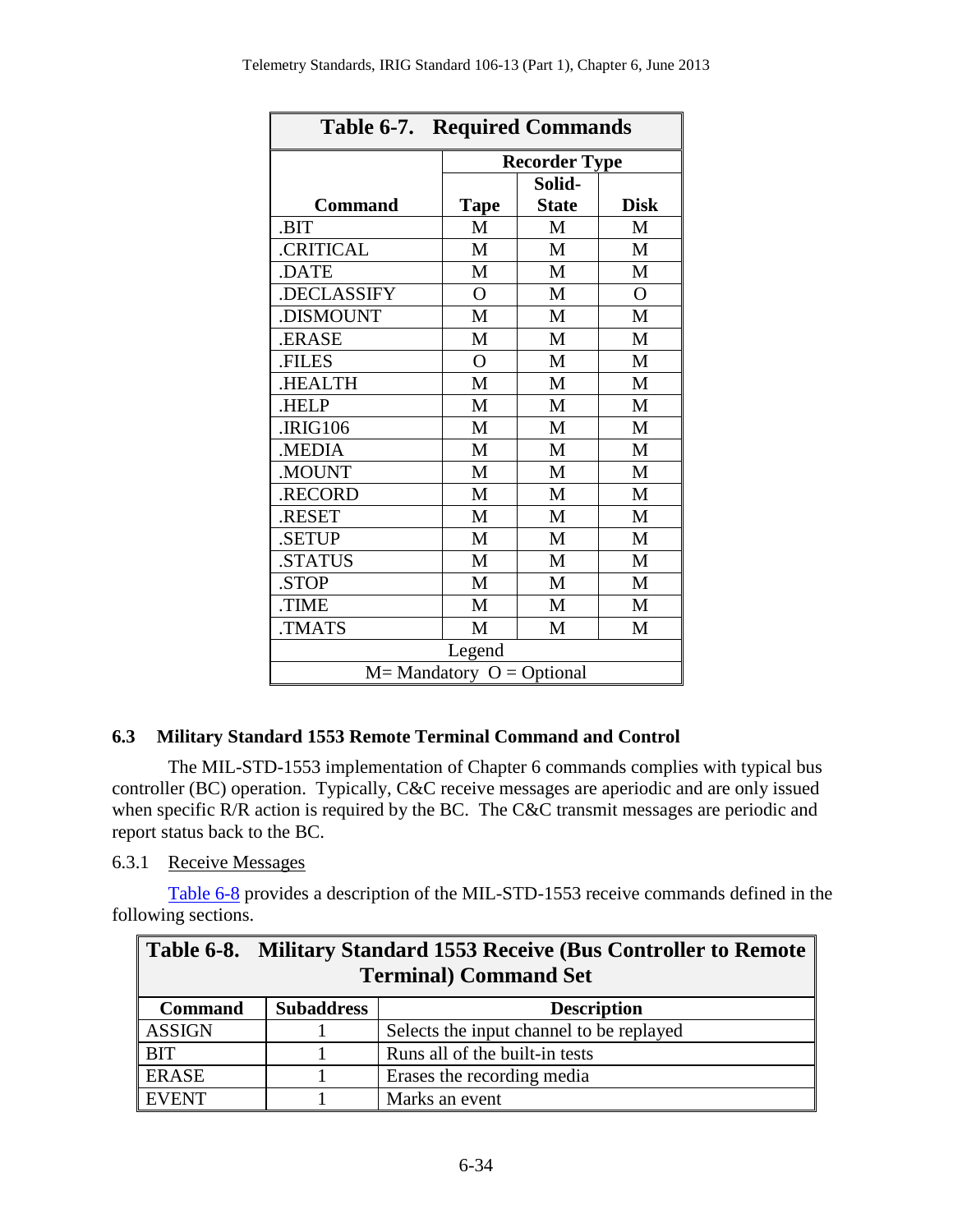<span id="page-37-0"></span>

| <b>Table 6-7. Required Commands</b> |                               |                      |             |
|-------------------------------------|-------------------------------|----------------------|-------------|
|                                     |                               | <b>Recorder Type</b> |             |
|                                     |                               | Solid-               |             |
| <b>Command</b>                      | <b>Tape</b>                   | <b>State</b>         | <b>Disk</b> |
| .BIT                                | M                             | M                    | M           |
| <b>CRITICAL</b>                     | M                             | M                    | M           |
| <b>DATE</b>                         | M                             | M                    | M           |
| .DECLASSIFY                         | $\overline{O}$                | M                    | $\Omega$    |
| .DISMOUNT                           | M                             | M                    | M           |
| <b>.ERASE</b>                       | M                             | M                    | M           |
| <b>FILES</b>                        | $\Omega$                      | M                    | M           |
| <b>HEALTH</b>                       | M                             | M                    | M           |
| .HELP                               | M                             | M                    | M           |
| <b>.IRIG106</b>                     | M                             | M                    | M           |
| <b>MEDIA</b>                        | M                             | M                    | M           |
| MOUNT.                              | M                             | M                    | M           |
| <b>RECORD</b>                       | M                             | M                    | M           |
| <b>RESET</b>                        | M                             | M                    | M           |
| <b>SETUP</b>                        | M                             | M                    | M           |
| <b>STATUS</b>                       | M                             | M                    | M           |
| .STOP                               | M                             | M                    | M           |
| <b>TIME</b>                         | M                             | M                    | M           |
| TMATS.                              | M                             | M                    | M           |
|                                     | Legend                        |                      |             |
|                                     | $M=$ Mandatory $O =$ Optional |                      |             |

## **6.3 Military Standard 1553 Remote Terminal Command and Control**

The MIL-STD-1553 implementation of Chapter 6 commands complies with typical bus controller (BC) operation. Typically, C&C receive messages are aperiodic and are only issued when specific R/R action is required by the BC. The C&C transmit messages are periodic and report status back to the BC.

6.3.1 Receive Messages

[Table 6-8](#page-37-1) provides a description of the MIL-STD-1553 receive commands defined in the following sections.

<span id="page-37-1"></span>

|                               | Table 6-8. Military Standard 1553 Receive (Bus Controller to Remote |                                          |  |  |  |
|-------------------------------|---------------------------------------------------------------------|------------------------------------------|--|--|--|
| <b>Terminal</b> ) Command Set |                                                                     |                                          |  |  |  |
| <b>Command</b>                | <b>Subaddress</b>                                                   | <b>Description</b>                       |  |  |  |
| <b>ASSIGN</b>                 |                                                                     | Selects the input channel to be replayed |  |  |  |
| <b>BIT</b>                    |                                                                     | Runs all of the built-in tests           |  |  |  |
| <b>ERASE</b>                  |                                                                     | Erases the recording media               |  |  |  |
| <b>EVENT</b>                  |                                                                     | Marks an event                           |  |  |  |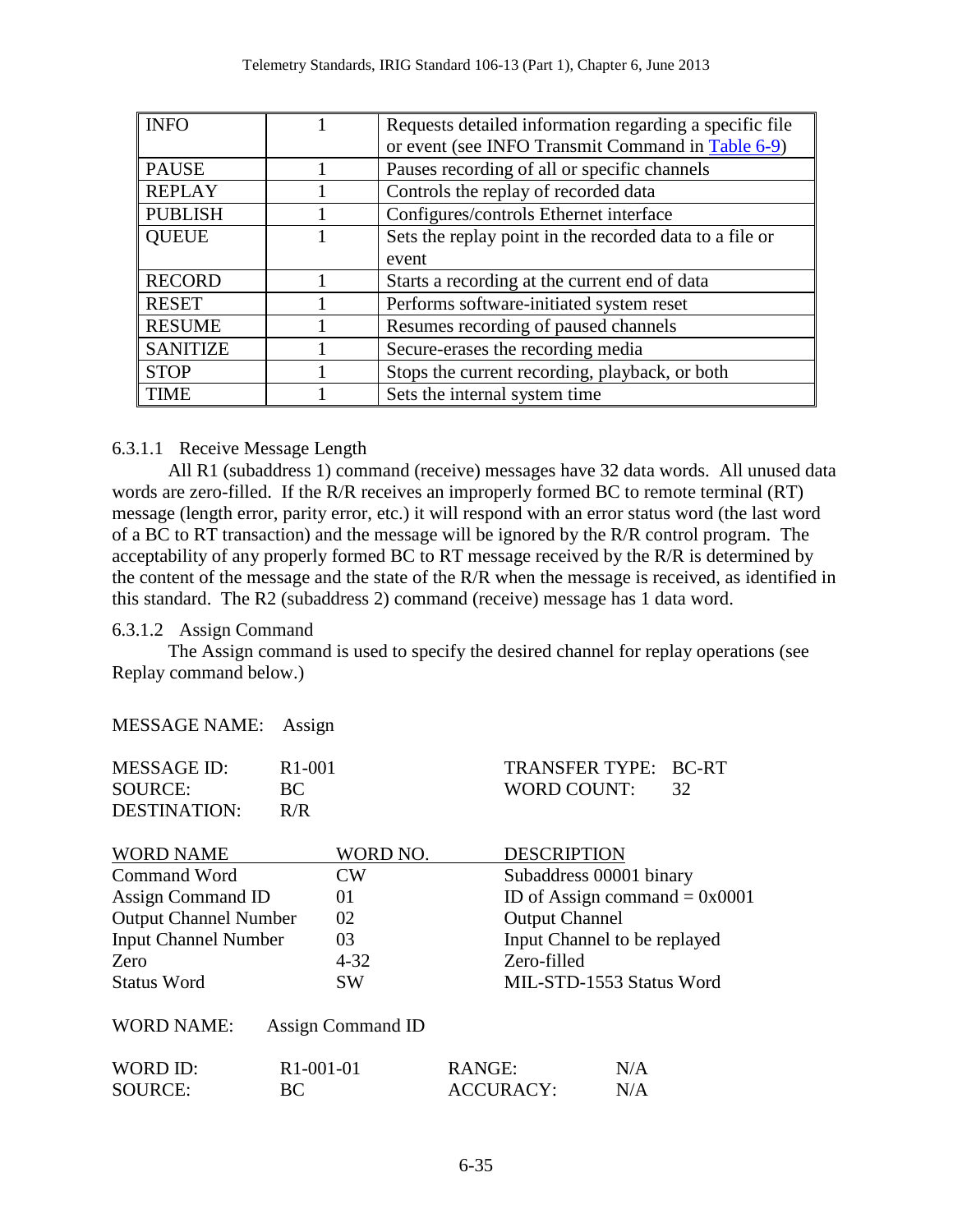| <b>INFO</b>     | Requests detailed information regarding a specific file<br>or event (see INFO Transmit Command in Table 6-9) |
|-----------------|--------------------------------------------------------------------------------------------------------------|
| <b>PAUSE</b>    | Pauses recording of all or specific channels                                                                 |
| <b>REPLAY</b>   | Controls the replay of recorded data                                                                         |
| <b>PUBLISH</b>  | Configures/controls Ethernet interface                                                                       |
| <b>QUEUE</b>    | Sets the replay point in the recorded data to a file or                                                      |
|                 | event                                                                                                        |
| <b>RECORD</b>   | Starts a recording at the current end of data                                                                |
| <b>RESET</b>    | Performs software-initiated system reset                                                                     |
| <b>RESUME</b>   | Resumes recording of paused channels                                                                         |
| <b>SANITIZE</b> | Secure-erases the recording media                                                                            |
| <b>STOP</b>     | Stops the current recording, playback, or both                                                               |
| <b>TIME</b>     | Sets the internal system time                                                                                |

#### 6.3.1.1 Receive Message Length

All R1 (subaddress 1) command (receive) messages have 32 data words. All unused data words are zero-filled. If the R/R receives an improperly formed BC to remote terminal (RT) message (length error, parity error, etc.) it will respond with an error status word (the last word of a BC to RT transaction) and the message will be ignored by the R/R control program. The acceptability of any properly formed BC to RT message received by the R/R is determined by the content of the message and the state of the R/R when the message is received, as identified in this standard. The R2 (subaddress 2) command (receive) message has 1 data word.

#### 6.3.1.2 Assign Command

The Assign command is used to specify the desired channel for replay operations (see Replay command below.)

### MESSAGE NAME: Assign

| <b>MESSAGE ID:</b>           | R1-001                 |                          |               | <b>TRANSFER TYPE:</b>           |     | <b>BC-RT</b> |
|------------------------------|------------------------|--------------------------|---------------|---------------------------------|-----|--------------|
| SOURCE:                      | BC.                    |                          |               | <b>WORD COUNT:</b>              |     | 32           |
| <b>DESTINATION:</b>          | R/R                    |                          |               |                                 |     |              |
| <b>WORD NAME</b>             |                        | WORD NO.                 |               | <b>DESCRIPTION</b>              |     |              |
| <b>Command Word</b>          |                        | CW                       |               | Subaddress 00001 binary         |     |              |
| <b>Assign Command ID</b>     |                        | 01                       |               | ID of Assign command $= 0x0001$ |     |              |
| <b>Output Channel Number</b> |                        | 02                       |               | <b>Output Channel</b>           |     |              |
| <b>Input Channel Number</b>  |                        | 03                       |               | Input Channel to be replayed    |     |              |
| Zero                         |                        | $4 - 32$                 |               | Zero-filled                     |     |              |
| <b>Status Word</b>           |                        | <b>SW</b>                |               | MIL-STD-1553 Status Word        |     |              |
| <b>WORD NAME:</b>            |                        | <b>Assign Command ID</b> |               |                                 |     |              |
| WORD ID:                     | R <sub>1</sub> -001-01 |                          | <b>RANGE:</b> |                                 | N/A |              |
| <b>SOURCE:</b>               | BС                     |                          |               | <b>ACCURACY:</b>                | N/A |              |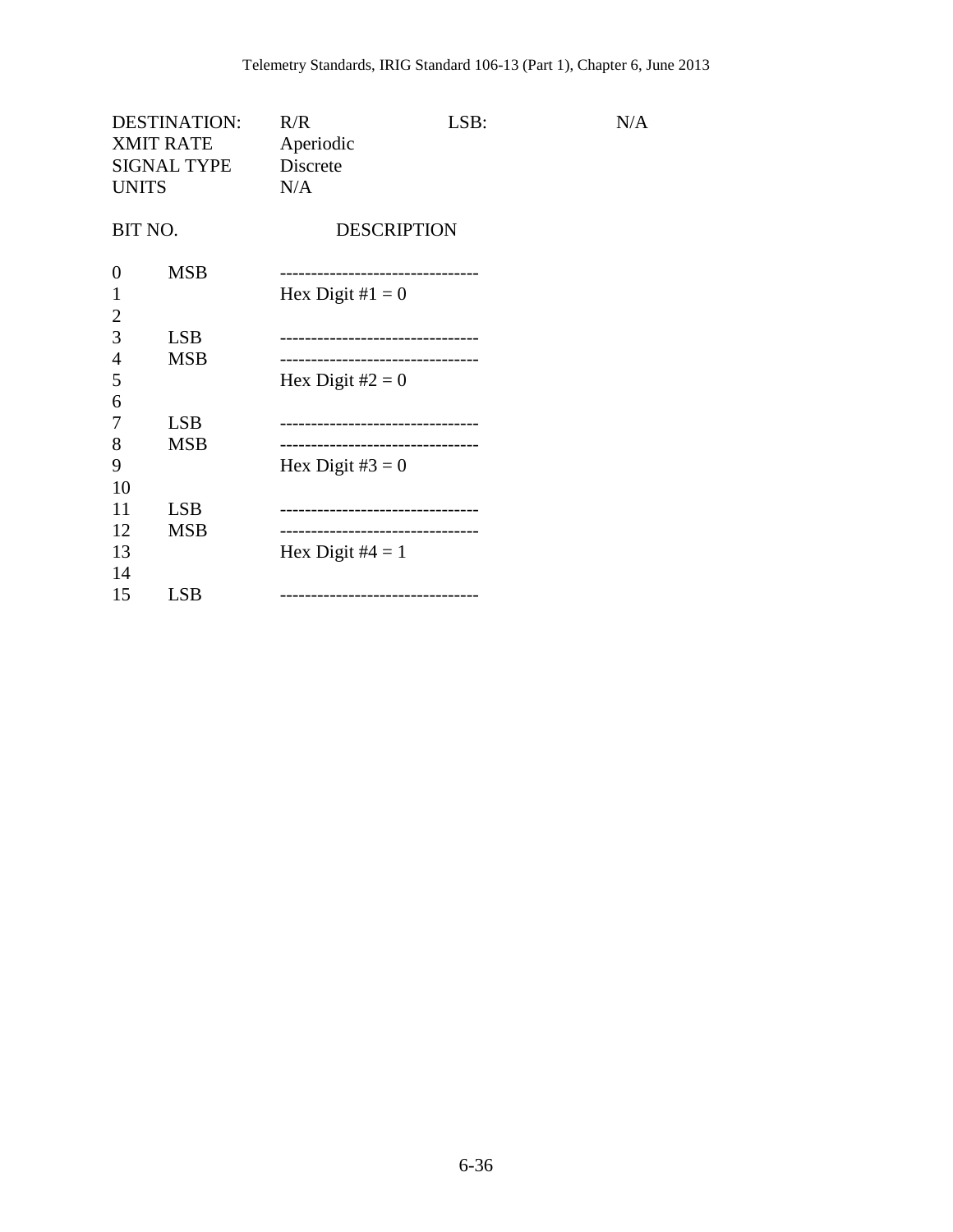| <b>UNITS</b>                    | <b>DESTINATION:</b><br><b>XMIT RATE</b><br><b>SIGNAL TYPE</b> | R/R<br>Aperiodic<br>Discrete<br>N/A                                                      | LSB: | N/A |
|---------------------------------|---------------------------------------------------------------|------------------------------------------------------------------------------------------|------|-----|
| BIT NO.                         |                                                               | <b>DESCRIPTION</b>                                                                       |      |     |
| $\theta$<br>1<br>$\overline{2}$ | <b>MSB</b>                                                    | --------------------------------<br>Hex Digit # $1 = 0$                                  |      |     |
| 3<br>$\overline{4}$<br>5        | <b>LSB</b><br><b>MSB</b>                                      | -------------------------------<br>Hex Digit #2 = 0                                      |      |     |
| 6<br>7<br>8<br>9<br>10          | <b>LSB</b><br><b>MSB</b>                                      | ---------------------------------<br>Hex Digit #3 = 0                                    |      |     |
| 11<br>12<br>13<br>14            | <b>LSB</b><br><b>MSB</b>                                      | --------------------------------<br>--------------------------------<br>Hex Digit #4 = 1 |      |     |
| 15                              | <b>LSB</b>                                                    | ---------------------------------                                                        |      |     |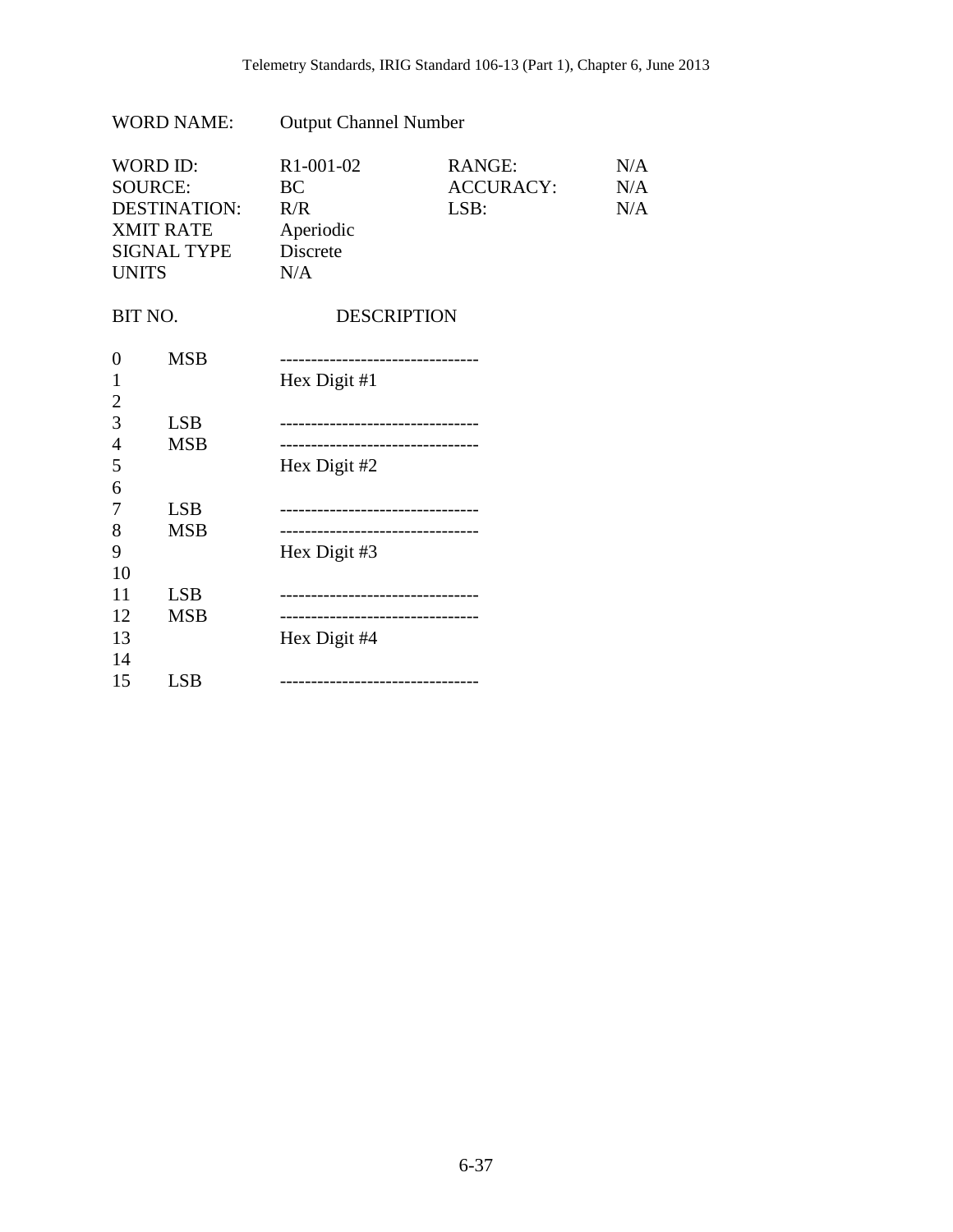|                                            | <b>WORD NAME:</b>                                             | <b>Output Channel Number</b>                                               |                                           |                   |  |  |
|--------------------------------------------|---------------------------------------------------------------|----------------------------------------------------------------------------|-------------------------------------------|-------------------|--|--|
| WORD ID:<br><b>SOURCE:</b><br><b>UNITS</b> | <b>DESTINATION:</b><br><b>XMIT RATE</b><br><b>SIGNAL TYPE</b> | R <sub>1</sub> -001-02<br><b>BC</b><br>R/R<br>Aperiodic<br>Discrete<br>N/A | <b>RANGE:</b><br><b>ACCURACY:</b><br>LSB: | N/A<br>N/A<br>N/A |  |  |
| BIT NO.                                    |                                                               | <b>DESCRIPTION</b>                                                         |                                           |                   |  |  |
| $\theta$<br>1<br>$\overline{2}$            | <b>MSB</b>                                                    | Hex Digit #1                                                               |                                           |                   |  |  |
| 3<br>$\overline{4}$<br>5<br>6              | <b>LSB</b><br><b>MSB</b>                                      | ----------------------<br>-----------------------<br>Hex Digit #2          |                                           |                   |  |  |
| 7<br>8<br>9<br>10                          | <b>LSB</b><br><b>MSB</b>                                      | -----------------------<br>Hex Digit #3                                    |                                           |                   |  |  |
| 11<br>12<br>13                             | <b>LSB</b><br><b>MSB</b>                                      | -----------------------------<br>Hex Digit #4                              |                                           |                   |  |  |

15 LSB --------------------------------

 $\frac{14}{15}$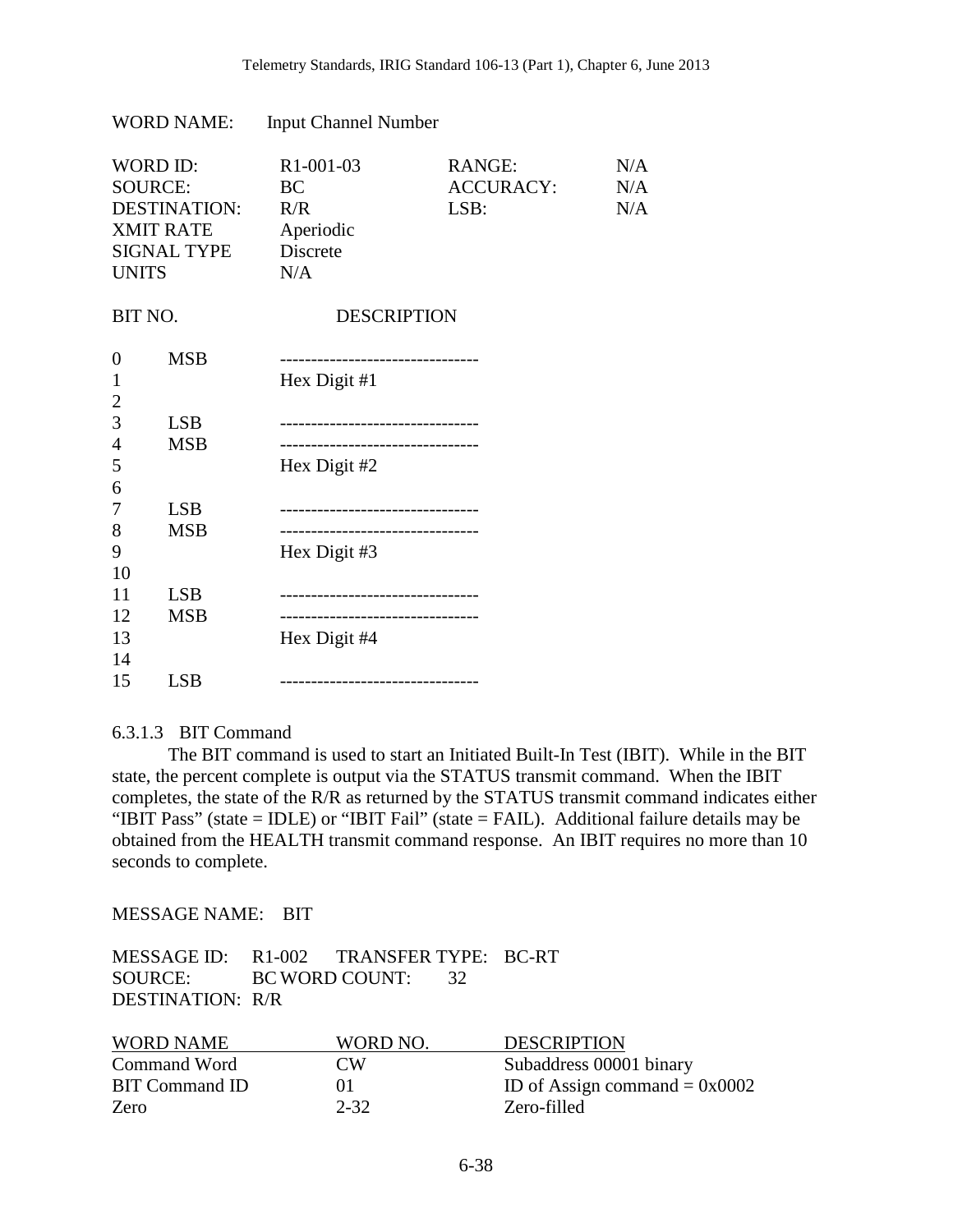|                                                              | <b>WORD NAME:</b>                                             | <b>Input Channel Number</b>                                                     |                                           |                   |
|--------------------------------------------------------------|---------------------------------------------------------------|---------------------------------------------------------------------------------|-------------------------------------------|-------------------|
| WORD ID:<br><b>SOURCE:</b><br><b>UNITS</b>                   | <b>DESTINATION:</b><br><b>XMIT RATE</b><br><b>SIGNAL TYPE</b> | R1-001-03<br><b>BC</b><br>R/R<br>Aperiodic<br>Discrete<br>N/A                   | <b>RANGE:</b><br><b>ACCURACY:</b><br>LSB: | N/A<br>N/A<br>N/A |
| BIT NO.                                                      |                                                               | <b>DESCRIPTION</b>                                                              |                                           |                   |
| $\overline{0}$<br>1<br>$\overline{2}$<br>3<br>$\overline{4}$ | <b>MSB</b><br><b>LSB</b><br><b>MSB</b>                        | -------------------------------<br>Hex Digit #1                                 |                                           |                   |
| 5<br>6                                                       |                                                               | Hex Digit #2                                                                    |                                           |                   |
| 7<br>8<br>9<br>10                                            | <b>LSB</b><br><b>MSB</b>                                      | ---------------------------<br>--------------------------------<br>Hex Digit #3 |                                           |                   |
| 11<br>12<br>13<br>14                                         | <b>LSB</b><br><b>MSB</b>                                      | ---------------------------<br>----------------------------<br>Hex Digit #4     |                                           |                   |
| 15                                                           | <b>LSB</b>                                                    | ------------------------------                                                  |                                           |                   |

#### 6.3.1.3 BIT Command

The BIT command is used to start an Initiated Built-In Test (IBIT). While in the BIT state, the percent complete is output via the STATUS transmit command. When the IBIT completes, the state of the R/R as returned by the STATUS transmit command indicates either "IBIT Pass" (state = IDLE) or "IBIT Fail" (state = FAIL). Additional failure details may be obtained from the HEALTH transmit command response. An IBIT requires no more than 10 seconds to complete.

#### MESSAGE NAME: BIT

MESSAGE ID: R1-002 TRANSFER TYPE: BC-RT SOURCE: BC WORD COUNT: 32 DESTINATION: R/R

| <b>WORD NAME</b> | WORD NO.       | <b>DESCRIPTION</b>              |
|------------------|----------------|---------------------------------|
| Command Word     | CW <sub></sub> | Subaddress 00001 binary         |
| BIT Command ID   | 01             | ID of Assign command $= 0x0002$ |
| Zero             | 2-32           | Zero-filled                     |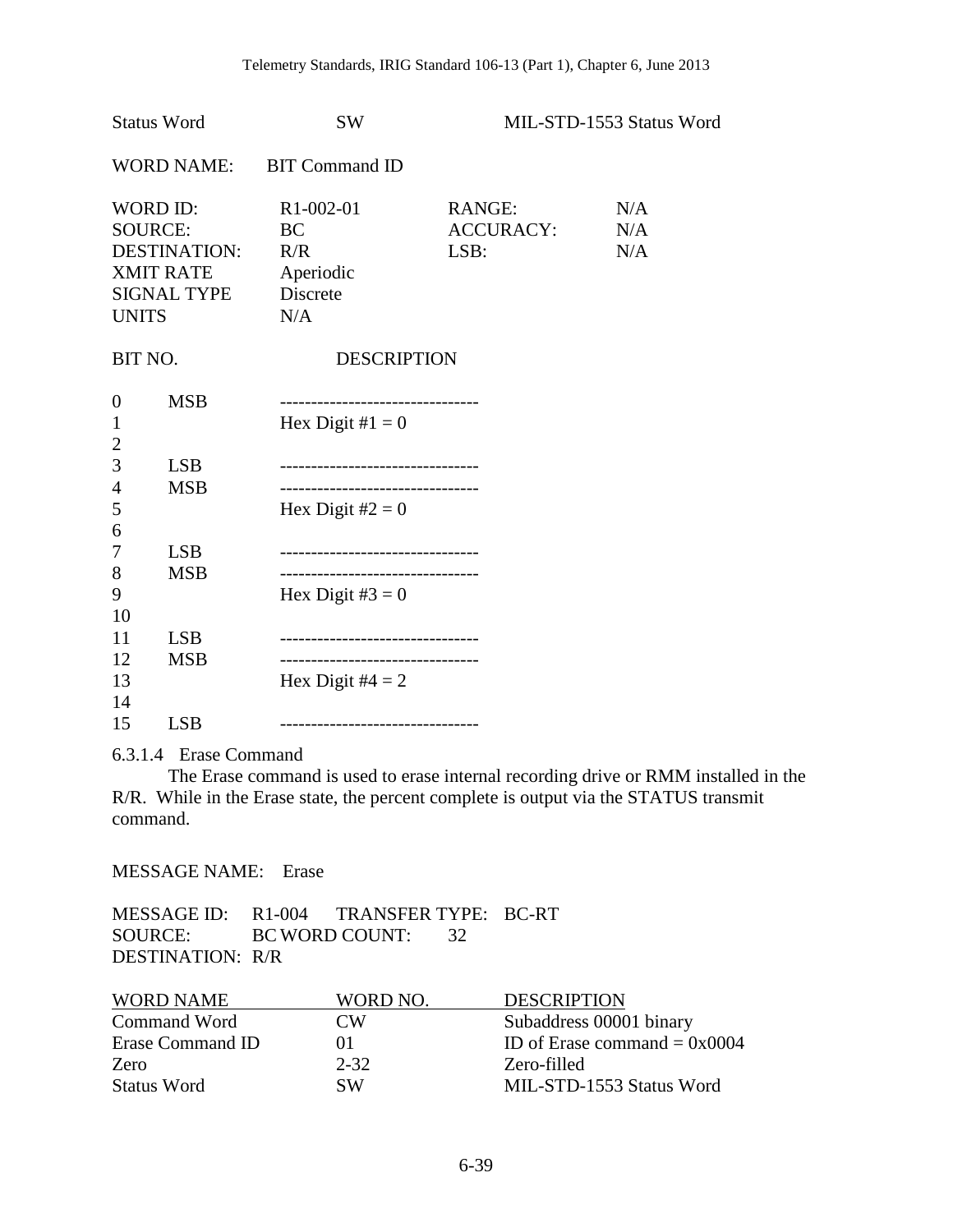| <b>Status Word</b>                                                                                                 | <b>SW</b>                                                                            |                                           | MIL-STD-1553 Status Word |
|--------------------------------------------------------------------------------------------------------------------|--------------------------------------------------------------------------------------|-------------------------------------------|--------------------------|
| WORD NAME:                                                                                                         | <b>BIT Command ID</b>                                                                |                                           |                          |
| <b>WORD ID:</b><br><b>SOURCE:</b><br><b>DESTINATION:</b><br><b>XMIT RATE</b><br><b>SIGNAL TYPE</b><br><b>UNITS</b> | R1-002-01<br><b>BC</b><br>R/R<br>Aperiodic<br>Discrete<br>N/A                        | <b>RANGE:</b><br><b>ACCURACY:</b><br>LSB: | N/A<br>N/A<br>N/A        |
| BIT NO.                                                                                                            | <b>DESCRIPTION</b>                                                                   |                                           |                          |
| <b>MSB</b><br>$\theta$<br>1<br>$\overline{c}$<br>3<br><b>LSB</b>                                                   | -------------------------------<br>Hex Digit # $1 = 0$                               |                                           |                          |
| $\overline{4}$<br><b>MSB</b><br>5<br>6                                                                             | ------------------------------<br>Hex Digit #2 = 0                                   |                                           |                          |
| <b>LSB</b><br>7<br>8<br><b>MSB</b><br>9                                                                            | ----------------------------<br>-------------------------------<br>Hex Digit #3 = 0  |                                           |                          |
| 10<br><b>LSB</b><br>11<br><b>MSB</b><br>12<br>13                                                                   | ----------------------------<br>--------------------------------<br>Hex Digit #4 = 2 |                                           |                          |
| 14<br><b>LSB</b><br>15                                                                                             | -------------------------------                                                      |                                           |                          |

6.3.1.4 Erase Command

The Erase command is used to erase internal recording drive or RMM installed in the R/R. While in the Erase state, the percent complete is output via the STATUS transmit command.

#### MESSAGE NAME: Erase

MESSAGE ID: R1-004 TRANSFER TYPE: BC-RT SOURCE: BC WORD COUNT: 32 DESTINATION: R/R

| WORD NAME           | WORD NO. | <b>DESCRIPTION</b>             |
|---------------------|----------|--------------------------------|
| <b>Command Word</b> | CW       | Subaddress 00001 binary        |
| Erase Command ID    | 01       | ID of Erase command $= 0x0004$ |
| Zero                | $2 - 32$ | Zero-filled                    |
| <b>Status Word</b>  | SW       | MIL-STD-1553 Status Word       |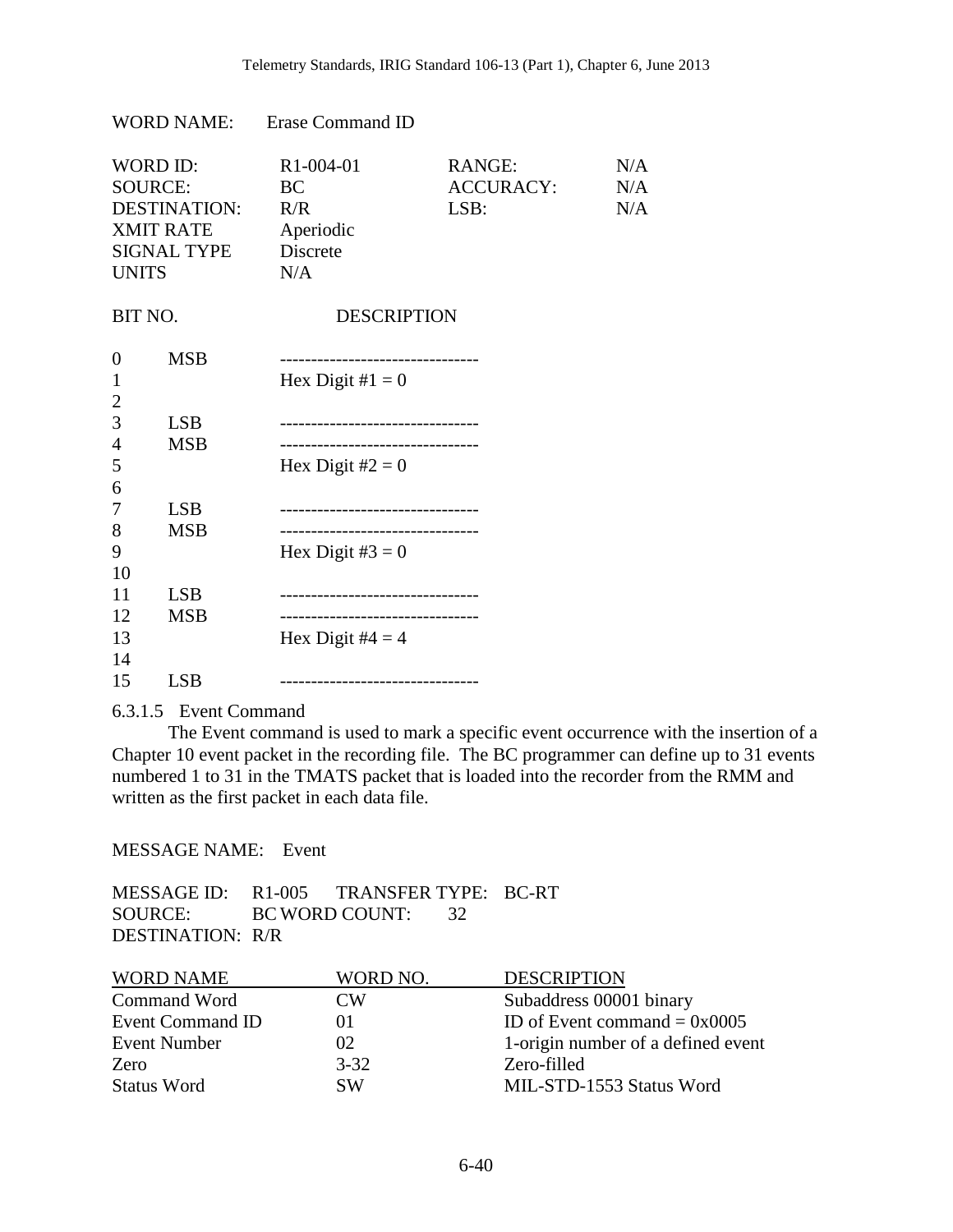| <b>WORD NAME:</b>                                                                                           | Erase Command ID                                                           |                                           |                   |
|-------------------------------------------------------------------------------------------------------------|----------------------------------------------------------------------------|-------------------------------------------|-------------------|
| WORD ID:<br><b>SOURCE:</b><br><b>DESTINATION:</b><br><b>XMIT RATE</b><br><b>SIGNAL TYPE</b><br><b>UNITS</b> | R <sub>1</sub> -004-01<br>BC<br>R/R<br>Aperiodic<br><b>Discrete</b><br>N/A | <b>RANGE:</b><br><b>ACCURACY:</b><br>LSB: | N/A<br>N/A<br>N/A |
| BIT NO.                                                                                                     | <b>DESCRIPTION</b>                                                         |                                           |                   |
| $\Omega$<br><b>MSB</b>                                                                                      |                                                                            |                                           |                   |

|                |            | Hex Digit #1 = 0 |
|----------------|------------|------------------|
| 2              |            |                  |
| 3              | <b>LSB</b> |                  |
| $\overline{4}$ | <b>MSB</b> |                  |
| 5              |            | Hex Digit #2 = 0 |
| 6              |            |                  |
| 7              | <b>LSB</b> |                  |
| 8              | <b>MSB</b> |                  |
| 9              |            | Hex Digit #3 = 0 |
| 10             |            |                  |
| 11             | <b>LSB</b> |                  |
| 12             | <b>MSB</b> |                  |
| 13             |            | Hex Digit #4 = 4 |
| 14             |            |                  |
| 15             | LSB        |                  |

6.3.1.5 Event Command

The Event command is used to mark a specific event occurrence with the insertion of a Chapter 10 event packet in the recording file. The BC programmer can define up to 31 events numbered 1 to 31 in the TMATS packet that is loaded into the recorder from the RMM and written as the first packet in each data file.

### MESSAGE NAME: Event

MESSAGE ID: R1-005 TRANSFER TYPE: BC-RT SOURCE: BC WORD COUNT: 32 DESTINATION: R/R

| <b>WORD NAME</b>    | WORD NO.  | <b>DESCRIPTION</b>                 |
|---------------------|-----------|------------------------------------|
| Command Word        | CW        | Subaddress 00001 binary            |
| Event Command ID    |           | ID of Event command $= 0x0005$     |
| <b>Event Number</b> | 02        | 1-origin number of a defined event |
| Zero                | $3 - 32$  | Zero-filled                        |
| <b>Status Word</b>  | <b>SW</b> | MIL-STD-1553 Status Word           |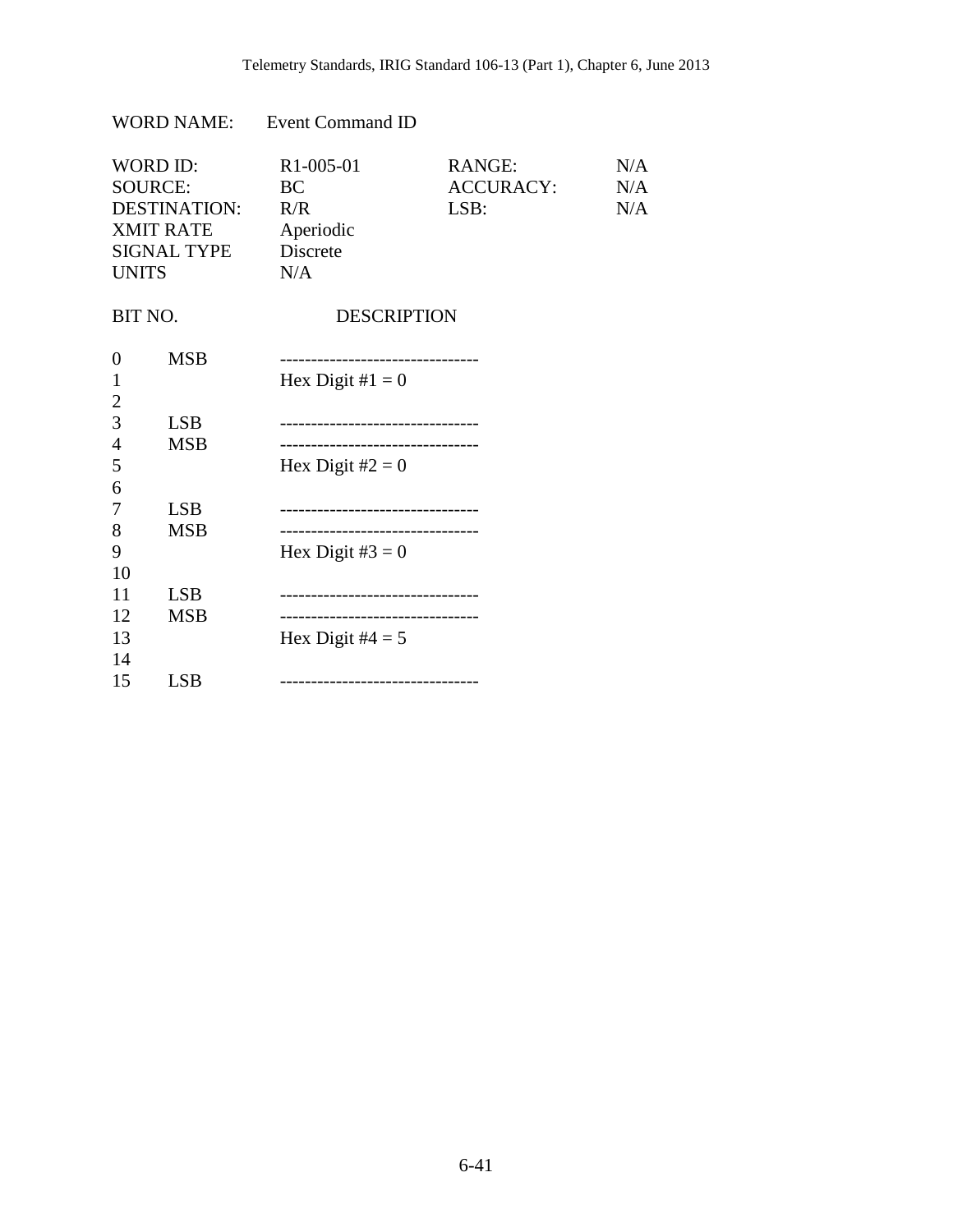# WORD NAME: Event Command ID

| WORD ID:<br>SOURCE:<br><b>DESTINATION:</b><br>XMIT RATE<br><b>SIGNAL TYPE</b> | R <sub>1</sub> -005-01<br>BC.<br>R/R<br>Aperiodic<br>Discrete | RANGE:<br><b>ACCURACY:</b><br>LSB: | N/A<br>N/A<br>N/A |
|-------------------------------------------------------------------------------|---------------------------------------------------------------|------------------------------------|-------------------|
| <b>UNITS</b>                                                                  | N/A                                                           |                                    |                   |

## BIT NO. DESCRIPTION

|                | <b>MSB</b> |                    |
|----------------|------------|--------------------|
| 1              |            | Hex Digit #1 = 0   |
| 2              |            |                    |
| 3              | <b>LSB</b> |                    |
| $\overline{4}$ | <b>MSB</b> |                    |
| 5              |            | Hex Digit #2 = 0   |
| 6              |            |                    |
| 7              | <b>LSB</b> |                    |
| 8              | <b>MSB</b> |                    |
| 9              |            | Hex Digit #3 = 0   |
| 10             |            |                    |
| 11             | <b>LSB</b> |                    |
| 12             | <b>MSB</b> |                    |
| 13             |            | Hex Digit #4 = $5$ |
| 14             |            |                    |
| 15             | LSB        |                    |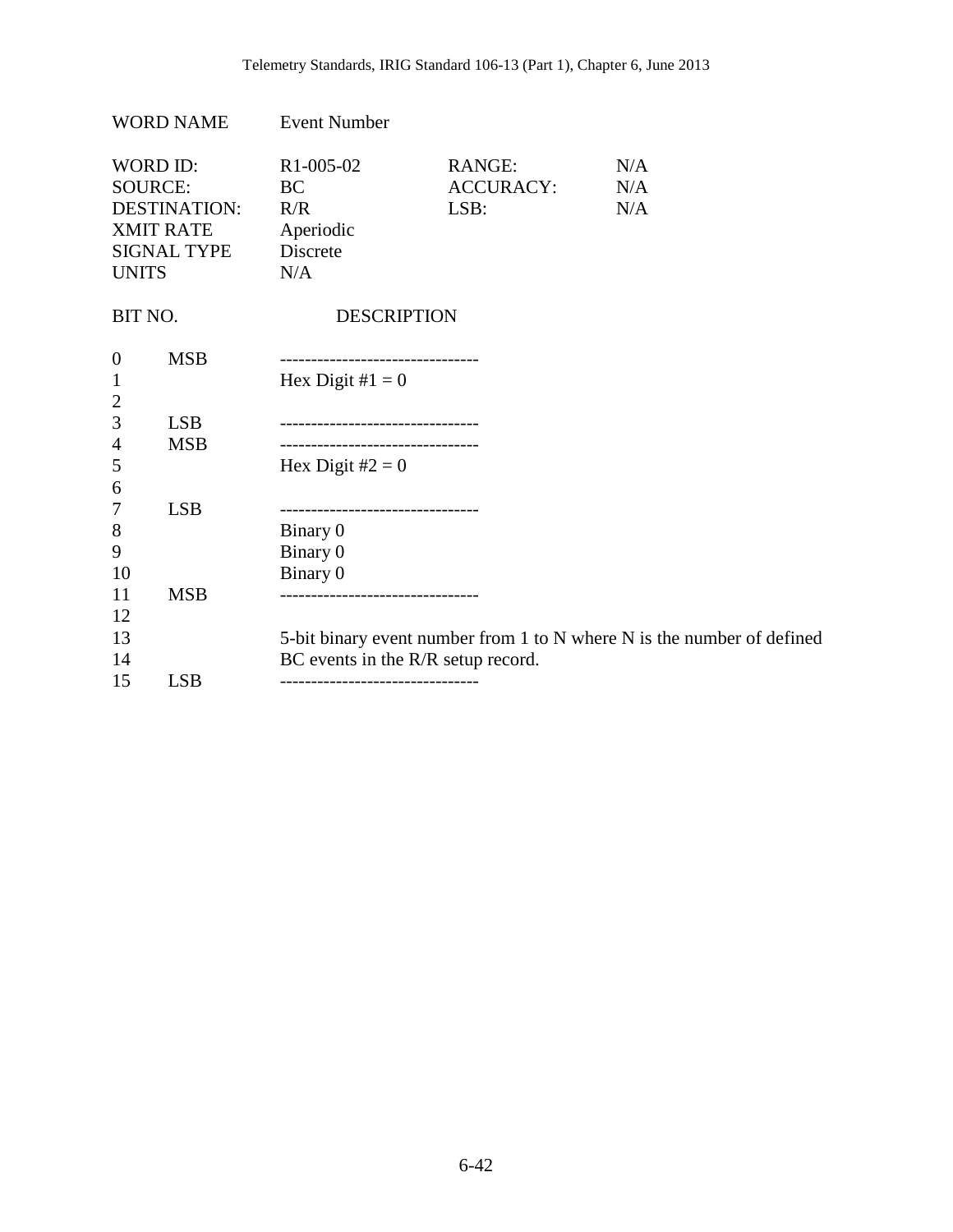|                                                    | <b>WORD NAME</b>                                              | <b>Event Number</b>                                                   |                                           |                                                                        |
|----------------------------------------------------|---------------------------------------------------------------|-----------------------------------------------------------------------|-------------------------------------------|------------------------------------------------------------------------|
| WORD ID:<br><b>SOURCE:</b><br><b>UNITS</b>         | <b>DESTINATION:</b><br><b>XMIT RATE</b><br><b>SIGNAL TYPE</b> | $R1-005-02$<br><b>BC</b><br>R/R<br>Aperiodic<br>Discrete<br>N/A       | <b>RANGE:</b><br><b>ACCURACY:</b><br>LSB: | N/A<br>N/A<br>N/A                                                      |
| BIT NO.                                            |                                                               | <b>DESCRIPTION</b>                                                    |                                           |                                                                        |
| $\boldsymbol{0}$<br>$\mathbf{1}$<br>$\overline{c}$ | <b>MSB</b>                                                    | Hex Digit # $1 = 0$                                                   |                                           |                                                                        |
| 3<br>4<br>5<br>6                                   | <b>LSB</b><br><b>MSB</b>                                      | ------------------------------<br>Hex Digit #2 = 0                    |                                           |                                                                        |
| 7<br>8<br>9<br>10                                  | <b>LSB</b>                                                    | -----------------------------<br>Binary 0<br>Binary 0                 |                                           |                                                                        |
| 11<br>12                                           | <b>MSB</b>                                                    | Binary 0                                                              |                                           |                                                                        |
| 13<br>14<br>15                                     | <b>LSB</b>                                                    | BC events in the R/R setup record.<br>------------------------------- |                                           | 5-bit binary event number from 1 to N where N is the number of defined |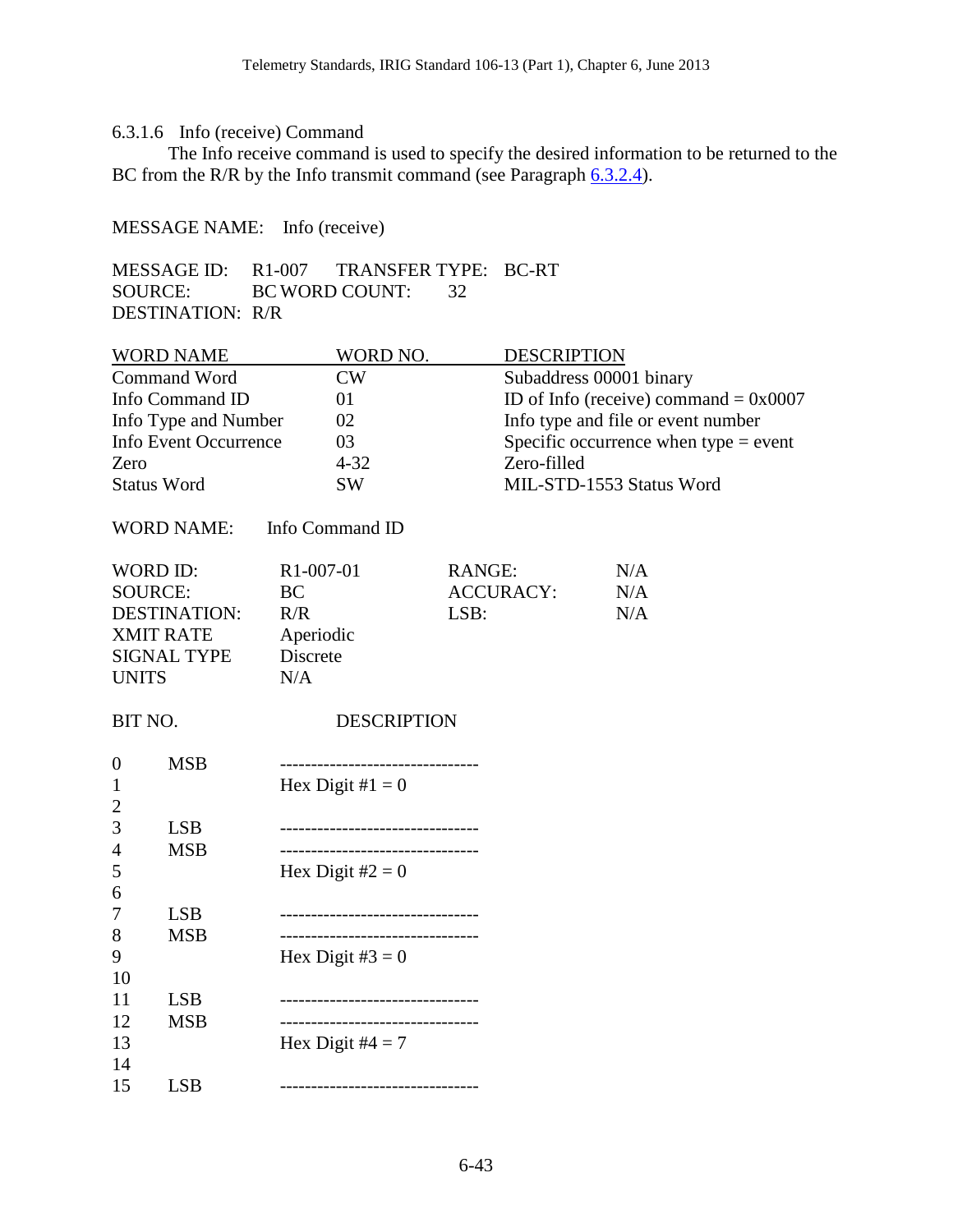## 6.3.1.6 Info (receive) Command

The Info receive command is used to specify the desired information to be returned to the BC from the R/R by the Info transmit command (see Paragraph [6.3.2.4\)](#page-86-0).

#### MESSAGE NAME: Info (receive)

MESSAGE ID: R1-007 TRANSFER TYPE: BC-RT SOURCE: BC WORD COUNT: 32 DESTINATION: R/R

|                           | <b>WORD NAME</b>      | WORD NO.                                | <b>DESCRIPTION</b>      |                                         |
|---------------------------|-----------------------|-----------------------------------------|-------------------------|-----------------------------------------|
| <b>Command Word</b><br>CW |                       |                                         | Subaddress 00001 binary |                                         |
| Info Command ID<br>01     |                       | ID of Info (receive) command = $0x0007$ |                         |                                         |
|                           | Info Type and Number  | 02                                      |                         | Info type and file or event number      |
|                           | Info Event Occurrence | 03                                      |                         | Specific occurrence when type $=$ event |
| Zero                      |                       | $4 - 32$                                | Zero-filled             |                                         |
| <b>Status Word</b>        |                       | <b>SW</b>                               |                         | MIL-STD-1553 Status Word                |
|                           | <b>WORD NAME:</b>     | Info Command ID                         |                         |                                         |
| WORD ID:                  |                       | R1-007-01                               | <b>RANGE:</b>           | N/A                                     |
| <b>SOURCE:</b>            |                       | <b>BC</b>                               | <b>ACCURACY:</b>        | N/A                                     |
|                           | <b>DESTINATION:</b>   | R/R                                     | LSB:                    | N/A                                     |
|                           | <b>XMIT RATE</b>      | Aperiodic                               |                         |                                         |
|                           | <b>SIGNAL TYPE</b>    | Discrete                                |                         |                                         |
| <b>UNITS</b>              |                       | N/A                                     |                         |                                         |
| BIT NO.                   |                       | <b>DESCRIPTION</b>                      |                         |                                         |
| $\boldsymbol{0}$          | <b>MSB</b>            | -------------------------------         |                         |                                         |
| 1                         |                       | Hex Digit # $1 = 0$                     |                         |                                         |
| 2                         |                       |                                         |                         |                                         |
| 3                         | <b>LSB</b>            | -------------------------------         |                         |                                         |
| 4                         | <b>MSB</b>            | --------------------------------        |                         |                                         |
| 5                         |                       | Hex Digit #2 = 0                        |                         |                                         |
| 6                         |                       |                                         |                         |                                         |
| 7                         | <b>LSB</b>            | --------------------------              |                         |                                         |
| 8                         | <b>MSB</b>            |                                         |                         |                                         |
| 9                         |                       | Hex Digit #3 = 0                        |                         |                                         |
| 10                        |                       |                                         |                         |                                         |
| 11                        | <b>LSB</b>            |                                         |                         |                                         |
| 12                        | <b>MSB</b>            | --------------------------------        |                         |                                         |
| 13                        |                       | Hex Digit #4 = 7                        |                         |                                         |
| 14                        |                       |                                         |                         |                                         |
| 15                        | <b>LSB</b>            | ---------------------------------       |                         |                                         |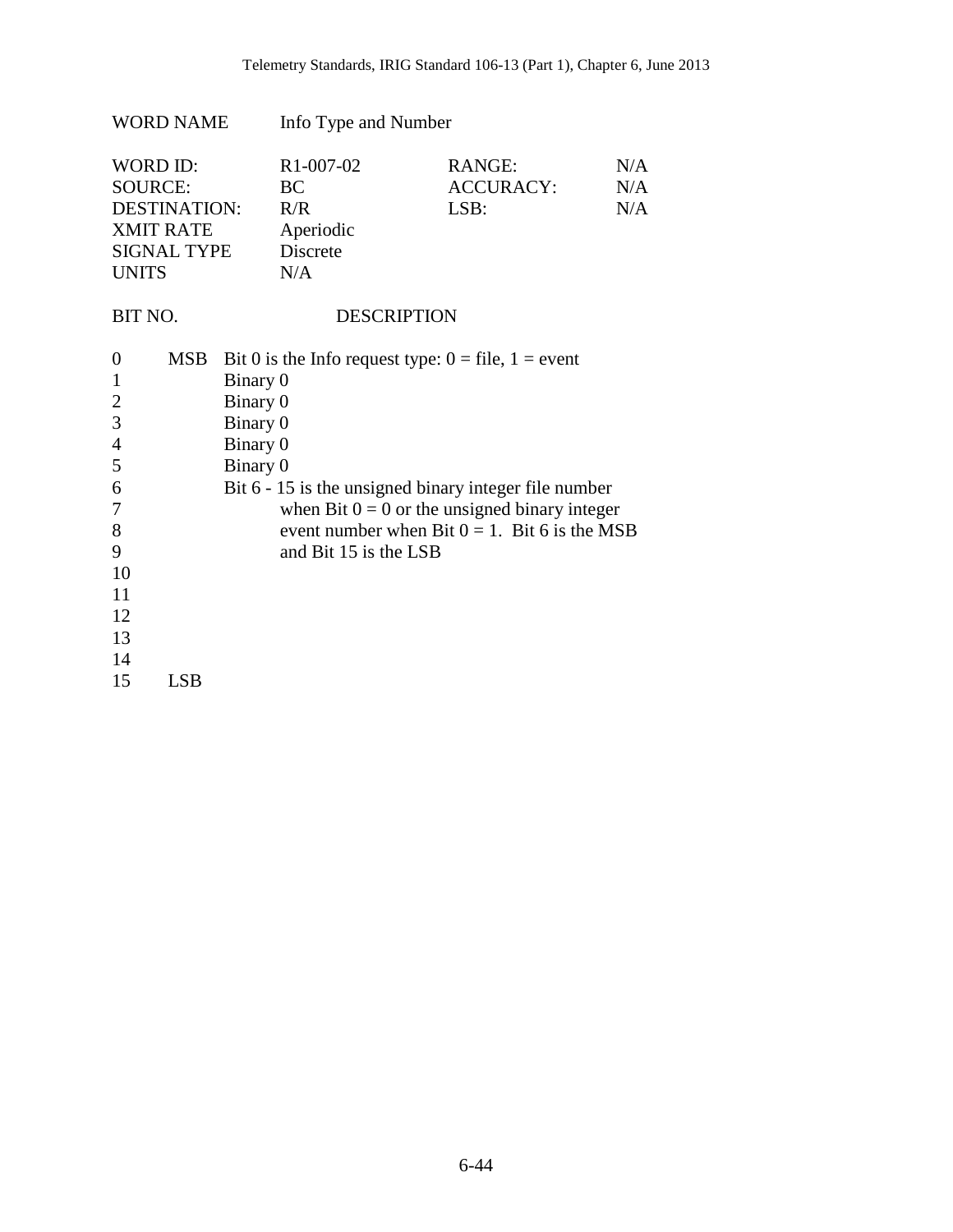| <b>WORD NAME</b>                                                                                            | Info Type and Number                                             |                                           |                   |
|-------------------------------------------------------------------------------------------------------------|------------------------------------------------------------------|-------------------------------------------|-------------------|
| WORD ID:<br><b>SOURCE:</b><br><b>DESTINATION:</b><br><b>XMIT RATE</b><br><b>SIGNAL TYPE</b><br><b>UNITS</b> | $R1-007-02$<br>BC.<br>R/R<br>Aperiodic<br><b>Discrete</b><br>N/A | <b>RANGE:</b><br><b>ACCURACY:</b><br>LSB: | N/A<br>N/A<br>N/A |
|                                                                                                             |                                                                  |                                           |                   |

## BIT NO. DESCRIPTION

| $\overline{0}$ | <b>MSB</b> | Bit 0 is the Info request type: $0 =$ file, $1 =$ event |
|----------------|------------|---------------------------------------------------------|
|                |            |                                                         |
| 1              |            | Binary 0                                                |
| $\overline{2}$ |            | Binary 0                                                |
| 3              |            | Binary 0                                                |
| $\overline{4}$ |            | Binary 0                                                |
| 5              |            | Binary 0                                                |
| 6              |            | Bit 6 - 15 is the unsigned binary integer file number   |
| 7              |            | when Bit $0 = 0$ or the unsigned binary integer         |
| 8              |            | event number when Bit $0 = 1$ . Bit 6 is the MSB        |
| 9              |            | and Bit 15 is the LSB                                   |
| 10             |            |                                                         |
| 11             |            |                                                         |
| 12             |            |                                                         |
| 13             |            |                                                         |
| 14             |            |                                                         |
| 15             | LSB        |                                                         |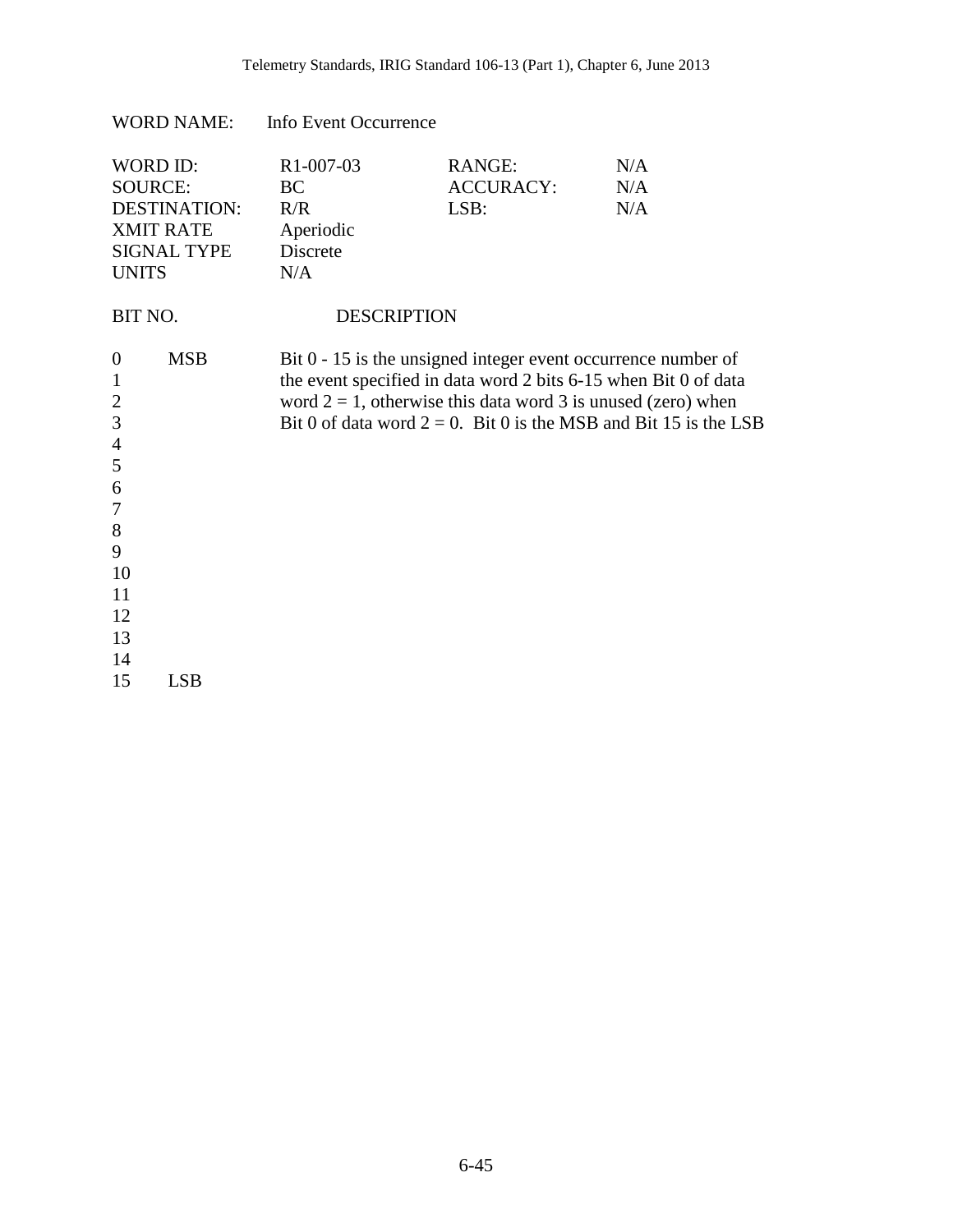| WORD NAME:                                                          |                                           |                                                                                                                                                                                                                                                                                                                             |
|---------------------------------------------------------------------|-------------------------------------------|-----------------------------------------------------------------------------------------------------------------------------------------------------------------------------------------------------------------------------------------------------------------------------------------------------------------------------|
| R <sub>1</sub> -007-03<br>BC<br>R/R<br>Aperiodic<br>Discrete<br>N/A | <b>RANGE:</b><br><b>ACCURACY:</b><br>LSB: | N/A<br>N/A<br>N/A                                                                                                                                                                                                                                                                                                           |
|                                                                     |                                           |                                                                                                                                                                                                                                                                                                                             |
|                                                                     |                                           |                                                                                                                                                                                                                                                                                                                             |
|                                                                     |                                           | Info Event Occurrence<br><b>DESCRIPTION</b><br>Bit $0 - 15$ is the unsigned integer event occurrence number of<br>the event specified in data word 2 bits 6-15 when Bit 0 of data<br>word $2 = 1$ , otherwise this data word 3 is unused (zero) when<br>Bit 0 of data word $2 = 0$ . Bit 0 is the MSB and Bit 15 is the LSB |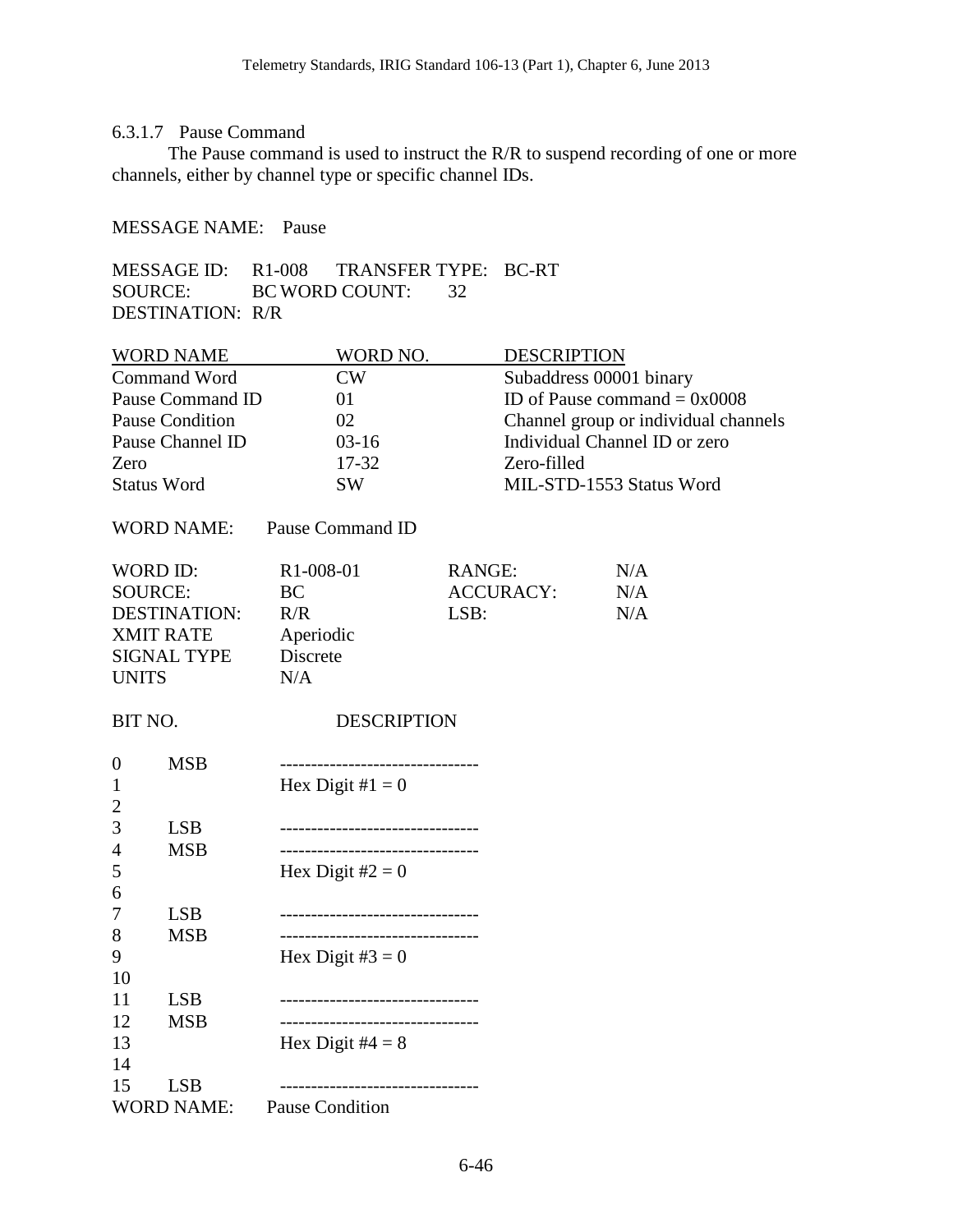## 6.3.1.7 Pause Command

The Pause command is used to instruct the R/R to suspend recording of one or more channels, either by channel type or specific channel IDs.

#### MESSAGE NAME: Pause

MESSAGE ID: R1-008 TRANSFER TYPE: BC-RT SOURCE: BC WORD COUNT: 32 DESTINATION: R/R

| <b>WORD NAME</b>             | WORD NO.                          | <b>DESCRIPTION</b> |                                      |
|------------------------------|-----------------------------------|--------------------|--------------------------------------|
| <b>Command Word</b>          | CW                                |                    | Subaddress 00001 binary              |
| <b>Pause Command ID</b>      | 01                                |                    | ID of Pause command $= 0x0008$       |
| <b>Pause Condition</b>       | 02                                |                    | Channel group or individual channels |
| Pause Channel ID             | $03-16$                           |                    | Individual Channel ID or zero        |
| Zero                         | 17-32                             | Zero-filled        |                                      |
| <b>Status Word</b>           | <b>SW</b>                         |                    | MIL-STD-1553 Status Word             |
| <b>WORD NAME:</b>            | Pause Command ID                  |                    |                                      |
| WORD ID:                     | R1-008-01                         | <b>RANGE:</b>      | N/A                                  |
| <b>SOURCE:</b>               | <b>BC</b>                         | <b>ACCURACY:</b>   | N/A                                  |
| <b>DESTINATION:</b>          | R/R                               | LSB:               | N/A                                  |
| <b>XMIT RATE</b>             | Aperiodic                         |                    |                                      |
| <b>SIGNAL TYPE</b>           | Discrete                          |                    |                                      |
| <b>UNITS</b>                 | N/A                               |                    |                                      |
| BIT NO.                      | <b>DESCRIPTION</b>                |                    |                                      |
| <b>MSB</b><br>$\overline{0}$ |                                   |                    |                                      |
| 1                            | Hex Digit # $1 = 0$               |                    |                                      |
| $\overline{2}$               |                                   |                    |                                      |
| 3<br><b>LSB</b>              | ------------------------------    |                    |                                      |
| <b>MSB</b><br>$\overline{4}$ |                                   |                    |                                      |
| 5                            | Hex Digit #2 = 0                  |                    |                                      |
| 6                            |                                   |                    |                                      |
| 7<br><b>LSB</b>              | ----------------------------      |                    |                                      |
| <b>MSB</b><br>8              | -------------------------------   |                    |                                      |
| 9                            | Hex Digit # $3 = 0$               |                    |                                      |
| 10                           |                                   |                    |                                      |
| <b>LSB</b><br>11             | -----------------------------     |                    |                                      |
| 12<br><b>MSB</b>             | --------------------------------- |                    |                                      |
| 13                           | Hex Digit #4 = $8$                |                    |                                      |
| 14                           |                                   |                    |                                      |
| 15<br><b>LSB</b>             | --------------------------------- |                    |                                      |
| <b>WORD NAME:</b>            | Pause Condition                   |                    |                                      |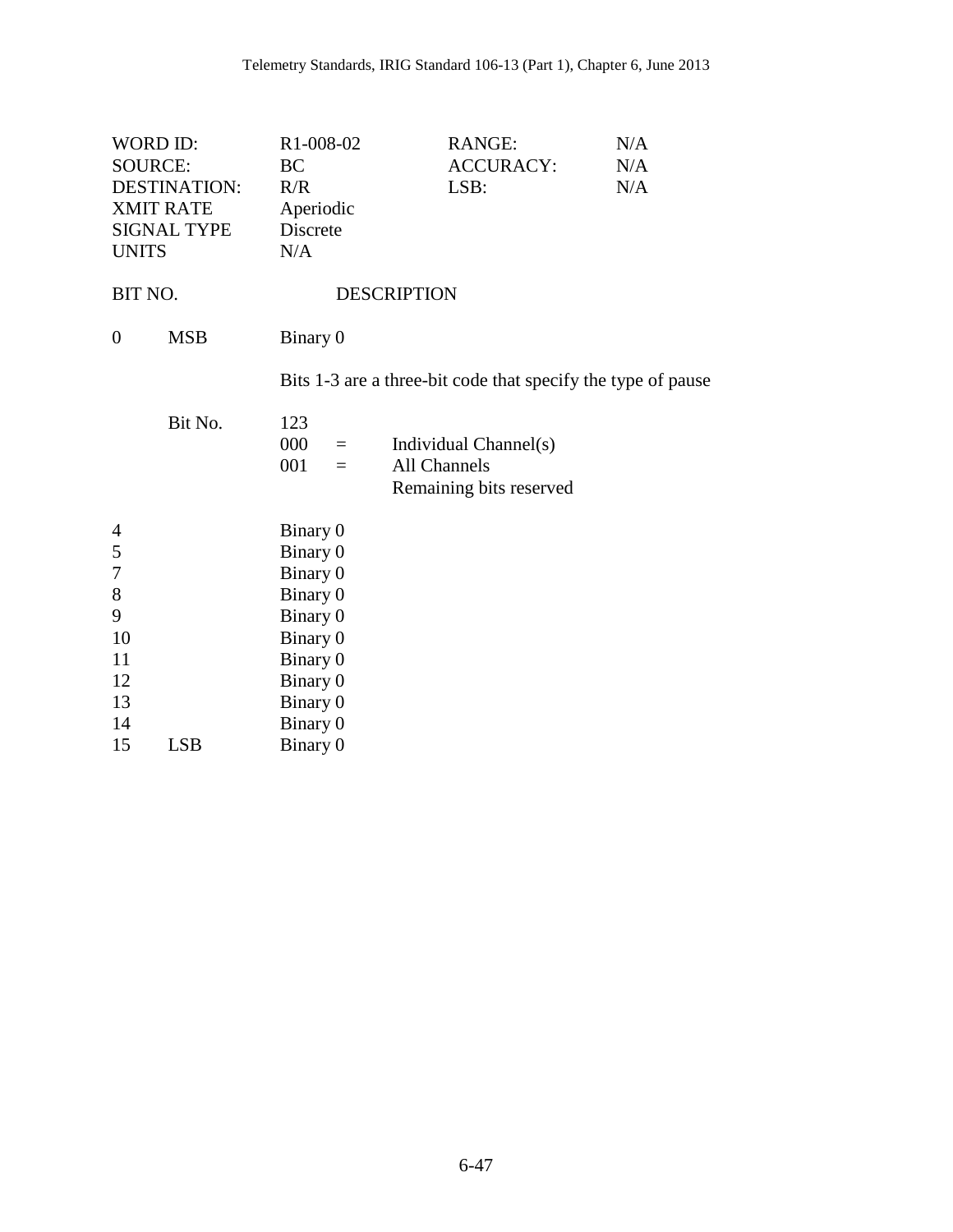| WORD ID:<br><b>SOURCE:</b><br><b>UNITS</b>                               | <b>DESTINATION:</b><br><b>XMIT RATE</b><br><b>SIGNAL TYPE</b> | R <sub>1</sub> -008-02<br><b>BC</b><br>R/R<br>Aperiodic<br>Discrete<br>N/A                                                       | <b>RANGE:</b><br><b>ACCURACY:</b><br>LSB:                        | N/A<br>N/A<br>N/A |
|--------------------------------------------------------------------------|---------------------------------------------------------------|----------------------------------------------------------------------------------------------------------------------------------|------------------------------------------------------------------|-------------------|
| BIT NO.                                                                  |                                                               |                                                                                                                                  | <b>DESCRIPTION</b>                                               |                   |
| $\boldsymbol{0}$                                                         | <b>MSB</b>                                                    | Binary 0                                                                                                                         |                                                                  |                   |
|                                                                          |                                                               |                                                                                                                                  | Bits 1-3 are a three-bit code that specify the type of pause     |                   |
|                                                                          | Bit No.                                                       | 123<br>000<br>$=$<br>001<br>$=$                                                                                                  | Individual Channel(s)<br>All Channels<br>Remaining bits reserved |                   |
| 4<br>5<br>$\boldsymbol{7}$<br>8<br>9<br>10<br>11<br>12<br>13<br>14<br>15 | <b>LSB</b>                                                    | Binary 0<br>Binary 0<br>Binary 0<br>Binary 0<br>Binary 0<br>Binary 0<br>Binary 0<br>Binary 0<br>Binary 0<br>Binary 0<br>Binary 0 |                                                                  |                   |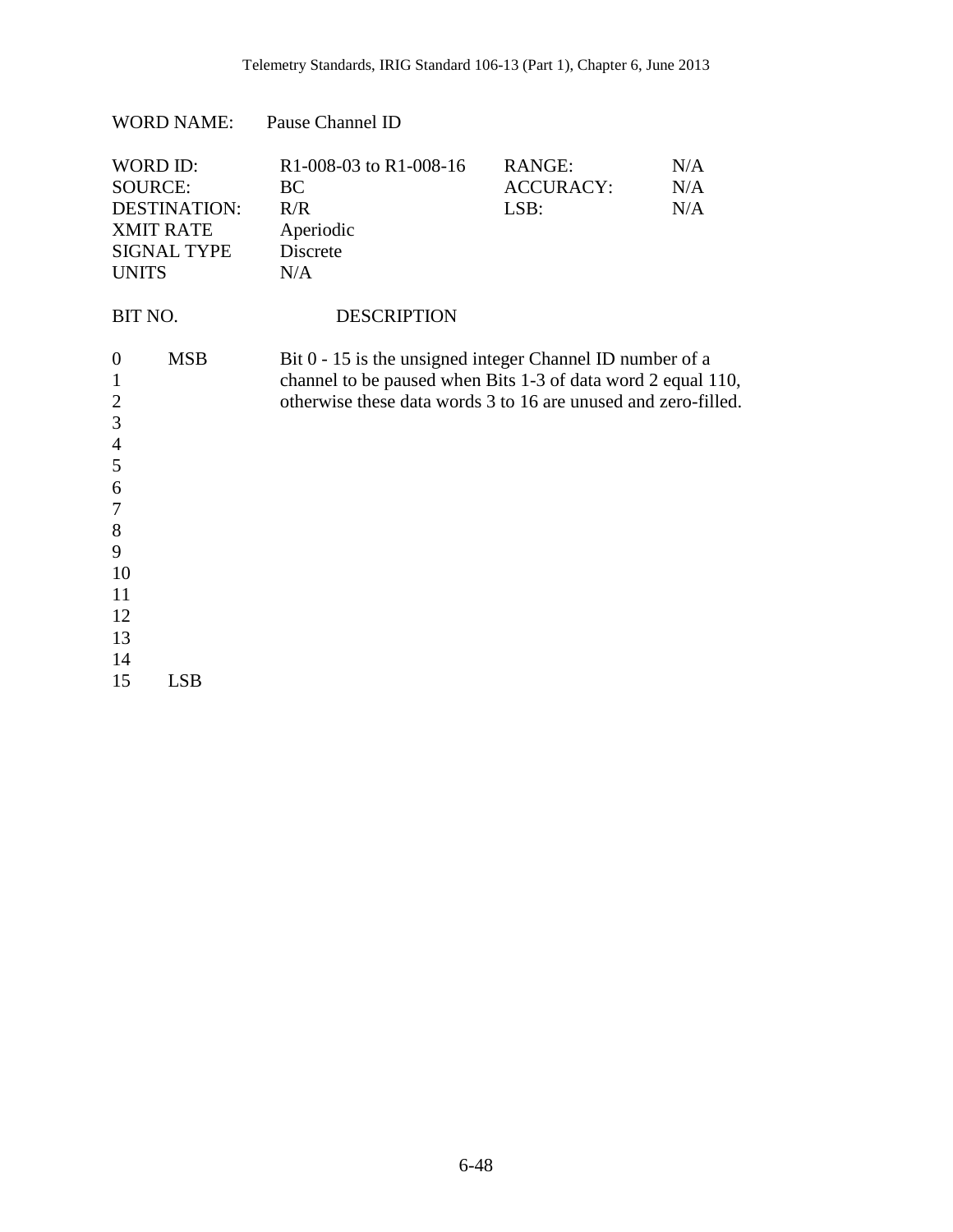| <b>WORD NAME:</b>                                                                                                                                              | Pause Channel ID                                                                                                                                                                            |                                           |                   |
|----------------------------------------------------------------------------------------------------------------------------------------------------------------|---------------------------------------------------------------------------------------------------------------------------------------------------------------------------------------------|-------------------------------------------|-------------------|
| WORD ID:<br><b>SOURCE:</b><br><b>DESTINATION:</b><br><b>XMIT RATE</b><br><b>SIGNAL TYPE</b><br><b>UNITS</b>                                                    | R1-008-03 to R1-008-16<br><b>BC</b><br>R/R<br>Aperiodic<br>Discrete<br>N/A                                                                                                                  | <b>RANGE:</b><br><b>ACCURACY:</b><br>LSB: | N/A<br>N/A<br>N/A |
| BIT NO.                                                                                                                                                        | <b>DESCRIPTION</b>                                                                                                                                                                          |                                           |                   |
| <b>MSB</b><br>$\overline{0}$<br>$\mathbf{1}$<br>$\mathbf{2}$<br>3<br>$\overline{4}$<br>5<br>6<br>7<br>8<br>9<br>10<br>11<br>12<br>13<br>14<br><b>LSB</b><br>15 | Bit 0 - 15 is the unsigned integer Channel ID number of a<br>channel to be paused when Bits 1-3 of data word 2 equal 110,<br>otherwise these data words 3 to 16 are unused and zero-filled. |                                           |                   |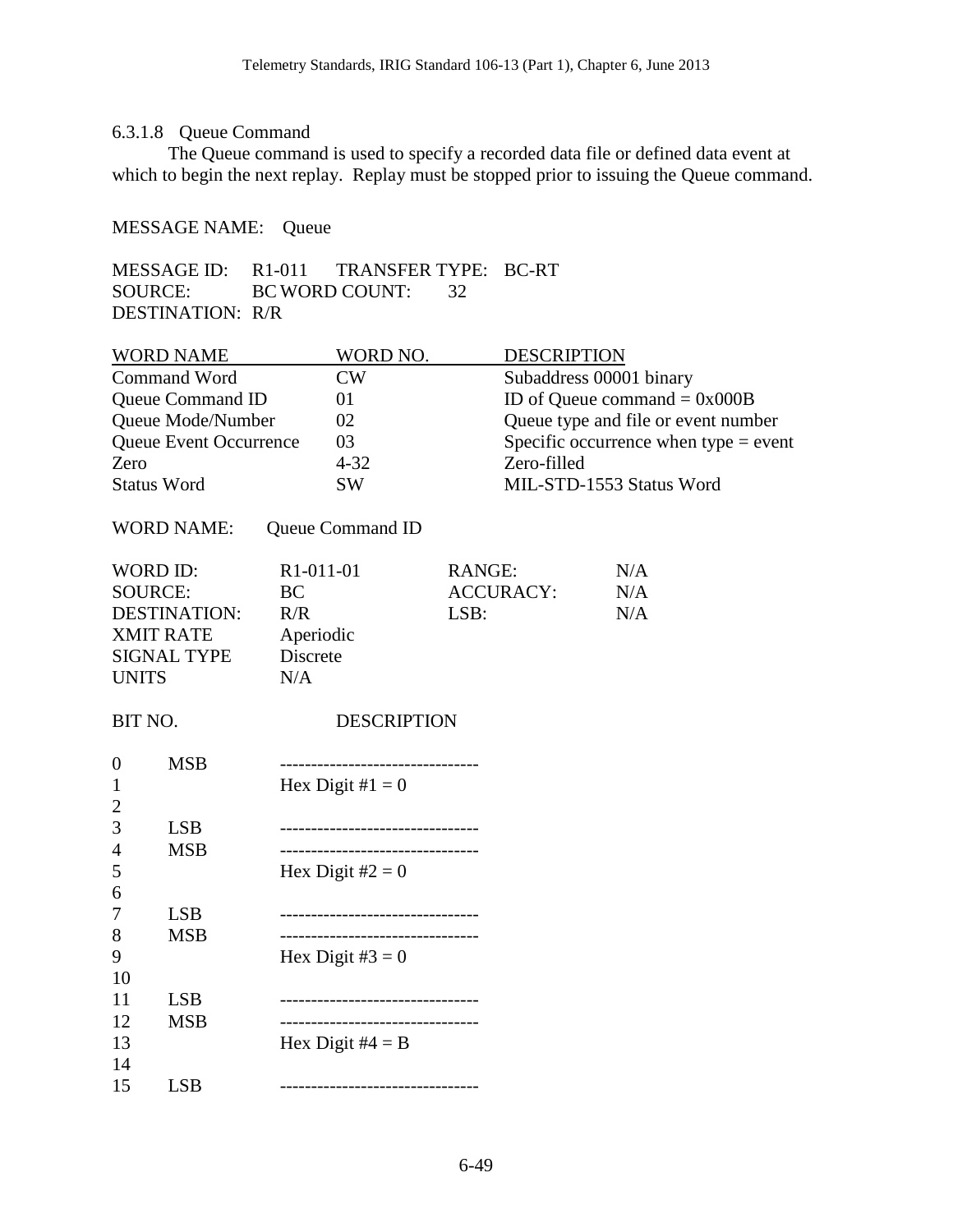## 6.3.1.8 Queue Command

The Queue command is used to specify a recorded data file or defined data event at which to begin the next replay. Replay must be stopped prior to issuing the Queue command.

### MESSAGE NAME: Queue

MESSAGE ID: R1-011 TRANSFER TYPE: BC-RT<br>SOURCE: BC WORD COUNT: 32 BC WORD COUNT: 32 DESTINATION: R/R

|                    | <b>WORD NAME</b>       |                        | WORD NO.                          |                  | <b>DESCRIPTION</b> |                                         |
|--------------------|------------------------|------------------------|-----------------------------------|------------------|--------------------|-----------------------------------------|
|                    | <b>Command Word</b>    |                        | CW                                |                  |                    | Subaddress 00001 binary                 |
|                    | Queue Command ID       |                        | 01                                |                  |                    | ID of Queue command $= 0x000B$          |
|                    | Queue Mode/Number      |                        | 02                                |                  |                    | Queue type and file or event number     |
|                    | Queue Event Occurrence |                        | 03                                |                  |                    | Specific occurrence when $type = event$ |
| Zero               |                        |                        | $4 - 32$                          |                  | Zero-filled        |                                         |
| <b>Status Word</b> |                        |                        | <b>SW</b>                         |                  |                    | MIL-STD-1553 Status Word                |
|                    |                        |                        |                                   |                  |                    |                                         |
|                    | <b>WORD NAME:</b>      |                        | Queue Command ID                  |                  |                    |                                         |
| <b>WORD ID:</b>    |                        | R <sub>1</sub> -011-01 |                                   | <b>RANGE:</b>    |                    | N/A                                     |
| <b>SOURCE:</b>     |                        | <b>BC</b>              |                                   | <b>ACCURACY:</b> |                    | N/A                                     |
|                    | <b>DESTINATION:</b>    | R/R                    |                                   | LSB:             |                    | N/A                                     |
|                    | <b>XMIT RATE</b>       | Aperiodic              |                                   |                  |                    |                                         |
|                    | <b>SIGNAL TYPE</b>     | Discrete               |                                   |                  |                    |                                         |
| <b>UNITS</b>       |                        | N/A                    |                                   |                  |                    |                                         |
|                    |                        |                        |                                   |                  |                    |                                         |
| BIT NO.            |                        |                        | <b>DESCRIPTION</b>                |                  |                    |                                         |
|                    |                        |                        |                                   |                  |                    |                                         |
| $\boldsymbol{0}$   | <b>MSB</b>             |                        | ________________________________  |                  |                    |                                         |
| 1                  |                        |                        | Hex Digit # $1 = 0$               |                  |                    |                                         |
| 2                  |                        |                        |                                   |                  |                    |                                         |
| 3                  | <b>LSB</b>             |                        | ------------------------------    |                  |                    |                                         |
| $\overline{4}$     | <b>MSB</b>             |                        | --------------------------------- |                  |                    |                                         |
| 5                  |                        |                        | Hex Digit #2 = 0                  |                  |                    |                                         |
| 6                  |                        |                        |                                   |                  |                    |                                         |
| 7                  | <b>LSB</b>             |                        | -------------------------         |                  |                    |                                         |
| 8                  | <b>MSB</b>             |                        |                                   |                  |                    |                                         |
| 9                  |                        |                        | Hex Digit #3 = 0                  |                  |                    |                                         |
| 10                 |                        |                        |                                   |                  |                    |                                         |
| 11                 | <b>LSB</b>             |                        |                                   |                  |                    |                                         |
| 12                 | <b>MSB</b>             |                        | --------------------------------- |                  |                    |                                         |
| 13                 |                        |                        | Hex Digit #4 = $B$                |                  |                    |                                         |
| 14                 |                        |                        |                                   |                  |                    |                                         |
| 15                 | <b>LSB</b>             |                        | --------------------------------- |                  |                    |                                         |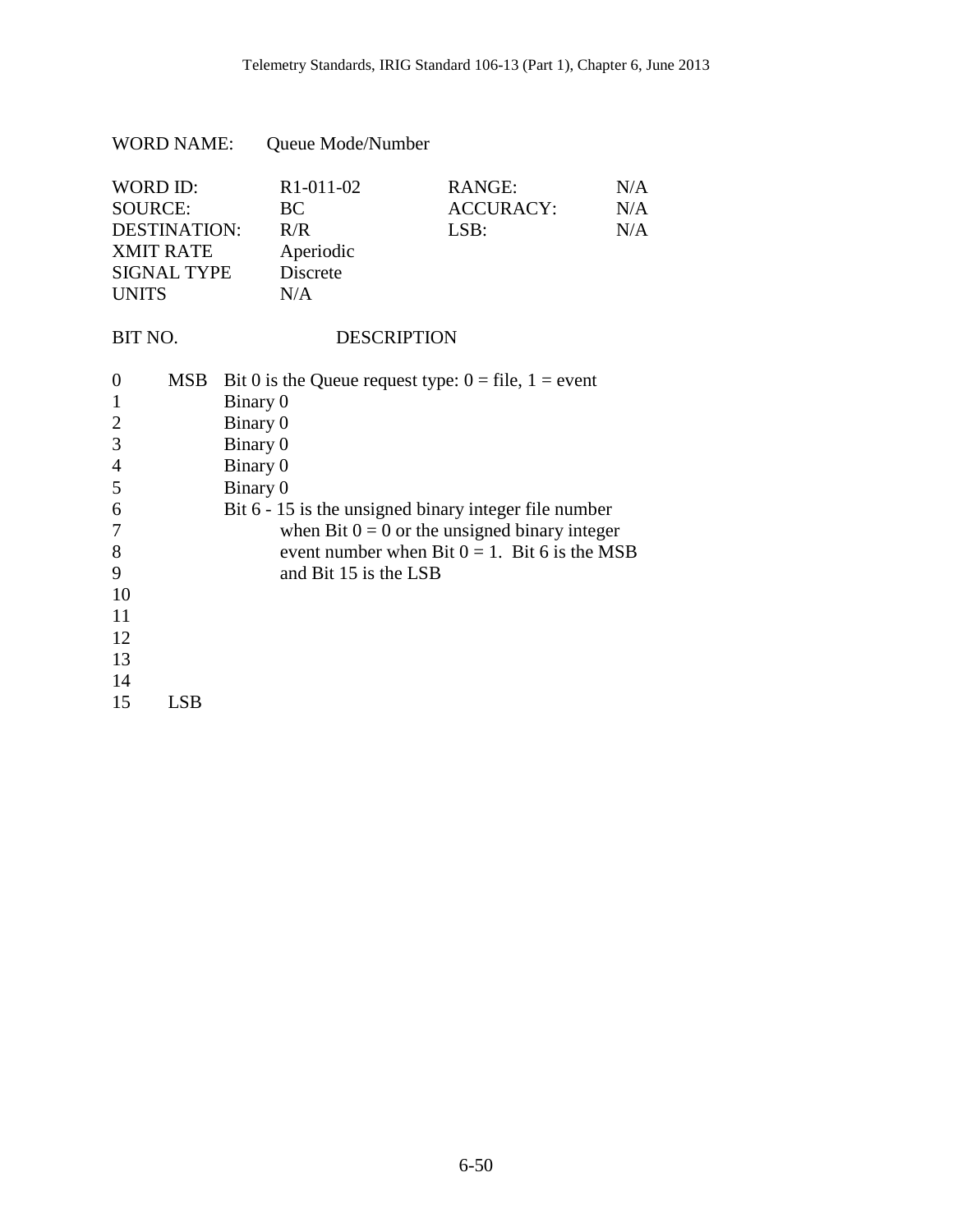| Queue Mode/Number                   |                  |     |
|-------------------------------------|------------------|-----|
| R <sub>1</sub> -01 <sub>1</sub> -02 | <b>RANGE:</b>    | N/A |
| BC.                                 | <b>ACCURACY:</b> | N/A |
| R/R                                 | LSB:             | N/A |
| Aperiodic                           |                  |     |
| Discrete                            |                  |     |
| N/A                                 |                  |     |
|                                     |                  |     |

# BIT NO. DESCRIPTION

| $\theta$ | <b>MSB</b> | Bit 0 is the Queue request type: $0 =$ file, $1 =$ event |
|----------|------------|----------------------------------------------------------|
| 1        |            | Binary 0                                                 |
| 2        |            | Binary 0                                                 |
| 3        |            | Binary 0                                                 |
| 4        |            | Binary 0                                                 |
| 5        |            | Binary 0                                                 |
| 6        |            | Bit 6 - 15 is the unsigned binary integer file number    |
| 7        |            | when Bit $0 = 0$ or the unsigned binary integer          |
| 8        |            | event number when Bit $0 = 1$ . Bit 6 is the MSB         |
| 9        |            | and Bit 15 is the LSB                                    |
| 10       |            |                                                          |
| 11       |            |                                                          |
| 12       |            |                                                          |
| 13       |            |                                                          |
| 14       |            |                                                          |
| 15       | LSB        |                                                          |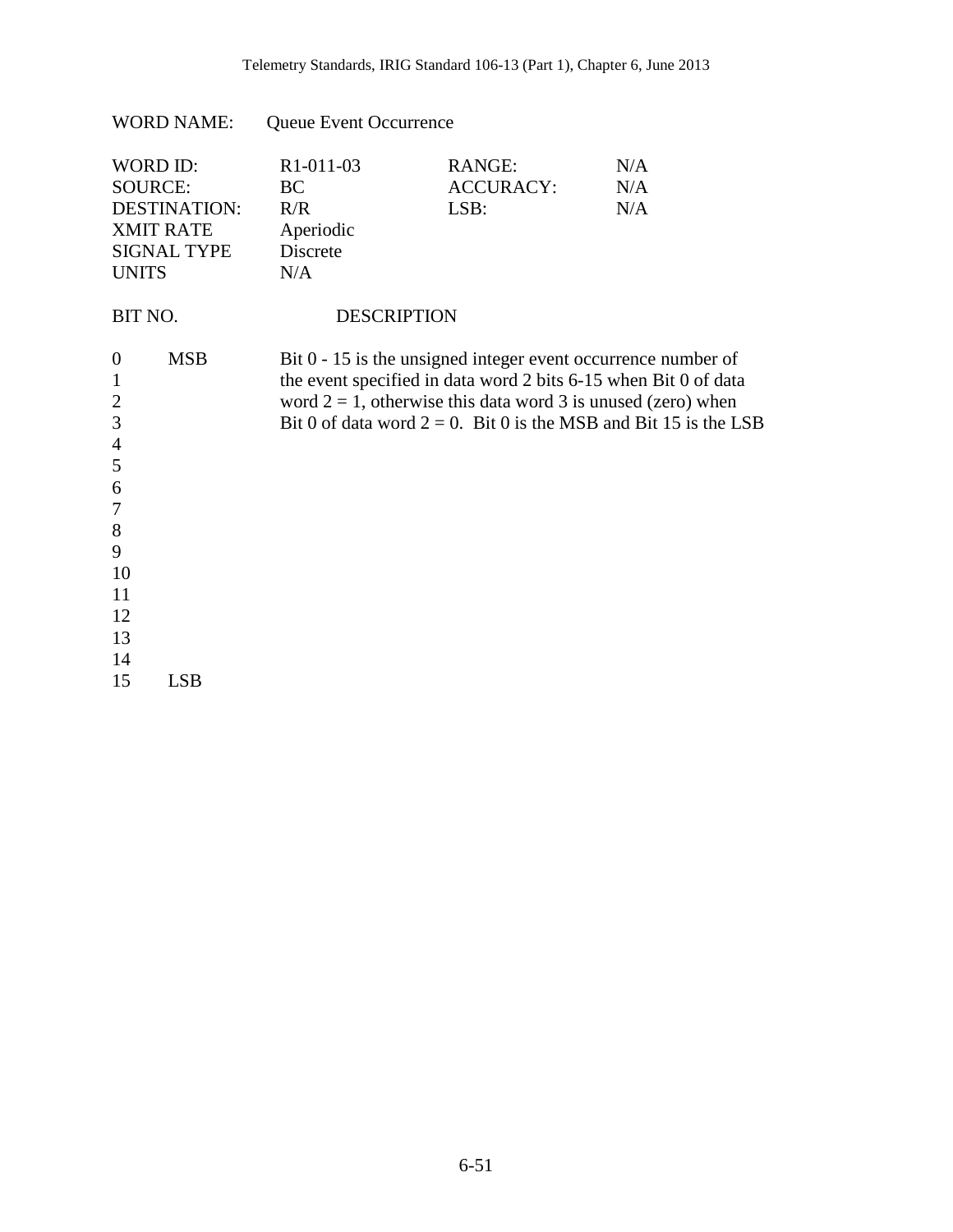| <b>WORD NAME:</b>                                                                                                                                                               | Queue Event Occurrence                                                                  |                                                                                                                                                                                                       |                                                                     |
|---------------------------------------------------------------------------------------------------------------------------------------------------------------------------------|-----------------------------------------------------------------------------------------|-------------------------------------------------------------------------------------------------------------------------------------------------------------------------------------------------------|---------------------------------------------------------------------|
| WORD ID:<br><b>SOURCE:</b><br><b>DESTINATION:</b><br><b>XMIT RATE</b><br><b>SIGNAL TYPE</b><br><b>UNITS</b>                                                                     | R <sub>1</sub> -01 <sub>1</sub> -03<br><b>BC</b><br>R/R<br>Aperiodic<br>Discrete<br>N/A | <b>RANGE:</b><br><b>ACCURACY:</b><br>LSB:                                                                                                                                                             | N/A<br>N/A<br>N/A                                                   |
| BIT NO.                                                                                                                                                                         | <b>DESCRIPTION</b>                                                                      |                                                                                                                                                                                                       |                                                                     |
| <b>MSB</b><br>$\boldsymbol{0}$<br>$\mathbf{1}$<br>$\overline{2}$<br>$\mathfrak{Z}$<br>$\overline{4}$<br>5<br>6<br>7<br>8<br>9<br>10<br>11<br>12<br>13<br>14<br><b>LSB</b><br>15 |                                                                                         | Bit $0 - 15$ is the unsigned integer event occurrence number of<br>the event specified in data word 2 bits 6-15 when Bit 0 of data<br>word $2 = 1$ , otherwise this data word 3 is unused (zero) when | Bit 0 of data word $2 = 0$ . Bit 0 is the MSB and Bit 15 is the LSB |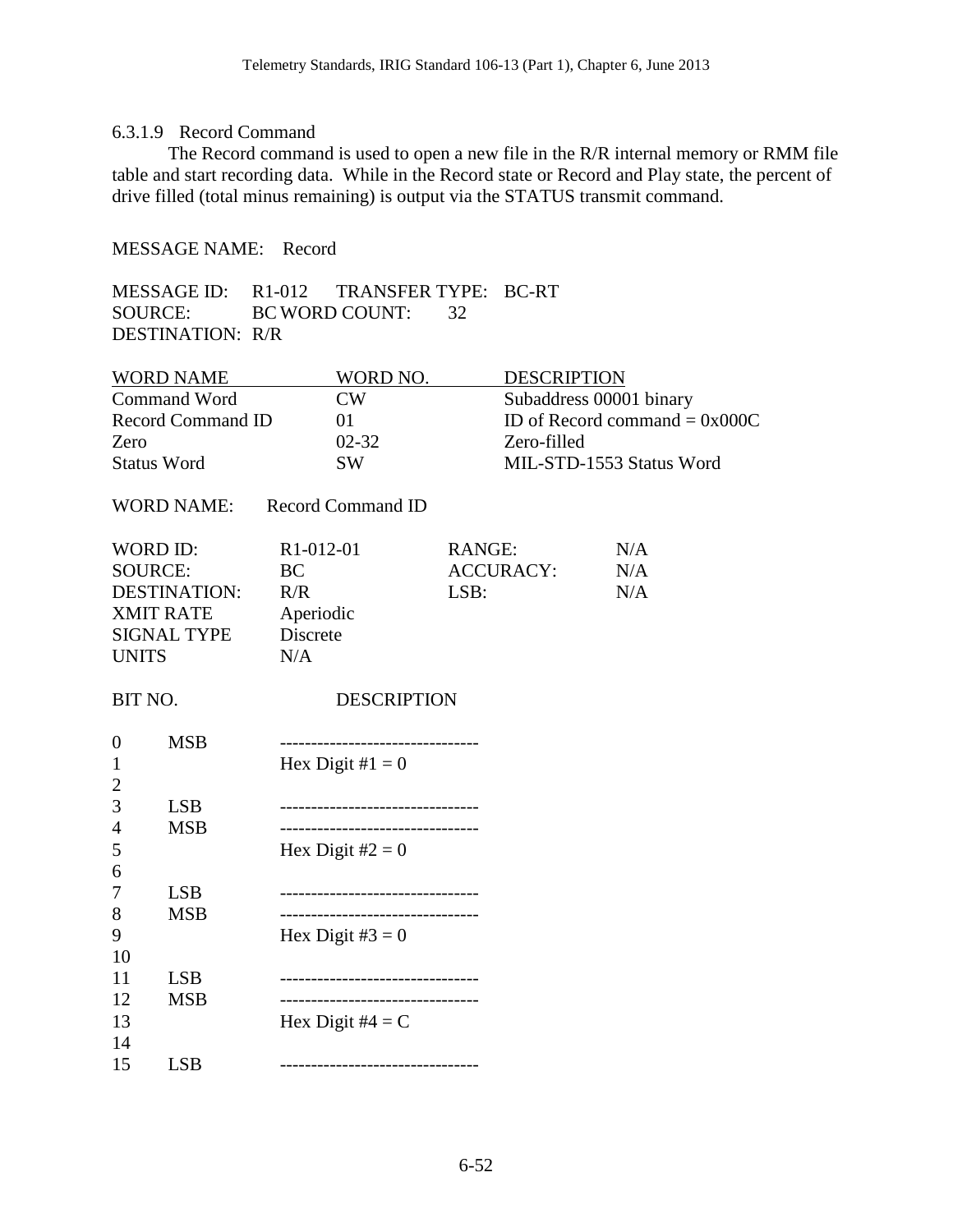## 6.3.1.9 Record Command

The Record command is used to open a new file in the R/R internal memory or RMM file table and start recording data. While in the Record state or Record and Play state, the percent of drive filled (total minus remaining) is output via the STATUS transmit command.

## MESSAGE NAME: Record

| MESSAGE ID: R1-012 TRANSFER TYPE: BC-RT |                   |  |
|-----------------------------------------|-------------------|--|
| SOURCE:                                 | BC WORD COUNT: 32 |  |
| <b>DESTINATION: R/R</b>                 |                   |  |

|                    | <b>WORD NAME</b>         | WORD NO.                          | <b>DESCRIPTION</b> |                                 |
|--------------------|--------------------------|-----------------------------------|--------------------|---------------------------------|
|                    | <b>Command Word</b>      | CW                                |                    | Subaddress 00001 binary         |
|                    | <b>Record Command ID</b> | 01                                |                    | ID of Record command = $0x000C$ |
| Zero               |                          | $02 - 32$                         | Zero-filled        |                                 |
| <b>Status Word</b> |                          | <b>SW</b>                         |                    | MIL-STD-1553 Status Word        |
|                    | <b>WORD NAME:</b>        | <b>Record Command ID</b>          |                    |                                 |
| WORD ID:           |                          | R <sub>1</sub> -012-01            | <b>RANGE:</b>      | N/A                             |
| <b>SOURCE:</b>     |                          | <b>BC</b>                         | <b>ACCURACY:</b>   | N/A                             |
|                    | <b>DESTINATION:</b>      | R/R                               | LSB:               | N/A                             |
|                    | <b>XMIT RATE</b>         | Aperiodic                         |                    |                                 |
|                    | <b>SIGNAL TYPE</b>       | Discrete                          |                    |                                 |
| <b>UNITS</b>       |                          | N/A                               |                    |                                 |
| BIT NO.            |                          | <b>DESCRIPTION</b>                |                    |                                 |
| $\boldsymbol{0}$   | <b>MSB</b>               | -------------------------------   |                    |                                 |
| 1                  |                          | Hex Digit # $1 = 0$               |                    |                                 |
| 2                  |                          |                                   |                    |                                 |
| 3                  | <b>LSB</b>               |                                   |                    |                                 |
| 4                  | <b>MSB</b>               |                                   |                    |                                 |
| 5                  |                          | Hex Digit #2 = 0                  |                    |                                 |
| 6                  |                          |                                   |                    |                                 |
| 7                  | <b>LSB</b>               | ---------------------------       |                    |                                 |
| 8                  | <b>MSB</b>               | --------------------------------- |                    |                                 |
| 9                  |                          | Hex Digit #3 = 0                  |                    |                                 |
| 10                 |                          |                                   |                    |                                 |
| 11                 | <b>LSB</b>               | --------------------------        |                    |                                 |
| 12                 | <b>MSB</b>               |                                   |                    |                                 |
| 13                 |                          | Hex Digit #4 = $C$                |                    |                                 |
| 14                 |                          |                                   |                    |                                 |
| 15                 | <b>LSB</b>               | -------------------------------   |                    |                                 |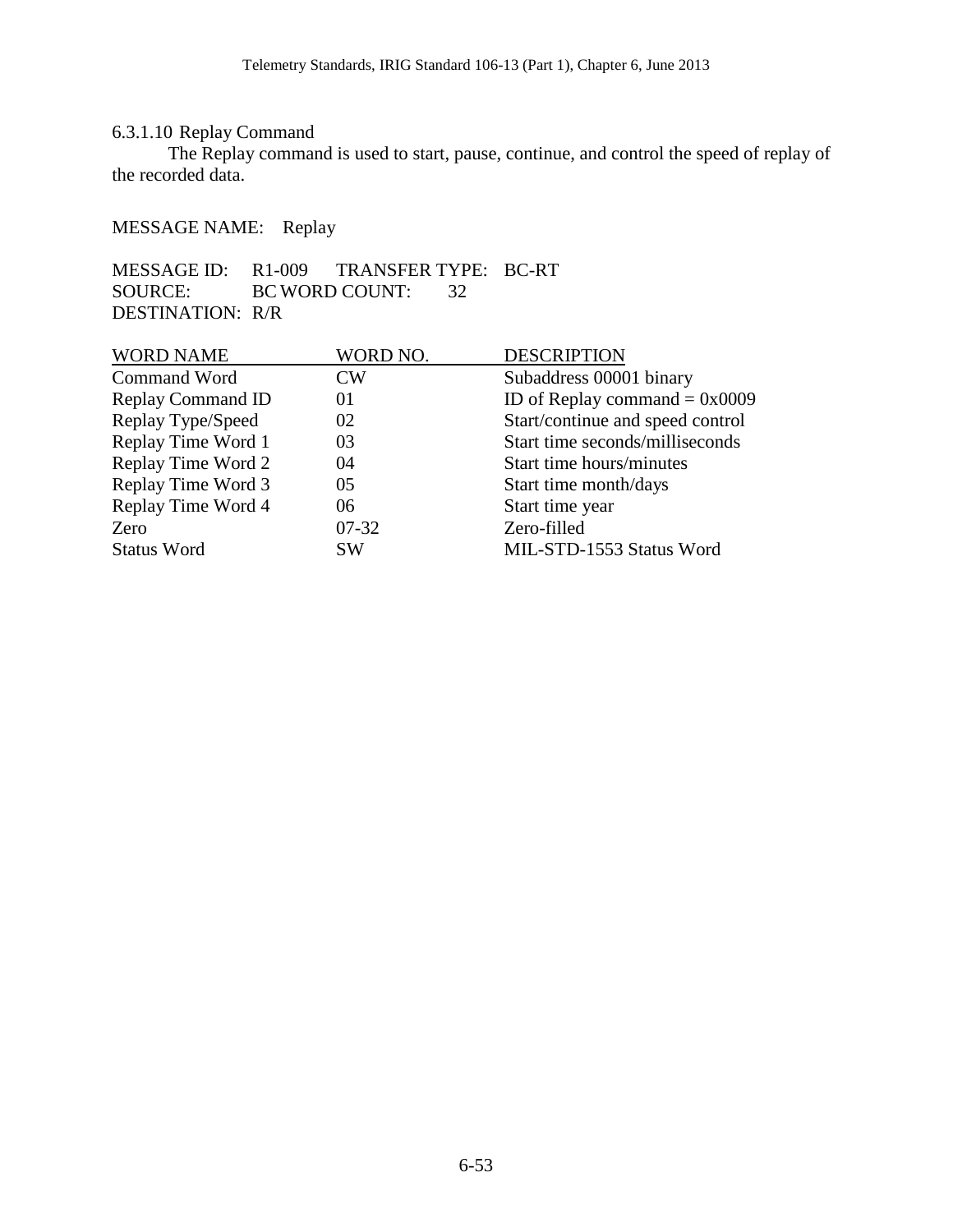## 6.3.1.10 Replay Command

The Replay command is used to start, pause, continue, and control the speed of replay of the recorded data.

## MESSAGE NAME: Replay

MESSAGE ID: R1-009 TRANSFER TYPE: BC-RT<br>SOURCE: BC WORD COUNT: 32 BC WORD COUNT: 32 DESTINATION: R/R

| <b>WORD NAME</b>         | WORD NO.      | <b>DESCRIPTION</b>               |
|--------------------------|---------------|----------------------------------|
| Command Word             | CW            | Subaddress 00001 binary          |
| <b>Replay Command ID</b> | 01            | ID of Replay command $= 0x0009$  |
| Replay Type/Speed        | 02            | Start/continue and speed control |
| Replay Time Word 1       | 03            | Start time seconds/milliseconds  |
| Replay Time Word 2       | 04            | Start time hours/minutes         |
| Replay Time Word 3       | $0.5^{\circ}$ | Start time month/days            |
| Replay Time Word 4       | 06            | Start time year                  |
| Zero                     | $07 - 32$     | Zero-filled                      |
| <b>Status Word</b>       | <b>SW</b>     | MIL-STD-1553 Status Word         |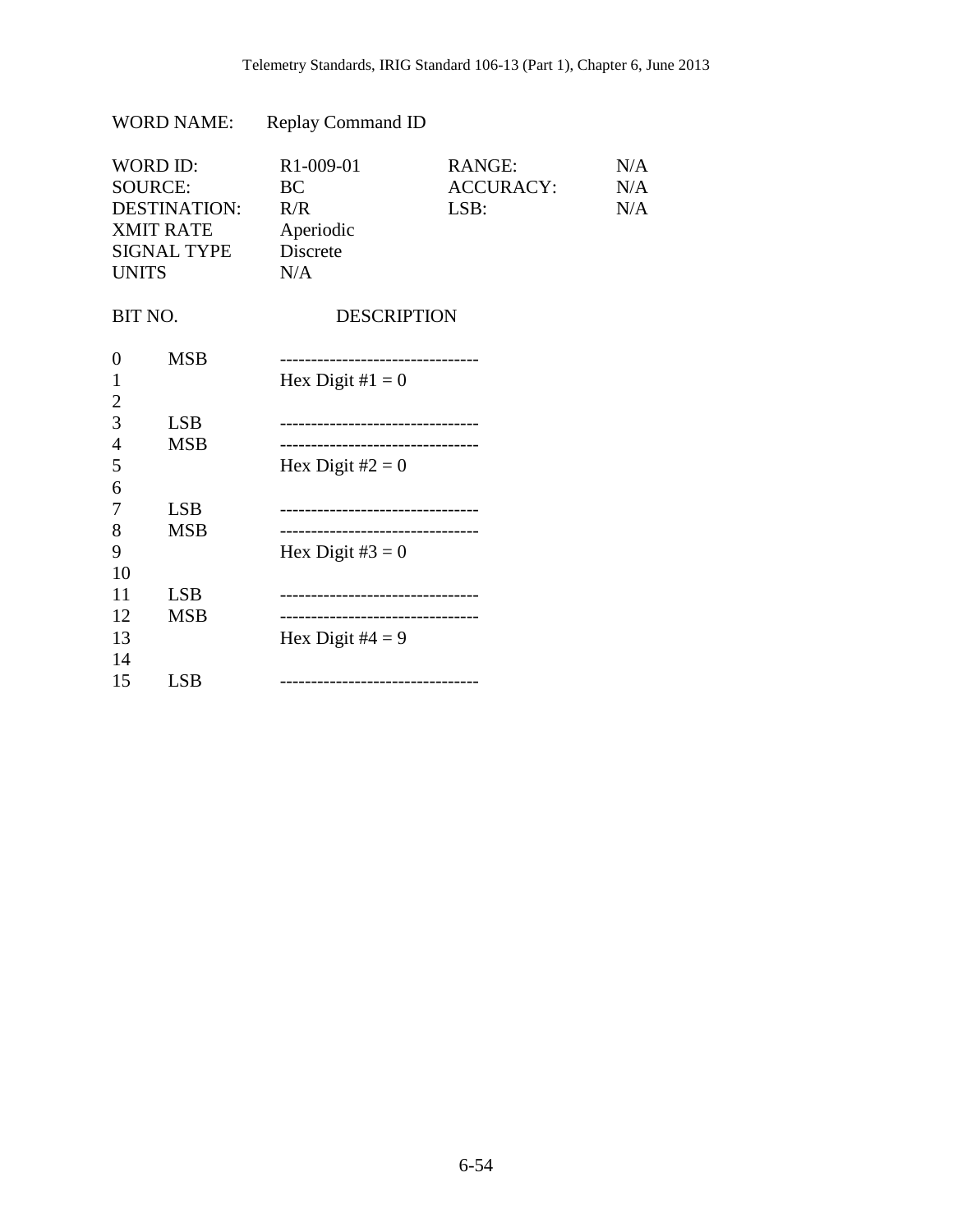# WORD NAME: Replay Command ID

| WORD ID:<br><b>SOURCE:</b><br><b>DESTINATION:</b><br><b>XMIT RATE</b><br><b>SIGNAL TYPE</b> | R <sub>1</sub> -009-01<br>BC.<br>R/R<br>Aperiodic<br>Discrete | RANGE:<br><b>ACCURACY:</b><br>LSB: | N/A<br>N/A<br>N/A |
|---------------------------------------------------------------------------------------------|---------------------------------------------------------------|------------------------------------|-------------------|
| <b>UNITS</b>                                                                                | N/A                                                           |                                    |                   |

# BIT NO. DESCRIPTION

|                | <b>MSB</b> |                  |
|----------------|------------|------------------|
| 1              |            | Hex Digit #1 = 0 |
| 2              |            |                  |
| 3              | <b>LSB</b> |                  |
| $\overline{4}$ | <b>MSB</b> |                  |
| 5              |            | Hex Digit #2 = 0 |
| 6              |            |                  |
| 7              | <b>LSB</b> |                  |
| 8              | <b>MSB</b> |                  |
| 9              |            | Hex Digit #3 = 0 |
| 10             |            |                  |
| 11             | <b>LSB</b> |                  |
| 12             | <b>MSB</b> |                  |
| 13             |            | Hex Digit #4 = 9 |
| 14             |            |                  |
| 15             | LSB        |                  |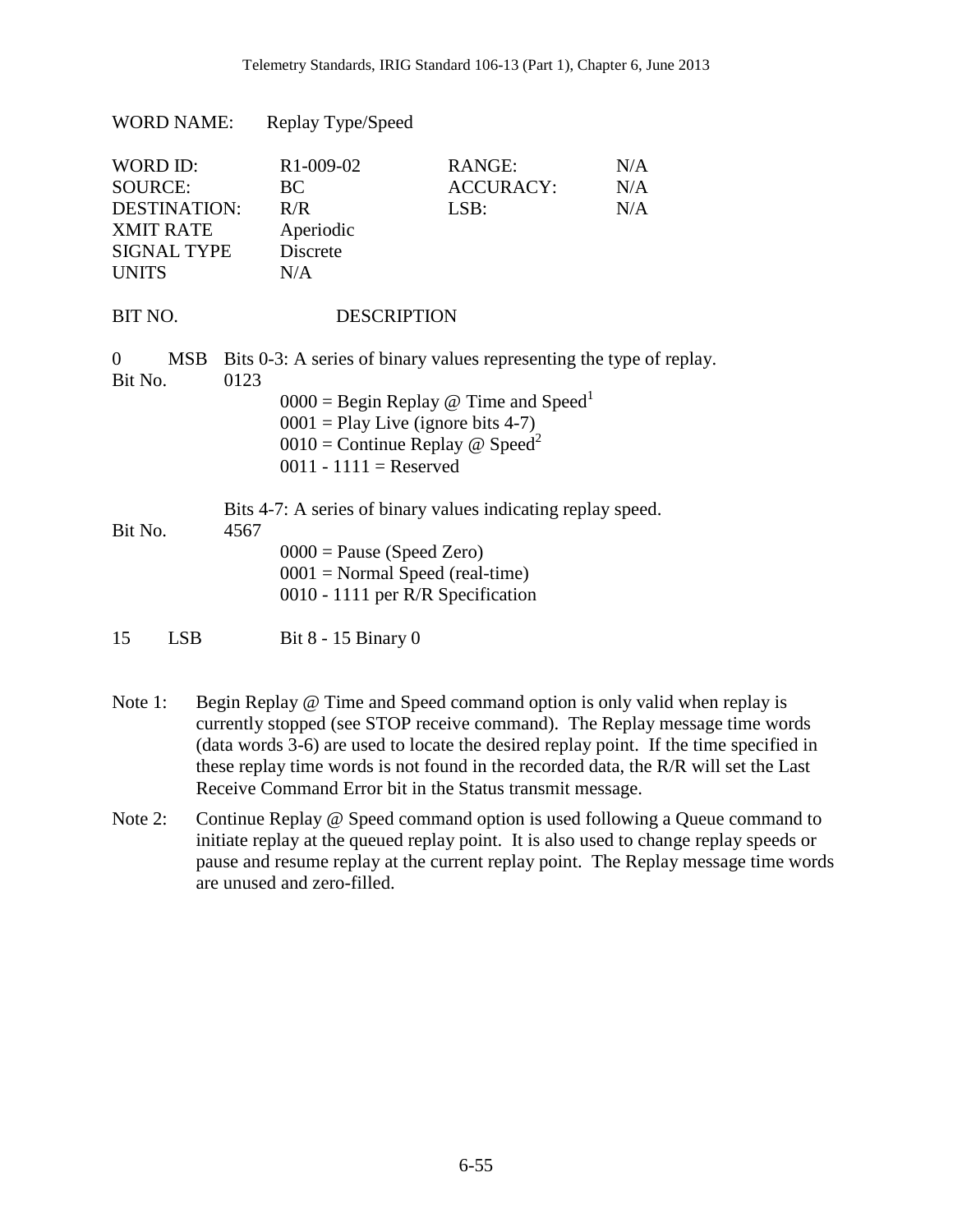| <b>WORD NAME:</b>                                                                                           |      | Replay Type/Speed                                                                                                                                                                                                                            |                                           |                   |
|-------------------------------------------------------------------------------------------------------------|------|----------------------------------------------------------------------------------------------------------------------------------------------------------------------------------------------------------------------------------------------|-------------------------------------------|-------------------|
| WORD ID:<br><b>SOURCE:</b><br><b>DESTINATION:</b><br><b>XMIT RATE</b><br><b>SIGNAL TYPE</b><br><b>UNITS</b> |      | $R1-009-02$<br><b>BC</b><br>R/R<br>Aperiodic<br>Discrete<br>N/A                                                                                                                                                                              | <b>RANGE:</b><br><b>ACCURACY:</b><br>LSB: | N/A<br>N/A<br>N/A |
| BIT NO.                                                                                                     |      | <b>DESCRIPTION</b>                                                                                                                                                                                                                           |                                           |                   |
| $\overline{0}$<br><b>MSB</b><br>Bit No.                                                                     | 0123 | Bits 0-3: A series of binary values representing the type of replay.<br>$0000 =$ Begin Replay @ Time and Speed <sup>1</sup><br>$0001$ = Play Live (ignore bits 4-7)<br>0010 = Continue Replay @ Speed <sup>2</sup><br>0011 - 1111 = Reserved |                                           |                   |
| Bit No.                                                                                                     | 4567 | Bits 4-7: A series of binary values indicating replay speed.<br>$0000$ = Pause (Speed Zero)<br>$0001$ = Normal Speed (real-time)<br>0010 - 1111 per R/R Specification                                                                        |                                           |                   |
| 15<br><b>LSB</b>                                                                                            |      | Bit 8 - 15 Binary 0                                                                                                                                                                                                                          |                                           |                   |

Note 1: Begin Replay @ Time and Speed command option is only valid when replay is currently stopped (see STOP receive command). The Replay message time words (data words 3-6) are used to locate the desired replay point. If the time specified in these replay time words is not found in the recorded data, the R/R will set the Last Receive Command Error bit in the Status transmit message.

Note 2: Continue Replay @ Speed command option is used following a Queue command to initiate replay at the queued replay point. It is also used to change replay speeds or pause and resume replay at the current replay point. The Replay message time words are unused and zero-filled.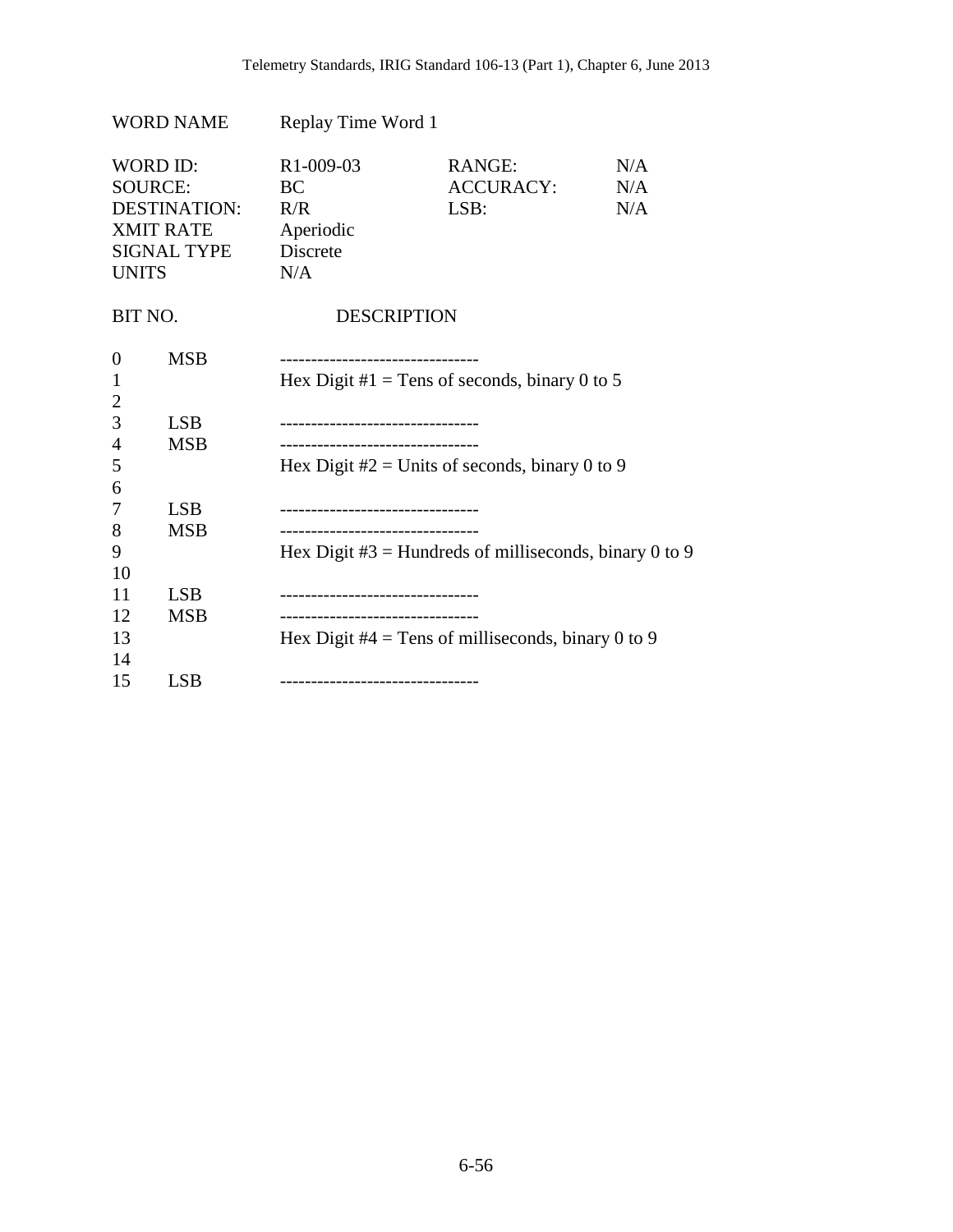| <b>WORD NAME</b>                                                                                            |                          | Replay Time Word 1                                              |                                                        |                   |  |
|-------------------------------------------------------------------------------------------------------------|--------------------------|-----------------------------------------------------------------|--------------------------------------------------------|-------------------|--|
| WORD ID:<br><b>SOURCE:</b><br><b>DESTINATION:</b><br><b>XMIT RATE</b><br><b>SIGNAL TYPE</b><br><b>UNITS</b> |                          | R1-009-03<br>BC<br>R/R<br>Aperiodic<br>Discrete<br>N/A          | <b>RANGE:</b><br><b>ACCURACY:</b><br>LSB:              | N/A<br>N/A<br>N/A |  |
| BIT NO.                                                                                                     |                          | <b>DESCRIPTION</b>                                              |                                                        |                   |  |
| $\boldsymbol{0}$<br>1<br>$\overline{2}$<br>3                                                                | <b>MSB</b><br><b>LSB</b> |                                                                 | Hex Digit #1 = Tens of seconds, binary 0 to 5          |                   |  |
| 4<br>5<br>6                                                                                                 | <b>MSB</b>               | --------------------------                                      | Hex Digit $#2 =$ Units of seconds, binary 0 to 9       |                   |  |
| 7<br>8<br>9<br>10                                                                                           | <b>LSB</b><br><b>MSB</b> | ---------------------------<br>-------------------------------- | Hex Digit #3 = Hundreds of milliseconds, binary 0 to 9 |                   |  |
| 11<br>12<br>13<br>14                                                                                        | <b>LSB</b><br><b>MSB</b> | -------------------------                                       | Hex Digit #4 = Tens of milliseconds, binary 0 to 9     |                   |  |
| 15                                                                                                          | <b>LSB</b>               | ------------------------------                                  |                                                        |                   |  |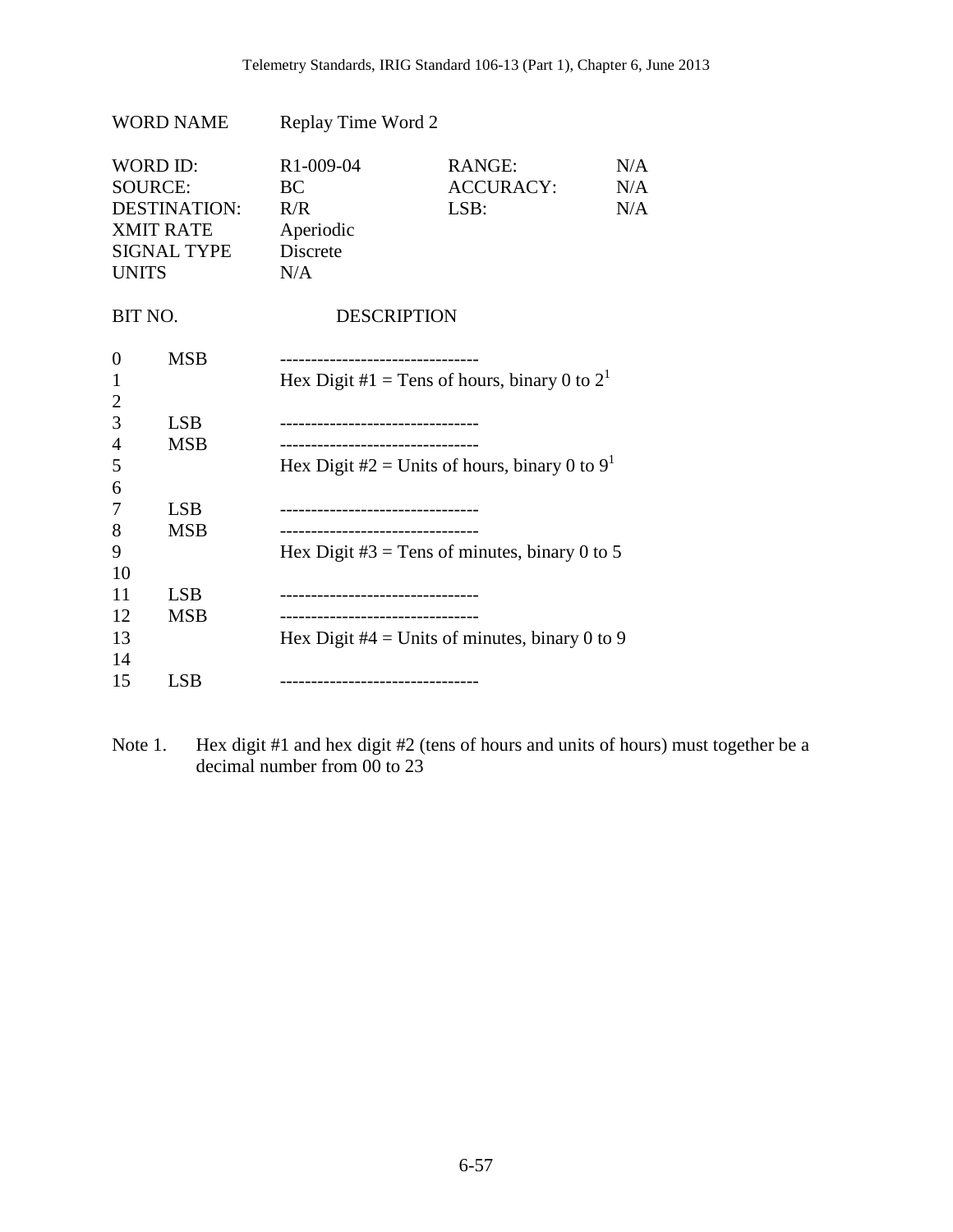| <b>WORD NAME</b>                                                                                            |                          | Replay Time Word 2                                                  |                                                  |                   |  |  |
|-------------------------------------------------------------------------------------------------------------|--------------------------|---------------------------------------------------------------------|--------------------------------------------------|-------------------|--|--|
| WORD ID:<br><b>SOURCE:</b><br><b>DESTINATION:</b><br><b>XMIT RATE</b><br><b>SIGNAL TYPE</b><br><b>UNITS</b> |                          | R <sub>1</sub> -009-04<br>BC<br>R/R<br>Aperiodic<br>Discrete<br>N/A | RANGE:<br><b>ACCURACY:</b><br>LSB:               | N/A<br>N/A<br>N/A |  |  |
| BIT NO.                                                                                                     |                          |                                                                     | <b>DESCRIPTION</b>                               |                   |  |  |
| $\boldsymbol{0}$<br>1<br>$\overline{c}$                                                                     | <b>MSB</b>               |                                                                     | Hex Digit #1 = Tens of hours, binary 0 to $2^1$  |                   |  |  |
| 3<br>4<br>5<br>6                                                                                            | <b>LSB</b><br><b>MSB</b> |                                                                     | Hex Digit #2 = Units of hours, binary 0 to $91$  |                   |  |  |
| 7<br>8<br>9<br>10                                                                                           | <b>LSB</b><br><b>MSB</b> |                                                                     | Hex Digit #3 = Tens of minutes, binary 0 to 5    |                   |  |  |
| 11<br>12<br>13<br>14                                                                                        | <b>LSB</b><br><b>MSB</b> |                                                                     | Hex Digit $#4 =$ Units of minutes, binary 0 to 9 |                   |  |  |
| 15                                                                                                          | <b>LSB</b>               | ------------------------------                                      |                                                  |                   |  |  |

Note 1. Hex digit #1 and hex digit #2 (tens of hours and units of hours) must together be a decimal number from 00 to 23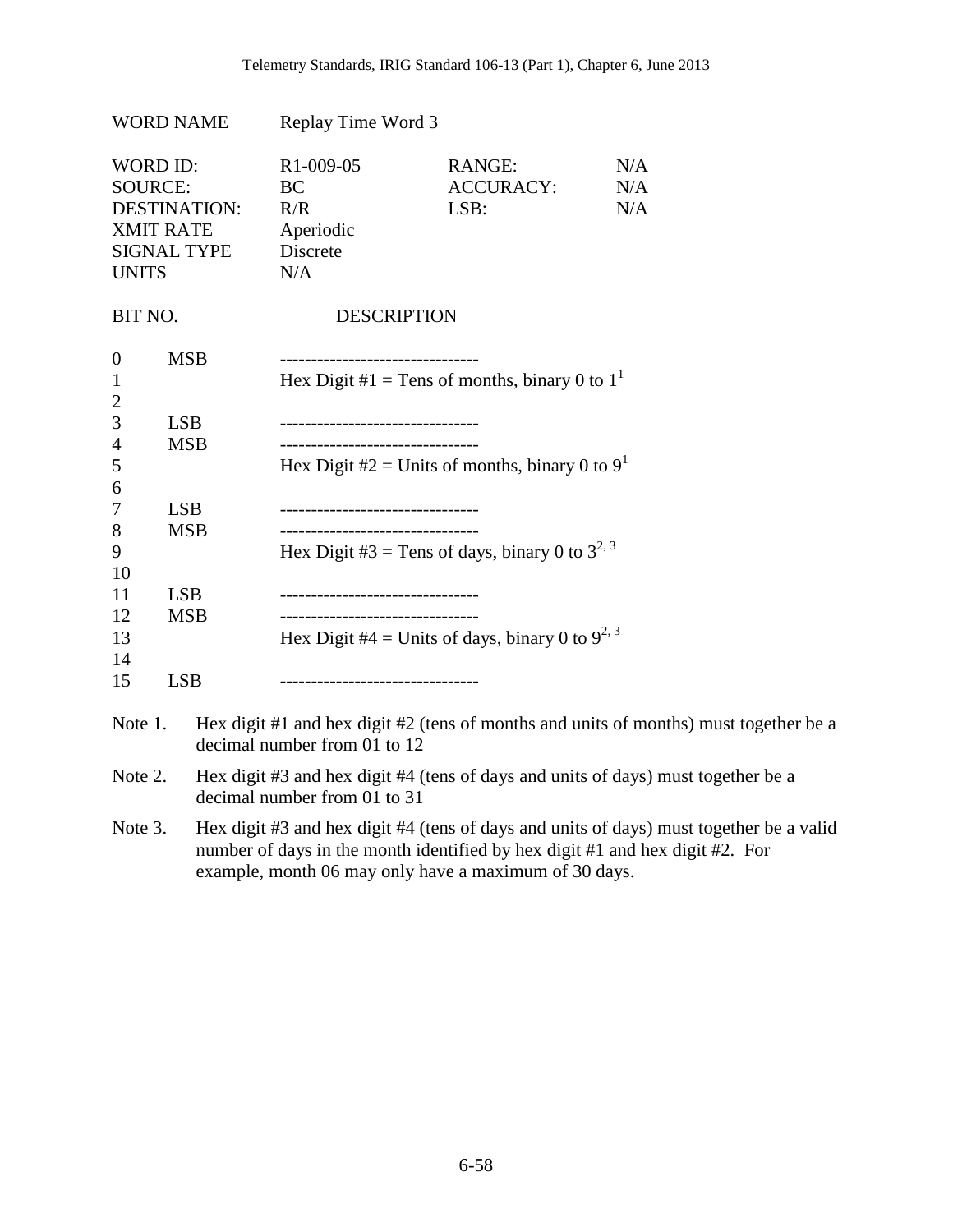| <b>WORD NAME</b><br>Replay Time Word 3                                                                      |                                        |                                                               |                                                                                                       |                   |
|-------------------------------------------------------------------------------------------------------------|----------------------------------------|---------------------------------------------------------------|-------------------------------------------------------------------------------------------------------|-------------------|
| WORD ID:<br><b>SOURCE:</b><br><b>DESTINATION:</b><br><b>XMIT RATE</b><br><b>SIGNAL TYPE</b><br><b>UNITS</b> |                                        | R1-009-05<br><b>BC</b><br>R/R<br>Aperiodic<br>Discrete<br>N/A | <b>RANGE:</b><br><b>ACCURACY:</b><br>LSB:                                                             | N/A<br>N/A<br>N/A |
| BIT NO.                                                                                                     |                                        | <b>DESCRIPTION</b>                                            |                                                                                                       |                   |
| $\theta$<br>1<br>$\overline{2}$<br>3<br>4<br>5<br>6                                                         | <b>MSB</b><br><b>LSB</b><br><b>MSB</b> |                                                               | Hex Digit #1 = Tens of months, binary 0 to $1^1$<br>Hex Digit #2 = Units of months, binary 0 to $9^1$ |                   |
| 7<br>8<br>9<br>10                                                                                           | <b>LSB</b><br><b>MSB</b>               | ---------------------------                                   | Hex Digit #3 = Tens of days, binary 0 to $3^{2,3}$                                                    |                   |
| 11<br>12<br>13<br>14                                                                                        | <b>LSB</b><br><b>MSB</b>               |                                                               | Hex Digit #4 = Units of days, binary 0 to $9^{2,3}$                                                   |                   |
| 15                                                                                                          | <b>LSB</b>                             | ------------------------------                                |                                                                                                       |                   |

- Note 1. Hex digit #1 and hex digit #2 (tens of months and units of months) must together be a decimal number from 01 to 12
- Note 2. Hex digit #3 and hex digit #4 (tens of days and units of days) must together be a decimal number from 01 to 31
- Note 3. Hex digit #3 and hex digit #4 (tens of days and units of days) must together be a valid number of days in the month identified by hex digit #1 and hex digit #2. For example, month 06 may only have a maximum of 30 days.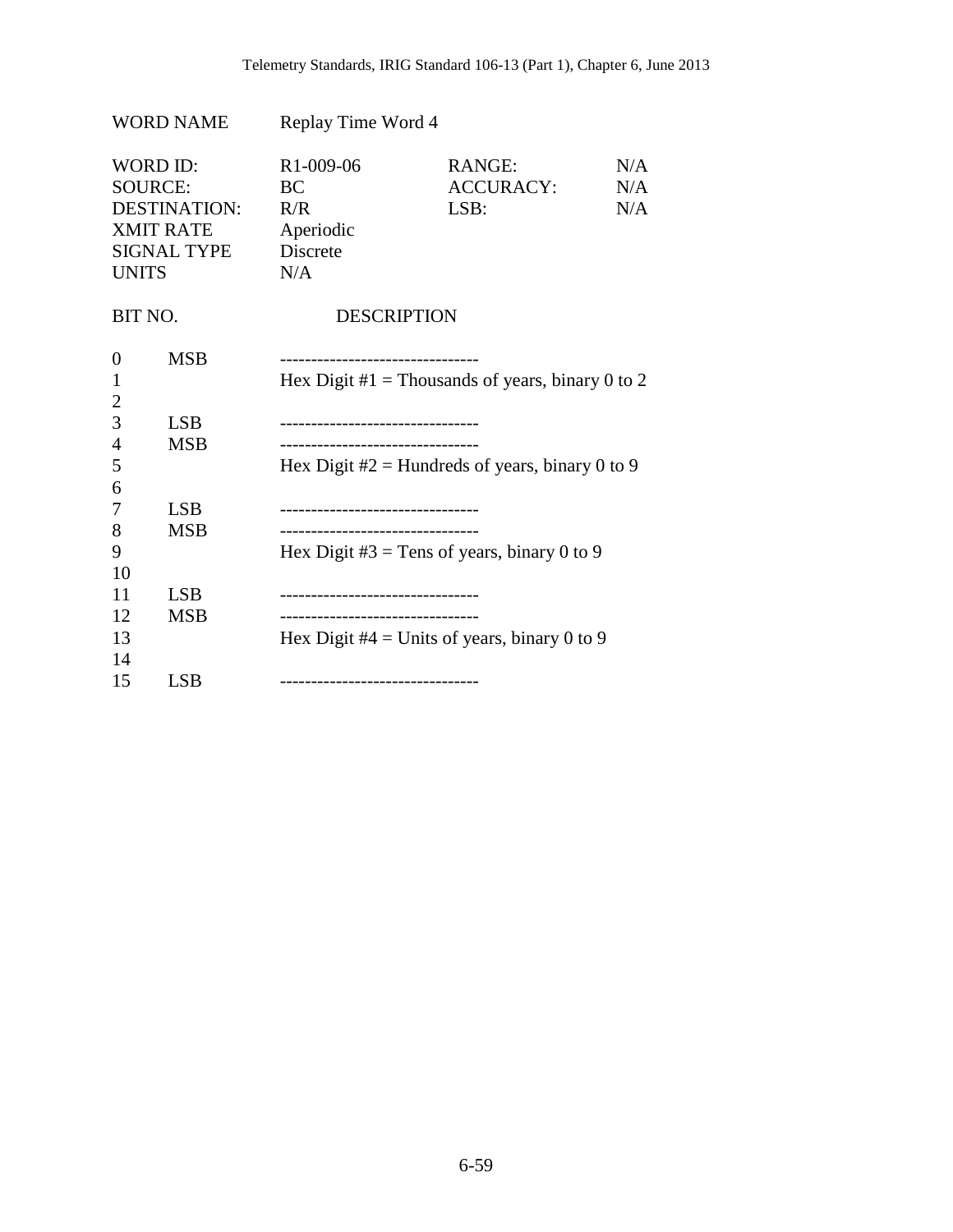|                                                                                                             | <b>WORD NAME</b><br>Replay Time Word 4 |                                                                     |                                                  |                   |
|-------------------------------------------------------------------------------------------------------------|----------------------------------------|---------------------------------------------------------------------|--------------------------------------------------|-------------------|
| WORD ID:<br><b>SOURCE:</b><br><b>DESTINATION:</b><br><b>XMIT RATE</b><br><b>SIGNAL TYPE</b><br><b>UNITS</b> |                                        | R <sub>1</sub> -009-06<br>BC<br>R/R<br>Aperiodic<br>Discrete<br>N/A | RANGE:<br><b>ACCURACY:</b><br>LSB:               | N/A<br>N/A<br>N/A |
| BIT NO.                                                                                                     |                                        | <b>DESCRIPTION</b>                                                  |                                                  |                   |
| $\boldsymbol{0}$<br>1<br>2                                                                                  | <b>MSB</b>                             |                                                                     | Hex Digit #1 = Thousands of years, binary 0 to 2 |                   |
| 3<br>4<br>5<br>6                                                                                            | <b>LSB</b><br><b>MSB</b>               |                                                                     | Hex Digit #2 = Hundreds of years, binary 0 to 9  |                   |
| 7<br>8<br>9<br>10                                                                                           | <b>LSB</b><br><b>MSB</b>               | ------------------------------                                      | Hex Digit #3 = Tens of years, binary 0 to 9      |                   |
| 11<br>12<br>13<br>14                                                                                        | <b>LSB</b><br><b>MSB</b>               | -----------------------                                             | Hex Digit #4 = Units of years, binary 0 to 9     |                   |
| 15                                                                                                          | <b>LSB</b>                             |                                                                     |                                                  |                   |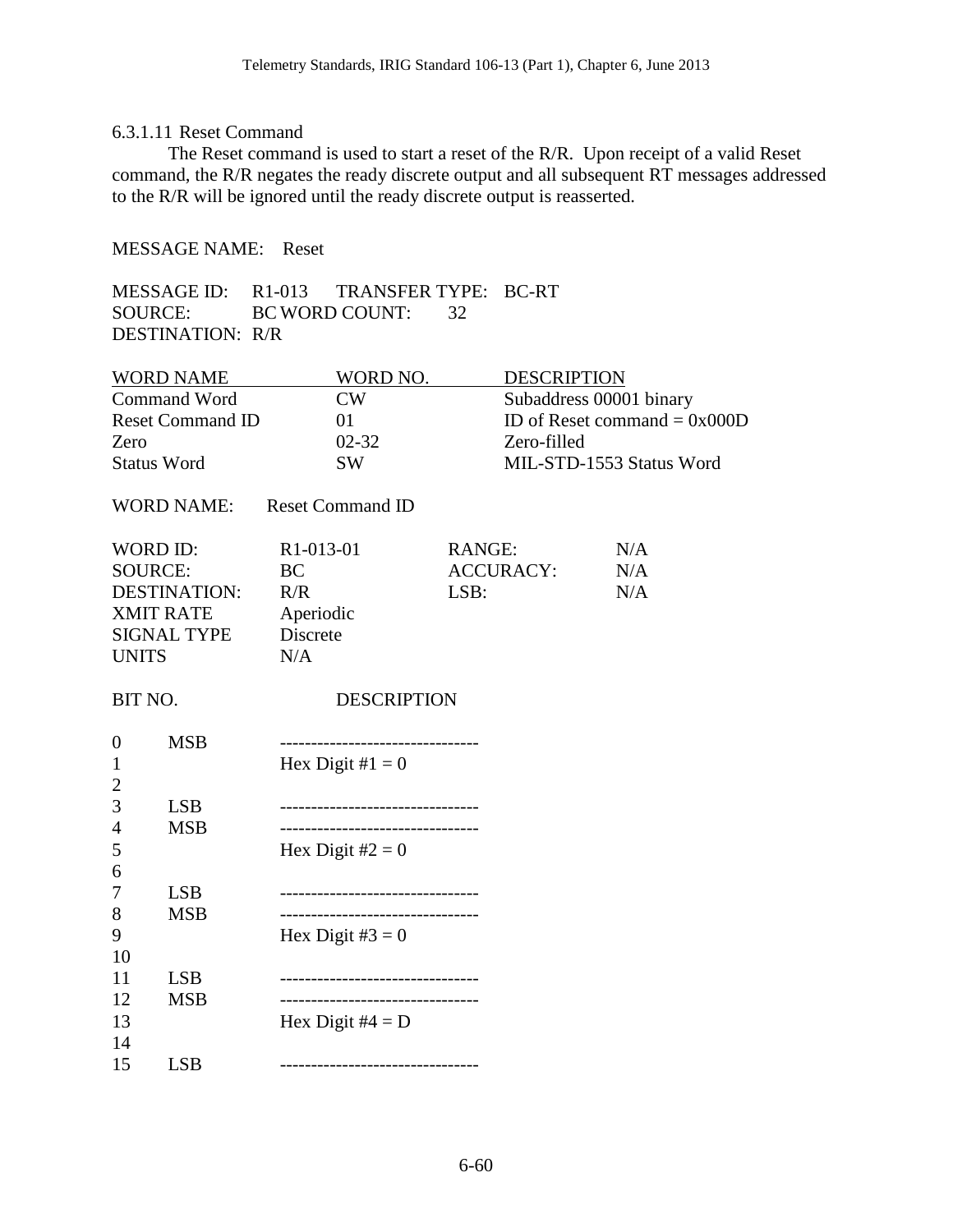## 6.3.1.11 Reset Command

The Reset command is used to start a reset of the R/R. Upon receipt of a valid Reset command, the R/R negates the ready discrete output and all subsequent RT messages addressed to the R/R will be ignored until the ready discrete output is reasserted.

#### MESSAGE NAME: Reset

| MESSAGE ID: R1-013 TRANSFER TYPE: BC-RT |                   |  |
|-----------------------------------------|-------------------|--|
| SOURCE:                                 | BC WORD COUNT: 32 |  |
| <b>DESTINATION: R/R</b>                 |                   |  |

| <b>WORD NAME</b>               | WORD NO.                         | <b>DESCRIPTION</b> |                                |  |
|--------------------------------|----------------------------------|--------------------|--------------------------------|--|
| <b>Command Word</b>            | CW                               |                    | Subaddress 00001 binary        |  |
| <b>Reset Command ID</b>        | 01                               |                    | ID of Reset command = $0x000D$ |  |
| Zero                           | $02 - 32$                        | Zero-filled        |                                |  |
| <b>Status Word</b>             | <b>SW</b>                        |                    | MIL-STD-1553 Status Word       |  |
| <b>WORD NAME:</b>              | <b>Reset Command ID</b>          |                    |                                |  |
| WORD ID:                       | R1-013-01                        | <b>RANGE:</b>      | N/A                            |  |
| <b>SOURCE:</b>                 | <b>BC</b>                        | <b>ACCURACY:</b>   | N/A                            |  |
| <b>DESTINATION:</b>            | R/R                              | LSB:               | N/A                            |  |
| <b>XMIT RATE</b>               | Aperiodic                        |                    |                                |  |
| <b>SIGNAL TYPE</b>             | Discrete                         |                    |                                |  |
| <b>UNITS</b>                   | N/A                              |                    |                                |  |
| BIT NO.                        | <b>DESCRIPTION</b>               |                    |                                |  |
|                                |                                  |                    |                                |  |
| <b>MSB</b><br>$\theta$         |                                  |                    |                                |  |
| $\mathbf{1}$<br>$\overline{c}$ | Hex Digit # $1 = 0$              |                    |                                |  |
| 3<br><b>LSB</b>                | -----------------------------    |                    |                                |  |
| <b>MSB</b><br>$\overline{4}$   |                                  |                    |                                |  |
| 5                              | Hex Digit #2 = 0                 |                    |                                |  |
| 6                              |                                  |                    |                                |  |
| <b>LSB</b><br>7                |                                  |                    |                                |  |
| 8<br><b>MSB</b>                |                                  |                    |                                |  |
| 9                              | Hex Digit #3 = 0                 |                    |                                |  |
| 10                             |                                  |                    |                                |  |
| 11<br><b>LSB</b>               |                                  |                    |                                |  |
| 12<br><b>MSB</b>               |                                  |                    |                                |  |
| 13                             | Hex Digit #4 = $D$               |                    |                                |  |
| 14                             |                                  |                    |                                |  |
| 15<br><b>LSB</b>               | -------------------------------- |                    |                                |  |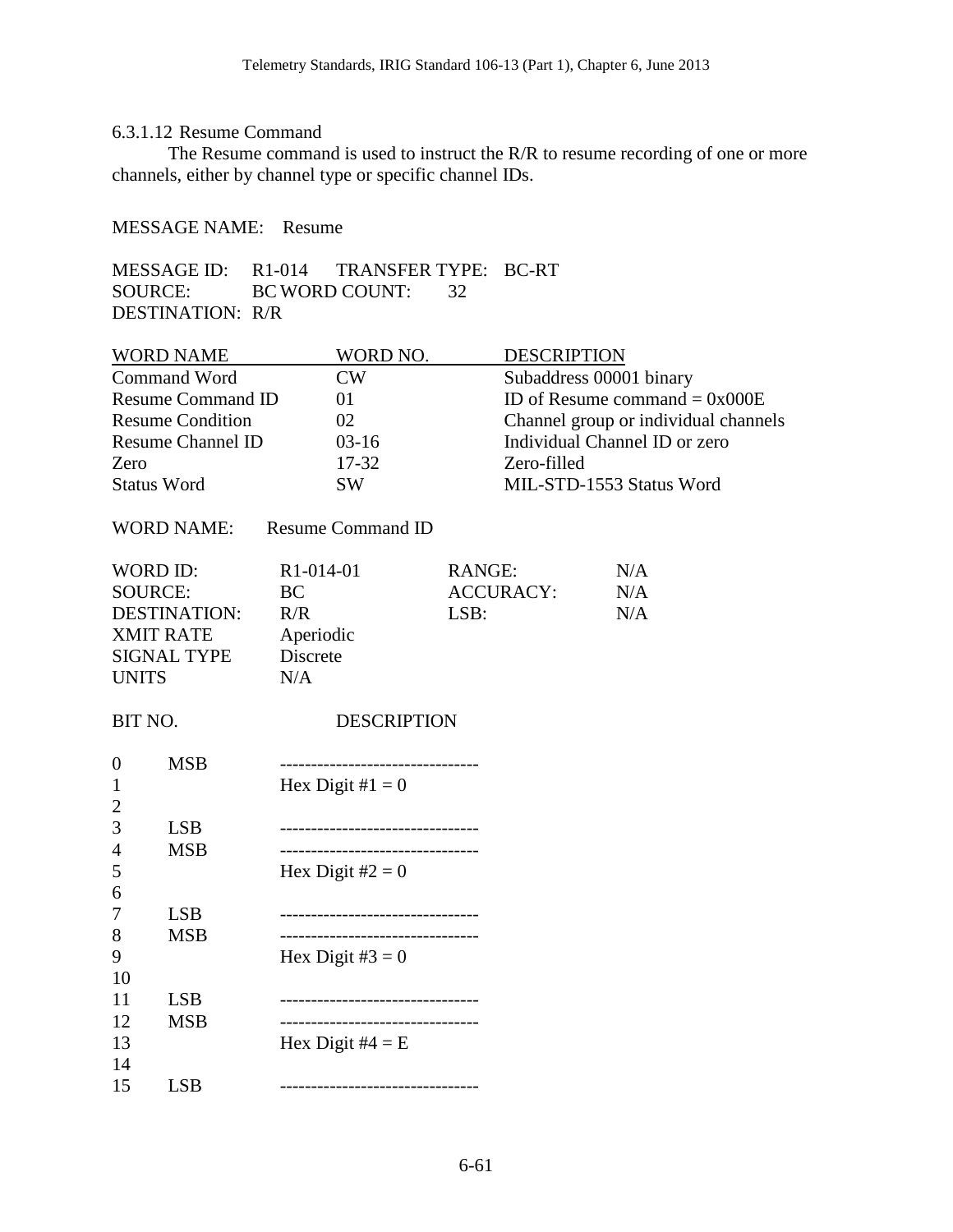## 6.3.1.12 Resume Command

The Resume command is used to instruct the R/R to resume recording of one or more channels, either by channel type or specific channel IDs.

#### MESSAGE NAME: Resume

MESSAGE ID: R1-014 TRANSFER TYPE: BC-RT SOURCE: BC WORD COUNT: 32 DESTINATION: R/R

|                               | <b>WORD NAME</b>         | WORD NO.                          | <b>DESCRIPTION</b>      |                                      |
|-------------------------------|--------------------------|-----------------------------------|-------------------------|--------------------------------------|
| Command Word                  |                          | CW                                | Subaddress 00001 binary |                                      |
|                               | <b>Resume Command ID</b> | 01                                |                         | ID of Resume command $= 0x000E$      |
| <b>Resume Condition</b><br>02 |                          |                                   |                         | Channel group or individual channels |
|                               | <b>Resume Channel ID</b> | $03-16$                           |                         | Individual Channel ID or zero        |
| Zero                          |                          | 17-32                             | Zero-filled             |                                      |
| <b>Status Word</b>            |                          | <b>SW</b>                         |                         | MIL-STD-1553 Status Word             |
|                               | <b>WORD NAME:</b>        | <b>Resume Command ID</b>          |                         |                                      |
| WORD ID:                      |                          | R <sub>1</sub> -014-01            | <b>RANGE:</b>           | N/A                                  |
| <b>SOURCE:</b>                |                          | <b>BC</b>                         | <b>ACCURACY:</b>        | N/A                                  |
|                               | <b>DESTINATION:</b>      | R/R                               | LSB:                    | N/A                                  |
|                               | <b>XMIT RATE</b>         | Aperiodic                         |                         |                                      |
|                               | <b>SIGNAL TYPE</b>       | Discrete                          |                         |                                      |
| <b>UNITS</b>                  |                          | N/A                               |                         |                                      |
| BIT NO.                       |                          | <b>DESCRIPTION</b>                |                         |                                      |
| $\boldsymbol{0}$              | <b>MSB</b>               | -------------------------------   |                         |                                      |
| 1                             |                          | Hex Digit # $1 = 0$               |                         |                                      |
| $\overline{2}$                |                          |                                   |                         |                                      |
| 3                             | <b>LSB</b>               | ------------------------------    |                         |                                      |
| $\overline{4}$                | <b>MSB</b>               | --------------------------------- |                         |                                      |
| 5                             |                          | Hex Digit #2 = 0                  |                         |                                      |
| 6                             |                          |                                   |                         |                                      |
| 7                             | <b>LSB</b>               | -----------------------------     |                         |                                      |
| 8                             | <b>MSB</b>               |                                   |                         |                                      |
| 9                             |                          | Hex Digit #3 = 0                  |                         |                                      |
| 10                            |                          |                                   |                         |                                      |
| 11                            | <b>LSB</b>               |                                   |                         |                                      |
| 12                            | <b>MSB</b>               | --------------------------------- |                         |                                      |
| 13                            |                          | Hex Digit #4 = $E$                |                         |                                      |
| 14                            |                          |                                   |                         |                                      |
| 15                            | <b>LSB</b>               | --------------------------------- |                         |                                      |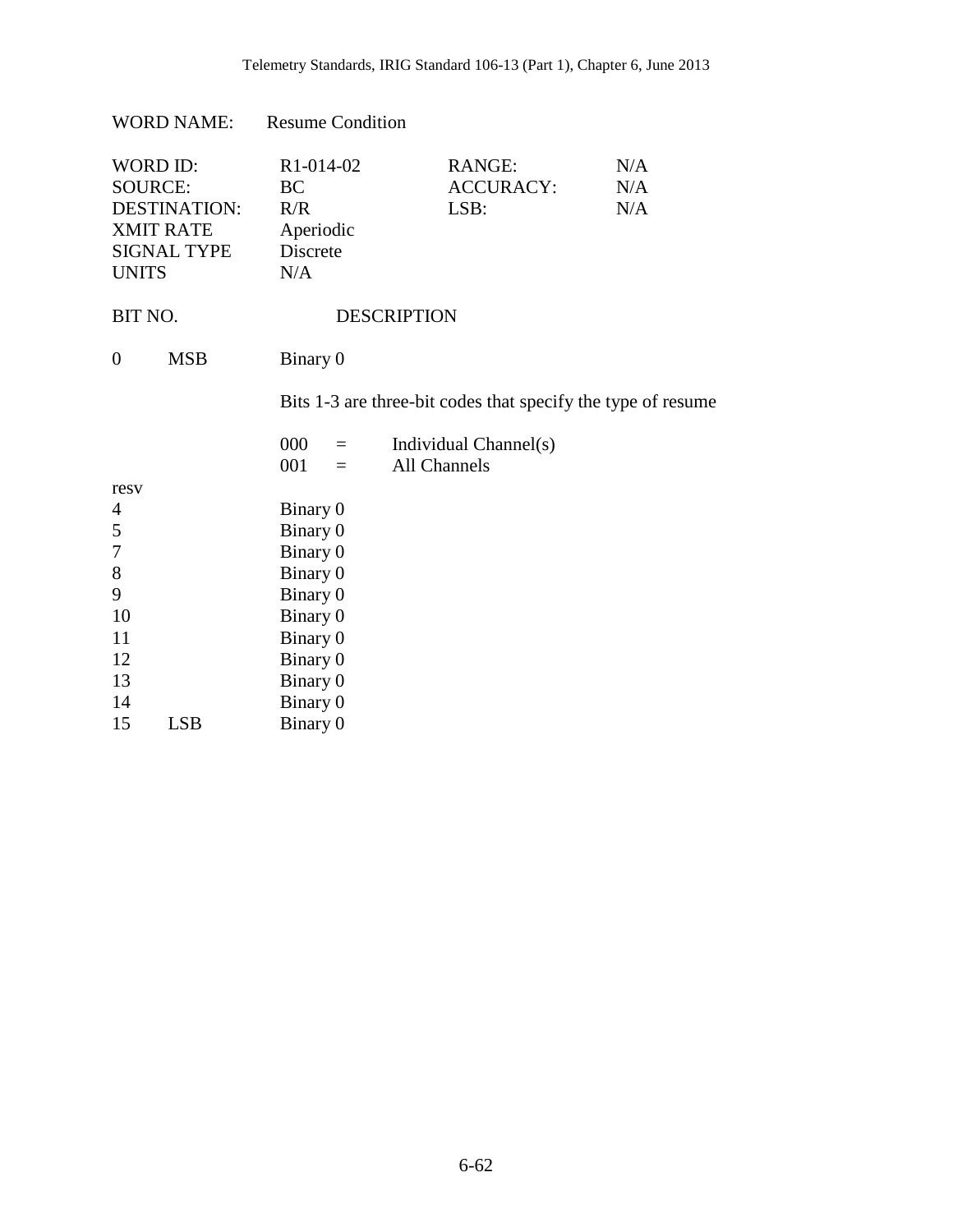|                                                                                                 | WORD NAME:                                | <b>Resume Condition</b>                                                                                                                                                      |                                                              |                   |
|-------------------------------------------------------------------------------------------------|-------------------------------------------|------------------------------------------------------------------------------------------------------------------------------------------------------------------------------|--------------------------------------------------------------|-------------------|
| WORD ID:<br><b>SOURCE:</b><br><b>XMIT RATE</b><br><b>UNITS</b>                                  | <b>DESTINATION:</b><br><b>SIGNAL TYPE</b> | R <sub>1</sub> -014-02<br><b>BC</b><br>R/R<br>Aperiodic<br>Discrete<br>N/A                                                                                                   | <b>RANGE:</b><br><b>ACCURACY:</b><br>LSB:                    | N/A<br>N/A<br>N/A |
| BIT NO.                                                                                         |                                           |                                                                                                                                                                              | <b>DESCRIPTION</b>                                           |                   |
| $\theta$                                                                                        | <b>MSB</b>                                | Binary 0                                                                                                                                                                     |                                                              |                   |
|                                                                                                 |                                           |                                                                                                                                                                              | Bits 1-3 are three-bit codes that specify the type of resume |                   |
|                                                                                                 |                                           | 000<br>$=$<br>001<br>$=$                                                                                                                                                     | Individual Channel(s)<br>All Channels                        |                   |
| resy<br>$\overline{4}$<br>5<br>$\overline{7}$<br>$8\,$<br>9<br>10<br>11<br>12<br>13<br>14<br>15 | <b>LSB</b>                                | Binary 0<br>Binary <sub>0</sub><br>Binary 0<br>Binary 0<br>Binary <sub>0</sub><br>Binary 0<br>Binary 0<br>Binary 0<br>Binary <sub>0</sub><br>Binary 0<br>Binary <sub>0</sub> |                                                              |                   |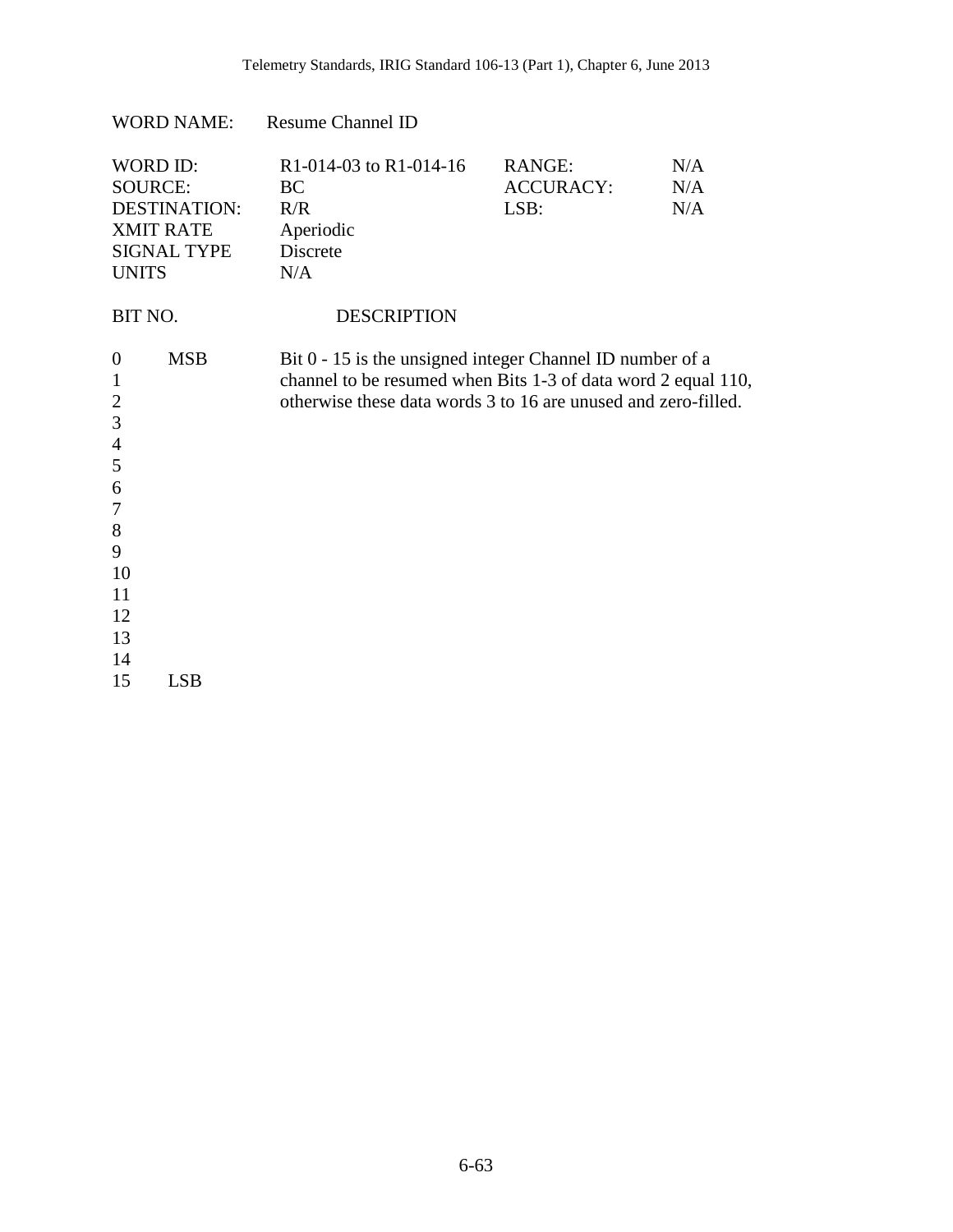| <b>WORD NAME:</b>                                                                                                                                                                                          | <b>Resume Channel ID</b>                                                                                                                                                                     |                                           |                   |
|------------------------------------------------------------------------------------------------------------------------------------------------------------------------------------------------------------|----------------------------------------------------------------------------------------------------------------------------------------------------------------------------------------------|-------------------------------------------|-------------------|
| WORD ID:<br><b>SOURCE:</b><br><b>DESTINATION:</b><br><b>XMIT RATE</b><br><b>SIGNAL TYPE</b><br><b>UNITS</b>                                                                                                | R1-014-03 to R1-014-16<br><b>BC</b><br>R/R<br>Aperiodic<br>Discrete<br>N/A                                                                                                                   | <b>RANGE:</b><br><b>ACCURACY:</b><br>LSB: | N/A<br>N/A<br>N/A |
| BIT NO.                                                                                                                                                                                                    | <b>DESCRIPTION</b>                                                                                                                                                                           |                                           |                   |
| <b>MSB</b><br>$\boldsymbol{0}$<br>$\mathbf{1}$<br>$\overline{2}$<br>$\mathfrak{Z}$<br>$\overline{4}$<br>$\mathfrak s$<br>6<br>$\boldsymbol{7}$<br>8<br>9<br>10<br>11<br>12<br>13<br>14<br>15<br><b>LSB</b> | Bit 0 - 15 is the unsigned integer Channel ID number of a<br>channel to be resumed when Bits 1-3 of data word 2 equal 110,<br>otherwise these data words 3 to 16 are unused and zero-filled. |                                           |                   |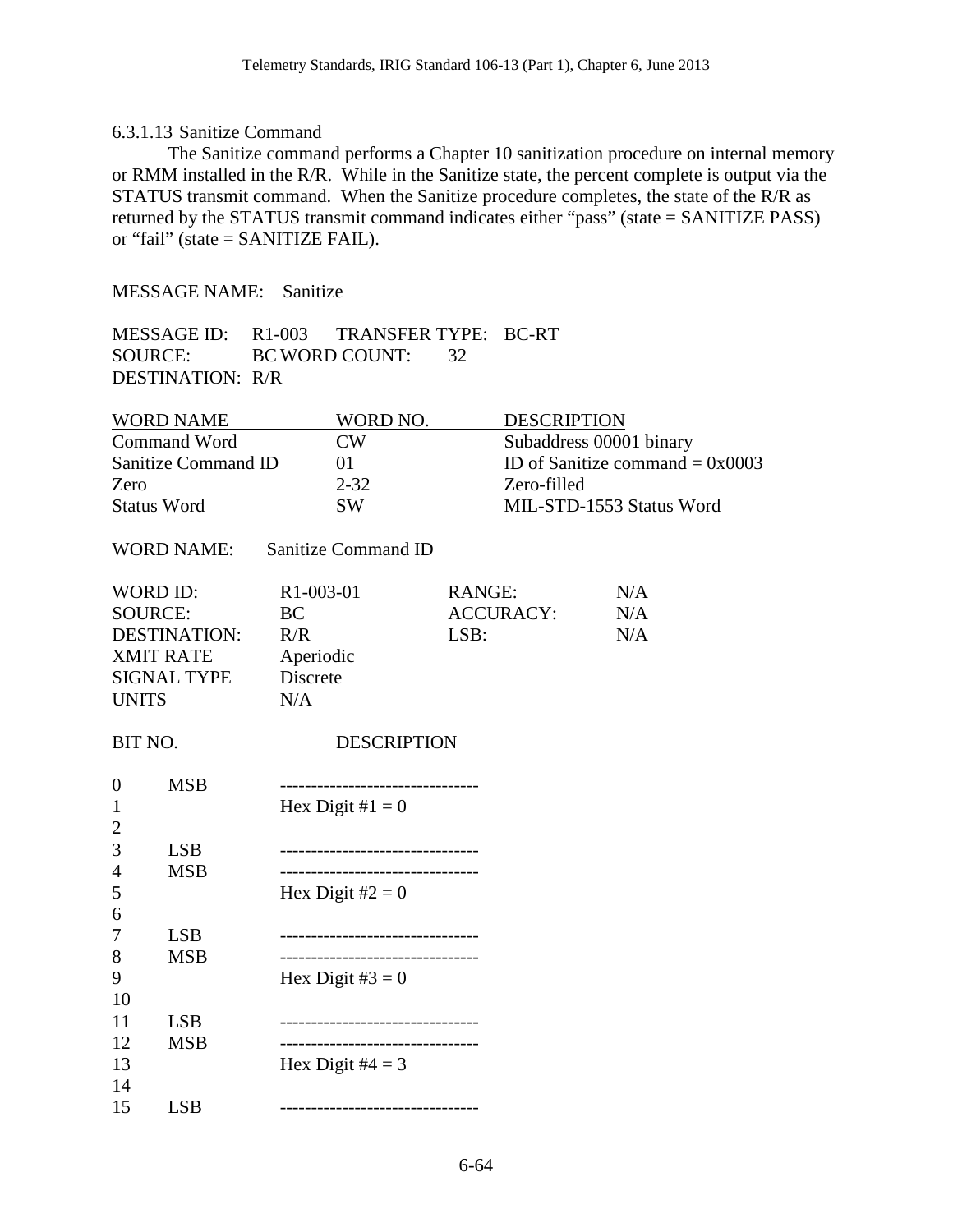#### 6.3.1.13 Sanitize Command

The Sanitize command performs a Chapter 10 sanitization procedure on internal memory or RMM installed in the R/R. While in the Sanitize state, the percent complete is output via the STATUS transmit command. When the Sanitize procedure completes, the state of the R/R as returned by the STATUS transmit command indicates either "pass" (state = SANITIZE PASS) or "fail" (state = SANITIZE FAIL).

#### MESSAGE NAME: Sanitize

| MESSAGE ID: R1-003 TRANSFER TYPE: BC-RT |                   |  |
|-----------------------------------------|-------------------|--|
| SOURCE:                                 | BC WORD COUNT: 32 |  |
| <b>DESTINATION: R/R</b>                 |                   |  |

|                  | <b>WORD NAME</b>           | WORD NO.                         | <b>DESCRIPTION</b> |                                   |
|------------------|----------------------------|----------------------------------|--------------------|-----------------------------------|
|                  | <b>Command Word</b>        | CW                               |                    | Subaddress 00001 binary           |
|                  | <b>Sanitize Command ID</b> | 01                               |                    | ID of Sanitize command = $0x0003$ |
| Zero             |                            | $2 - 32$                         | Zero-filled        |                                   |
|                  | <b>Status Word</b>         | <b>SW</b>                        |                    | MIL-STD-1553 Status Word          |
|                  | <b>WORD NAME:</b>          | <b>Sanitize Command ID</b>       |                    |                                   |
| WORD ID:         |                            | R1-003-01                        | <b>RANGE:</b>      | N/A                               |
| <b>SOURCE:</b>   |                            | <b>BC</b>                        | <b>ACCURACY:</b>   | N/A                               |
|                  | <b>DESTINATION:</b>        | R/R                              | LSB:               | N/A                               |
|                  | <b>XMIT RATE</b>           | Aperiodic                        |                    |                                   |
|                  | <b>SIGNAL TYPE</b>         | Discrete                         |                    |                                   |
| <b>UNITS</b>     |                            | N/A                              |                    |                                   |
| BIT NO.          |                            | <b>DESCRIPTION</b>               |                    |                                   |
| $\boldsymbol{0}$ | <b>MSB</b>                 |                                  |                    |                                   |
| 1                |                            | Hex Digit # $1 = 0$              |                    |                                   |
| 2                |                            |                                  |                    |                                   |
| 3                | <b>LSB</b>                 | -------------------------------  |                    |                                   |
| 4                | <b>MSB</b>                 | -------------------------------  |                    |                                   |
| 5                |                            | Hex Digit #2 = 0                 |                    |                                   |
| 6                |                            |                                  |                    |                                   |
| 7                | <b>LSB</b>                 |                                  |                    |                                   |
| 8                | <b>MSB</b>                 | -------------------------------- |                    |                                   |
| 9                |                            | Hex Digit #3 = 0                 |                    |                                   |
| 10               |                            |                                  |                    |                                   |
| 11               | <b>LSB</b>                 | -----------------------------    |                    |                                   |
| 12               | <b>MSB</b>                 | ------------------------------   |                    |                                   |
| 13               |                            | Hex Digit #4 = 3                 |                    |                                   |
| 14               |                            |                                  |                    |                                   |
| 15               | <b>LSB</b>                 | -------------------------------- |                    |                                   |
|                  |                            |                                  |                    |                                   |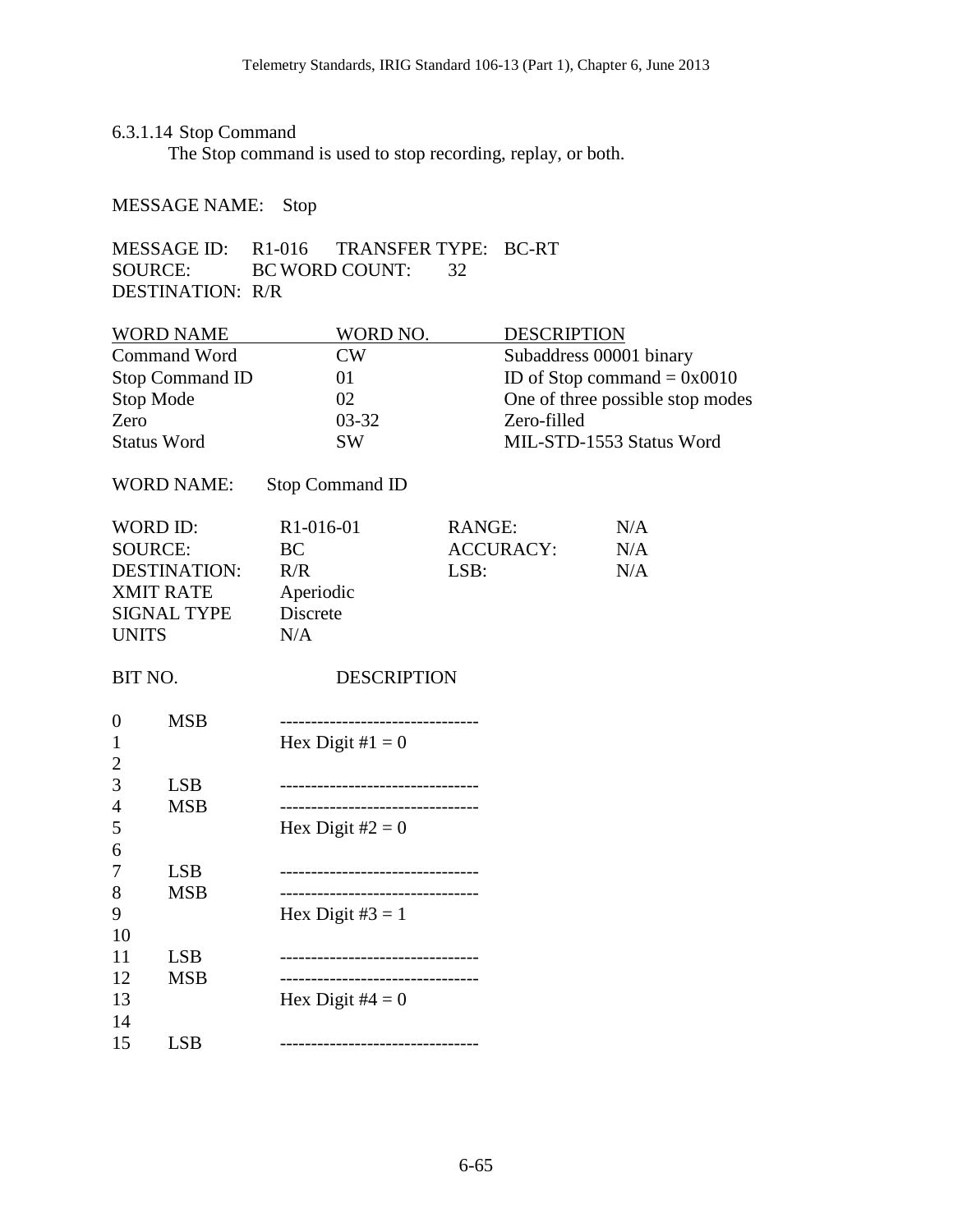# 6.3.1.14 Stop Command

The Stop command is used to stop recording, replay, or both.

### MESSAGE NAME: Stop

#### MESSAGE ID: R1-016 TRANSFER TYPE: BC-RT<br>SOURCE: BC WORD COUNT: 32 BC WORD COUNT: DESTINATION: R/R

|                  | <b>WORD NAME</b>       | WORD NO.                          |                  | <b>DESCRIPTION</b>      |                                  |  |
|------------------|------------------------|-----------------------------------|------------------|-------------------------|----------------------------------|--|
| Command Word     |                        | CW                                |                  | Subaddress 00001 binary |                                  |  |
|                  | <b>Stop Command ID</b> | 01                                |                  |                         | ID of Stop command = $0x0010$    |  |
| Stop Mode        |                        | 02                                |                  |                         | One of three possible stop modes |  |
| Zero             |                        | 03-32                             |                  | Zero-filled             |                                  |  |
|                  | <b>Status Word</b>     | <b>SW</b>                         |                  |                         | MIL-STD-1553 Status Word         |  |
|                  | <b>WORD NAME:</b>      | <b>Stop Command ID</b>            |                  |                         |                                  |  |
| WORD ID:         |                        | R <sub>1</sub> -016-01            | <b>RANGE:</b>    |                         | N/A                              |  |
| <b>SOURCE:</b>   |                        | <b>BC</b>                         | <b>ACCURACY:</b> |                         | N/A                              |  |
|                  | <b>DESTINATION:</b>    | R/R                               | LSB:             |                         | N/A                              |  |
|                  | <b>XMIT RATE</b>       | Aperiodic                         |                  |                         |                                  |  |
|                  | <b>SIGNAL TYPE</b>     | Discrete                          |                  |                         |                                  |  |
| <b>UNITS</b>     |                        | N/A                               |                  |                         |                                  |  |
| BIT NO.          |                        | <b>DESCRIPTION</b>                |                  |                         |                                  |  |
| $\boldsymbol{0}$ | <b>MSB</b>             | ------------------------------    |                  |                         |                                  |  |
| $\mathbf{1}$     |                        | Hex Digit # $1 = 0$               |                  |                         |                                  |  |
| $\overline{c}$   |                        |                                   |                  |                         |                                  |  |
| 3                | <b>LSB</b>             |                                   |                  |                         |                                  |  |
| 4                | <b>MSB</b>             | --------------------------------  |                  |                         |                                  |  |
| 5                |                        | Hex Digit #2 = 0                  |                  |                         |                                  |  |
| 6                |                        |                                   |                  |                         |                                  |  |
| $\tau$           | <b>LSB</b>             | -------------------------------   |                  |                         |                                  |  |
| 8                | <b>MSB</b>             | --------------------------------  |                  |                         |                                  |  |
| 9                |                        | Hex Digit #3 = 1                  |                  |                         |                                  |  |
| 10               |                        |                                   |                  |                         |                                  |  |
| 11               | <b>LSB</b>             |                                   |                  |                         |                                  |  |
| 12               | <b>MSB</b>             | --------------------------------- |                  |                         |                                  |  |
| 13               |                        | Hex Digit #4 = 0                  |                  |                         |                                  |  |
| 14               |                        |                                   |                  |                         |                                  |  |
| 15               | <b>LSB</b>             | --------------------------------  |                  |                         |                                  |  |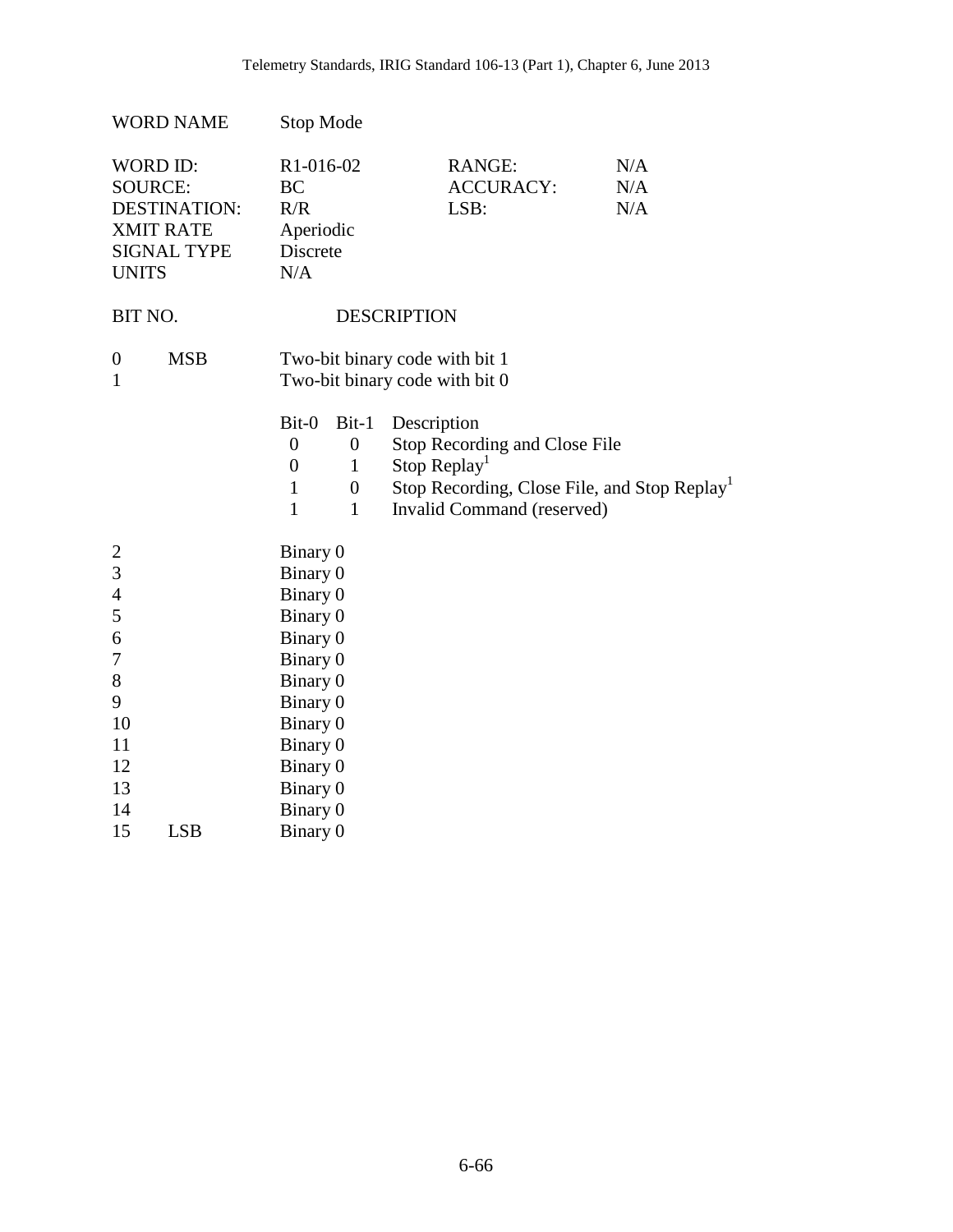| <b>WORD NAME</b>                                                                                                   | Stop Mode                                                                                                                                                                                 |                                                                                                                                                                                                                                        |                   |
|--------------------------------------------------------------------------------------------------------------------|-------------------------------------------------------------------------------------------------------------------------------------------------------------------------------------------|----------------------------------------------------------------------------------------------------------------------------------------------------------------------------------------------------------------------------------------|-------------------|
| <b>WORD ID:</b><br><b>SOURCE:</b><br><b>DESTINATION:</b><br><b>XMIT RATE</b><br><b>SIGNAL TYPE</b><br><b>UNITS</b> | R1-016-02<br><b>BC</b><br>R/R<br>Aperiodic<br>Discrete<br>N/A                                                                                                                             | <b>RANGE:</b><br><b>ACCURACY:</b><br>LSB:                                                                                                                                                                                              | N/A<br>N/A<br>N/A |
| BIT NO.                                                                                                            |                                                                                                                                                                                           | <b>DESCRIPTION</b>                                                                                                                                                                                                                     |                   |
| <b>MSB</b><br>$\boldsymbol{0}$<br>$\mathbf{1}$                                                                     | Bit-0<br>$Bit-1$<br>$\overline{0}$<br>$\boldsymbol{0}$<br>$\overline{0}$<br>$\mathbf{1}$<br>$\mathbf{1}$<br>$\boldsymbol{0}$<br>$\mathbf{1}$<br>$\mathbf{1}$                              | Two-bit binary code with bit 1<br>Two-bit binary code with bit 0<br>Description<br>Stop Recording and Close File<br>Stop Replay <sup>1</sup><br>Stop Recording, Close File, and Stop Replay <sup>1</sup><br>Invalid Command (reserved) |                   |
| $\overline{2}$<br>3<br>$\overline{4}$<br>5<br>6<br>$\tau$<br>8<br>9<br>10<br>11<br>12<br>13<br>14                  | Binary 0<br>Binary 0<br>Binary 0<br>Binary <sub>0</sub><br>Binary 0<br>Binary 0<br>Binary 0<br>Binary 0<br>Binary <sub>0</sub><br>Binary <sub>0</sub><br>Binary 0<br>Binary 0<br>Binary 0 |                                                                                                                                                                                                                                        |                   |

15 LSB Binary 0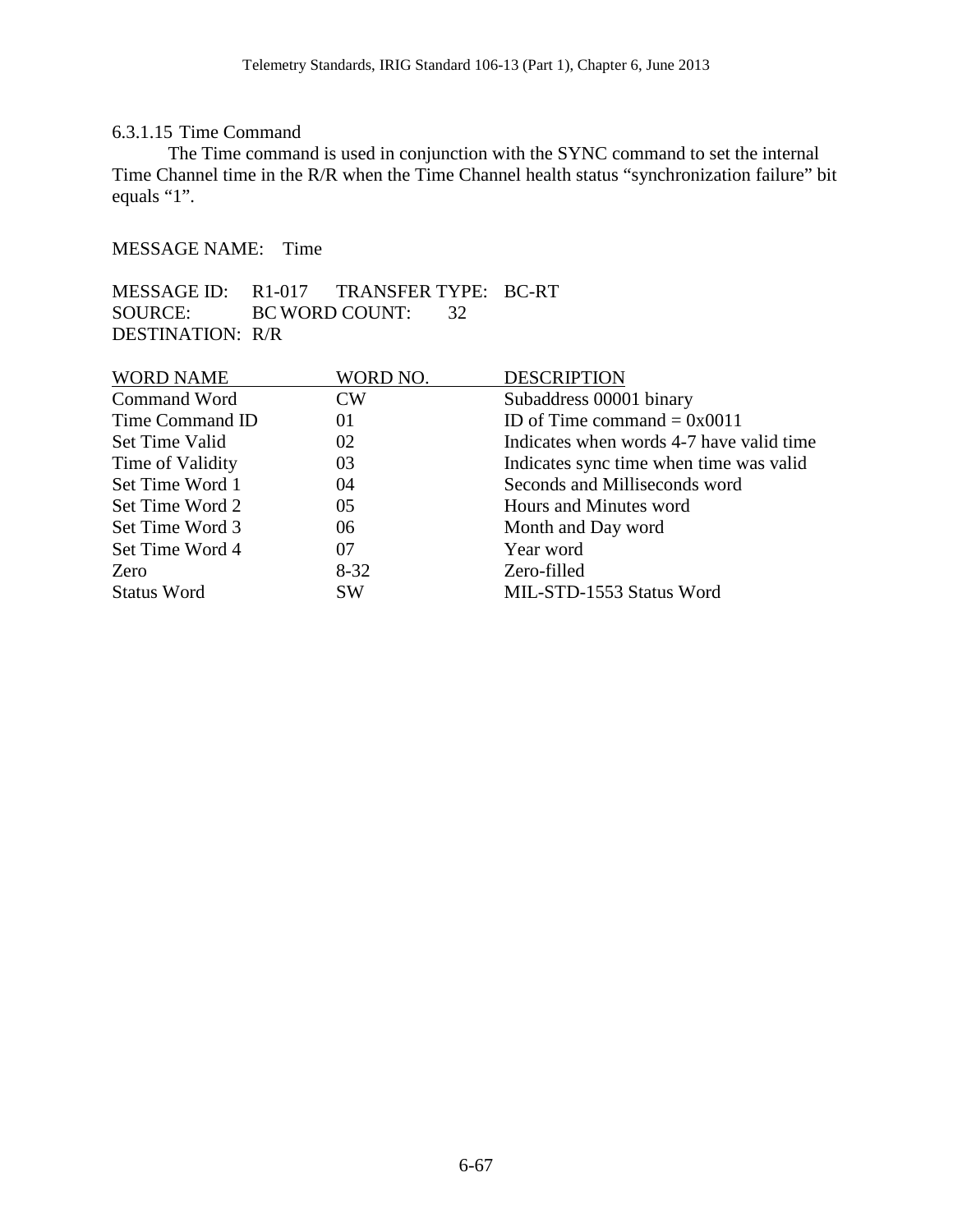## 6.3.1.15 Time Command

The Time command is used in conjunction with the SYNC command to set the internal Time Channel time in the R/R when the Time Channel health status "synchronization failure" bit equals "1".

# MESSAGE NAME: Time

| MESSAGE ID: R1-017 TRANSFER TYPE: BC-RT |                   |  |
|-----------------------------------------|-------------------|--|
| SOURCE:                                 | BC WORD COUNT: 32 |  |
| <b>DESTINATION: R/R</b>                 |                   |  |

| <b>WORD NAME</b>   | WORD NO.  | <b>DESCRIPTION</b>                       |
|--------------------|-----------|------------------------------------------|
| Command Word       | <b>CW</b> | Subaddress 00001 binary                  |
| Time Command ID    | 01        | ID of Time command = $0x0011$            |
| Set Time Valid     | 02        | Indicates when words 4-7 have valid time |
| Time of Validity   | 03        | Indicates sync time when time was valid  |
| Set Time Word 1    | 04        | Seconds and Milliseconds word            |
| Set Time Word 2    | 05        | Hours and Minutes word                   |
| Set Time Word 3    | 06        | Month and Day word                       |
| Set Time Word 4    | 07        | Year word                                |
| Zero               | $8 - 32$  | Zero-filled                              |
| <b>Status Word</b> | <b>SW</b> | MIL-STD-1553 Status Word                 |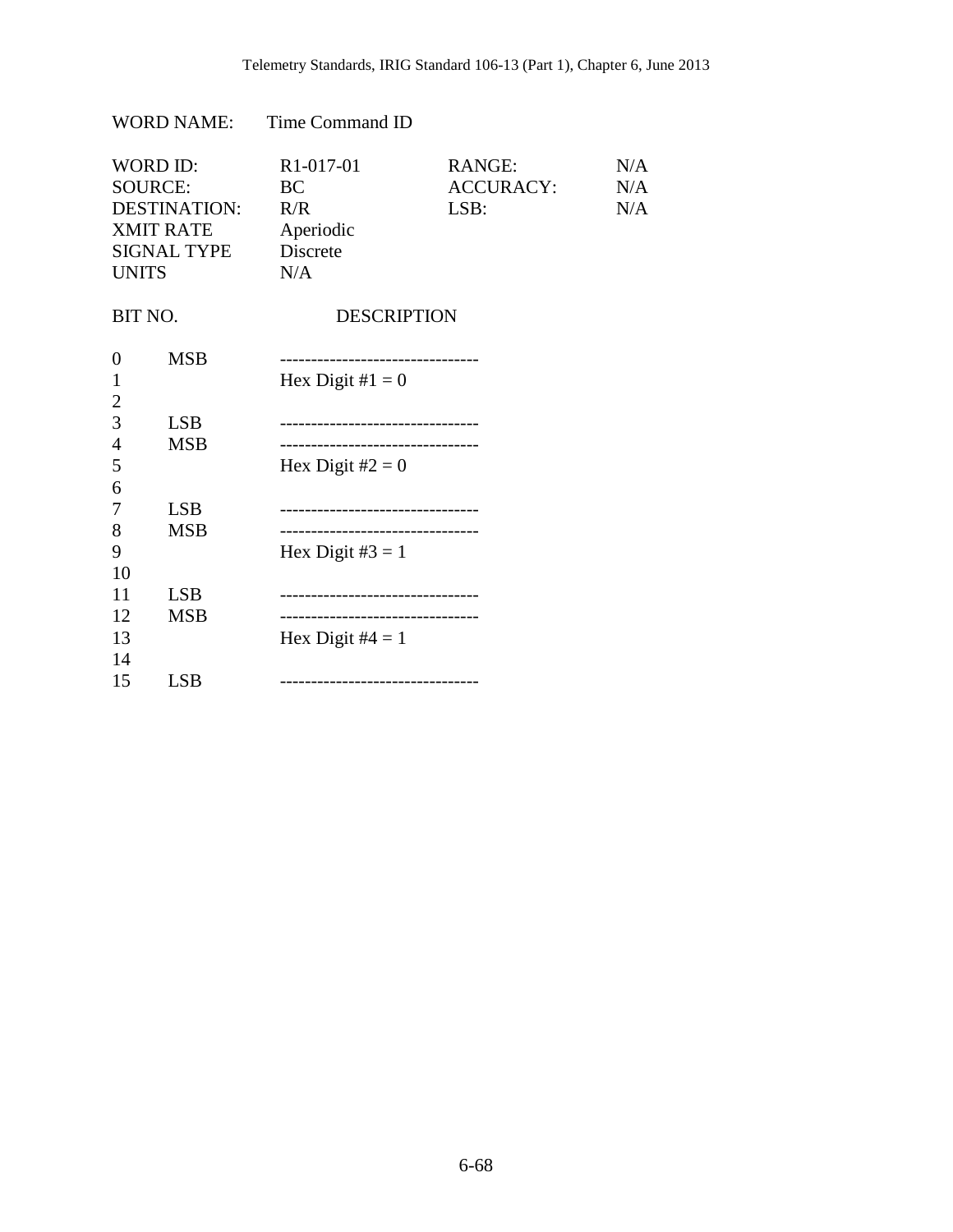| WORD NAME:          | Time Command ID        |                  |     |
|---------------------|------------------------|------------------|-----|
| WORD ID:            | R <sub>1</sub> -017-01 | RANGE:           | N/A |
| SOURCE:             | BC.                    | <b>ACCURACY:</b> | N/A |
| <b>DESTINATION:</b> | R/R                    | LSB:             | N/A |
| XMIT RATE           | Aperiodic              |                  |     |

| <b>XMIT RATE</b><br><b>SIGNAL TYPE</b><br><b>UNITS</b> | Aperiodic<br><b>Discrete</b><br>N/A                                                                                  |
|--------------------------------------------------------|----------------------------------------------------------------------------------------------------------------------|
| BIT NO.                                                | <b>DESCRIPTION</b>                                                                                                   |
| $\Omega$<br>MSB<br>- 40                                | $\mathbf{r}$ $\mathbf{r}$ $\mathbf{r}$ $\mathbf{r}$ $\mathbf{r}$ $\mathbf{r}$ $\mathbf{r}$ $\mathbf{r}$ $\mathbf{r}$ |

|                |            | Hex Digit # $1 = 0$ |
|----------------|------------|---------------------|
| 2              |            |                     |
| 3              | <b>LSB</b> |                     |
| $\overline{4}$ | <b>MSB</b> |                     |
| 5              |            | Hex Digit #2 = 0    |
| 6              |            |                     |
|                | <b>LSB</b> |                     |
| 8              | <b>MSB</b> |                     |
| 9              |            | Hex Digit #3 = 1    |
| 10             |            |                     |
| 11             | <b>LSB</b> |                     |
| 12             | <b>MSB</b> |                     |
| 13             |            | Hex Digit #4 = 1    |
| 14             |            |                     |
| 15             | LSB        |                     |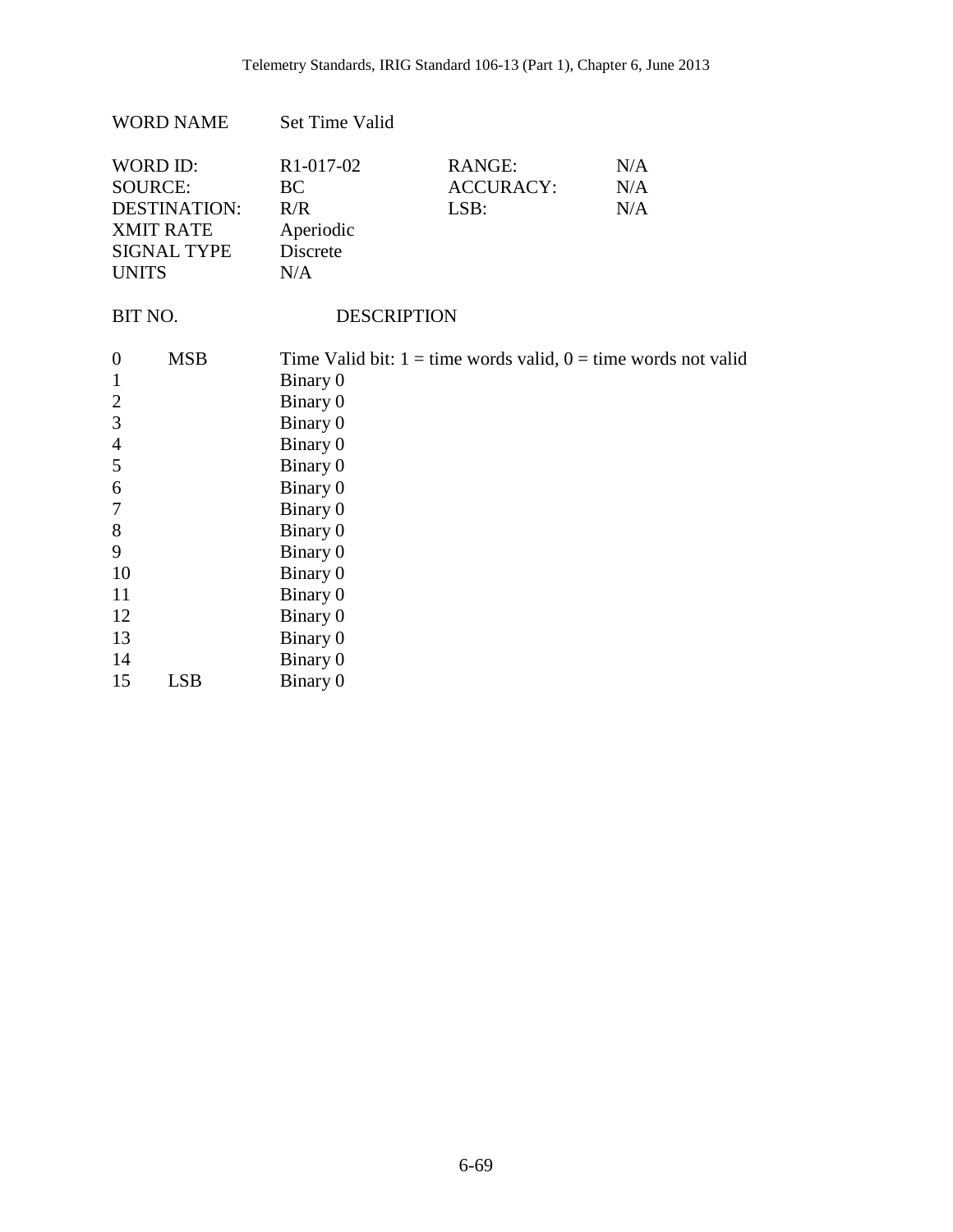| <b>WORD NAME</b>                                                                                     | Set Time Valid                                                              |                                           |                   |
|------------------------------------------------------------------------------------------------------|-----------------------------------------------------------------------------|-------------------------------------------|-------------------|
| WORD ID:<br>SOURCE:<br><b>DESTINATION:</b><br><b>XMIT RATE</b><br><b>SIGNAL TYPE</b><br><b>UNITS</b> | R <sub>1</sub> -017-02<br>BC.<br>R/R<br>Aperiodic<br><b>Discrete</b><br>N/A | <b>RANGE:</b><br><b>ACCURACY:</b><br>LSB: | N/A<br>N/A<br>N/A |

# BIT NO. DESCRIPTION

| $\theta$ | <b>MSB</b> | Time Valid bit: $1 =$ time words valid, $0 =$ time words not valid |
|----------|------------|--------------------------------------------------------------------|
| 1        |            | Binary 0                                                           |
| 2        |            | Binary 0                                                           |
| 3        |            | Binary 0                                                           |
| 4        |            | Binary 0                                                           |
| 5        |            | Binary 0                                                           |
| 6        |            | Binary 0                                                           |
|          |            | Binary 0                                                           |
| 8        |            | Binary 0                                                           |
| 9        |            | Binary 0                                                           |
| 10       |            | Binary 0                                                           |
| 11       |            | Binary 0                                                           |
| 12       |            | Binary 0                                                           |
| 13       |            | Binary 0                                                           |
| 14       |            | Binary 0                                                           |
| 15       | <b>LSB</b> | Binary 0                                                           |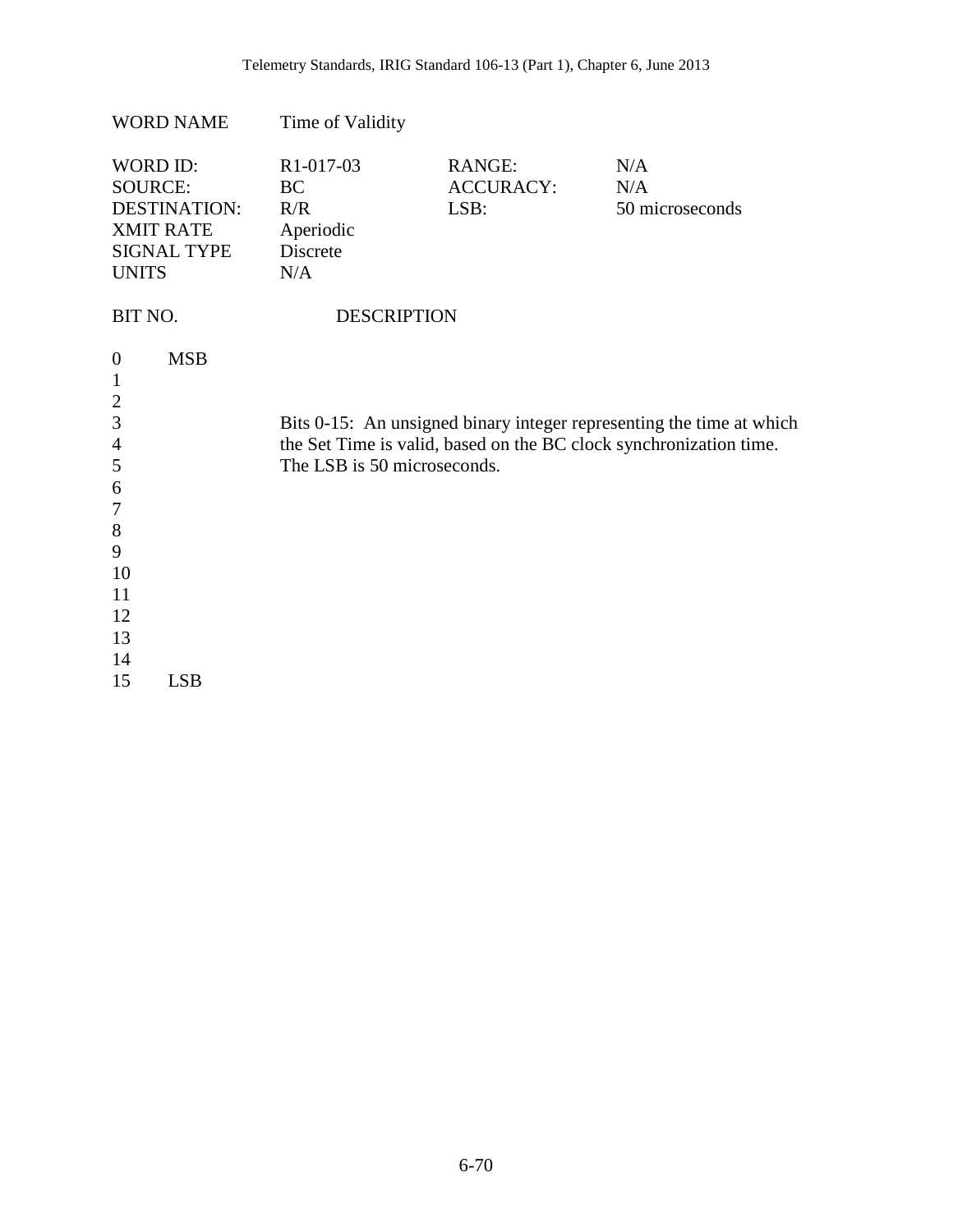| Time of Validity                                                           |                                           |                                                                                                                                                                                                 |
|----------------------------------------------------------------------------|-------------------------------------------|-------------------------------------------------------------------------------------------------------------------------------------------------------------------------------------------------|
| R <sub>1</sub> -017-03<br><b>BC</b><br>R/R<br>Aperiodic<br>Discrete<br>N/A | <b>RANGE:</b><br><b>ACCURACY:</b><br>LSB: | N/A<br>N/A<br>50 microseconds                                                                                                                                                                   |
|                                                                            |                                           |                                                                                                                                                                                                 |
|                                                                            |                                           |                                                                                                                                                                                                 |
|                                                                            |                                           |                                                                                                                                                                                                 |
|                                                                            |                                           | <b>DESCRIPTION</b><br>Bits 0-15: An unsigned binary integer representing the time at which<br>the Set Time is valid, based on the BC clock synchronization time.<br>The LSB is 50 microseconds. |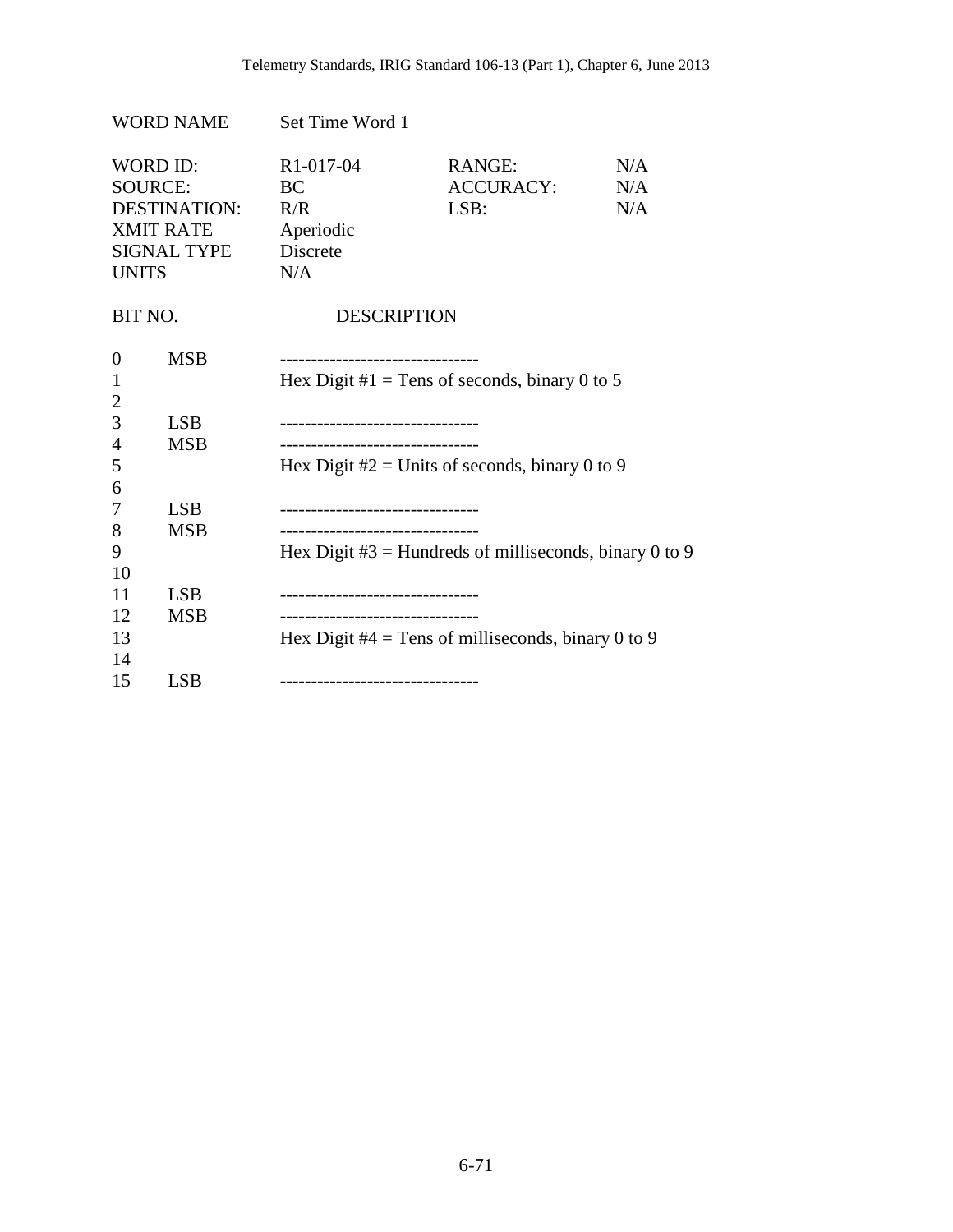|                  | <b>WORD NAME</b>    | Set Time Word 1                   |                                                        |     |
|------------------|---------------------|-----------------------------------|--------------------------------------------------------|-----|
|                  | WORD ID:            | R <sub>1</sub> -017-04            | <b>RANGE:</b>                                          | N/A |
|                  | <b>SOURCE:</b>      | BC                                | <b>ACCURACY:</b>                                       | N/A |
|                  | <b>DESTINATION:</b> | R/R                               | LSB:                                                   | N/A |
|                  | <b>XMIT RATE</b>    | Aperiodic                         |                                                        |     |
|                  | <b>SIGNAL TYPE</b>  | Discrete                          |                                                        |     |
| <b>UNITS</b>     |                     | N/A                               |                                                        |     |
| BIT NO.          |                     | <b>DESCRIPTION</b>                |                                                        |     |
| $\boldsymbol{0}$ | <b>MSB</b>          |                                   |                                                        |     |
| $\mathbf{1}$     |                     |                                   | Hex Digit #1 = Tens of seconds, binary 0 to 5          |     |
| $\overline{c}$   |                     |                                   |                                                        |     |
| 3                | <b>LSB</b>          |                                   |                                                        |     |
| $\overline{4}$   | <b>MSB</b>          |                                   |                                                        |     |
| 5                |                     |                                   | Hex Digit #2 = Units of seconds, binary 0 to 9         |     |
| 6                |                     |                                   |                                                        |     |
| 7                | <b>LSB</b>          | ----------------------------      |                                                        |     |
| 8                | <b>MSB</b>          |                                   |                                                        |     |
| 9                |                     |                                   | Hex Digit #3 = Hundreds of milliseconds, binary 0 to 9 |     |
| 10               |                     |                                   |                                                        |     |
| 11               | <b>LSB</b>          |                                   |                                                        |     |
| 12               | <b>MSB</b>          | --------------------------------- |                                                        |     |
| 13               |                     |                                   | Hex Digit #4 = Tens of milliseconds, binary 0 to 9     |     |
| 14               |                     |                                   |                                                        |     |
| 15               | <b>LSB</b>          | --------------------------------  |                                                        |     |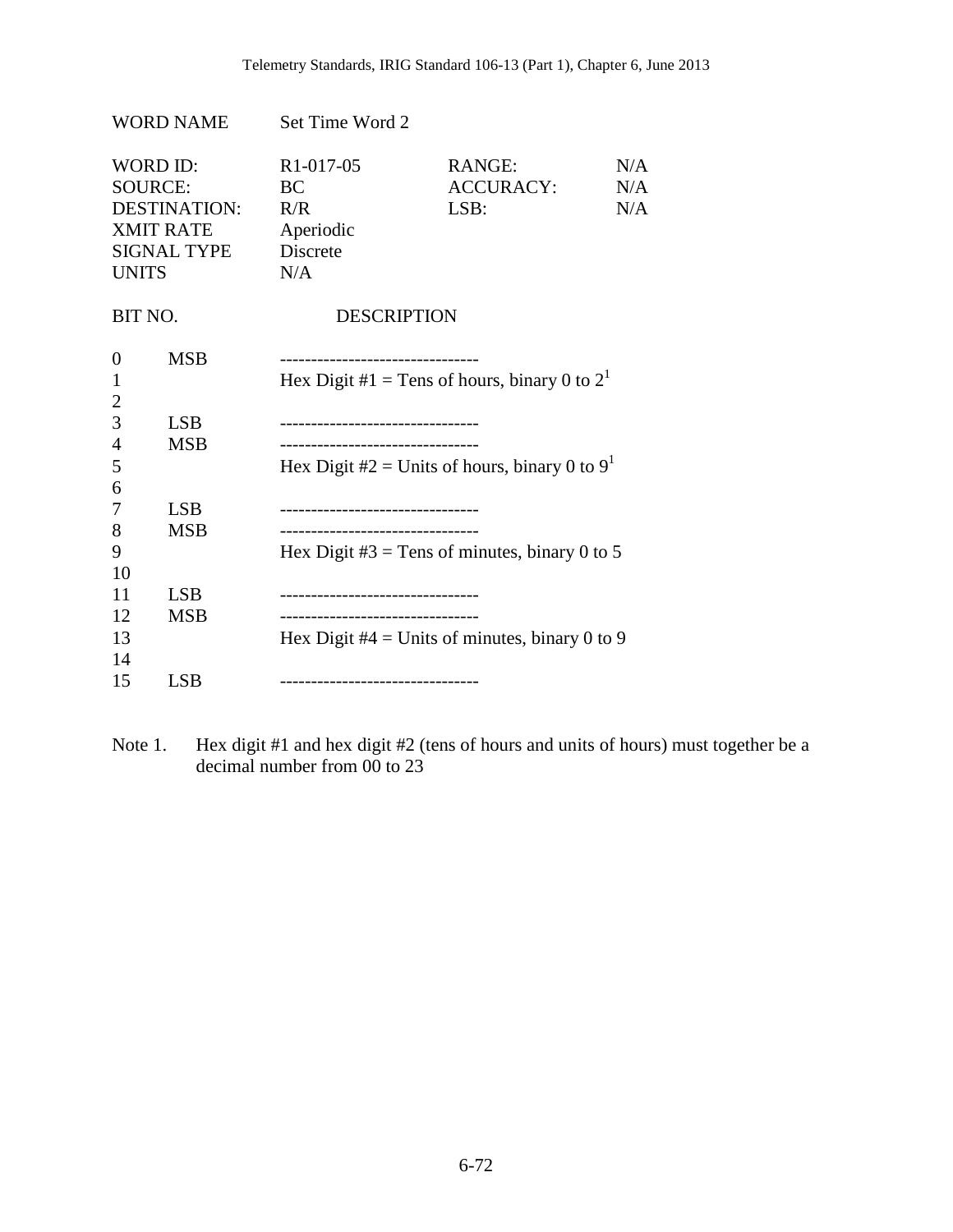|                                            | <b>WORD NAME</b>                                              | Set Time Word 2                                                            |                                                  |                   |
|--------------------------------------------|---------------------------------------------------------------|----------------------------------------------------------------------------|--------------------------------------------------|-------------------|
| WORD ID:<br><b>SOURCE:</b><br><b>UNITS</b> | <b>DESTINATION:</b><br><b>XMIT RATE</b><br><b>SIGNAL TYPE</b> | R <sub>1</sub> -017-05<br>BC<br>R/R<br>Aperiodic<br><b>Discrete</b><br>N/A | RANGE:<br><b>ACCURACY:</b><br>LSB:               | N/A<br>N/A<br>N/A |
| BIT NO.                                    |                                                               | <b>DESCRIPTION</b>                                                         |                                                  |                   |
| $\boldsymbol{0}$<br>1<br>$\overline{c}$    | <b>MSB</b>                                                    |                                                                            | Hex Digit #1 = Tens of hours, binary 0 to $2^1$  |                   |
| 3<br>4<br>5                                | <b>LSB</b><br><b>MSB</b>                                      | ---------------------------                                                | Hex Digit #2 = Units of hours, binary 0 to $91$  |                   |
| 6<br>7<br>8<br>9<br>10                     | <b>LSB</b><br><b>MSB</b>                                      | --------------------------<br>------------------------------               | Hex Digit #3 = Tens of minutes, binary 0 to 5    |                   |
| 11<br>12<br>13<br>14                       | <b>LSB</b><br><b>MSB</b>                                      |                                                                            | Hex Digit $#4 =$ Units of minutes, binary 0 to 9 |                   |
| 15                                         | <b>LSB</b>                                                    |                                                                            |                                                  |                   |

Note 1. Hex digit #1 and hex digit #2 (tens of hours and units of hours) must together be a decimal number from 00 to 23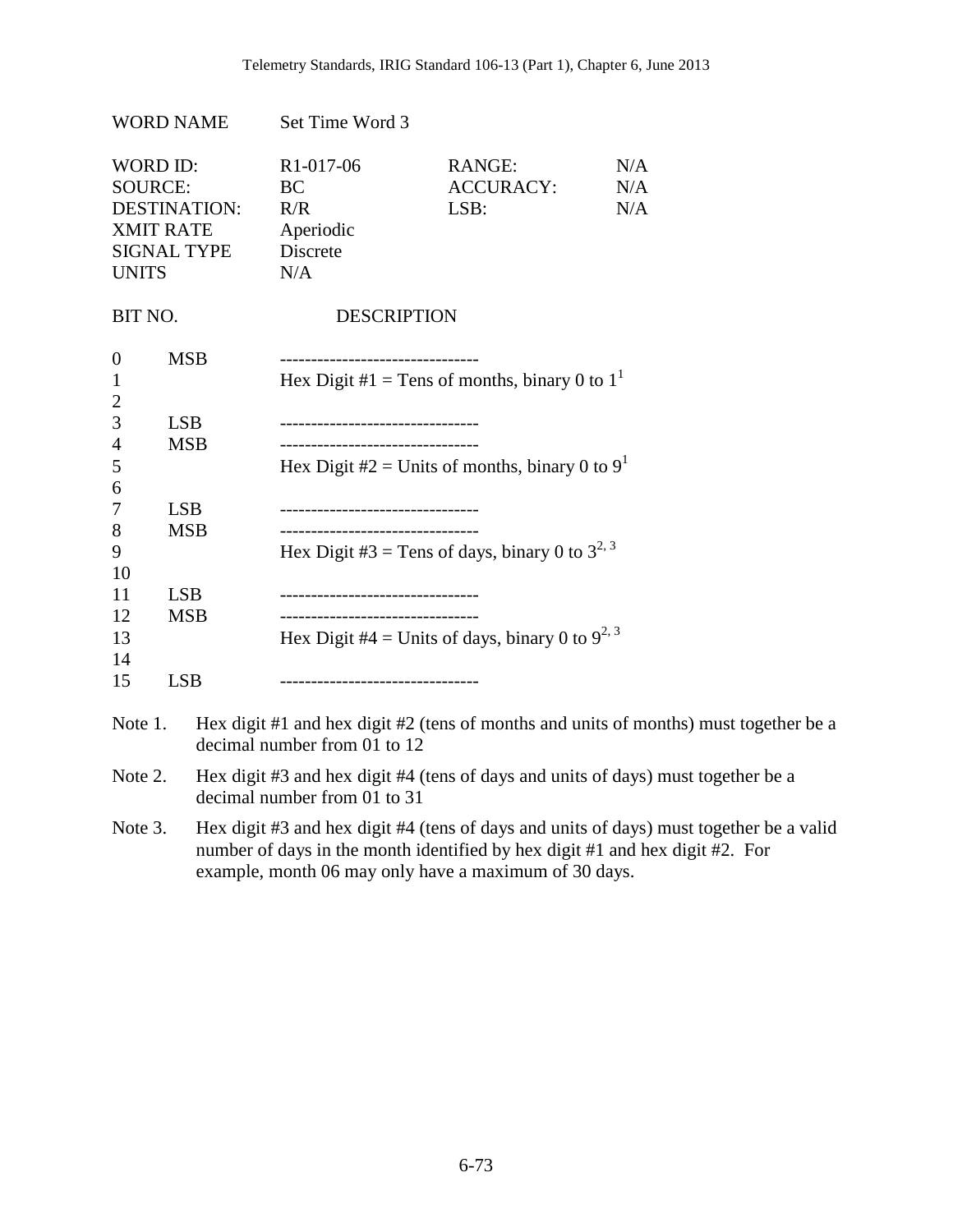|                                                                | <b>WORD NAME</b>                          | Set Time Word 3                                                            |                                                                                                       |                   |
|----------------------------------------------------------------|-------------------------------------------|----------------------------------------------------------------------------|-------------------------------------------------------------------------------------------------------|-------------------|
| WORD ID:<br><b>SOURCE:</b><br><b>XMIT RATE</b><br><b>UNITS</b> | <b>DESTINATION:</b><br><b>SIGNAL TYPE</b> | R <sub>1</sub> -017-06<br><b>BC</b><br>R/R<br>Aperiodic<br>Discrete<br>N/A | <b>RANGE:</b><br><b>ACCURACY:</b><br>LSB:                                                             | N/A<br>N/A<br>N/A |
| BIT NO.                                                        |                                           | <b>DESCRIPTION</b>                                                         |                                                                                                       |                   |
| $\theta$<br>1<br>$\overline{2}$<br>3<br>4<br>5<br>6            | <b>MSB</b><br><b>LSB</b><br><b>MSB</b>    |                                                                            | Hex Digit #1 = Tens of months, binary 0 to $1^1$<br>Hex Digit #2 = Units of months, binary 0 to $9^1$ |                   |
| 7<br>8<br>9<br>10                                              | <b>LSB</b><br><b>MSB</b>                  | --------------------------                                                 | Hex Digit #3 = Tens of days, binary 0 to $3^{2,3}$                                                    |                   |
| 11<br>12<br>13<br>14<br>15                                     | <b>LSB</b><br><b>MSB</b><br><b>LSB</b>    | -----------------------------                                              | Hex Digit #4 = Units of days, binary 0 to $9^{2,3}$                                                   |                   |
|                                                                |                                           |                                                                            |                                                                                                       |                   |

- Note 1. Hex digit #1 and hex digit #2 (tens of months and units of months) must together be a decimal number from 01 to 12
- Note 2. Hex digit #3 and hex digit #4 (tens of days and units of days) must together be a decimal number from 01 to 31
- Note 3. Hex digit #3 and hex digit #4 (tens of days and units of days) must together be a valid number of days in the month identified by hex digit #1 and hex digit #2. For example, month 06 may only have a maximum of 30 days.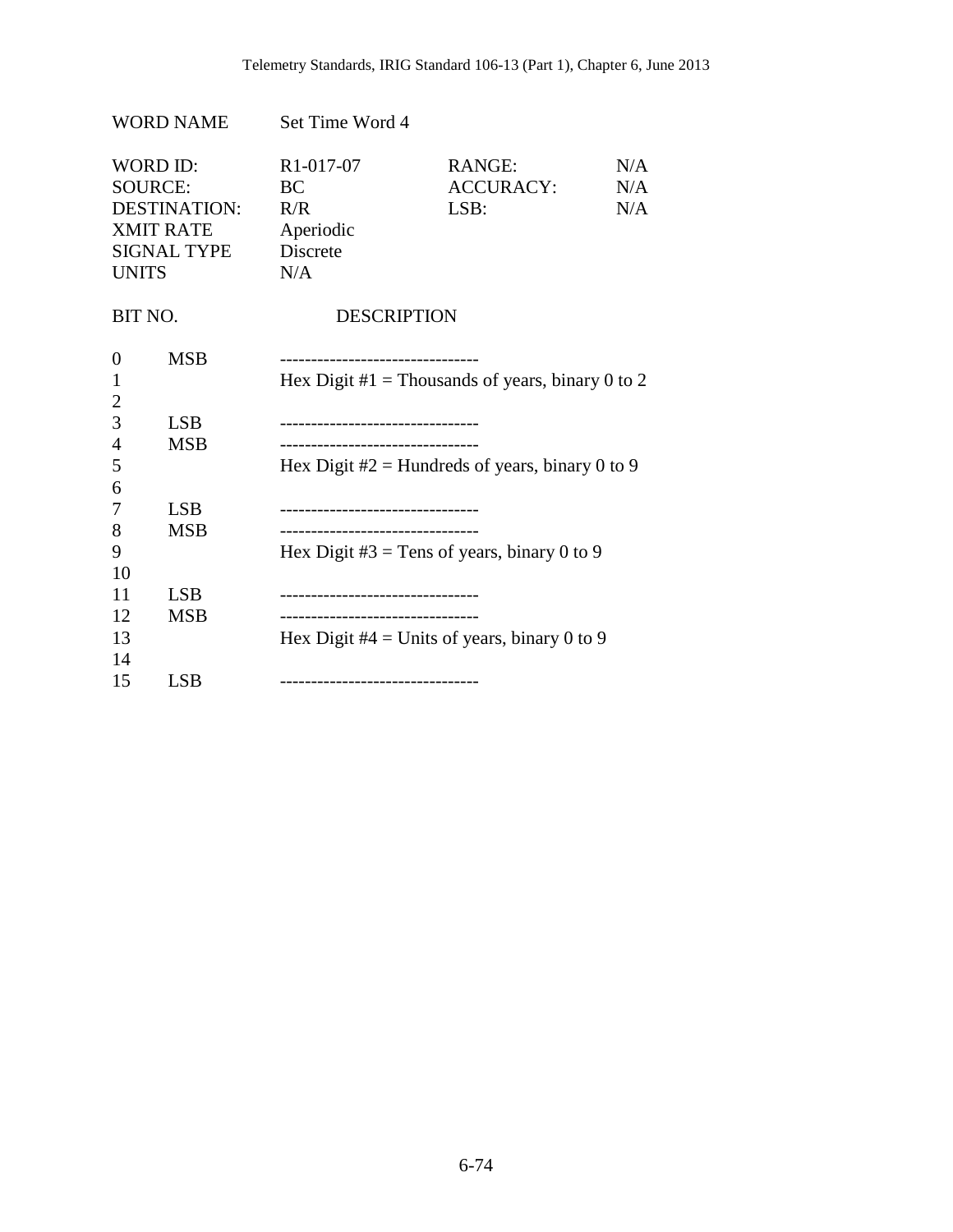|                                            | <b>WORD NAME</b>                                              | Set Time Word 4                                                                                     |                                           |                   |
|--------------------------------------------|---------------------------------------------------------------|-----------------------------------------------------------------------------------------------------|-------------------------------------------|-------------------|
| WORD ID:<br><b>SOURCE:</b><br><b>UNITS</b> | <b>DESTINATION:</b><br><b>XMIT RATE</b><br><b>SIGNAL TYPE</b> | R <sub>1</sub> -017-07<br>BC<br>R/R<br>Aperiodic<br><b>Discrete</b><br>N/A                          | <b>RANGE:</b><br><b>ACCURACY:</b><br>LSB: | N/A<br>N/A<br>N/A |
| BIT NO.                                    |                                                               | <b>DESCRIPTION</b>                                                                                  |                                           |                   |
| $\theta$<br>1<br>2<br>3<br>4<br>5          | <b>MSB</b><br><b>LSB</b><br><b>MSB</b>                        | Hex Digit #1 = Thousands of years, binary 0 to 2<br>Hex Digit #2 = Hundreds of years, binary 0 to 9 |                                           |                   |
| 6<br>7<br>8<br>9<br>10                     | <b>LSB</b><br><b>MSB</b>                                      | --------------------------------<br>Hex Digit #3 = Tens of years, binary 0 to 9                     |                                           |                   |
| 11<br>12<br>13<br>14                       | <b>LSB</b><br><b>MSB</b>                                      | -------------------------<br>Hex Digit #4 = Units of years, binary 0 to 9                           |                                           |                   |
| 15                                         | <b>LSB</b>                                                    |                                                                                                     |                                           |                   |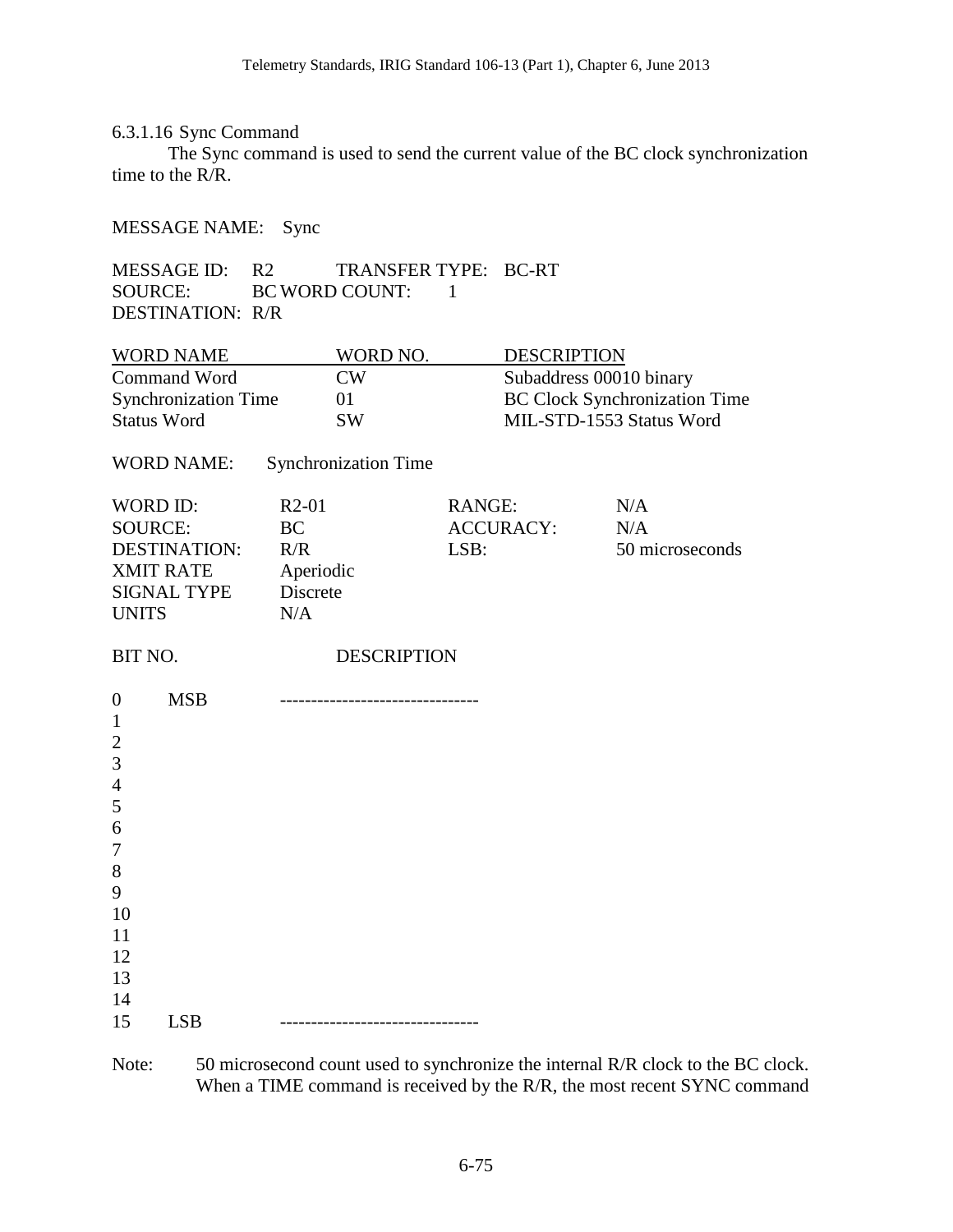#### 6.3.1.16 Sync Command

The Sync command is used to send the current value of the BC clock synchronization time to the R/R.

#### MESSAGE NAME: Sync

MESSAGE ID: R2 TRANSFER TYPE: BC-RT SOURCE: BC WORD COUNT: 1 DESTINATION: R/R

|                             | <b>WORD NAME</b>    | WORD NO.                        | <b>DESCRIPTION</b> |                                      |
|-----------------------------|---------------------|---------------------------------|--------------------|--------------------------------------|
| Command Word                |                     | CW                              |                    | Subaddress 00010 binary              |
| <b>Synchronization Time</b> |                     | 01                              |                    | <b>BC Clock Synchronization Time</b> |
|                             | <b>Status Word</b>  | <b>SW</b>                       |                    | MIL-STD-1553 Status Word             |
|                             | <b>WORD NAME:</b>   | <b>Synchronization Time</b>     |                    |                                      |
| WORD ID:                    |                     | $R2-01$                         | <b>RANGE:</b>      | N/A                                  |
| <b>SOURCE:</b>              |                     | <b>BC</b>                       | <b>ACCURACY:</b>   | N/A                                  |
|                             | <b>DESTINATION:</b> | R/R                             | LSB:               | 50 microseconds                      |
|                             | <b>XMIT RATE</b>    | Aperiodic                       |                    |                                      |
|                             | <b>SIGNAL TYPE</b>  | Discrete                        |                    |                                      |
| <b>UNITS</b>                |                     | N/A                             |                    |                                      |
| BIT NO.                     |                     | <b>DESCRIPTION</b>              |                    |                                      |
| $\boldsymbol{0}$            | <b>MSB</b>          |                                 |                    |                                      |
| $\mathbf{1}$                |                     |                                 |                    |                                      |
| $\overline{c}$              |                     |                                 |                    |                                      |
| 3                           |                     |                                 |                    |                                      |
| $\overline{4}$              |                     |                                 |                    |                                      |
| 5                           |                     |                                 |                    |                                      |
| 6                           |                     |                                 |                    |                                      |
| 7                           |                     |                                 |                    |                                      |
| $8\,$                       |                     |                                 |                    |                                      |
| 9<br>10                     |                     |                                 |                    |                                      |
| 11                          |                     |                                 |                    |                                      |
| 12                          |                     |                                 |                    |                                      |
| 13                          |                     |                                 |                    |                                      |
| 14                          |                     |                                 |                    |                                      |
| 15                          | <b>LSB</b>          | ------------------------------- |                    |                                      |
|                             |                     |                                 |                    |                                      |

Note: 50 microsecond count used to synchronize the internal R/R clock to the BC clock. When a TIME command is received by the R/R, the most recent SYNC command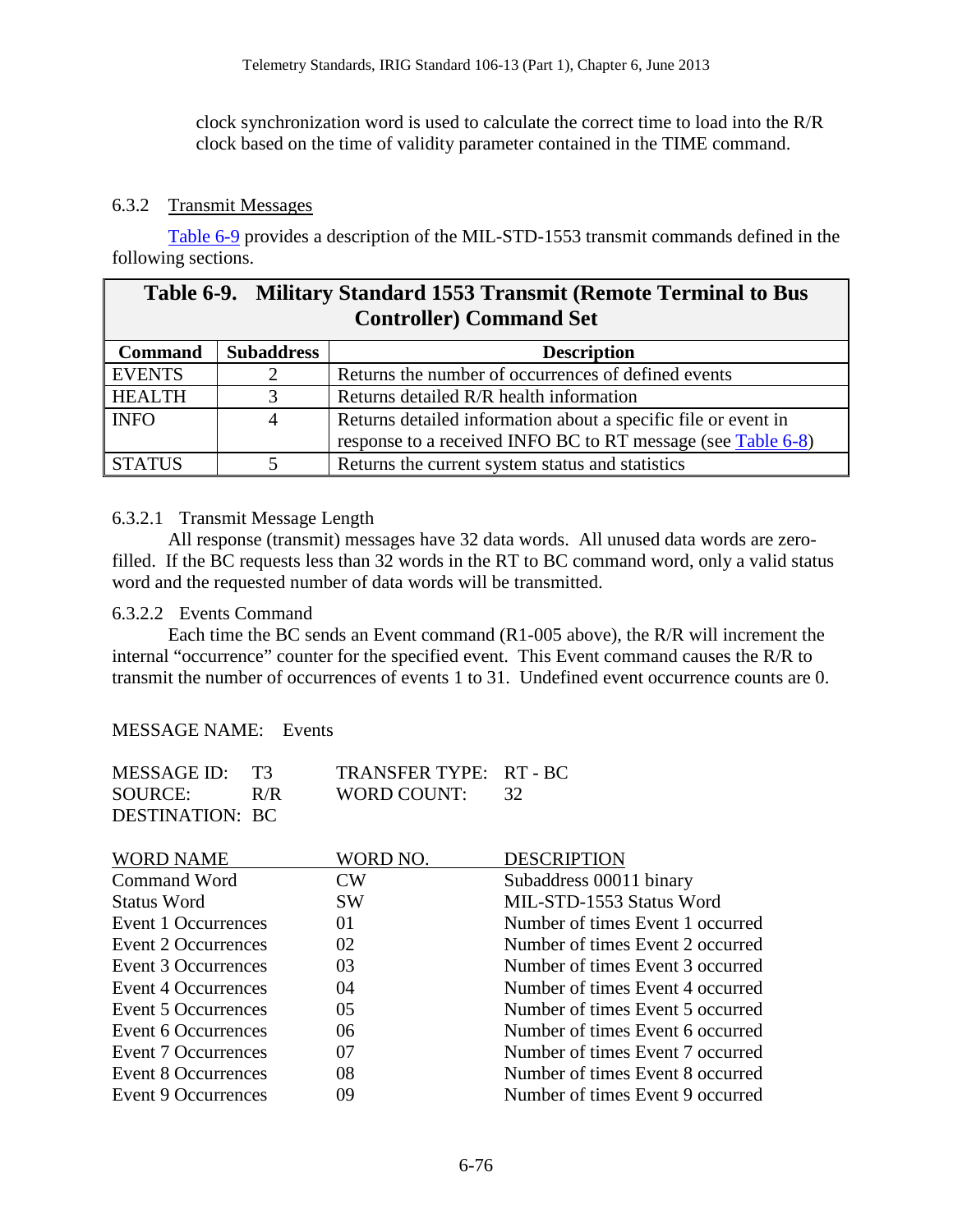clock synchronization word is used to calculate the correct time to load into the R/R clock based on the time of validity parameter contained in the TIME command.

#### 6.3.2 Transmit Messages

[Table 6-9](#page-79-0) provides a description of the MIL-STD-1553 transmit commands defined in the following sections.

<span id="page-79-0"></span>

| Table 6-9. Military Standard 1553 Transmit (Remote Terminal to Bus<br><b>Controller) Command Set</b> |                   |                                                                |  |
|------------------------------------------------------------------------------------------------------|-------------------|----------------------------------------------------------------|--|
| <b>Command</b>                                                                                       | <b>Subaddress</b> | <b>Description</b>                                             |  |
| <b>EVENTS</b>                                                                                        | 2                 | Returns the number of occurrences of defined events            |  |
| <b>HEALTH</b>                                                                                        | $\mathcal{R}$     | Returns detailed R/R health information                        |  |
| <b>INFO</b>                                                                                          | $\overline{4}$    | Returns detailed information about a specific file or event in |  |
|                                                                                                      |                   | response to a received INFO BC to RT message (see Table 6-8)   |  |
| <b>STATUS</b>                                                                                        |                   | Returns the current system status and statistics               |  |

#### 6.3.2.1 Transmit Message Length

All response (transmit) messages have 32 data words. All unused data words are zerofilled. If the BC requests less than 32 words in the RT to BC command word, only a valid status word and the requested number of data words will be transmitted.

#### 6.3.2.2 Events Command

Each time the BC sends an Event command (R1-005 above), the R/R will increment the internal "occurrence" counter for the specified event. This Event command causes the R/R to transmit the number of occurrences of events 1 to 31. Undefined event occurrence counts are 0.

#### MESSAGE NAME: Events

| MESSAGE ID: T3  |     | $TRANSFER TYPE: RT-BC$ |  |
|-----------------|-----|------------------------|--|
| SOURCE:         | R/R | WORD COUNT: 32         |  |
| DESTINATION: BC |     |                        |  |

| WORD NO.  | <b>DESCRIPTION</b>               |
|-----------|----------------------------------|
| CW        | Subaddress 00011 binary          |
| <b>SW</b> | MIL-STD-1553 Status Word         |
| 01        | Number of times Event 1 occurred |
| 02        | Number of times Event 2 occurred |
| 03        | Number of times Event 3 occurred |
| 04        | Number of times Event 4 occurred |
| 05        | Number of times Event 5 occurred |
| 06        | Number of times Event 6 occurred |
| 07        | Number of times Event 7 occurred |
| 08        | Number of times Event 8 occurred |
| 09        | Number of times Event 9 occurred |
|           |                                  |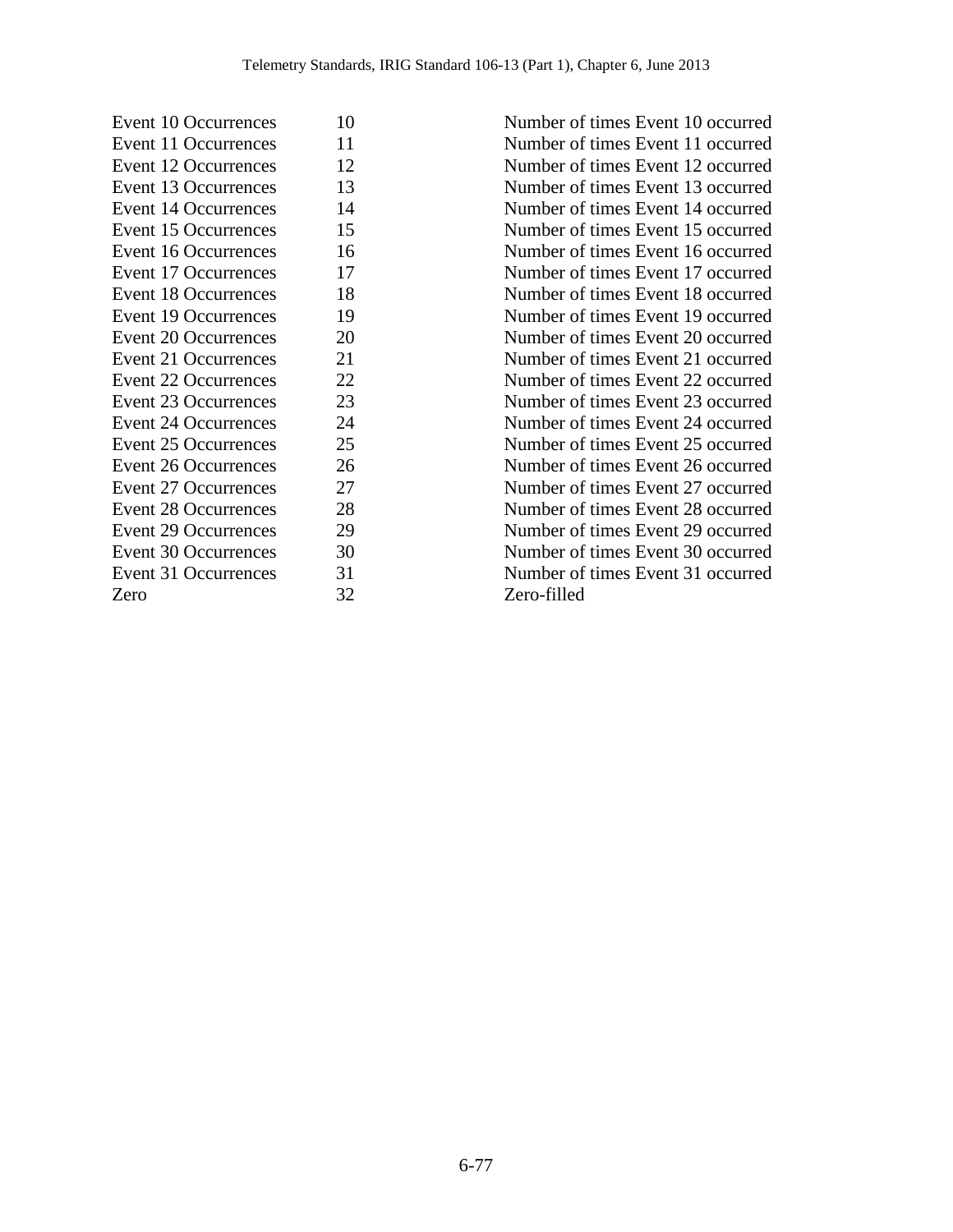| Event 10 Occurrences        | 1              |
|-----------------------------|----------------|
| Event 11 Occurrences        | 1              |
| Event 12 Occurrences        | $\mathbf{1}$   |
| Event 13 Occurrences        | 1              |
| Event 14 Occurrences        | $\mathbf{1}$   |
| Event 15 Occurrences        | $\mathbf{1}$   |
| Event 16 Occurrences        | 1              |
| Event 17 Occurrences        | 1              |
| Event 18 Occurrences        | $\mathbf{1}$   |
| Event 19 Occurrences        | $\mathbf{1}$   |
| <b>Event 20 Occurrences</b> | $\overline{2}$ |
| Event 21 Occurrences        | $\overline{2}$ |
| Event 22 Occurrences        | $\overline{2}$ |
| Event 23 Occurrences        | $\overline{2}$ |
| Event 24 Occurrences        | $\overline{2}$ |
| Event 25 Occurrences        | $\overline{2}$ |
| Event 26 Occurrences        | $\overline{2}$ |
| Event 27 Occurrences        | $\overline{2}$ |
| Event 28 Occurrences        | $\overline{2}$ |
| Event 29 Occurrences        | $\overline{2}$ |
| Event 30 Occurrences        | 3              |
| Event 31 Occurrences        | 3              |
| Zero                        | 3              |
|                             |                |

0 Number of times Event 10 occurred 1 Number of times Event 11 occurred<br>2 Number of times Event 12 occurred Number of times Event 12 occurred 3 Number of times Event 13 occurred 4 Number of times Event 14 occurred 5 Number of times Event 15 occurred Event 16 Occurrences 16 Number of times Event 16 occurred 7 Number of times Event 17 occurred 8 Number of times Event 18 occurred Event 19 Occurrences 19 Number of times Event 19 occurred 0 Number of times Event 20 occurred 1 Number of times Event 21 occurred 2 Number of times Event 22 occurred Event 23 Occurrences 23 Number of times Event 23 occurred 4 Number of times Event 24 occurred 5 Number of times Event 25 occurred Event 26 Occurrences 26 Number of times Event 26 occurred 7 Number of times Event 27 occurred 8 Number of times Event 28 occurred 9 Number of times Event 29 occurred Event 30 occurred<sup>30</sup> 1 Number of times Event 31 occurred 2 Zero-filled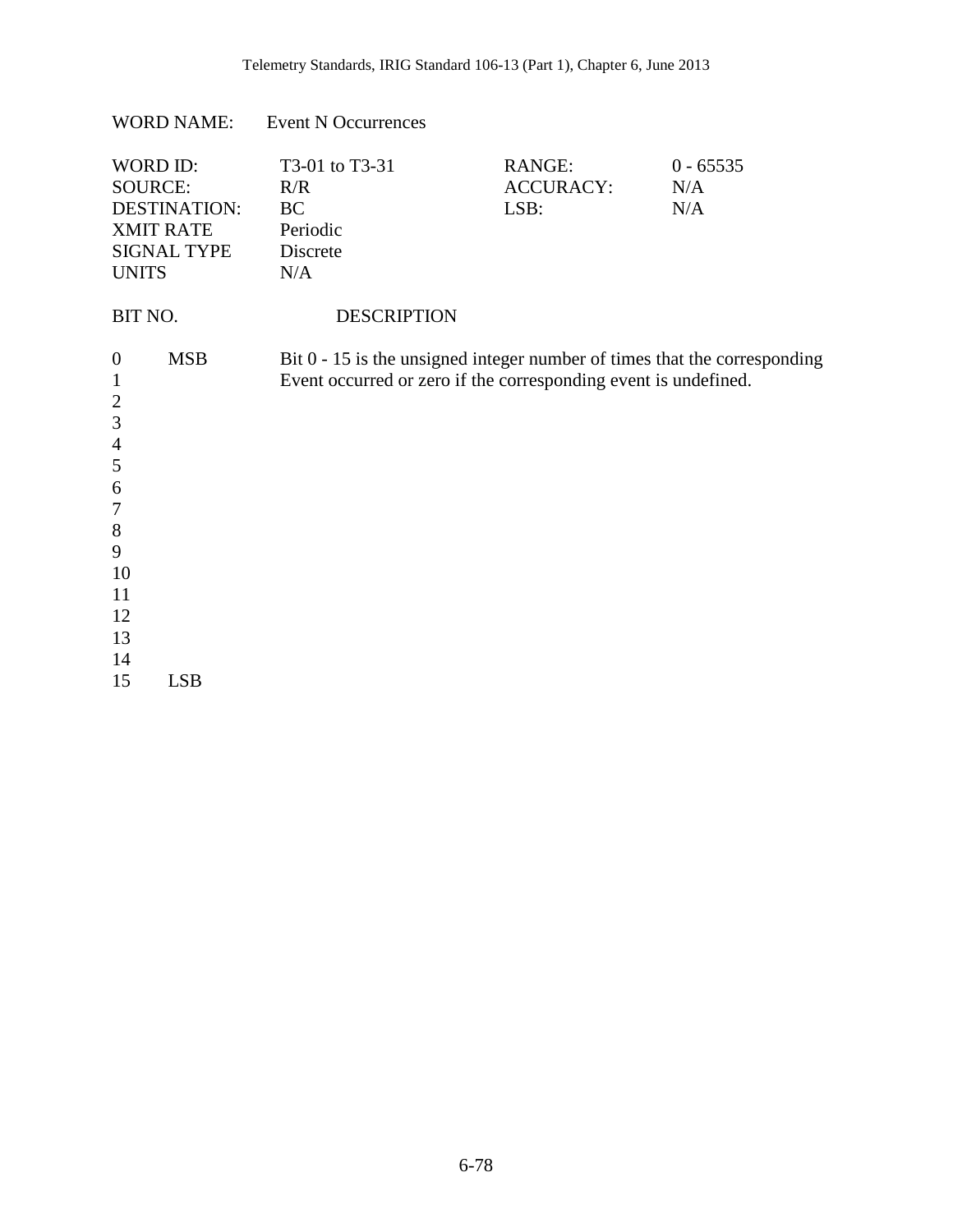| <b>WORD NAME:</b>                                                                                                                                            |                          | <b>Event N Occurrences</b>                                        |                                                                                                                                                |                           |
|--------------------------------------------------------------------------------------------------------------------------------------------------------------|--------------------------|-------------------------------------------------------------------|------------------------------------------------------------------------------------------------------------------------------------------------|---------------------------|
| WORD ID:<br><b>SOURCE:</b><br><b>DESTINATION:</b><br><b>XMIT RATE</b><br><b>SIGNAL TYPE</b><br><b>UNITS</b>                                                  |                          | T3-01 to T3-31<br>R/R<br><b>BC</b><br>Periodic<br>Discrete<br>N/A | <b>RANGE:</b><br><b>ACCURACY:</b><br>LSB:                                                                                                      | $0 - 65535$<br>N/A<br>N/A |
| BIT NO.                                                                                                                                                      |                          | <b>DESCRIPTION</b>                                                |                                                                                                                                                |                           |
| $\boldsymbol{0}$<br>$\mathbf{1}$<br>$\overline{2}$<br>$\mathfrak{Z}$<br>$\overline{4}$<br>5<br>6<br>$\tau$<br>$8\,$<br>9<br>10<br>11<br>12<br>13<br>14<br>15 | <b>MSB</b><br><b>LSB</b> |                                                                   | Bit $0 - 15$ is the unsigned integer number of times that the corresponding<br>Event occurred or zero if the corresponding event is undefined. |                           |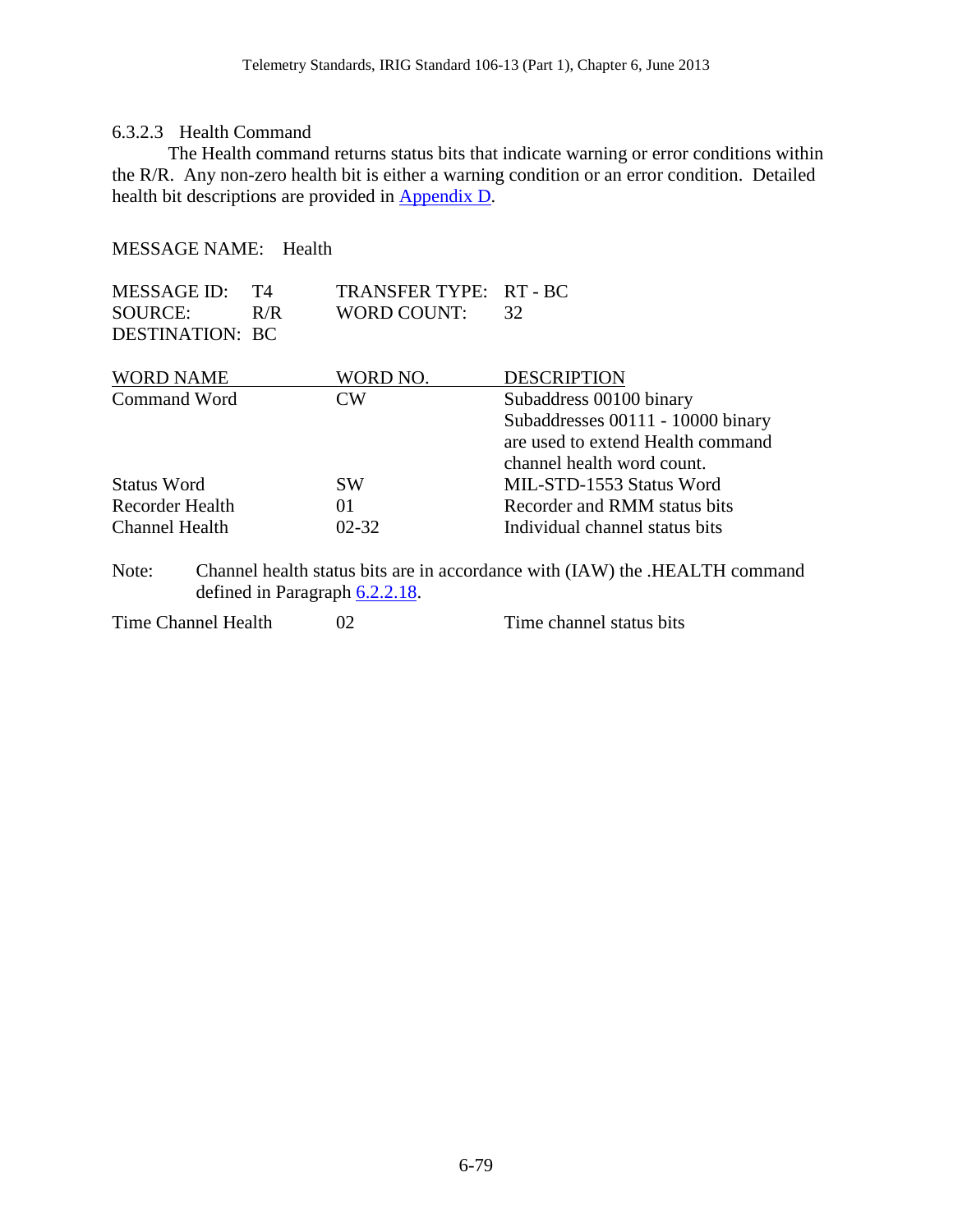## 6.3.2.3 Health Command

The Health command returns status bits that indicate warning or error conditions within the R/R. Any non-zero health bit is either a warning condition or an error condition. Detailed health bit descriptions are provided in [Appendix D.](http://www.wsmr.army.mil/RCCsite/Documents/106-13_Telemetry_Standards/AppendixD.pdf)

#### MESSAGE NAME: Health

| <b>MESSAGE ID:</b>     | T4  | <b>TRANSFER TYPE:</b>             | $RT - BC$                                                                   |
|------------------------|-----|-----------------------------------|-----------------------------------------------------------------------------|
| <b>SOURCE:</b>         | R/R | <b>WORD COUNT:</b>                | 32                                                                          |
| <b>DESTINATION: BC</b> |     |                                   |                                                                             |
| <b>WORD NAME</b>       |     | WORD NO.                          | <b>DESCRIPTION</b>                                                          |
| Command Word           |     | CW                                | Subaddress 00100 binary                                                     |
|                        |     |                                   | Subaddresses 00111 - 10000 binary                                           |
|                        |     |                                   | are used to extend Health command                                           |
|                        |     |                                   | channel health word count.                                                  |
| Status Word            |     | SW <sup>-1</sup>                  | MIL-STD-1553 Status Word                                                    |
| Recorder Health        |     | 01                                | Recorder and RMM status bits                                                |
| <b>Channel Health</b>  |     | $02 - 32$                         | Individual channel status bits                                              |
| Note:                  |     | defined in Paragraph $6.2.2.18$ . | Channel health status bits are in accordance with (IAW) the .HEALTH command |
| Time Channel Health    |     | 02                                | Time channel status bits                                                    |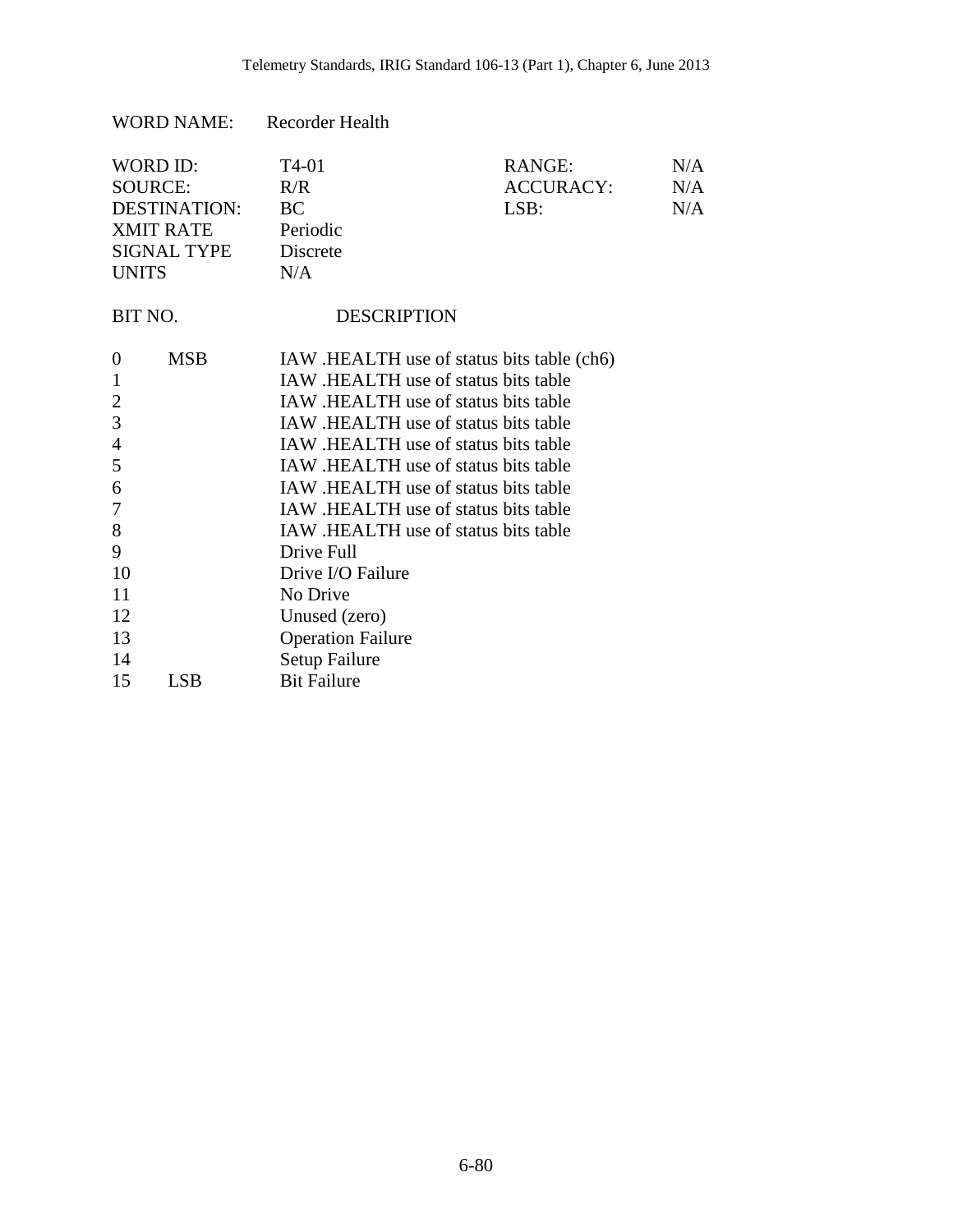## WORD NAME: Recorder Health

| WORD ID:               | T <sub>4</sub> -01                         | RANGE:    | N/A |
|------------------------|--------------------------------------------|-----------|-----|
| SOURCE:                | R/R                                        | ACCURACY: | N/A |
| <b>DESTINATION:</b>    | BC                                         | LSB:      | N/A |
| <b>XMIT RATE</b>       | Periodic                                   |           |     |
| <b>SIGNAL TYPE</b>     | Discrete                                   |           |     |
| <b>UNITS</b>           | N/A                                        |           |     |
| BIT NO.                | <b>DESCRIPTION</b>                         |           |     |
| <b>MSB</b><br>$\Omega$ | IAW .HEALTH use of status bits table (ch6) |           |     |
| 1                      | IAW .HEALTH use of status bits table       |           |     |
| $\overline{2}$         | IAW .HEALTH use of status bits table       |           |     |
| 3                      | IAW .HEALTH use of status bits table       |           |     |
| $\overline{4}$         | IAW .HEALTH use of status bits table       |           |     |
| 5                      | IAW .HEALTH use of status bits table       |           |     |
| 6                      | IAW .HEALTH use of status bits table       |           |     |
| 7                      | IAW .HEALTH use of status bits table       |           |     |
| 8                      | IAW .HEALTH use of status bits table       |           |     |
| 9                      | Drive Full                                 |           |     |
| 10                     | Drive I/O Failure                          |           |     |
| 11                     | No Drive                                   |           |     |
|                        |                                            |           |     |

12 Unused (zero)<br>13 Operation Failu

Operation Failure

14 Setup Failure<br>15 LSB Bit Failure

**Bit Failure**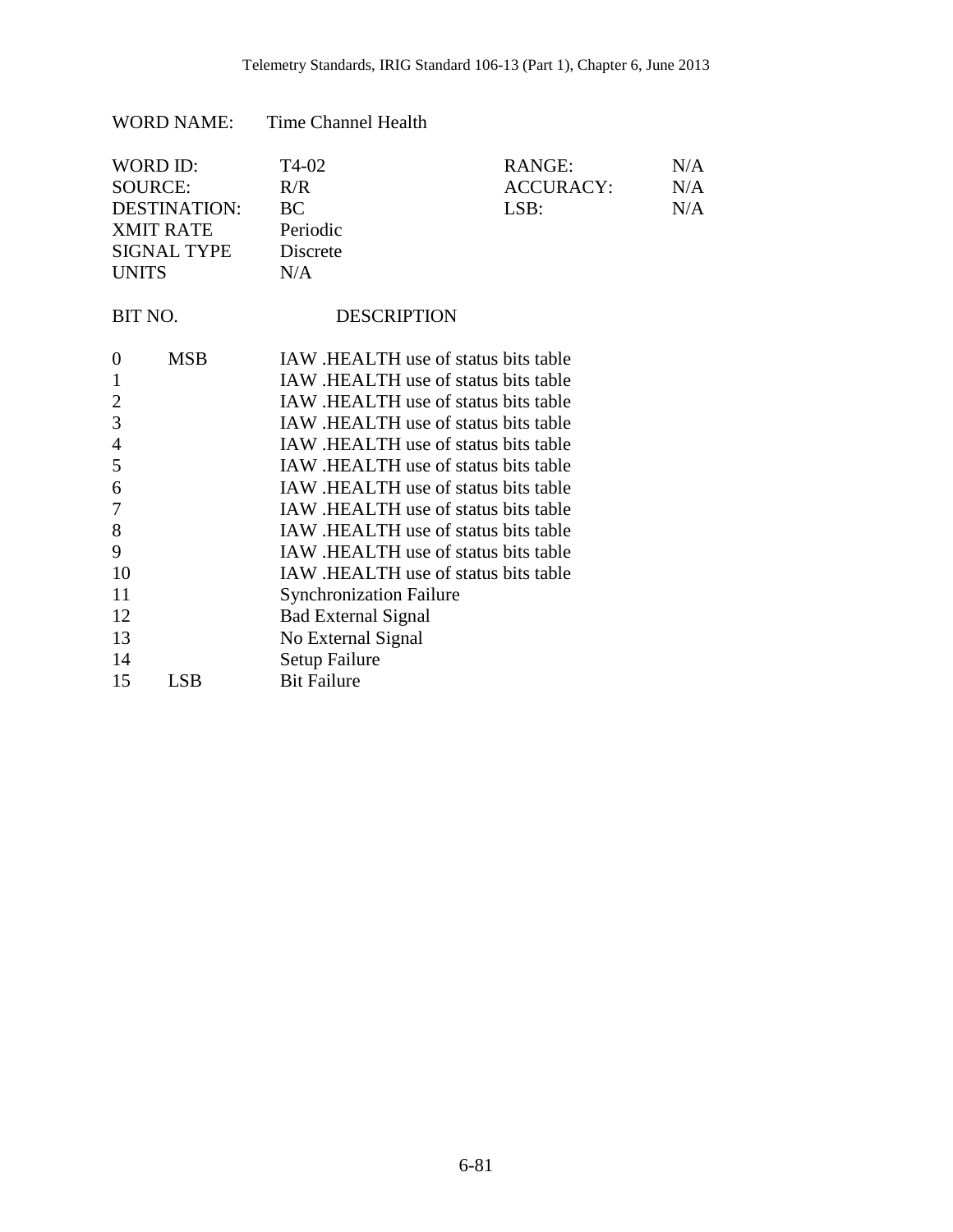## WORD NAME: Time Channel Health

| WORD ID:       |                     | T4-02                                | RANGE:           | N/A |
|----------------|---------------------|--------------------------------------|------------------|-----|
| SOURCE:        |                     | R/R                                  | <b>ACCURACY:</b> | N/A |
|                | <b>DESTINATION:</b> | <b>BC</b>                            | LSB:             | N/A |
|                | <b>XMIT RATE</b>    | Periodic                             |                  |     |
|                | <b>SIGNAL TYPE</b>  | <b>Discrete</b>                      |                  |     |
| <b>UNITS</b>   |                     | N/A                                  |                  |     |
|                |                     |                                      |                  |     |
| BIT NO.        |                     | <b>DESCRIPTION</b>                   |                  |     |
| $\overline{0}$ | <b>MSB</b>          | IAW .HEALTH use of status bits table |                  |     |
| 1              |                     | IAW .HEALTH use of status bits table |                  |     |
| 2              |                     | IAW .HEALTH use of status bits table |                  |     |
| 3              |                     | IAW .HEALTH use of status bits table |                  |     |
| $\overline{4}$ |                     | IAW .HEALTH use of status bits table |                  |     |
| 5              |                     | IAW .HEALTH use of status bits table |                  |     |
| 6              |                     | IAW .HEALTH use of status bits table |                  |     |
| 7              |                     | IAW .HEALTH use of status bits table |                  |     |
| 8              |                     | IAW .HEALTH use of status bits table |                  |     |
| 9              |                     | IAW .HEALTH use of status bits table |                  |     |
| 10             |                     | IAW .HEALTH use of status bits table |                  |     |
| 11             |                     | <b>Synchronization Failure</b>       |                  |     |
| 12             |                     | <b>Bad External Signal</b>           |                  |     |
| 13             |                     | No External Signal                   |                  |     |
| 14             |                     | Setup Failure                        |                  |     |
| 15             | <b>LSB</b>          | <b>Bit Failure</b>                   |                  |     |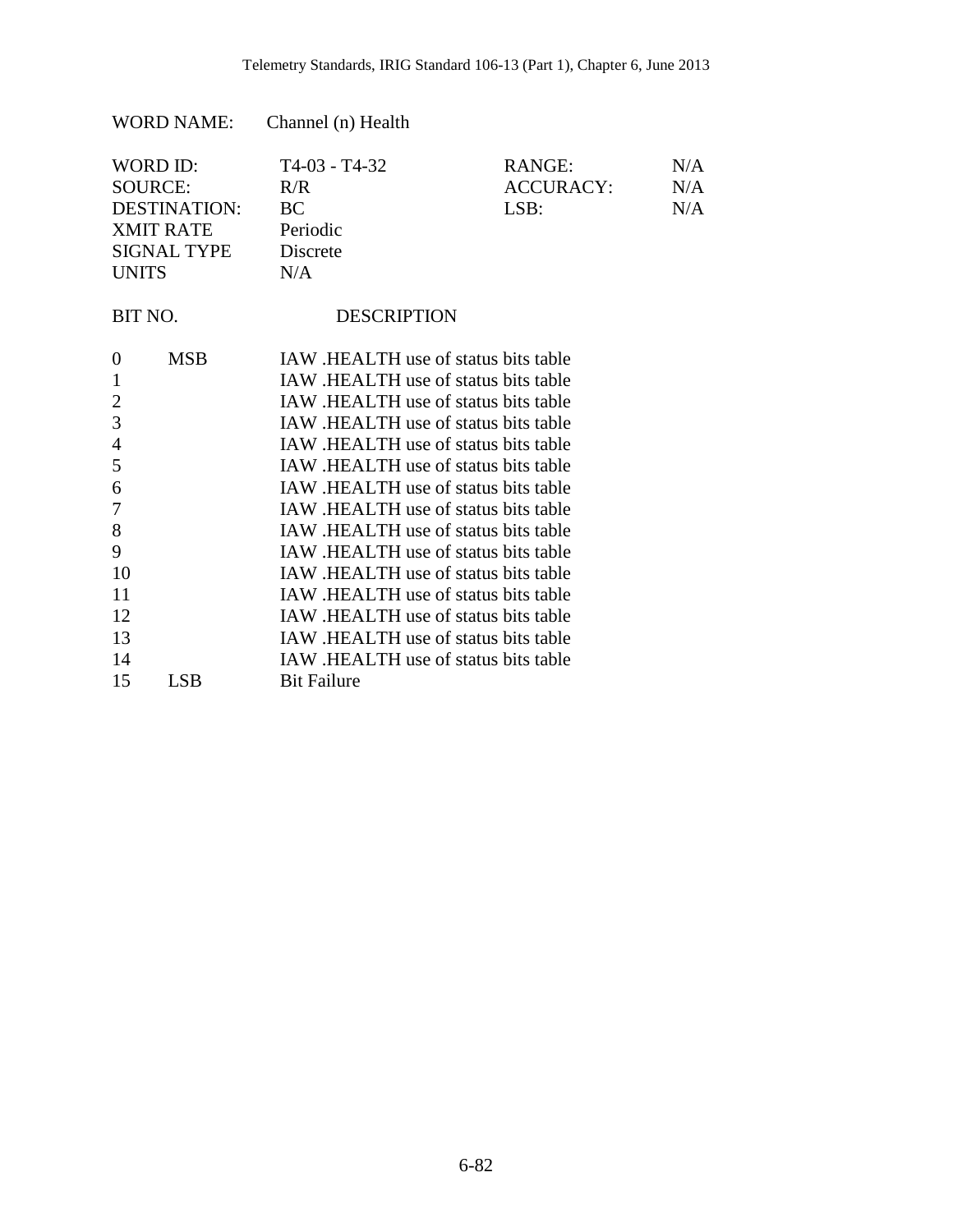| <b>WORD NAME:</b>                                                                                                           | Channel (n) Health                                                                                                                                                                                                                                                                                                                                                                                                                                                                                                                                                                                                   |                                    |                   |
|-----------------------------------------------------------------------------------------------------------------------------|----------------------------------------------------------------------------------------------------------------------------------------------------------------------------------------------------------------------------------------------------------------------------------------------------------------------------------------------------------------------------------------------------------------------------------------------------------------------------------------------------------------------------------------------------------------------------------------------------------------------|------------------------------------|-------------------|
| WORD ID:<br><b>SOURCE:</b><br>DESTINATION:<br><b>XMIT RATE</b><br><b>SIGNAL TYPE</b><br><b>UNITS</b>                        | $T4-03 - T4-32$<br>R/R<br>BC<br>Periodic<br><b>Discrete</b><br>N/A                                                                                                                                                                                                                                                                                                                                                                                                                                                                                                                                                   | RANGE:<br><b>ACCURACY:</b><br>LSB: | N/A<br>N/A<br>N/A |
| BIT NO.                                                                                                                     | <b>DESCRIPTION</b>                                                                                                                                                                                                                                                                                                                                                                                                                                                                                                                                                                                                   |                                    |                   |
| <b>MSB</b><br>$\Omega$<br>1<br>$\overline{2}$<br>3<br>$\overline{4}$<br>5<br>6<br>7<br>8<br>9<br>10<br>11<br>12<br>13<br>14 | IAW .HEALTH use of status bits table<br>IAW .HEALTH use of status bits table<br>IAW .HEALTH use of status bits table<br>IAW .HEALTH use of status bits table<br>IAW .HEALTH use of status bits table<br>IAW .HEALTH use of status bits table<br>IAW .HEALTH use of status bits table<br>IAW .HEALTH use of status bits table<br>IAW .HEALTH use of status bits table<br>IAW .HEALTH use of status bits table<br>IAW .HEALTH use of status bits table<br>IAW .HEALTH use of status bits table<br>IAW .HEALTH use of status bits table<br>IAW .HEALTH use of status bits table<br>IAW .HEALTH use of status bits table |                                    |                   |
| <b>LSB</b><br>15                                                                                                            | <b>Bit Failure</b>                                                                                                                                                                                                                                                                                                                                                                                                                                                                                                                                                                                                   |                                    |                   |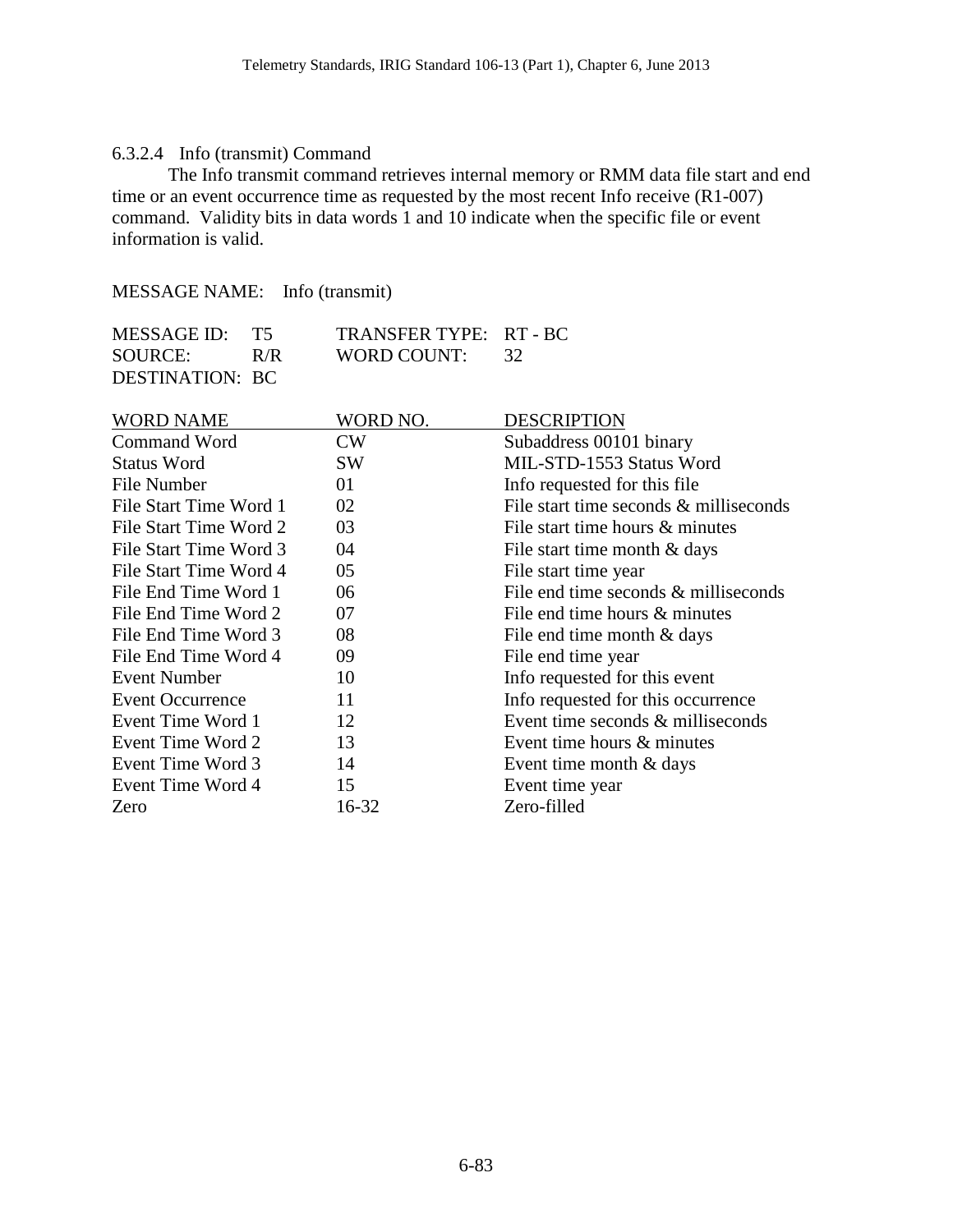#### 6.3.2.4 Info (transmit) Command

The Info transmit command retrieves internal memory or RMM data file start and end time or an event occurrence time as requested by the most recent Info receive (R1-007) command. Validity bits in data words 1 and 10 indicate when the specific file or event information is valid.

#### MESSAGE NAME: Info (transmit)

| MESSAGE ID: T5         |     | TRANSFER TYPE: RT - BC |  |
|------------------------|-----|------------------------|--|
| SOURCE:                | R/R | WORD COUNT: $32$       |  |
| <b>DESTINATION: BC</b> |     |                        |  |

| <b>WORD NAME</b>        | WORD NO.  | <b>DESCRIPTION</b>                     |
|-------------------------|-----------|----------------------------------------|
| <b>Command Word</b>     | CW        | Subaddress 00101 binary                |
| <b>Status Word</b>      | <b>SW</b> | MIL-STD-1553 Status Word               |
| File Number             | 01        | Info requested for this file.          |
| File Start Time Word 1  | 02        | File start time seconds & milliseconds |
| File Start Time Word 2  | 03        | File start time hours & minutes        |
| File Start Time Word 3  | 04        | File start time month $\&$ days        |
| File Start Time Word 4  | 05        | File start time year                   |
| File End Time Word 1    | 06        | File end time seconds & milliseconds   |
| File End Time Word 2    | 07        | File end time hours & minutes          |
| File End Time Word 3    | 08        | File end time month $&$ days           |
| File End Time Word 4    | 09        | File end time year                     |
| Event Number            | 10        | Info requested for this event          |
| <b>Event Occurrence</b> | 11        | Info requested for this occurrence     |
| Event Time Word 1       | 12        | Event time seconds & milliseconds      |
| Event Time Word 2       | 13        | Event time hours & minutes             |
| Event Time Word 3       | 14        | Event time month $&$ days              |
| Event Time Word 4       | 15        | Event time year                        |
| Zero                    | 16-32     | Zero-filled                            |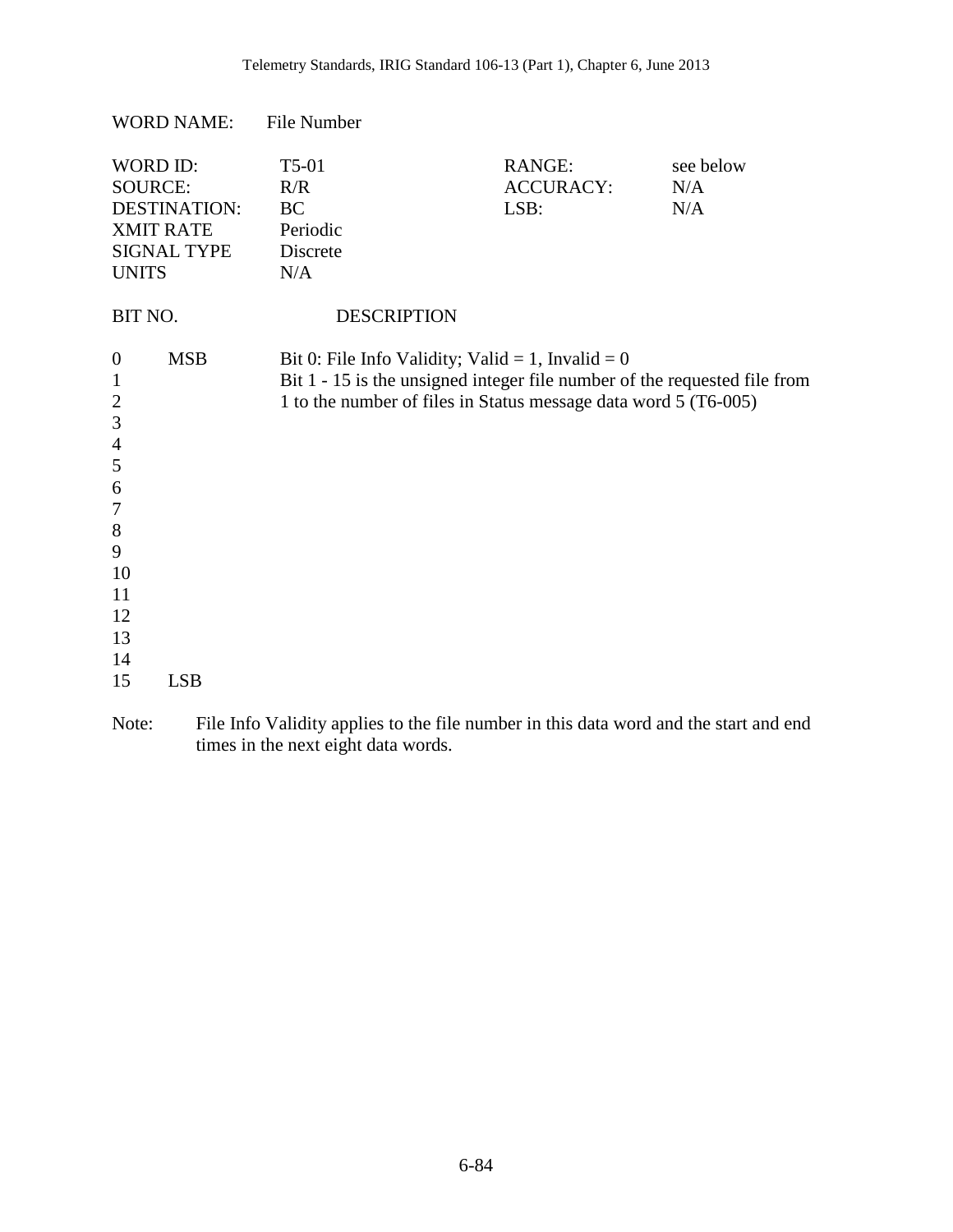| <b>WORD NAME:</b>                                                                                                                                                               | File Number                                                                                                                                                                                       |                                           |                         |
|---------------------------------------------------------------------------------------------------------------------------------------------------------------------------------|---------------------------------------------------------------------------------------------------------------------------------------------------------------------------------------------------|-------------------------------------------|-------------------------|
| WORD ID:<br><b>SOURCE:</b><br><b>DESTINATION:</b><br><b>XMIT RATE</b><br><b>SIGNAL TYPE</b><br><b>UNITS</b>                                                                     | T <sub>5</sub> -01<br>R/R<br><b>BC</b><br>Periodic<br>Discrete<br>N/A                                                                                                                             | <b>RANGE:</b><br><b>ACCURACY:</b><br>LSB: | see below<br>N/A<br>N/A |
| BIT NO.                                                                                                                                                                         | <b>DESCRIPTION</b>                                                                                                                                                                                |                                           |                         |
| <b>MSB</b><br>$\boldsymbol{0}$<br>$\mathbf{1}$<br>$\sqrt{2}$<br>$\mathfrak{Z}$<br>$\overline{4}$<br>5<br>6<br>7<br>$8\,$<br>9<br>10<br>11<br>12<br>13<br>14<br>15<br><b>LSB</b> | Bit 0: File Info Validity; Valid = 1, Invalid = 0<br>Bit 1 - 15 is the unsigned integer file number of the requested file from<br>1 to the number of files in Status message data word 5 (T6-005) |                                           |                         |

Note: File Info Validity applies to the file number in this data word and the start and end times in the next eight data words.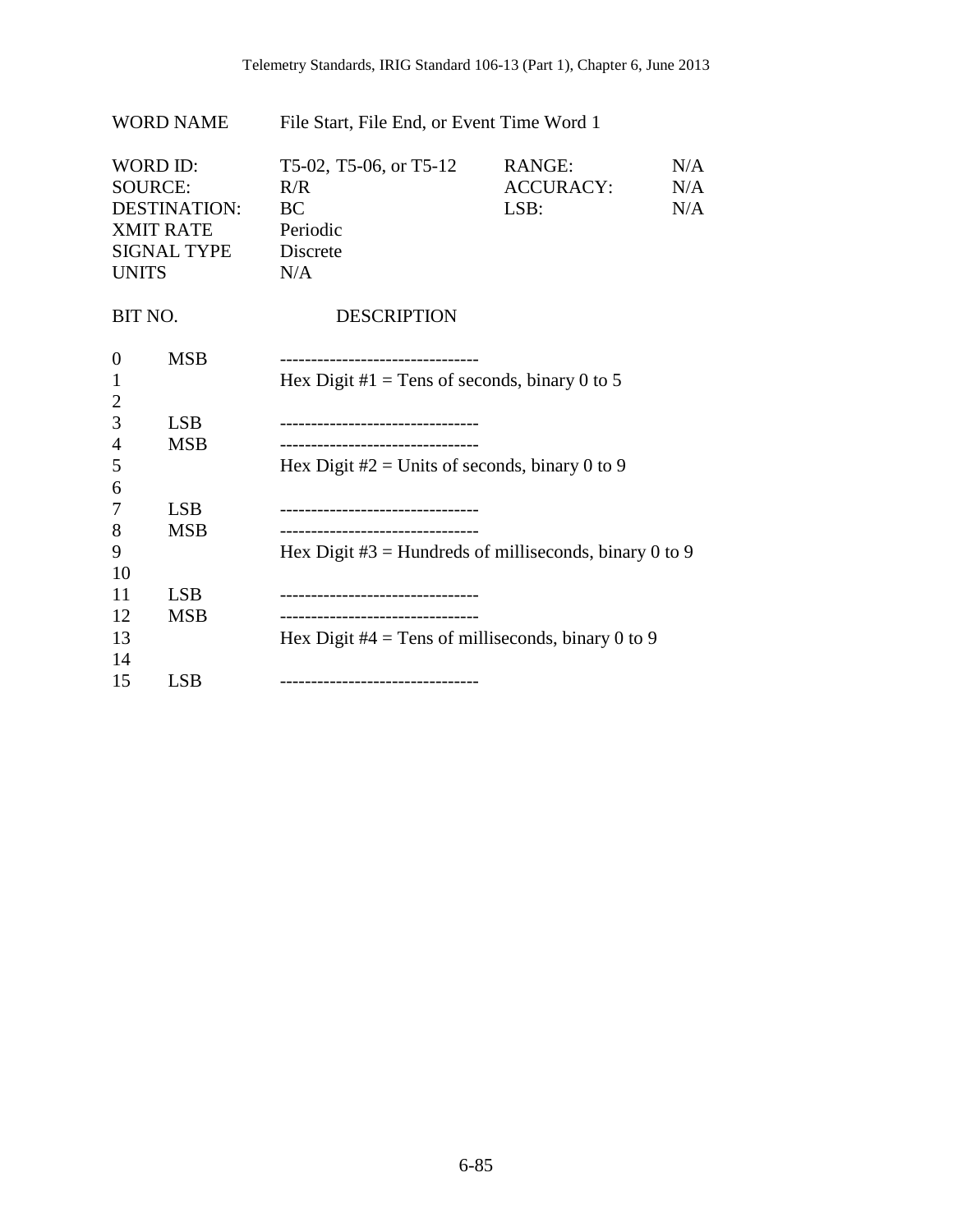| <b>WORD NAME</b>                           |                                                                                             | File Start, File End, or Event Time Word 1                         |                                           |                   |  |  |
|--------------------------------------------|---------------------------------------------------------------------------------------------|--------------------------------------------------------------------|-------------------------------------------|-------------------|--|--|
|                                            | WORD ID:<br><b>SOURCE:</b><br><b>DESTINATION:</b><br><b>XMIT RATE</b><br><b>SIGNAL TYPE</b> | T5-02, T5-06, or T5-12<br>R/R<br><b>BC</b><br>Periodic<br>Discrete | <b>RANGE:</b><br><b>ACCURACY:</b><br>LSB: | N/A<br>N/A<br>N/A |  |  |
| <b>UNITS</b>                               |                                                                                             | N/A                                                                |                                           |                   |  |  |
| BIT NO.                                    |                                                                                             | <b>DESCRIPTION</b>                                                 |                                           |                   |  |  |
| $\theta$<br>$\mathbf{1}$<br>$\overline{2}$ | <b>MSB</b>                                                                                  | Hex Digit #1 = Tens of seconds, binary 0 to 5                      |                                           |                   |  |  |
| 3<br>$\overline{4}$                        | <b>LSB</b><br><b>MSB</b>                                                                    | ------------------------------                                     |                                           |                   |  |  |
| 5<br>6                                     |                                                                                             | Hex Digit #2 = Units of seconds, binary 0 to 9                     |                                           |                   |  |  |
| 7                                          | <b>LSB</b>                                                                                  | -----------------------------                                      |                                           |                   |  |  |
| 8                                          | <b>MSB</b>                                                                                  |                                                                    |                                           |                   |  |  |
| 9                                          |                                                                                             | Hex Digit $#3$ = Hundreds of milliseconds, binary 0 to 9           |                                           |                   |  |  |
| 10                                         |                                                                                             |                                                                    |                                           |                   |  |  |
| 11                                         | <b>LSB</b>                                                                                  |                                                                    |                                           |                   |  |  |
| 12                                         | <b>MSB</b>                                                                                  | -----------------------------                                      |                                           |                   |  |  |
| 13                                         |                                                                                             | Hex Digit #4 = Tens of milliseconds, binary 0 to 9                 |                                           |                   |  |  |
| 14                                         |                                                                                             |                                                                    |                                           |                   |  |  |
| 15                                         | <b>LSB</b>                                                                                  |                                                                    |                                           |                   |  |  |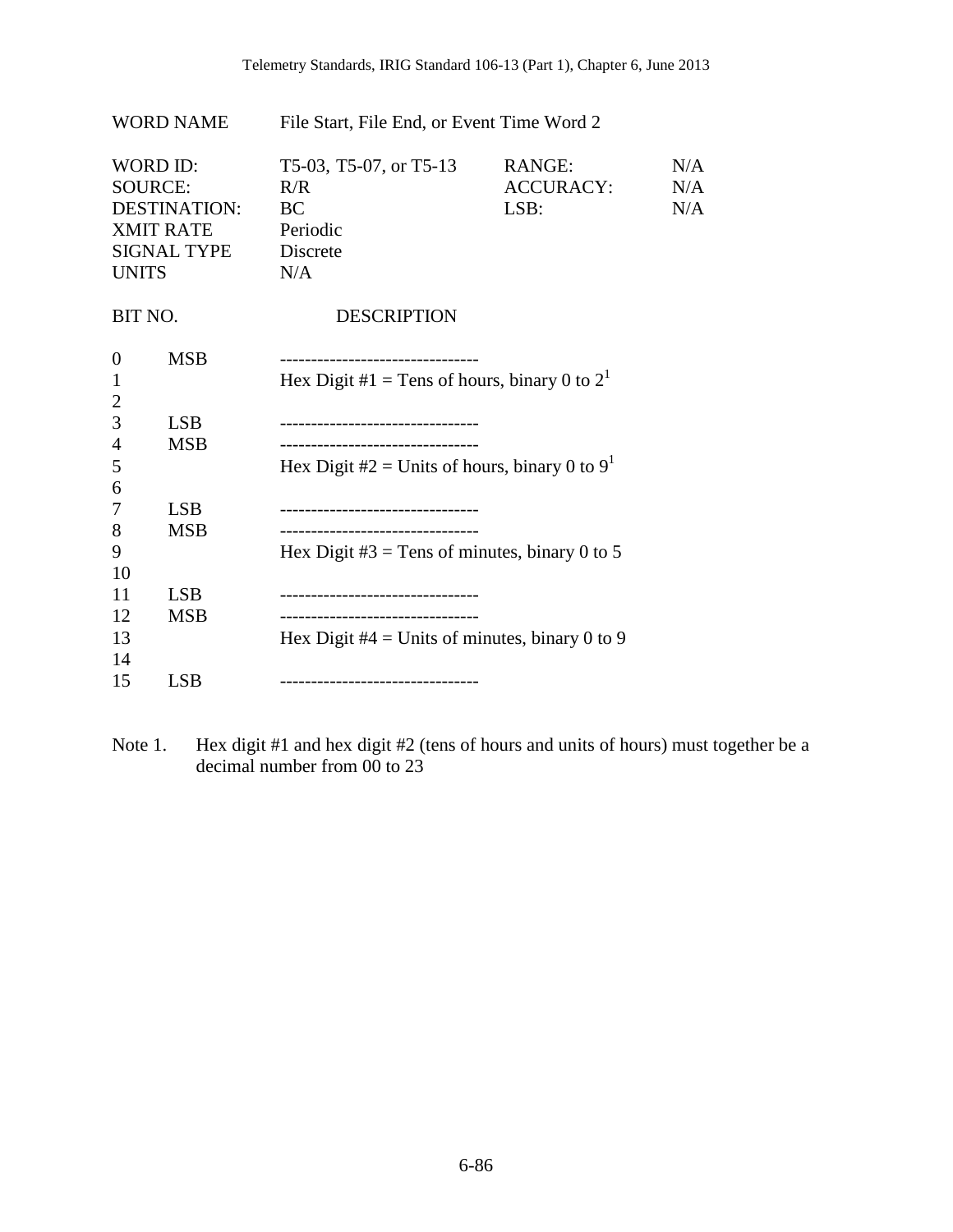| <b>WORD NAME</b>                           |                                                               | File Start, File End, or Event Time Word 2                                         |                                           |                   |
|--------------------------------------------|---------------------------------------------------------------|------------------------------------------------------------------------------------|-------------------------------------------|-------------------|
| WORD ID:<br><b>SOURCE:</b><br><b>UNITS</b> | <b>DESTINATION:</b><br><b>XMIT RATE</b><br><b>SIGNAL TYPE</b> | T5-03, T5-07, or T5-13<br>R/R<br>BC<br>Periodic<br>Discrete<br>N/A                 | <b>RANGE:</b><br><b>ACCURACY:</b><br>LSB: | N/A<br>N/A<br>N/A |
| BIT NO.                                    |                                                               | <b>DESCRIPTION</b>                                                                 |                                           |                   |
| $\boldsymbol{0}$<br>1<br>2                 | <b>MSB</b>                                                    | Hex Digit #1 = Tens of hours, binary 0 to $2^1$                                    |                                           |                   |
| 3<br>$\overline{4}$<br>5<br>6              | <b>LSB</b><br><b>MSB</b>                                      | ------------------------------<br>Hex Digit #2 = Units of hours, binary 0 to $9^1$ |                                           |                   |
| 7<br>8<br>9<br>10                          | <b>LSB</b><br><b>MSB</b>                                      | -----------------------------<br>Hex Digit #3 = Tens of minutes, binary 0 to 5     |                                           |                   |
| 11<br>12<br>13<br>14                       | <b>LSB</b><br><b>MSB</b>                                      | Hex Digit $#4 =$ Units of minutes, binary 0 to 9                                   |                                           |                   |
| 15                                         | <b>LSB</b>                                                    | ---------------------------------                                                  |                                           |                   |

Note 1. Hex digit #1 and hex digit #2 (tens of hours and units of hours) must together be a decimal number from 00 to 23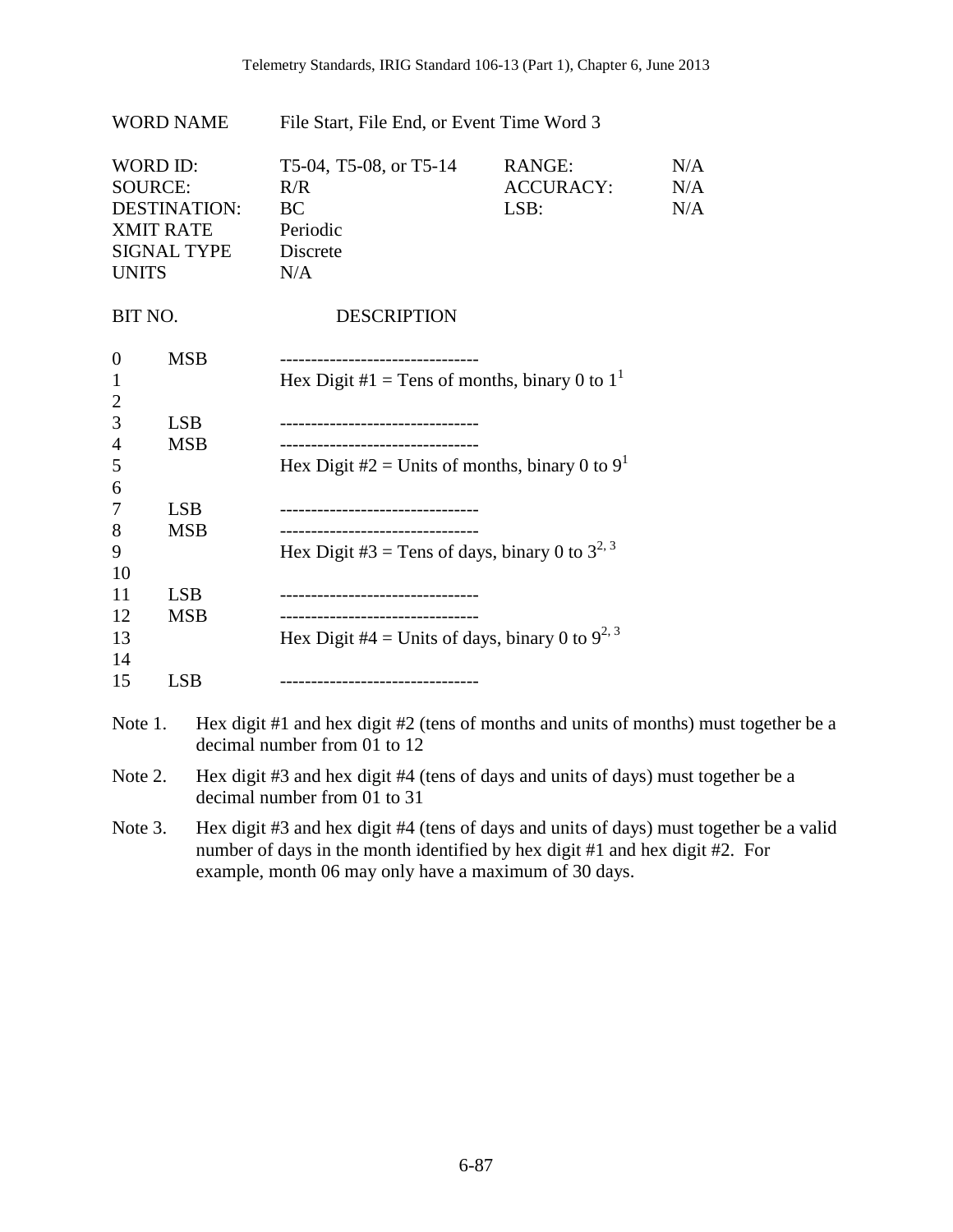| <b>WORD NAME</b>                           |                                                               | File Start, File End, or Event Time Word 3                                                                          |                                           |                   |
|--------------------------------------------|---------------------------------------------------------------|---------------------------------------------------------------------------------------------------------------------|-------------------------------------------|-------------------|
| WORD ID:<br><b>SOURCE:</b><br><b>UNITS</b> | <b>DESTINATION:</b><br><b>XMIT RATE</b><br><b>SIGNAL TYPE</b> | T5-04, T5-08, or T5-14<br>R/R<br><b>BC</b><br>Periodic<br>Discrete<br>N/A                                           | <b>RANGE:</b><br><b>ACCURACY:</b><br>LSB: | N/A<br>N/A<br>N/A |
| BIT NO.                                    |                                                               | <b>DESCRIPTION</b>                                                                                                  |                                           |                   |
| $\overline{0}$<br>1<br>2                   | <b>MSB</b>                                                    | Hex Digit #1 = Tens of months, binary 0 to $1^1$                                                                    |                                           |                   |
| 3<br>$\overline{4}$<br>5<br>6              | <b>LSB</b><br><b>MSB</b>                                      | -----------------------------<br>Hex Digit #2 = Units of months, binary 0 to $9^1$                                  |                                           |                   |
| 7<br>8<br>9<br>10                          | <b>LSB</b><br><b>MSB</b>                                      | --------------------------<br>-------------------------------<br>Hex Digit #3 = Tens of days, binary 0 to $3^{2,3}$ |                                           |                   |
| 11<br>12<br>13<br>14                       | <b>LSB</b><br><b>MSB</b>                                      | ------------------------------<br>Hex Digit #4 = Units of days, binary 0 to $9^{2,3}$                               |                                           |                   |
| 15                                         | <b>LSB</b>                                                    | -------------------------------                                                                                     |                                           |                   |

- Note 1. Hex digit #1 and hex digit #2 (tens of months and units of months) must together be a decimal number from 01 to 12
- Note 2. Hex digit #3 and hex digit #4 (tens of days and units of days) must together be a decimal number from 01 to 31
- Note 3. Hex digit #3 and hex digit #4 (tens of days and units of days) must together be a valid number of days in the month identified by hex digit #1 and hex digit #2. For example, month 06 may only have a maximum of 30 days.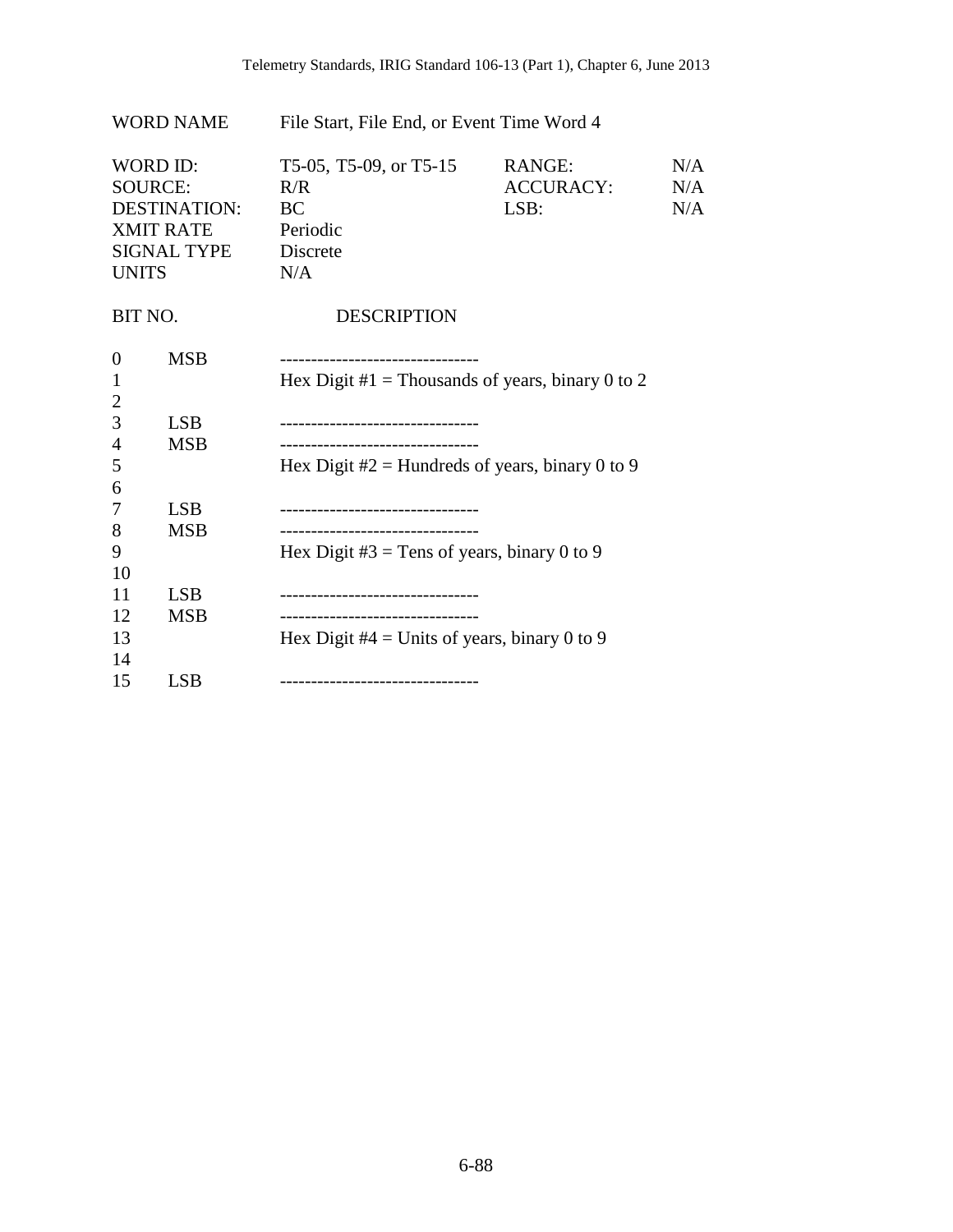| <b>WORD NAME</b>                           |                                                               | File Start, File End, or Event Time Word 4                                |                                    |                   |
|--------------------------------------------|---------------------------------------------------------------|---------------------------------------------------------------------------|------------------------------------|-------------------|
| WORD ID:<br><b>SOURCE:</b><br><b>UNITS</b> | <b>DESTINATION:</b><br><b>XMIT RATE</b><br><b>SIGNAL TYPE</b> | $T5-05$ , T5-09, or T5-15<br>R/R<br>BC<br>Periodic<br>Discrete<br>N/A     | <b>RANGE:</b><br>ACCURACY:<br>LSB: | N/A<br>N/A<br>N/A |
| BIT NO.                                    |                                                               | <b>DESCRIPTION</b>                                                        |                                    |                   |
| $\overline{0}$<br>1<br>2                   | <b>MSB</b>                                                    | Hex Digit #1 = Thousands of years, binary 0 to 2                          |                                    |                   |
| 3<br>$\overline{4}$<br>5<br>6              | <b>LSB</b><br><b>MSB</b>                                      | Hex Digit #2 = Hundreds of years, binary 0 to 9                           |                                    |                   |
| 7<br>8<br>9<br>10                          | <b>LSB</b><br><b>MSB</b>                                      | --------------------------<br>Hex Digit #3 = Tens of years, binary 0 to 9 |                                    |                   |
| 11<br>12<br>13<br>14                       | <b>LSB</b><br><b>MSB</b>                                      | Hex Digit #4 = Units of years, binary 0 to 9                              |                                    |                   |
| 15                                         | <b>LSB</b>                                                    |                                                                           |                                    |                   |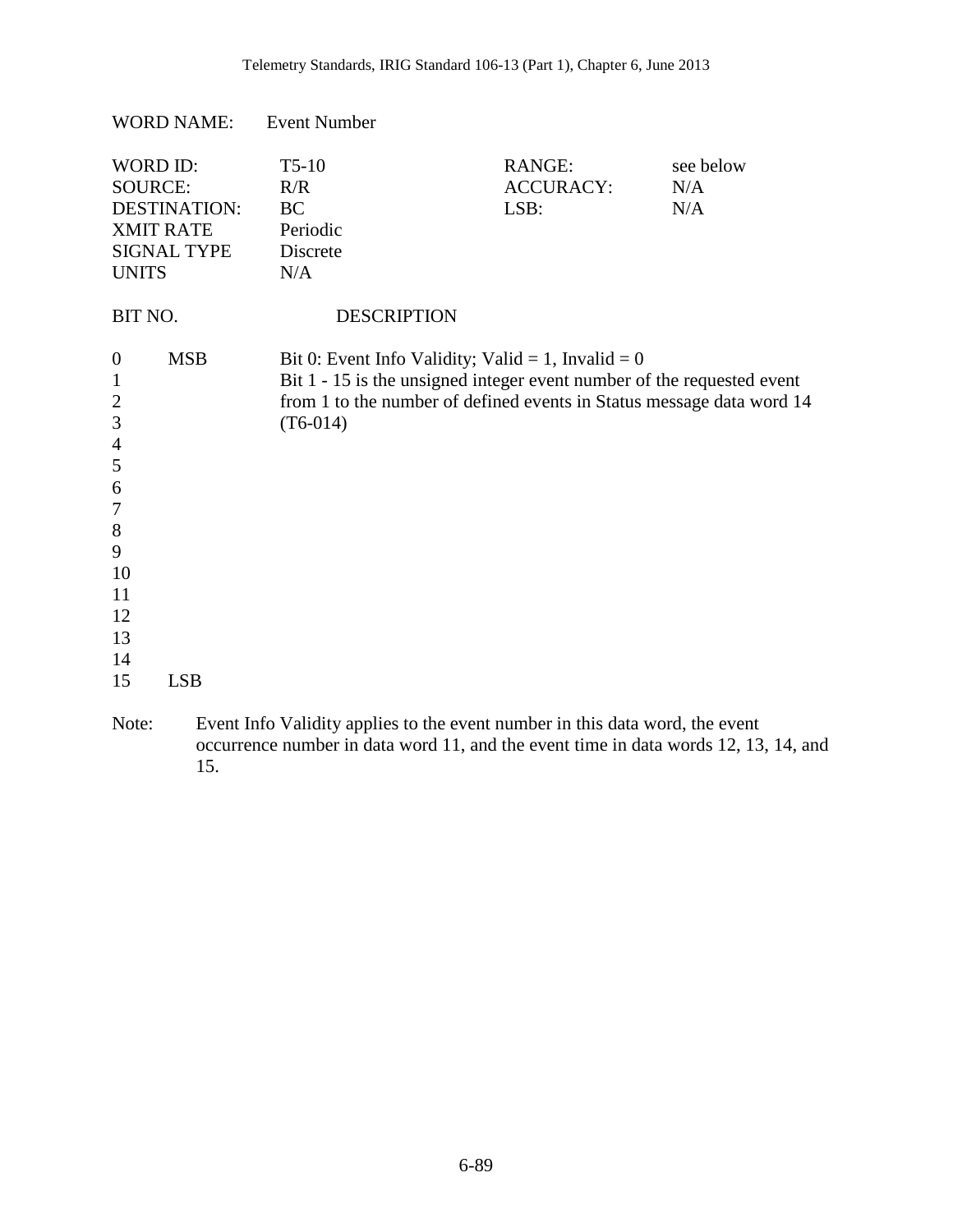| WORD ID:<br>$T5-10$<br><b>RANGE:</b><br>see below<br><b>ACCURACY:</b><br><b>SOURCE:</b><br>R/R<br>N/A<br><b>DESTINATION:</b><br><b>BC</b><br>N/A<br>LSB:<br><b>XMIT RATE</b><br>Periodic<br><b>SIGNAL TYPE</b><br>Discrete<br><b>UNITS</b><br>N/A<br>BIT NO.<br><b>DESCRIPTION</b><br><b>MSB</b><br>Bit 0: Event Info Validity; Valid = 1, Invalid = 0<br>$\boldsymbol{0}$<br>Bit 1 - 15 is the unsigned integer event number of the requested event<br>$\mathbf{1}$<br>from 1 to the number of defined events in Status message data word 14<br>$\boldsymbol{2}$<br>$\mathfrak{Z}$<br>$(T6-014)$<br>$\overline{4}$<br>5<br>6<br>$\boldsymbol{7}$<br>$8\,$<br>9<br>10<br>11 | <b>WORD NAME:</b> | <b>Event Number</b> |  |
|-----------------------------------------------------------------------------------------------------------------------------------------------------------------------------------------------------------------------------------------------------------------------------------------------------------------------------------------------------------------------------------------------------------------------------------------------------------------------------------------------------------------------------------------------------------------------------------------------------------------------------------------------------------------------------|-------------------|---------------------|--|
|                                                                                                                                                                                                                                                                                                                                                                                                                                                                                                                                                                                                                                                                             |                   |                     |  |
|                                                                                                                                                                                                                                                                                                                                                                                                                                                                                                                                                                                                                                                                             |                   |                     |  |
| 13<br>14<br><b>LSB</b><br>15                                                                                                                                                                                                                                                                                                                                                                                                                                                                                                                                                                                                                                                | 12                |                     |  |

Note: Event Info Validity applies to the event number in this data word, the event occurrence number in data word 11, and the event time in data words 12, 13, 14, and 15.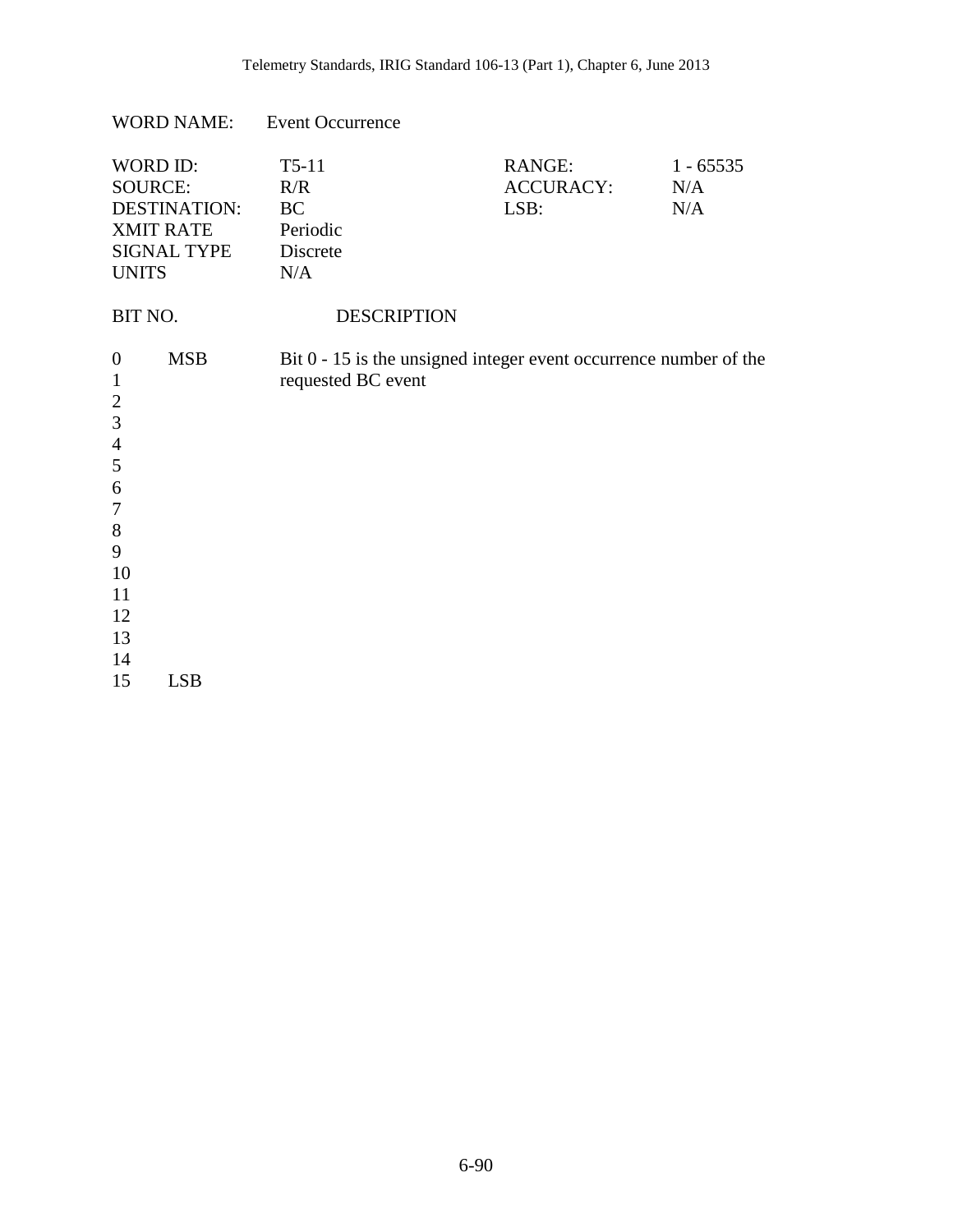| <b>WORD NAME:</b> | <b>Event Occurrence</b> |
|-------------------|-------------------------|
|-------------------|-------------------------|

| WORD ID:<br><b>SOURCE:</b><br><b>DESTINATION:</b><br><b>XMIT RATE</b><br><b>SIGNAL TYPE</b><br><b>UNITS</b>                                                                       | $T5-11$<br>R/R<br><b>BC</b><br>Periodic<br>Discrete<br>N/A                                | RANGE:<br><b>ACCURACY:</b><br>LSB: | $1 - 65535$<br>N/A<br>N/A |
|-----------------------------------------------------------------------------------------------------------------------------------------------------------------------------------|-------------------------------------------------------------------------------------------|------------------------------------|---------------------------|
| BIT NO.                                                                                                                                                                           | <b>DESCRIPTION</b>                                                                        |                                    |                           |
| <b>MSB</b><br>$\overline{0}$<br>$\mathbf{1}$<br>$\overline{2}$<br>$\mathfrak{Z}$<br>$\overline{4}$<br>5<br>6<br>7<br>$8\,$<br>9<br>10<br>11<br>12<br>13<br>14<br>15<br><b>LSB</b> | Bit $0 - 15$ is the unsigned integer event occurrence number of the<br>requested BC event |                                    |                           |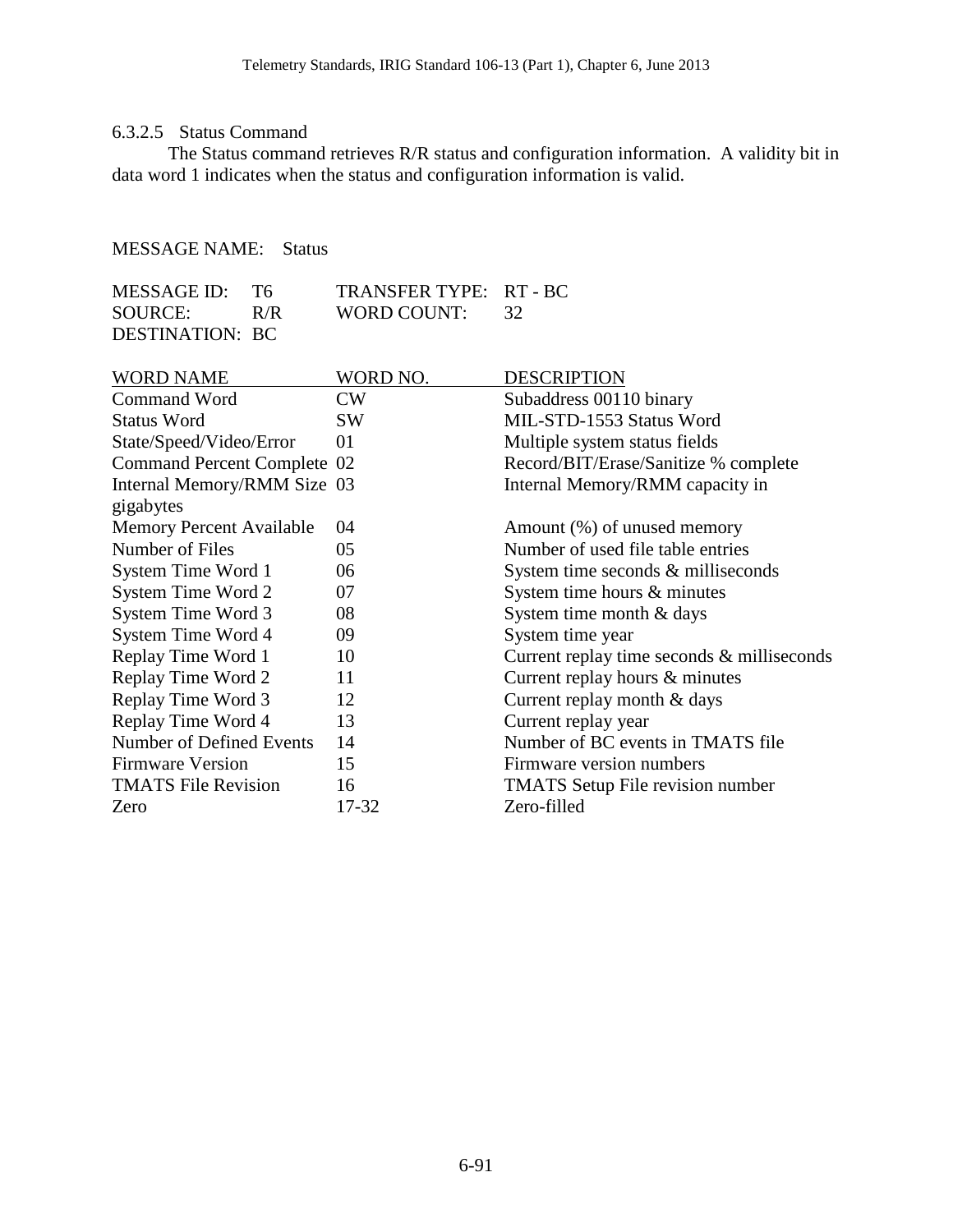### 6.3.2.5 Status Command

The Status command retrieves R/R status and configuration information. A validity bit in data word 1 indicates when the status and configuration information is valid.

#### MESSAGE NAME: Status

| MESSAGE ID: T6  |     | TRANSFER TYPE: RT - BC |  |
|-----------------|-----|------------------------|--|
| SOURCE:         | R/R | WORD COUNT: 32         |  |
| DESTINATION: BC |     |                        |  |

| WORD NO.                    | <b>DESCRIPTION</b>                            |
|-----------------------------|-----------------------------------------------|
| <b>CW</b>                   | Subaddress 00110 binary                       |
| SW                          | MIL-STD-1553 Status Word                      |
| 01                          | Multiple system status fields                 |
| Command Percent Complete 02 | Record/BIT/Erase/Sanitize % complete          |
| Internal Memory/RMM Size 03 | Internal Memory/RMM capacity in               |
|                             |                                               |
| 04                          | Amount (%) of unused memory                   |
| 05                          | Number of used file table entries             |
| 06                          | System time seconds & milliseconds            |
| 07                          | System time hours & minutes                   |
| 08                          | System time month & days                      |
| 09                          | System time year                              |
| 10                          | Current replay time seconds $\&$ milliseconds |
| 11                          | Current replay hours & minutes                |
| 12                          | Current replay month & days                   |
| 13                          | Current replay year                           |
| 14                          | Number of BC events in TMATS file             |
| 15                          | Firmware version numbers                      |
| 16                          | <b>TMATS</b> Setup File revision number       |
| 17-32                       | Zero-filled                                   |
|                             |                                               |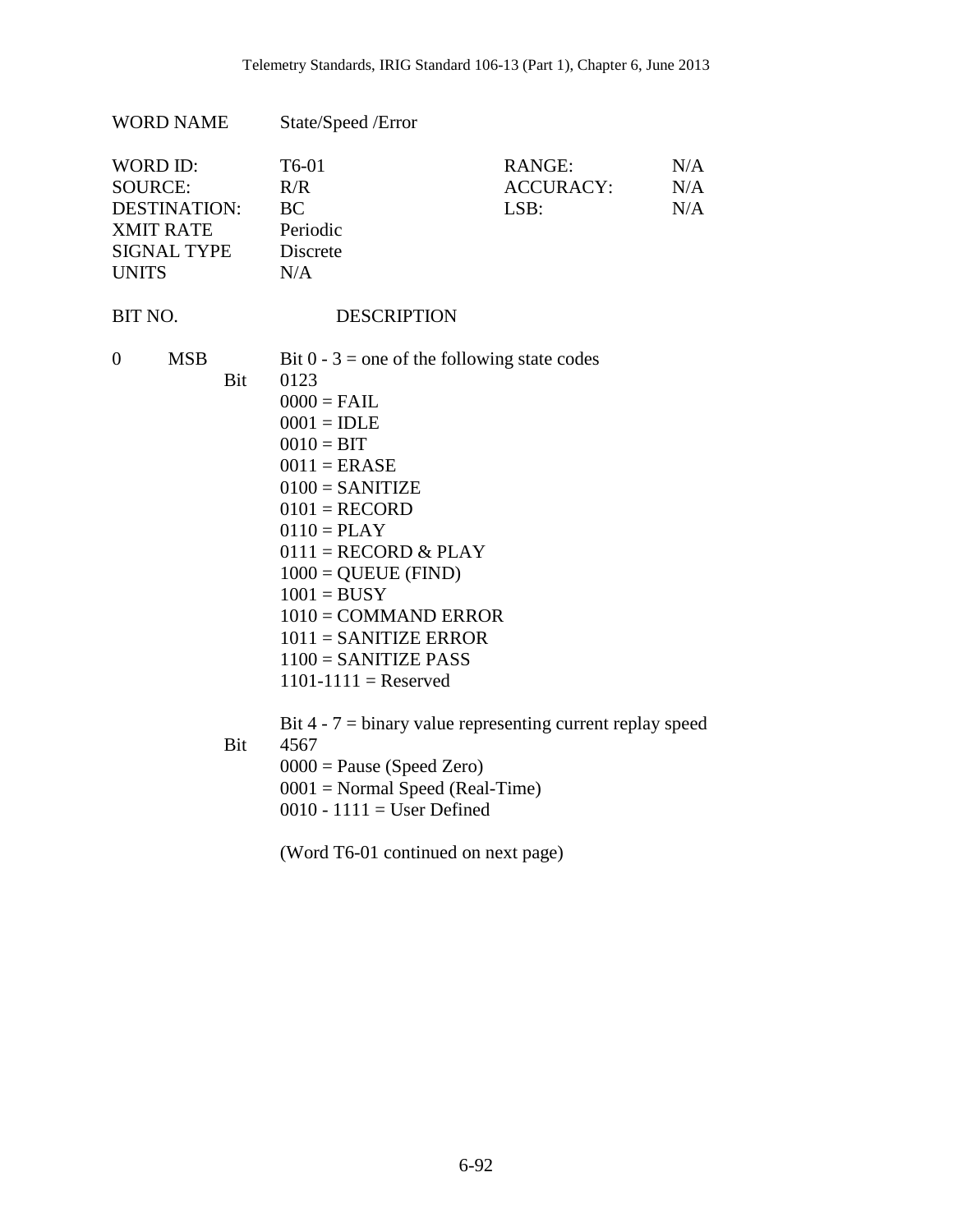| <b>WORD NAME</b>                                                                                                                       |            | State/Speed /Error                                                                                                                                                                                                                                                                                                                                                                      |                                           |                   |
|----------------------------------------------------------------------------------------------------------------------------------------|------------|-----------------------------------------------------------------------------------------------------------------------------------------------------------------------------------------------------------------------------------------------------------------------------------------------------------------------------------------------------------------------------------------|-------------------------------------------|-------------------|
| WORD ID:<br><b>SOURCE:</b><br>R/R<br><b>DESTINATION:</b><br><b>BC</b><br><b>XMIT RATE</b><br><b>SIGNAL TYPE</b><br><b>UNITS</b><br>N/A |            | T6-01<br>Periodic<br>Discrete                                                                                                                                                                                                                                                                                                                                                           | <b>RANGE:</b><br><b>ACCURACY:</b><br>LSB: | N/A<br>N/A<br>N/A |
| BIT NO.<br><b>DESCRIPTION</b>                                                                                                          |            |                                                                                                                                                                                                                                                                                                                                                                                         |                                           |                   |
| <b>MSB</b><br>$\boldsymbol{0}$                                                                                                         | <b>Bit</b> | Bit $0 - 3$ = one of the following state codes<br>0123<br>$0000 = \text{FAIL}$<br>$0001 = IDLE$<br>$0010 = BIT$<br>$0011 = ERASE$<br>$0100 =$ SANITIZE<br>$0101 = RECORD$<br>$0110 = PLAY$<br>$0111$ = RECORD & PLAY<br>$1000 = \text{QUEUE}$ (FIND)<br>$1001 = BUSY$<br>$1010 = \text{COMMAND}$ ERROR<br>$1011 =$ SANITIZE ERROR<br>$1100 =$ SANITIZE PASS<br>$1101 - 1111 =$ Reserved |                                           |                   |
|                                                                                                                                        | <b>Bit</b> | Bit 4 - $7 = \text{binary value representing current replay speed}$<br>4567<br>$0000 = \text{Pause}$ (Speed Zero)<br>$0001$ = Normal Speed (Real-Time)<br>0010 - 1111 = User Defined<br>(Word T6-01 continued on next page)                                                                                                                                                             |                                           |                   |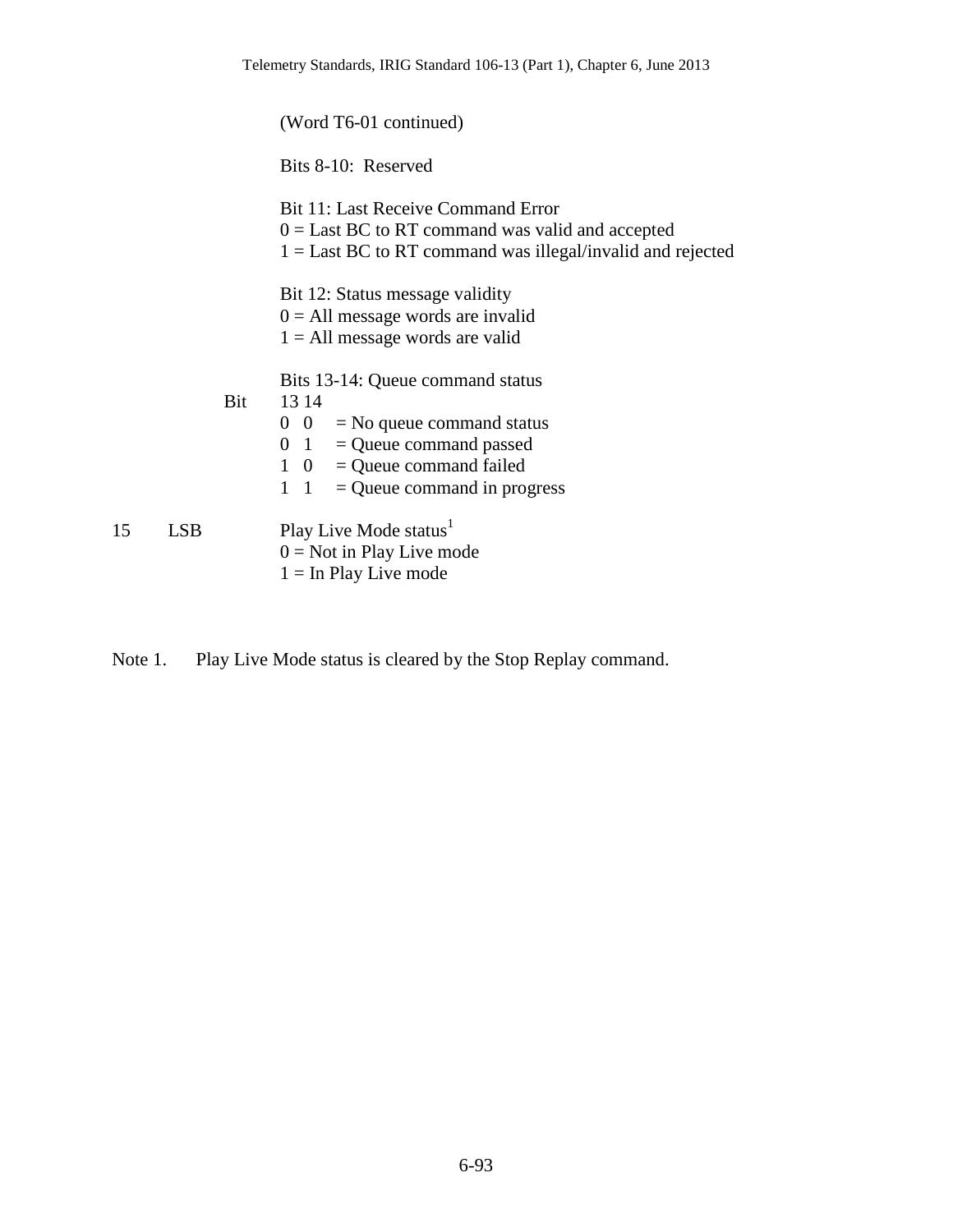|    |            |     | (Word T6-01 continued)                                                                                                                                                                                                            |
|----|------------|-----|-----------------------------------------------------------------------------------------------------------------------------------------------------------------------------------------------------------------------------------|
|    |            |     | Bits 8-10: Reserved                                                                                                                                                                                                               |
|    |            |     | Bit 11: Last Receive Command Error<br>$0 =$ Last BC to RT command was valid and accepted<br>$1 =$ Last BC to RT command was illegal/invalid and rejected                                                                          |
|    |            |     | Bit 12: Status message validity<br>$0 = All message words are invalid$<br>$1 = All message words are valid$                                                                                                                       |
|    |            | Bit | Bits 13-14: Queue command status<br>13 14<br>$0 \quad 0 \quad = \text{No queue command status}$<br>$0 \quad 1 \quad =$ Queue command passed<br>$1 \quad 0 =$ Queue command failed<br>$1 \quad 1$<br>$=$ Queue command in progress |
| 15 | <b>LSB</b> |     | Play Live Mode status <sup>1</sup><br>$0 = Not$ in Play Live mode<br>$1 =$ In Play Live mode                                                                                                                                      |

Note 1. Play Live Mode status is cleared by the Stop Replay command.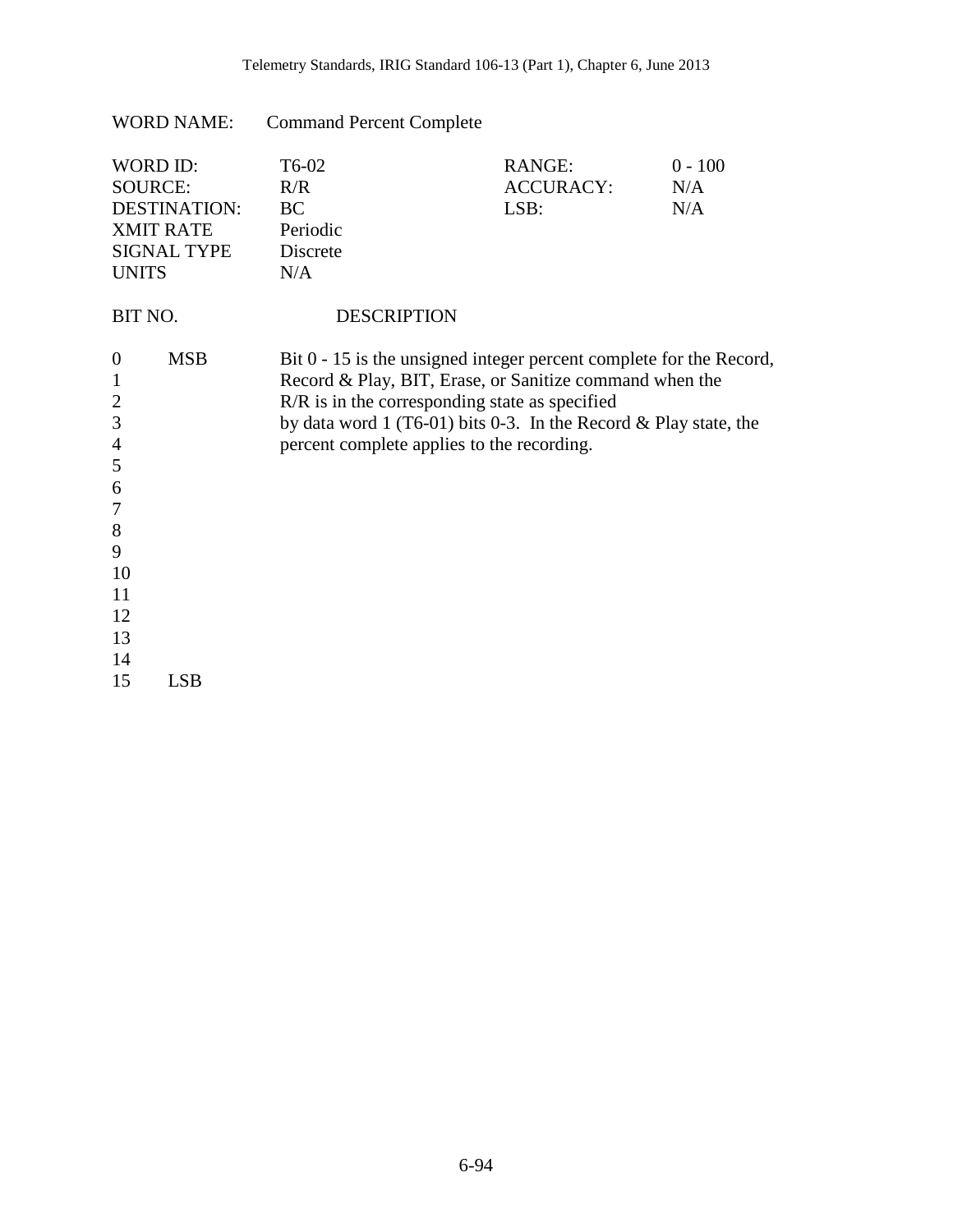WORD NAME: Command Percent Complete

| WORD ID:<br><b>SOURCE:</b><br><b>DESTINATION:</b><br><b>XMIT RATE</b><br><b>SIGNAL TYPE</b><br><b>UNITS</b>                                                                            | T <sub>6</sub> -02<br>R/R<br><b>BC</b><br>Periodic<br>Discrete<br>N/A                                                                                                                                                                                                                                   | RANGE:<br><b>ACCURACY:</b><br>LSB: | $0 - 100$<br>N/A<br>N/A |
|----------------------------------------------------------------------------------------------------------------------------------------------------------------------------------------|---------------------------------------------------------------------------------------------------------------------------------------------------------------------------------------------------------------------------------------------------------------------------------------------------------|------------------------------------|-------------------------|
| BIT NO.                                                                                                                                                                                | <b>DESCRIPTION</b>                                                                                                                                                                                                                                                                                      |                                    |                         |
| <b>MSB</b><br>$\overline{0}$<br>$\mathbf{1}$<br>$\overline{2}$<br>$\mathfrak{Z}$<br>$\overline{4}$<br>5<br>6<br>$\tau$<br>$8\,$<br>9<br>10<br>11<br>12<br>13<br>14<br><b>LSB</b><br>15 | Bit 0 - 15 is the unsigned integer percent complete for the Record,<br>Record & Play, BIT, Erase, or Sanitize command when the<br>$R/R$ is in the corresponding state as specified<br>by data word 1 (T6-01) bits 0-3. In the Record $\&$ Play state, the<br>percent complete applies to the recording. |                                    |                         |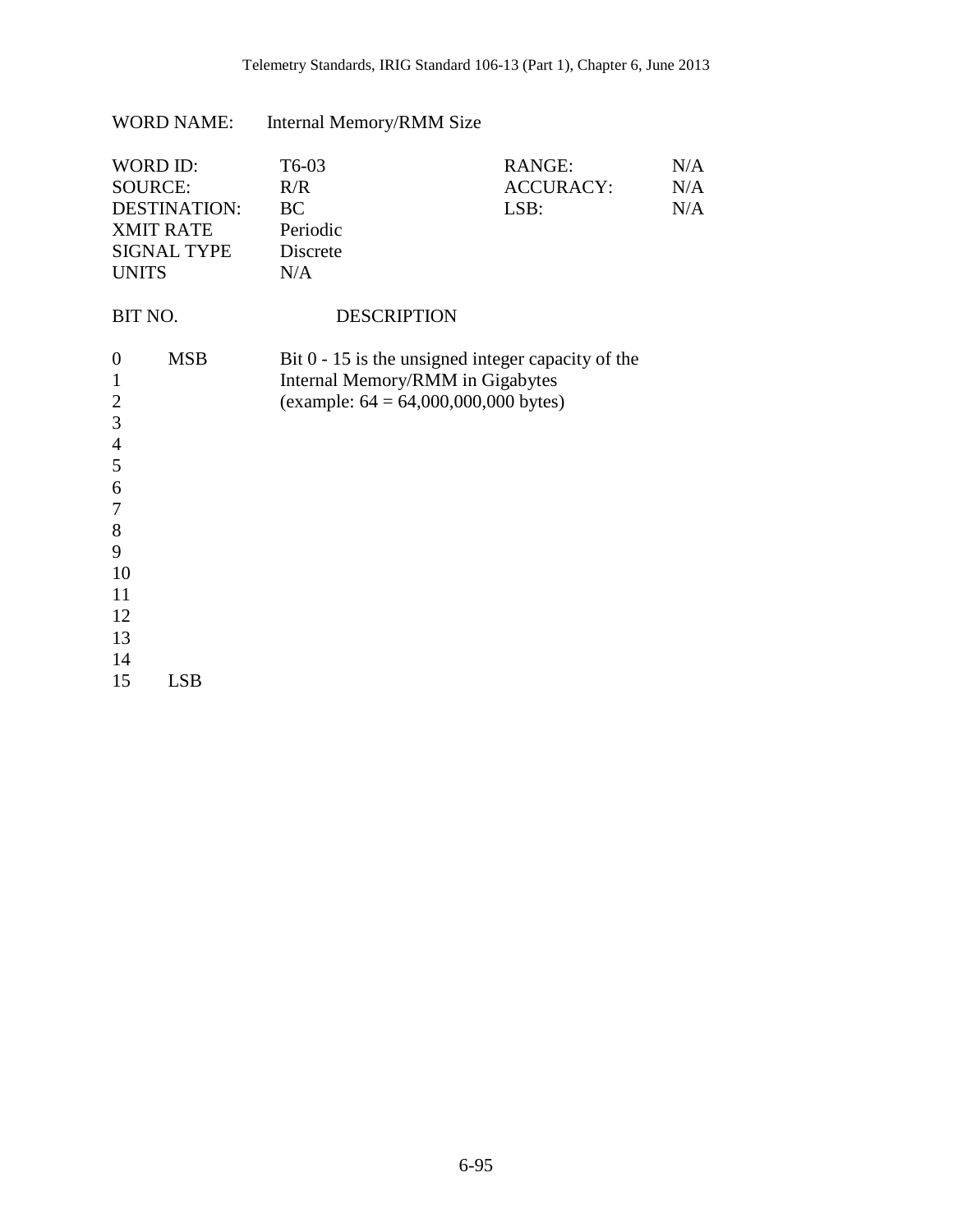# WORD NAME: Internal Memory/RMM Size

| WORD ID:<br><b>SOURCE:</b><br><b>DESTINATION:</b><br><b>XMIT RATE</b><br><b>SIGNAL TYPE</b><br><b>UNITS</b>                                                                     | T6-03<br>R/R<br><b>BC</b><br>Periodic<br>Discrete<br>N/A                                                                           | RANGE:<br><b>ACCURACY:</b><br>LSB: | N/A<br>N/A<br>N/A |
|---------------------------------------------------------------------------------------------------------------------------------------------------------------------------------|------------------------------------------------------------------------------------------------------------------------------------|------------------------------------|-------------------|
| BIT NO.                                                                                                                                                                         | <b>DESCRIPTION</b>                                                                                                                 |                                    |                   |
| <b>MSB</b><br>$\boldsymbol{0}$<br>$\mathbf{1}$<br>$\mathbf{2}$<br>3<br>$\overline{4}$<br>5<br>6<br>$\boldsymbol{7}$<br>8<br>9<br>10<br>11<br>12<br>13<br>14<br><b>LSB</b><br>15 | Bit $0 - 15$ is the unsigned integer capacity of the<br>Internal Memory/RMM in Gigabytes<br>(example: $64 = 64,000,000,000$ bytes) |                                    |                   |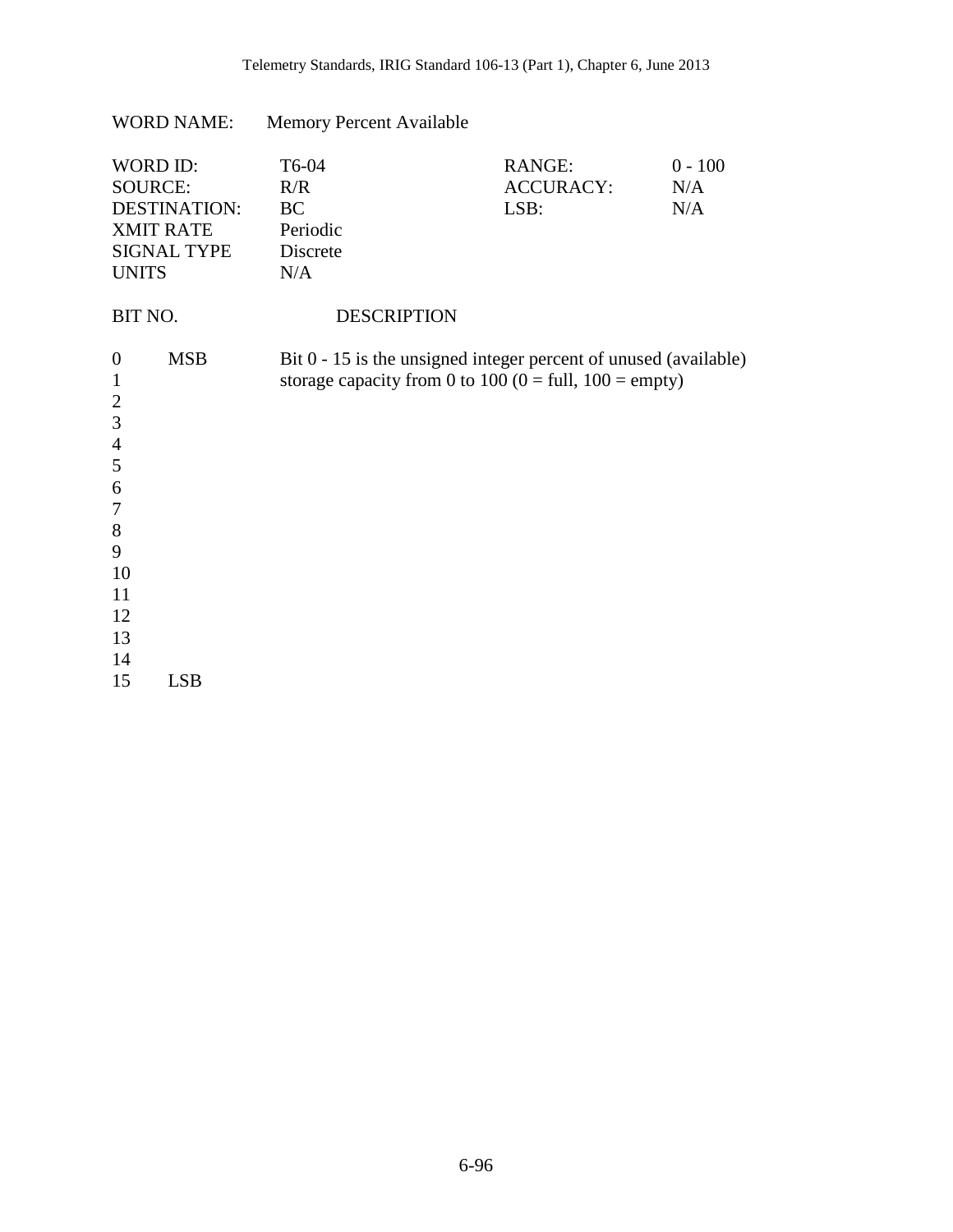WORD NAME: Memory Percent Available

| WORD ID:<br><b>SOURCE:</b><br><b>DESTINATION:</b><br><b>XMIT RATE</b><br><b>SIGNAL TYPE</b><br><b>UNITS</b>                                                                              | T6-04<br>R/R<br><b>BC</b><br>Periodic<br>Discrete<br>N/A                                                                                | RANGE:<br><b>ACCURACY:</b><br>LSB: | $0 - 100$<br>N/A<br>N/A |
|------------------------------------------------------------------------------------------------------------------------------------------------------------------------------------------|-----------------------------------------------------------------------------------------------------------------------------------------|------------------------------------|-------------------------|
| BIT NO.                                                                                                                                                                                  | <b>DESCRIPTION</b>                                                                                                                      |                                    |                         |
| <b>MSB</b><br>$\boldsymbol{0}$<br>$\mathbf{1}$<br>$\mathfrak{2}$<br>$\mathfrak{Z}$<br>$\overline{4}$<br>5<br>6<br>$\tau$<br>$8\,$<br>9<br>10<br>11<br>12<br>13<br>14<br>15<br><b>LSB</b> | Bit $0 - 15$ is the unsigned integer percent of unused (available)<br>storage capacity from 0 to 100 ( $0 = \text{full}$ , 100 = empty) |                                    |                         |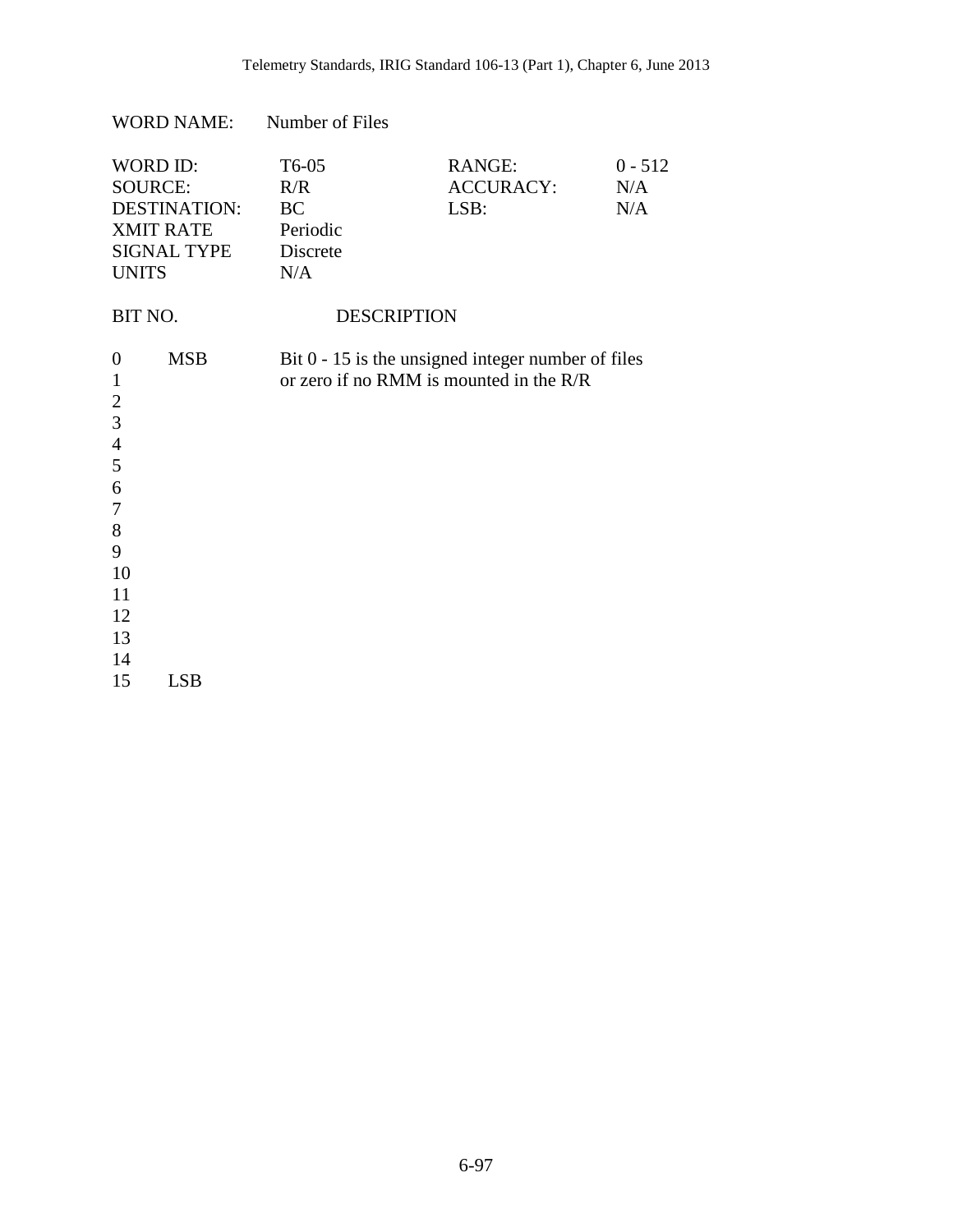| <b>WORD NAME:</b> | Number of Files |
|-------------------|-----------------|
|-------------------|-----------------|

| WORD ID:<br><b>SOURCE:</b><br><b>UNITS</b>                                                                                                    | <b>DESTINATION:</b><br><b>XMIT RATE</b><br><b>SIGNAL TYPE</b> | T6-05<br>R/R<br><b>BC</b><br>Periodic<br>Discrete<br>N/A | <b>RANGE:</b><br><b>ACCURACY:</b><br>LSB:            | $0 - 512$<br>N/A<br>N/A |
|-----------------------------------------------------------------------------------------------------------------------------------------------|---------------------------------------------------------------|----------------------------------------------------------|------------------------------------------------------|-------------------------|
| BIT NO.                                                                                                                                       |                                                               | <b>DESCRIPTION</b>                                       |                                                      |                         |
| $\theta$<br>$\mathbf{1}$<br>$\mathfrak{2}$<br>3<br>$\overline{4}$<br>5<br>6<br>$\boldsymbol{7}$<br>8<br>9<br>10<br>11<br>12<br>13<br>14<br>15 | <b>MSB</b><br><b>LSB</b>                                      | or zero if no RMM is mounted in the R/R                  | Bit $0 - 15$ is the unsigned integer number of files |                         |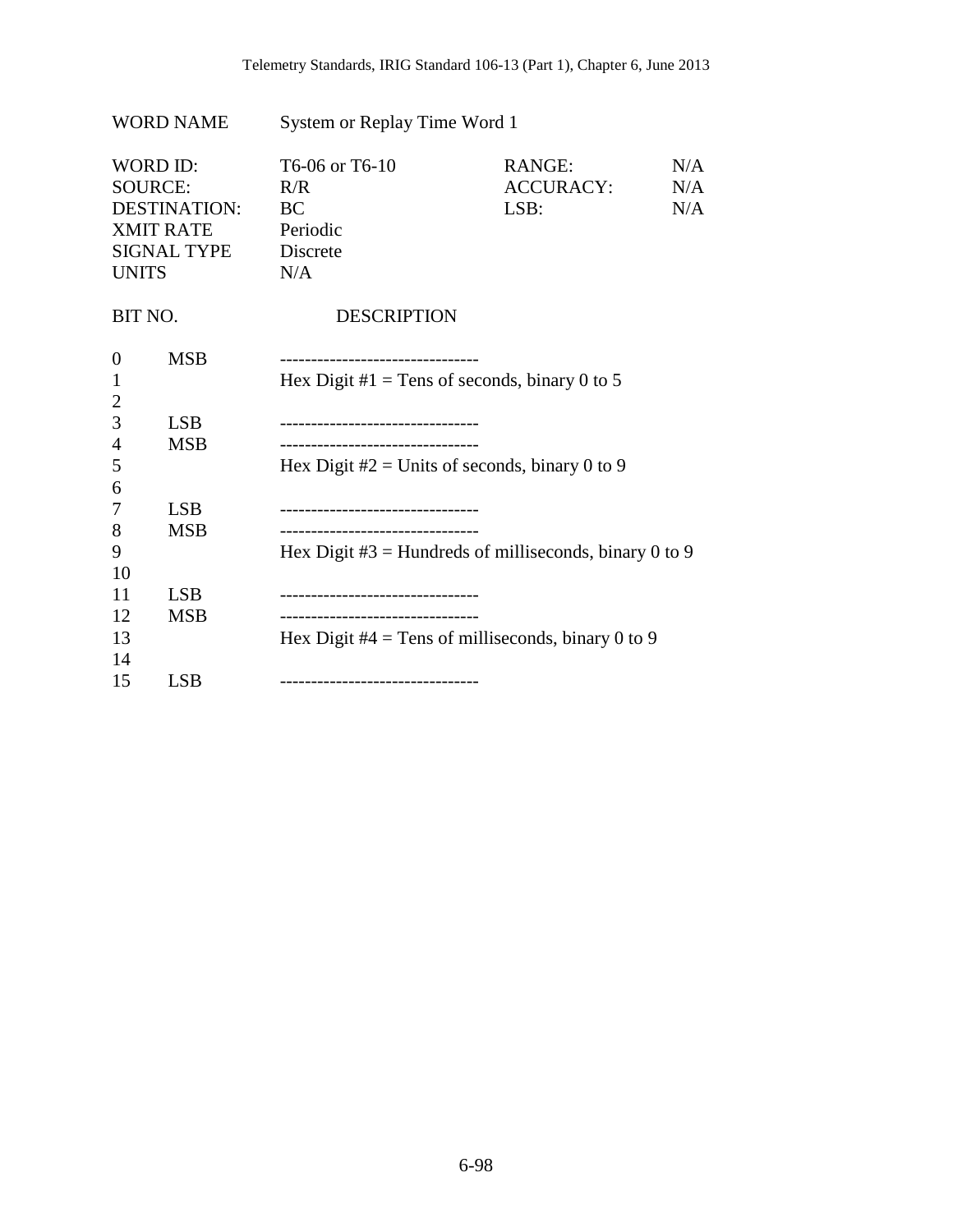|                     | <b>WORD NAME</b> | System or Replay Time Word 1    |                                                          |     |
|---------------------|------------------|---------------------------------|----------------------------------------------------------|-----|
|                     | WORD ID:         | T6-06 or T6-10                  | <b>RANGE:</b>                                            | N/A |
| <b>SOURCE:</b>      |                  | R/R                             | <b>ACCURACY:</b>                                         | N/A |
| <b>DESTINATION:</b> |                  | <b>BC</b>                       | LSB:                                                     | N/A |
| <b>XMIT RATE</b>    |                  | Periodic                        |                                                          |     |
| <b>SIGNAL TYPE</b>  |                  | Discrete                        |                                                          |     |
| <b>UNITS</b>        |                  | N/A                             |                                                          |     |
| BIT NO.             |                  | <b>DESCRIPTION</b>              |                                                          |     |
| $\theta$            | <b>MSB</b>       |                                 |                                                          |     |
| $\mathbf{1}$        |                  |                                 | Hex Digit #1 = Tens of seconds, binary 0 to 5            |     |
| 2                   |                  |                                 |                                                          |     |
| 3                   | <b>LSB</b>       | ------------------------------  |                                                          |     |
| $\overline{4}$      | <b>MSB</b>       |                                 |                                                          |     |
| 5                   |                  |                                 | Hex Digit #2 = Units of seconds, binary 0 to 9           |     |
| 6                   |                  |                                 |                                                          |     |
| 7                   | <b>LSB</b>       |                                 |                                                          |     |
| 8                   | <b>MSB</b>       |                                 |                                                          |     |
| 9                   |                  |                                 | Hex Digit $#3$ = Hundreds of milliseconds, binary 0 to 9 |     |
| 10                  |                  |                                 |                                                          |     |
| 11                  | <b>LSB</b>       | ------------------------------- |                                                          |     |
| 12                  | <b>MSB</b>       | ------------------------------  |                                                          |     |
| 13                  |                  |                                 | Hex Digit #4 = Tens of milliseconds, binary 0 to 9       |     |
| 14                  |                  |                                 |                                                          |     |
| 15                  | <b>LSB</b>       | ------------------------------- |                                                          |     |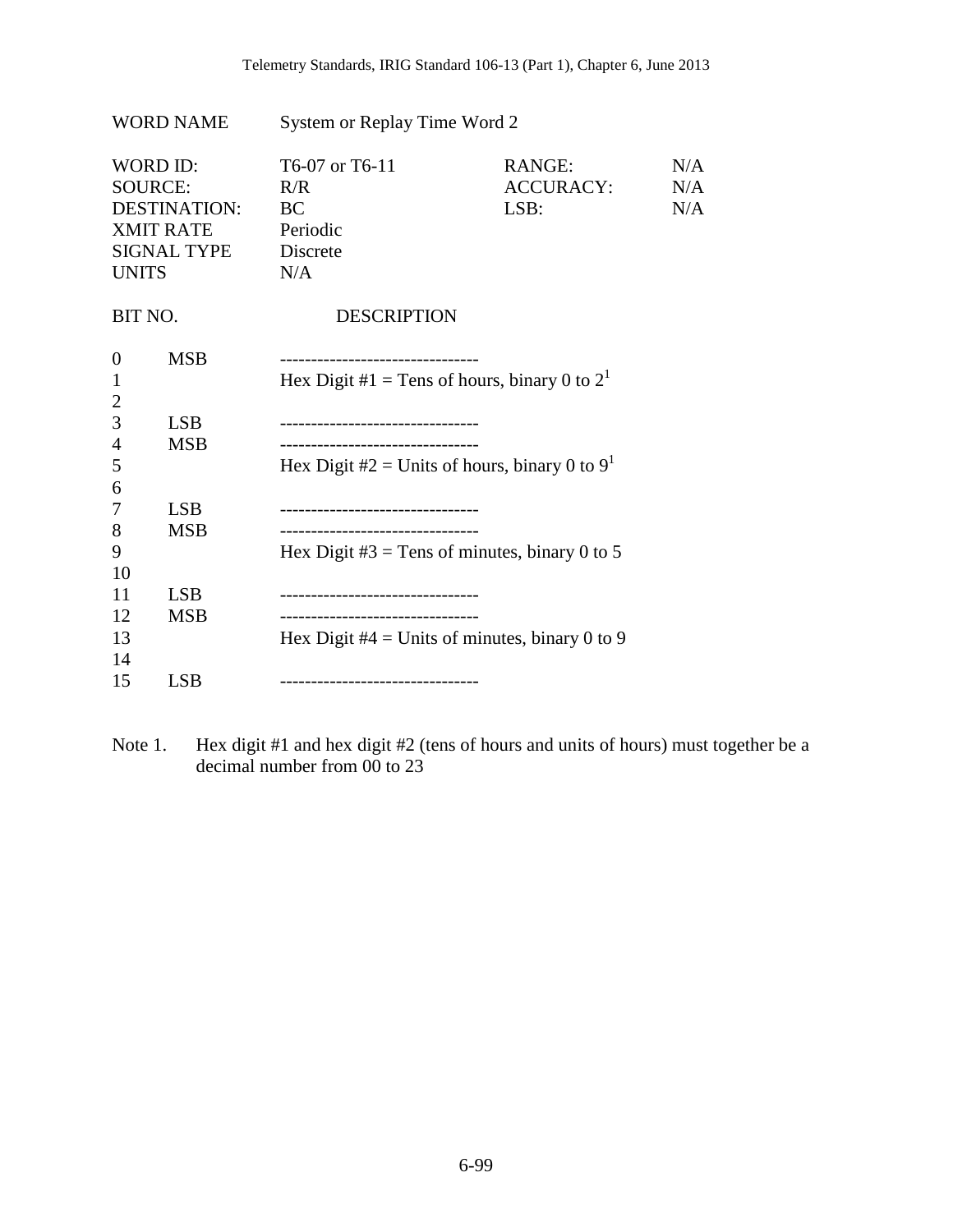|                                                                                                             | <b>WORD NAME</b>         | System or Replay Time Word 2                                      |                                                  |                   |
|-------------------------------------------------------------------------------------------------------------|--------------------------|-------------------------------------------------------------------|--------------------------------------------------|-------------------|
| WORD ID:<br><b>SOURCE:</b><br><b>DESTINATION:</b><br><b>XMIT RATE</b><br><b>SIGNAL TYPE</b><br><b>UNITS</b> |                          | T6-07 or T6-11<br>R/R<br><b>BC</b><br>Periodic<br>Discrete<br>N/A | <b>RANGE:</b><br><b>ACCURACY:</b><br>LSB:        | N/A<br>N/A<br>N/A |
| BIT NO.                                                                                                     |                          | <b>DESCRIPTION</b>                                                |                                                  |                   |
| $\theta$<br>1<br>2                                                                                          | <b>MSB</b>               |                                                                   | Hex Digit #1 = Tens of hours, binary 0 to $2^1$  |                   |
| 3<br>4                                                                                                      | <b>LSB</b><br><b>MSB</b> | ------------------------------                                    |                                                  |                   |
| 5<br>6                                                                                                      |                          |                                                                   | Hex Digit #2 = Units of hours, binary 0 to $9^1$ |                   |
| 7                                                                                                           | <b>LSB</b>               |                                                                   |                                                  |                   |
| 8<br>9<br>10                                                                                                | <b>MSB</b>               | ---------------------------                                       | Hex Digit #3 = Tens of minutes, binary 0 to 5    |                   |
| 11                                                                                                          | <b>LSB</b>               |                                                                   |                                                  |                   |
| 12                                                                                                          | <b>MSB</b>               | -----------------------------                                     |                                                  |                   |
| 13                                                                                                          |                          |                                                                   | Hex Digit $#4 =$ Units of minutes, binary 0 to 9 |                   |
| 14                                                                                                          |                          |                                                                   |                                                  |                   |
| 15                                                                                                          | <b>LSB</b>               |                                                                   |                                                  |                   |

Note 1. Hex digit #1 and hex digit #2 (tens of hours and units of hours) must together be a decimal number from 00 to 23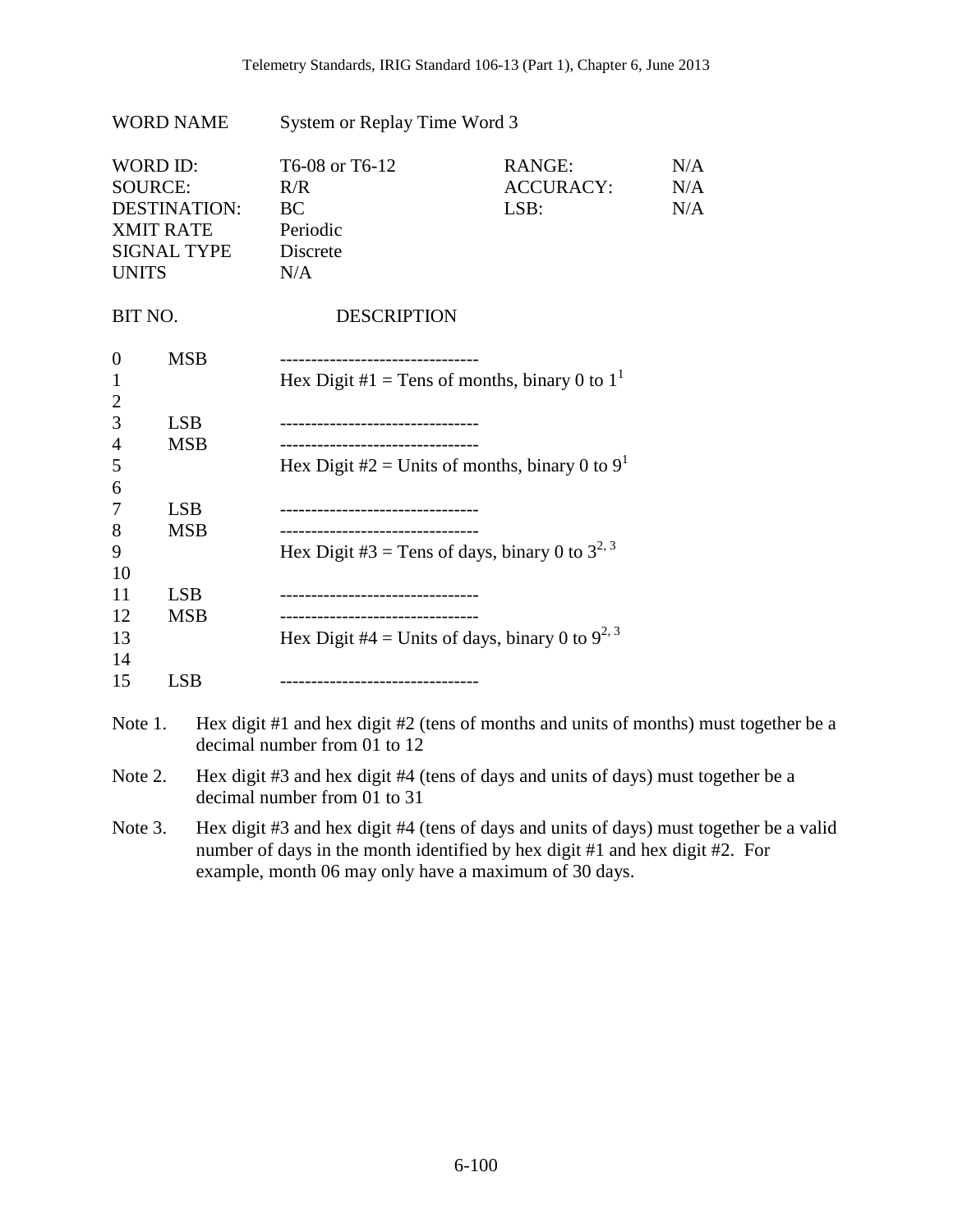|                                                                                                             | <b>WORD NAME</b>         | System or Replay Time Word 3                                                        |                                           |                   |
|-------------------------------------------------------------------------------------------------------------|--------------------------|-------------------------------------------------------------------------------------|-------------------------------------------|-------------------|
| WORD ID:<br><b>SOURCE:</b><br><b>DESTINATION:</b><br><b>XMIT RATE</b><br><b>SIGNAL TYPE</b><br><b>UNITS</b> |                          | T6-08 or T6-12<br>R/R<br><b>BC</b><br>Periodic<br>Discrete<br>N/A                   | <b>RANGE:</b><br><b>ACCURACY:</b><br>LSB: | N/A<br>N/A<br>N/A |
| BIT NO.                                                                                                     |                          | <b>DESCRIPTION</b>                                                                  |                                           |                   |
| $\overline{0}$<br>1<br>$\overline{2}$                                                                       | <b>MSB</b>               | Hex Digit #1 = Tens of months, binary 0 to $1^1$                                    |                                           |                   |
| 3<br>4<br>5<br>6                                                                                            | <b>LSB</b><br><b>MSB</b> | Hex Digit #2 = Units of months, binary 0 to $9^1$                                   |                                           |                   |
| 7<br>8<br>9<br>10                                                                                           | <b>LSB</b><br><b>MSB</b> | --------------------------<br>Hex Digit #3 = Tens of days, binary 0 to $3^{2,3}$    |                                           |                   |
| 11<br>12<br>13<br>14                                                                                        | <b>LSB</b><br><b>MSB</b> | ----------------------------<br>Hex Digit #4 = Units of days, binary 0 to $9^{2,3}$ |                                           |                   |
| 15                                                                                                          | <b>LSB</b>               | -------------------------------                                                     |                                           |                   |

- Note 1. Hex digit #1 and hex digit #2 (tens of months and units of months) must together be a decimal number from 01 to 12
- Note 2. Hex digit #3 and hex digit #4 (tens of days and units of days) must together be a decimal number from 01 to 31
- Note 3. Hex digit #3 and hex digit #4 (tens of days and units of days) must together be a valid number of days in the month identified by hex digit #1 and hex digit #2. For example, month 06 may only have a maximum of 30 days.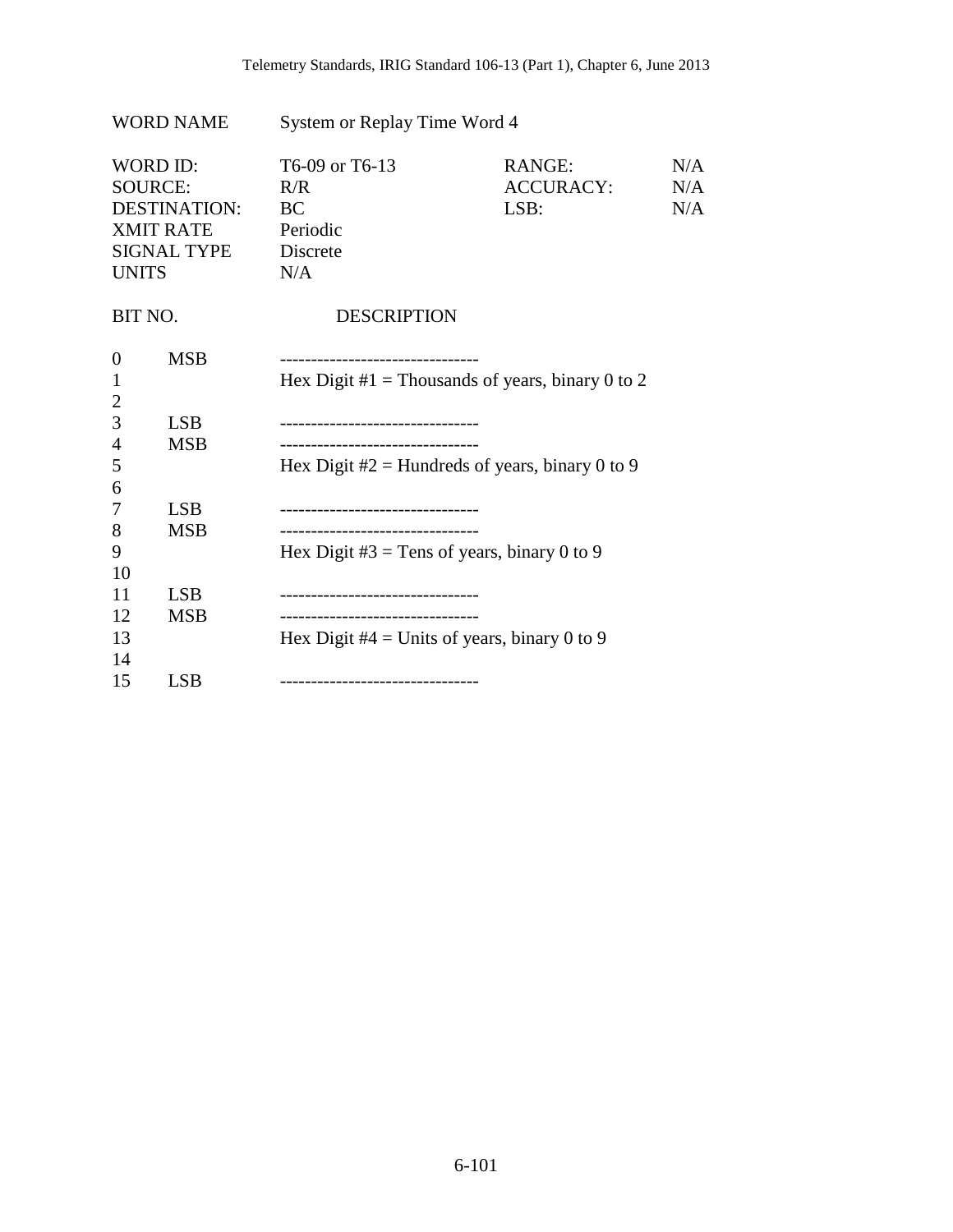WORD NAME System or Replay Time Word 4 WORD ID: T6-09 or T6-13 RANGE: N/A SOURCE: R/R ACCURACY: N/A DESTINATION: BC LSB: N/A XMIT RATE Periodic SIGNAL TYPE Discrete UNITS N/A BIT NO. DESCRIPTION 0 MSB --------------------------------1 Hex Digit #1 = Thousands of years, binary 0 to 2 2 3 LSB -------------------------------- 4 MSB -------------------------------- 5 Hex Digit  $\#2$  = Hundreds of years, binary 0 to 9 6 7 LSB ---------------------------------8 MSB ---------------------------------9 Hex Digit  $#3 =$ Tens of years, binary 0 to 9 10 11 LSB ---------------------------------12 MSB -------------------------------- 13 Hex Digit #4 = Units of years, binary 0 to 9 14 15 LSB ----------------------------------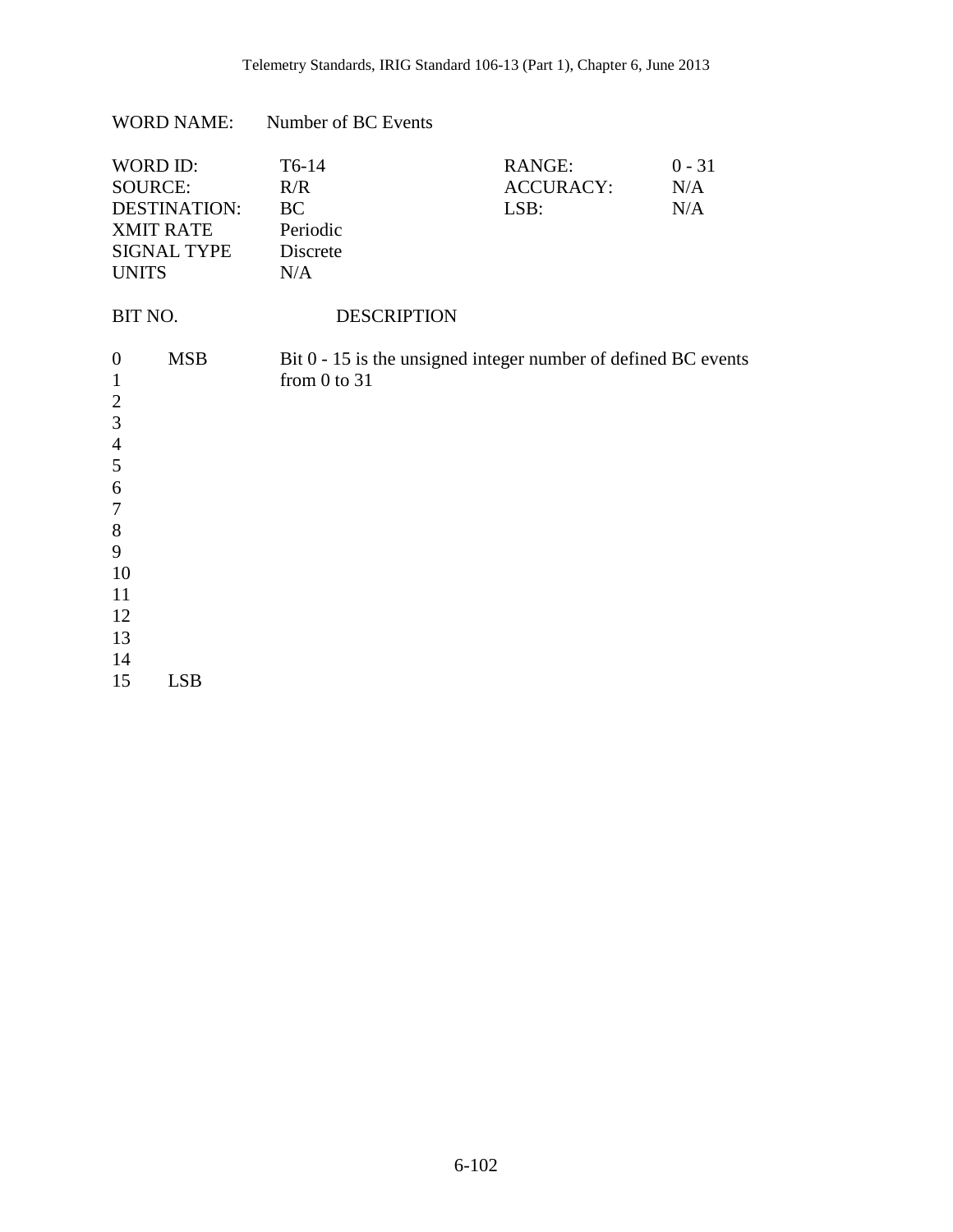| <b>WORD NAME:</b> | Number of BC Events |
|-------------------|---------------------|
|-------------------|---------------------|

| WORD ID:<br><b>SOURCE:</b><br><b>DESTINATION:</b><br><b>XMIT RATE</b><br><b>SIGNAL TYPE</b><br><b>UNITS</b>                                                                                      | T6-14<br>R/R<br><b>BC</b><br>Periodic<br>Discrete<br>N/A                             | RANGE:<br><b>ACCURACY:</b><br>LSB: | $0 - 31$<br>N/A<br>N/A |
|--------------------------------------------------------------------------------------------------------------------------------------------------------------------------------------------------|--------------------------------------------------------------------------------------|------------------------------------|------------------------|
| BIT NO.                                                                                                                                                                                          | <b>DESCRIPTION</b>                                                                   |                                    |                        |
| <b>MSB</b><br>$\boldsymbol{0}$<br>$\mathbf{1}$<br>$\mathbf{2}$<br>$\mathfrak{Z}$<br>$\overline{4}$<br>5<br>6<br>$\boldsymbol{7}$<br>$8\,$<br>9<br>10<br>11<br>12<br>13<br>14<br>15<br><b>LSB</b> | Bit $0 - 15$ is the unsigned integer number of defined BC events<br>from $0$ to $31$ |                                    |                        |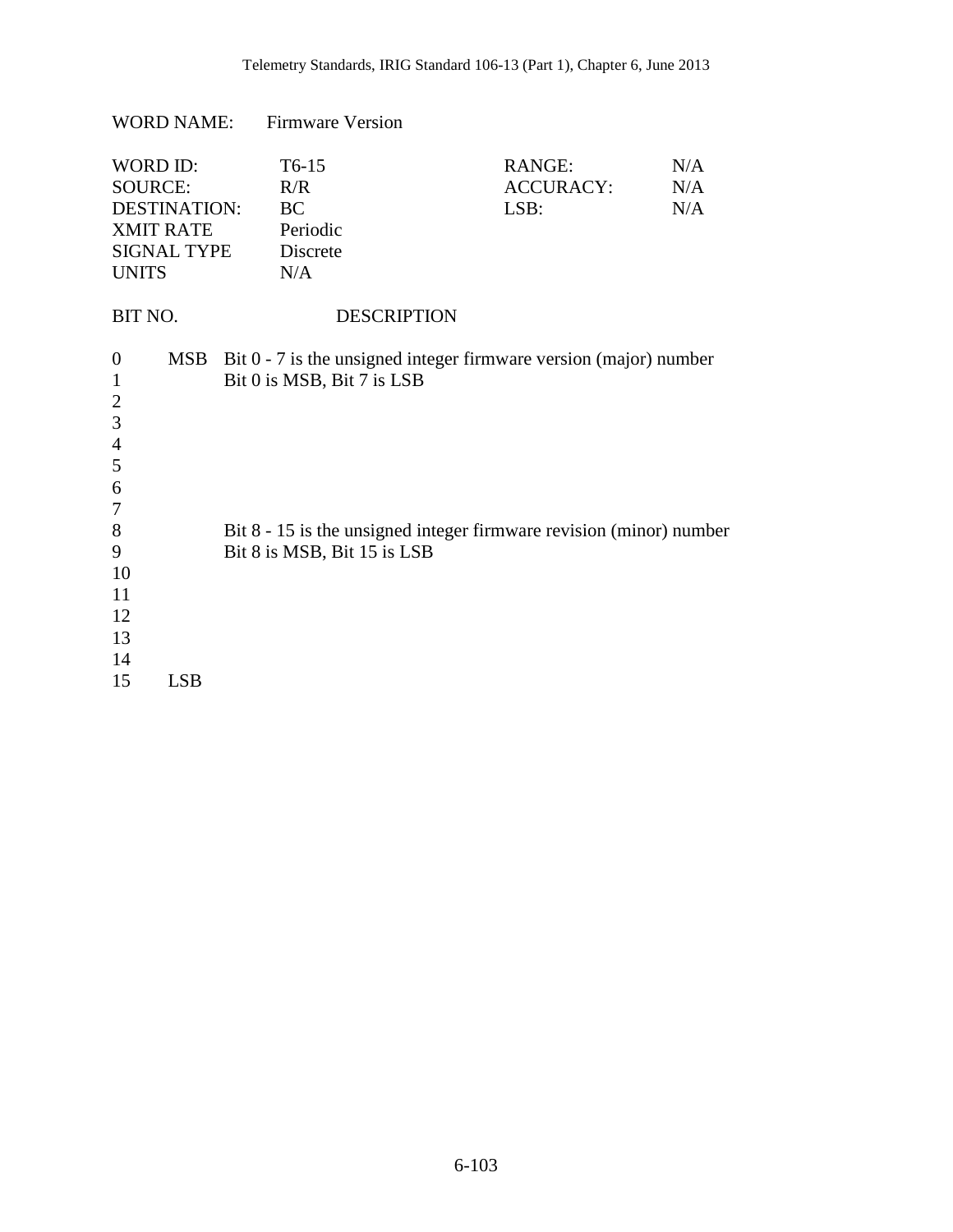| <b>WORD NAME:</b> | <b>Firmware Version</b> |
|-------------------|-------------------------|
|-------------------|-------------------------|

| WORD ID:<br><b>SOURCE:</b><br>DESTINATION:<br><b>XMIT RATE</b><br><b>SIGNAL TYPE</b><br><b>UNITS</b>       | $T6-15$<br>R/R<br><b>BC</b><br>Periodic<br>Discrete<br>N/A | <b>RANGE:</b><br><b>ACCURACY:</b><br>LSB:                               | N/A<br>N/A<br>N/A |
|------------------------------------------------------------------------------------------------------------|------------------------------------------------------------|-------------------------------------------------------------------------|-------------------|
| BIT NO.                                                                                                    | <b>DESCRIPTION</b>                                         |                                                                         |                   |
| $\boldsymbol{0}$<br>$\mathbf{1}$<br>$\overline{2}$<br>$\mathfrak{Z}$<br>$\overline{4}$<br>5<br>6<br>$\tau$ | Bit 0 is MSB, Bit 7 is LSB                                 | $MSB$ Bit 0 - 7 is the unsigned integer firmware version (major) number |                   |
| 8<br>9<br>10<br>11<br>12<br>13<br>14<br>15<br><b>LSB</b>                                                   | Bit 8 is MSB, Bit 15 is LSB                                | Bit 8 - 15 is the unsigned integer firmware revision (minor) number     |                   |
|                                                                                                            |                                                            |                                                                         |                   |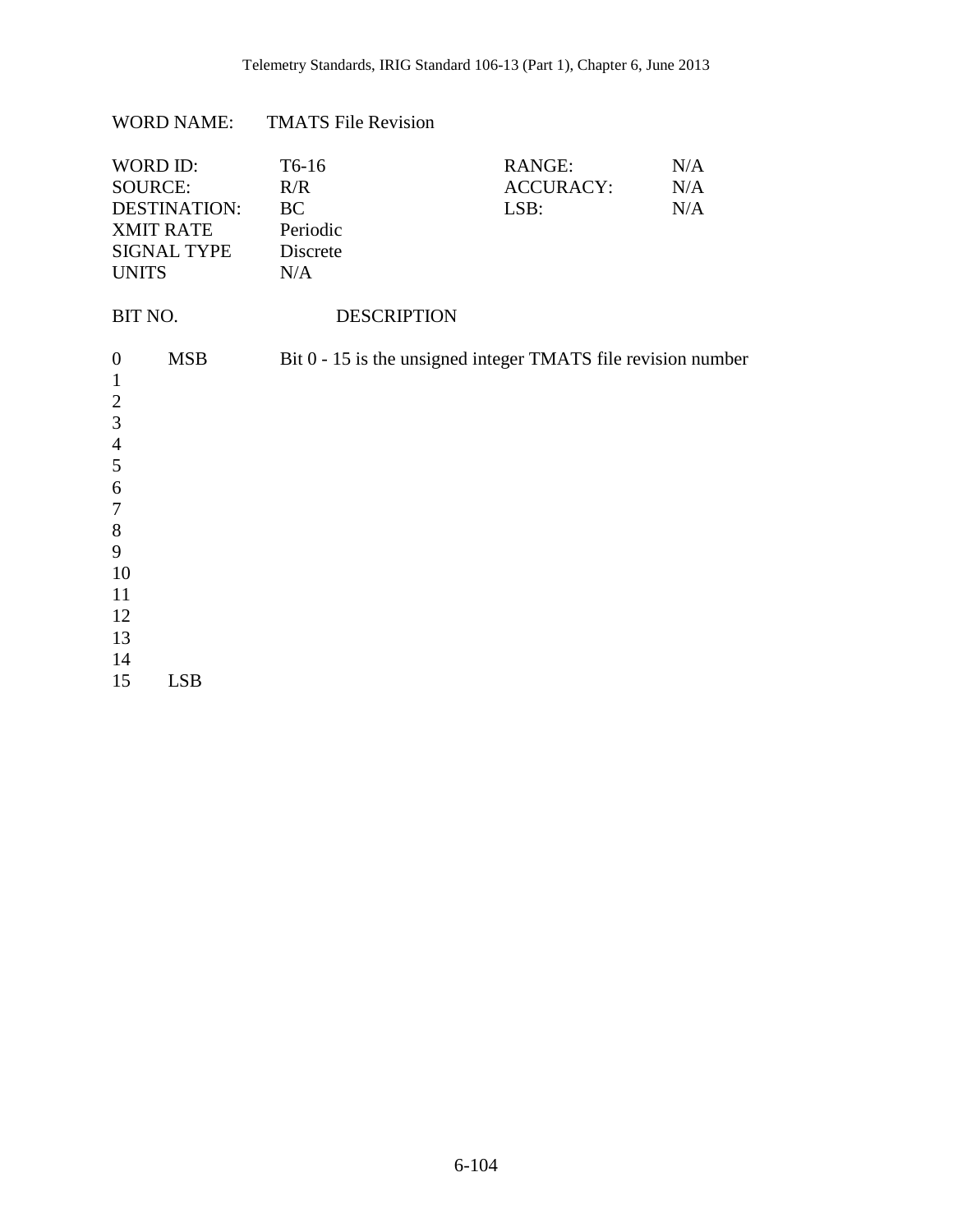| WORD NAME:                                                                                                                                                                      | <b>TMATS File Revision</b>                                 |                                                               |                   |
|---------------------------------------------------------------------------------------------------------------------------------------------------------------------------------|------------------------------------------------------------|---------------------------------------------------------------|-------------------|
| WORD ID:<br><b>SOURCE:</b><br><b>DESTINATION:</b><br><b>XMIT RATE</b><br><b>SIGNAL TYPE</b><br><b>UNITS</b>                                                                     | $T6-16$<br>R/R<br><b>BC</b><br>Periodic<br>Discrete<br>N/A | RANGE:<br><b>ACCURACY:</b><br>LSB:                            | N/A<br>N/A<br>N/A |
| BIT NO.                                                                                                                                                                         | <b>DESCRIPTION</b>                                         |                                                               |                   |
| <b>MSB</b><br>$\boldsymbol{0}$<br>$\mathbf{1}$<br>$\overline{c}$<br>3<br>$\overline{4}$<br>5<br>6<br>$\overline{7}$<br>8<br>9<br>10<br>11<br>12<br>13<br>14<br>15<br><b>LSB</b> |                                                            | Bit 0 - 15 is the unsigned integer TMATS file revision number |                   |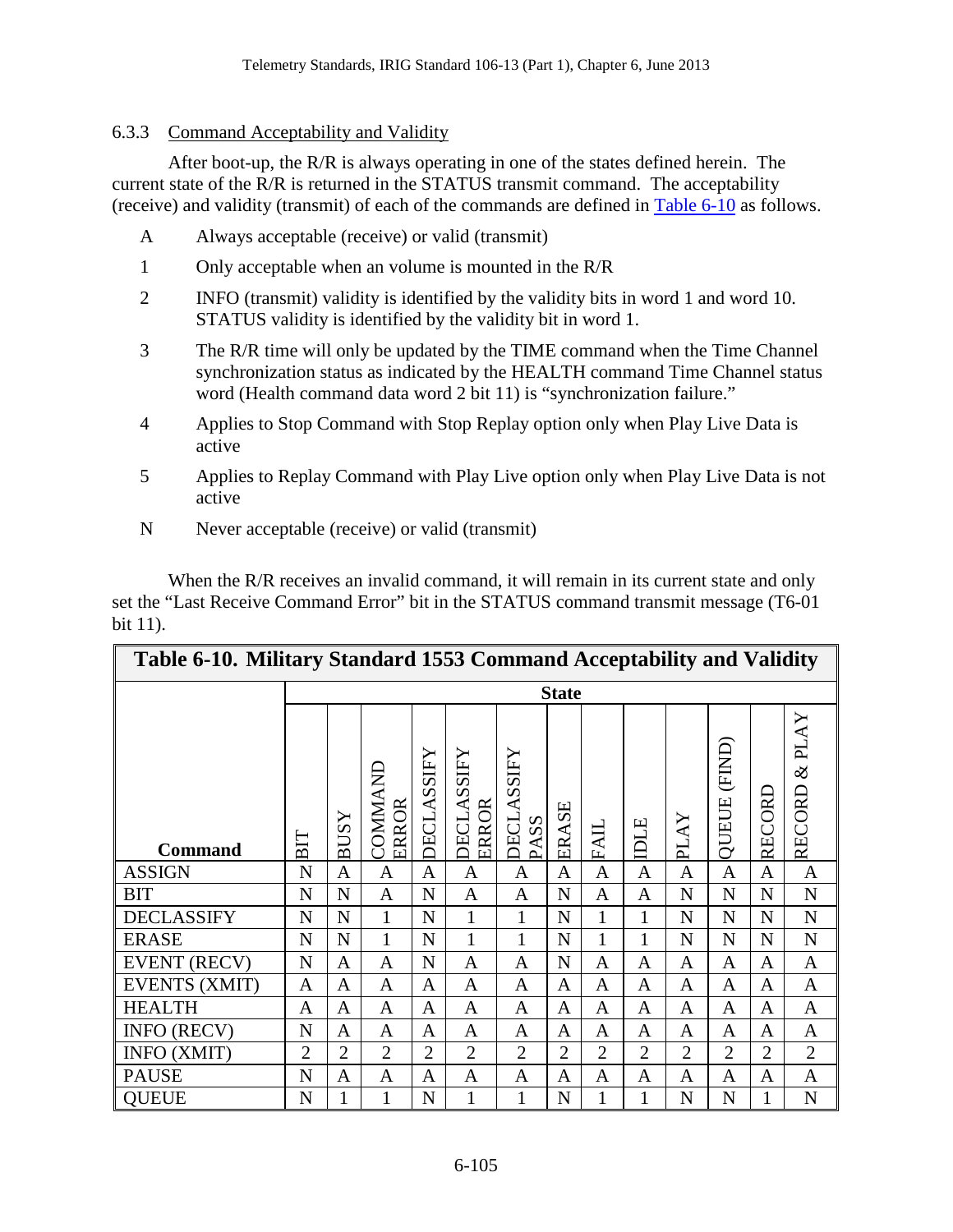#### 6.3.3 Command Acceptability and Validity

After boot-up, the R/R is always operating in one of the states defined herein. The current state of the R/R is returned in the STATUS transmit command. The acceptability (receive) and validity (transmit) of each of the commands are defined in [Table 6-10](#page-108-0) as follows.

- A Always acceptable (receive) or valid (transmit)
- 1 Only acceptable when an volume is mounted in the R/R
- 2 INFO (transmit) validity is identified by the validity bits in word 1 and word 10. STATUS validity is identified by the validity bit in word 1.
- 3 The R/R time will only be updated by the TIME command when the Time Channel synchronization status as indicated by the HEALTH command Time Channel status word (Health command data word 2 bit 11) is "synchronization failure."
- 4 Applies to Stop Command with Stop Replay option only when Play Live Data is active
- 5 Applies to Replay Command with Play Live option only when Play Live Data is not active
- N Never acceptable (receive) or valid (transmit)

When the R/R receives an invalid command, it will remain in its current state and only set the "Last Receive Command Error" bit in the STATUS command transmit message (T6-01 bit 11).

<span id="page-108-0"></span>

| Table 6-10. Military Standard 1553 Command Acceptability and Validity |                                   |                |                  |                |                            |                         |                |                |                |                |                 |                |                    |
|-----------------------------------------------------------------------|-----------------------------------|----------------|------------------|----------------|----------------------------|-------------------------|----------------|----------------|----------------|----------------|-----------------|----------------|--------------------|
|                                                                       | <b>State</b>                      |                |                  |                |                            |                         |                |                |                |                |                 |                |                    |
| <b>Command</b>                                                        | $\Box$<br>$\overline{\mathbf{c}}$ | <b>ASU8</b>    | COMMAND<br>ERROR | DECLASSIFY     | <b>DECLASSIFY</b><br>ERROR | ASSIFY<br>DECL/<br>PASS | ERASE          | <b>FAIL</b>    | IDLE           | PLAY           | (FIND)<br>QUEUE | RECORD         | $&$ PLAY<br>RECORD |
| <b>ASSIGN</b>                                                         | N                                 | A              | A                | A              | A                          | $\overline{A}$          | A              | $\overline{A}$ | $\overline{A}$ | A              | A               | A              | $\mathbf{A}$       |
| <b>BIT</b>                                                            | N                                 | N              | A                | N              | A                          | A                       | N              | $\overline{A}$ | A              | N              | N               | N              | N                  |
| <b>DECLASSIFY</b>                                                     | N                                 | N              | $\mathbf{1}$     | N              | 1                          | $\mathbf{1}$            | $\mathbf N$    | $\mathbf{1}$   | $\mathbf{1}$   | N              | N               | N              | $\mathbf N$        |
| <b>ERASE</b>                                                          | N                                 | N              | 1                | N              | 1                          | 1                       | N              | $\mathbf 1$    | 1              | N              | N               | N              | N                  |
| <b>EVENT (RECV)</b>                                                   | N                                 | A              | $\overline{A}$   | N              | A                          | A                       | N              | $\overline{A}$ | A              | A              | A               | $\overline{A}$ | $\overline{A}$     |
| <b>EVENTS (XMIT)</b>                                                  | A                                 | A              | A                | A              | A                          | A                       | $\overline{A}$ | $\overline{A}$ | $\mathbf{A}$   | A              | A               | A              | $\mathbf{A}$       |
| <b>HEALTH</b>                                                         | A                                 | A              | A                | A              | A                          | A                       | A              | A              | $\mathbf{A}$   | A              | A               | A              | $\mathbf{A}$       |
| <b>INFO (RECV)</b>                                                    | N                                 | $\overline{A}$ | $\overline{A}$   | $\mathbf{A}$   | $\mathbf{A}$               | $\mathbf{A}$            | $\mathbf{A}$   | $\mathbf{A}$   | $\mathbf{A}$   | A              | $\mathbf{A}$    | $\mathbf{A}$   | $\mathbf{A}$       |
| INFO (XMIT)                                                           | $\overline{2}$                    | $\overline{2}$ | $\overline{2}$   | $\overline{2}$ | $\overline{2}$             | $\overline{2}$          | $\overline{2}$ | $\overline{2}$ | $\overline{2}$ | $\overline{2}$ | $\overline{2}$  | $\overline{2}$ | $\overline{2}$     |
| <b>PAUSE</b>                                                          | N                                 | A              | $\mathbf{A}$     | $\mathbf{A}$   | A                          | A                       | $\mathbf{A}$   | $\overline{A}$ | $\mathbf{A}$   | A              | A               | $\overline{A}$ | $\mathbf{A}$       |
| <b>OUEUE</b>                                                          | N                                 |                | $\mathbf{1}$     | N              | $\mathbf{1}$               | $\mathbf{1}$            | N              | $\mathbf{1}$   | 1              | N              | N               |                | N                  |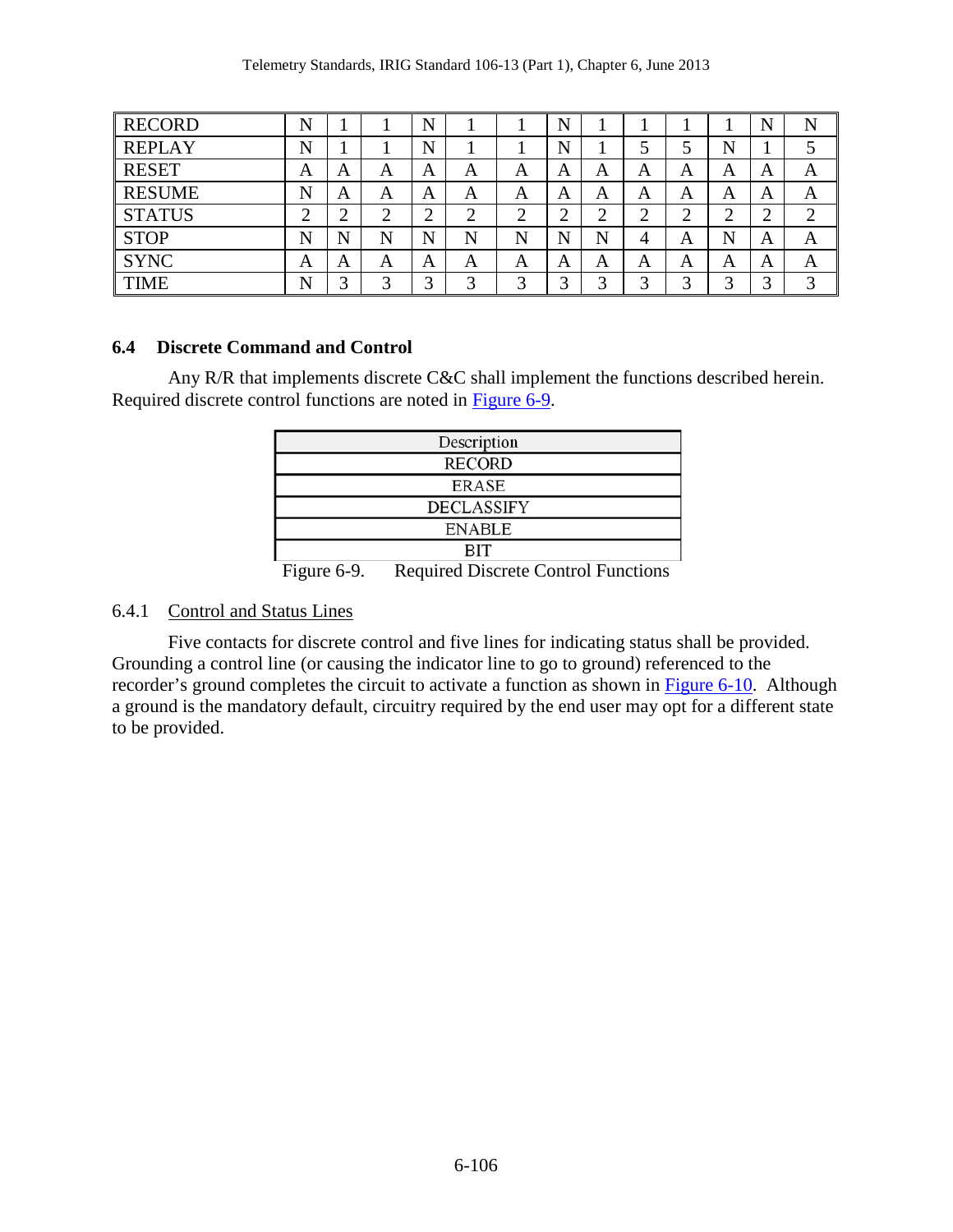| <b>RECORD</b> | * *      |        |                | N      |               |                               | N      |        |        |        |        | N      | T 4    |
|---------------|----------|--------|----------------|--------|---------------|-------------------------------|--------|--------|--------|--------|--------|--------|--------|
| <b>REPLAY</b> | N        |        |                | N      |               |                               | N      |        | ÷      |        | N      |        |        |
| <b>RESET</b>  | А        | A      | A              | A      | A             | A                             | A      | A      | A      | A      | A      | A      | A      |
| <b>RESUME</b> | N        | А      | A              | A      | A             | A                             | A      | A      | A      | A      | A      | A      | A      |
| <b>STATUS</b> | ◠<br>∠   | ി<br>∠ | $\bigcap$<br>∠ | ⌒<br>∠ | ◠             | ◠<br>$\overline{\phantom{0}}$ | ◠<br>∠ | ◠<br>∠ | ി<br>∠ | ◠<br>∠ | ◠<br>∠ | ◠<br>∠ | ◠<br>∠ |
| <b>STOP</b>   | N        | N      | N              | N      | N<br><b>T</b> | Ñ                             | N      | N      | 4      | A      | N      | A      | A      |
| <b>SYNC</b>   | A        | A      | A              | Α      | A             | A                             | A      | A      | A      | A      | А      | A      | A      |
| <b>TIME</b>   | N<br>* * | 3      | ⌒<br>┑         | 3      | $\bigcap$     | э                             | 3      | 3      | 2      |        | ◠      | ⌒      | 3      |

#### **6.4 Discrete Command and Control**

Any R/R that implements discrete C&C shall implement the functions described herein. Required discrete control functions are noted in [Figure 6-9.](#page-109-0)

| Description                                                                                                                           |                 |  |  |  |  |  |
|---------------------------------------------------------------------------------------------------------------------------------------|-----------------|--|--|--|--|--|
| <b>RECORD</b>                                                                                                                         |                 |  |  |  |  |  |
| ERASE                                                                                                                                 |                 |  |  |  |  |  |
| <b>DECLASSIFY</b>                                                                                                                     |                 |  |  |  |  |  |
| <b>ENABLE</b>                                                                                                                         |                 |  |  |  |  |  |
| BIT                                                                                                                                   |                 |  |  |  |  |  |
| $\overline{\phantom{a}}$<br>$\cdot$ $\sim$ $\cdot$<br>$\sim$ $\sim$ $\sim$ $\sim$ $\sim$<br>$\sim$ $\sim$<br>$\overline{\phantom{a}}$ | $\cdot$ $\cdot$ |  |  |  |  |  |

Figure 6-9. Required Discrete Control Functions

#### <span id="page-109-0"></span>6.4.1 Control and Status Lines

Five contacts for discrete control and five lines for indicating status shall be provided. Grounding a control line (or causing the indicator line to go to ground) referenced to the recorder's ground completes the circuit to activate a function as shown in [Figure 6-10.](#page-110-0) Although a ground is the mandatory default, circuitry required by the end user may opt for a different state to be provided.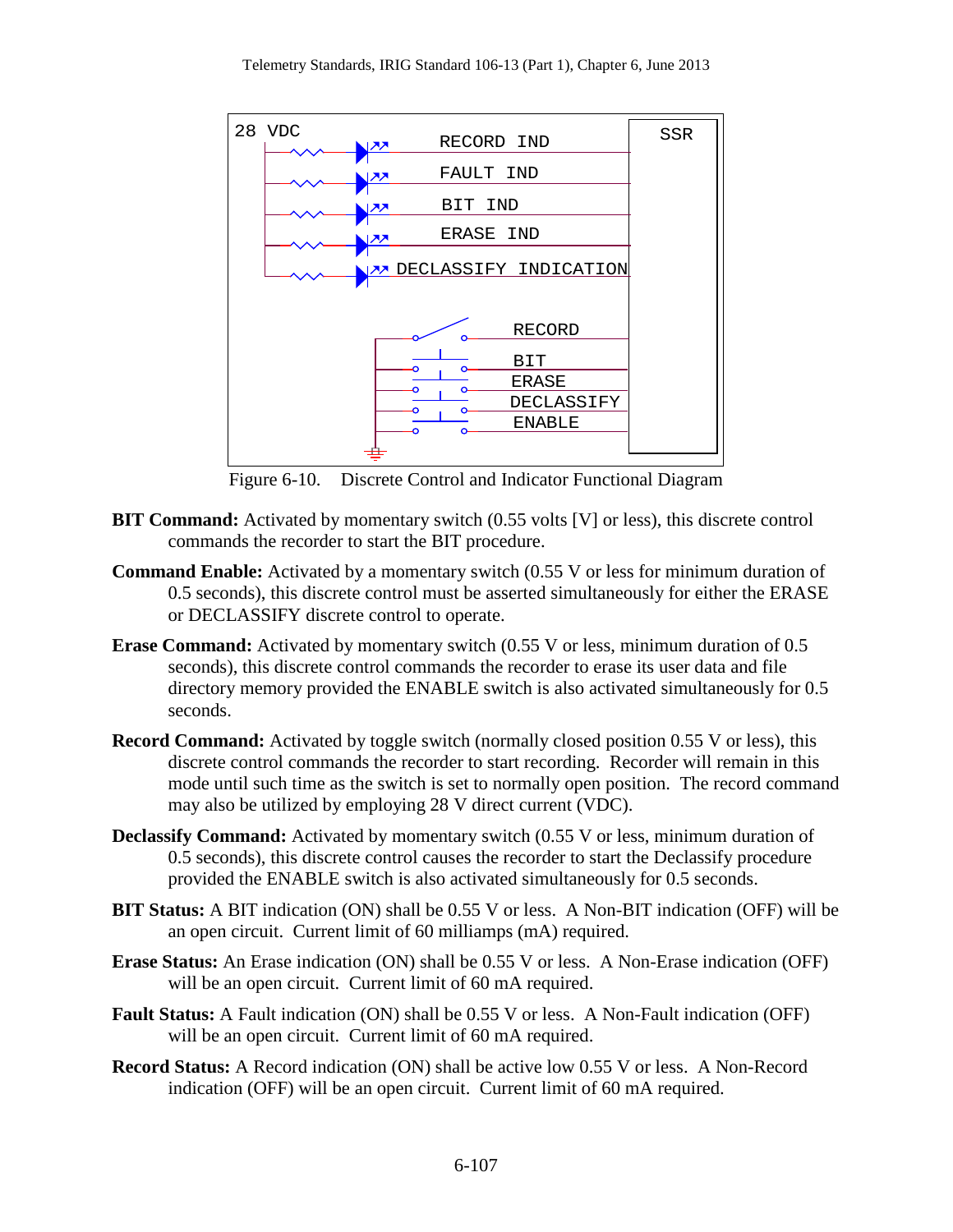

Figure 6-10. Discrete Control and Indicator Functional Diagram

- <span id="page-110-0"></span>**BIT Command:** Activated by momentary switch (0.55 volts [V] or less), this discrete control commands the recorder to start the BIT procedure.
- **Command Enable:** Activated by a momentary switch (0.55 V or less for minimum duration of 0.5 seconds), this discrete control must be asserted simultaneously for either the ERASE or DECLASSIFY discrete control to operate.
- **Erase Command:** Activated by momentary switch (0.55 V or less, minimum duration of 0.5 seconds), this discrete control commands the recorder to erase its user data and file directory memory provided the ENABLE switch is also activated simultaneously for 0.5 seconds.
- **Record Command:** Activated by toggle switch (normally closed position 0.55 V or less), this discrete control commands the recorder to start recording. Recorder will remain in this mode until such time as the switch is set to normally open position. The record command may also be utilized by employing 28 V direct current (VDC).
- **Declassify Command:** Activated by momentary switch (0.55 V or less, minimum duration of 0.5 seconds), this discrete control causes the recorder to start the Declassify procedure provided the ENABLE switch is also activated simultaneously for 0.5 seconds.
- **BIT Status:** A BIT indication (ON) shall be 0.55 V or less. A Non-BIT indication (OFF) will be an open circuit. Current limit of 60 milliamps (mA) required.
- **Erase Status:** An Erase indication (ON) shall be 0.55 V or less. A Non-Erase indication (OFF) will be an open circuit. Current limit of 60 mA required.
- **Fault Status:** A Fault indication (ON) shall be 0.55 V or less. A Non-Fault indication (OFF) will be an open circuit. Current limit of 60 mA required.
- **Record Status:** A Record indication (ON) shall be active low 0.55 V or less. A Non-Record indication (OFF) will be an open circuit. Current limit of 60 mA required.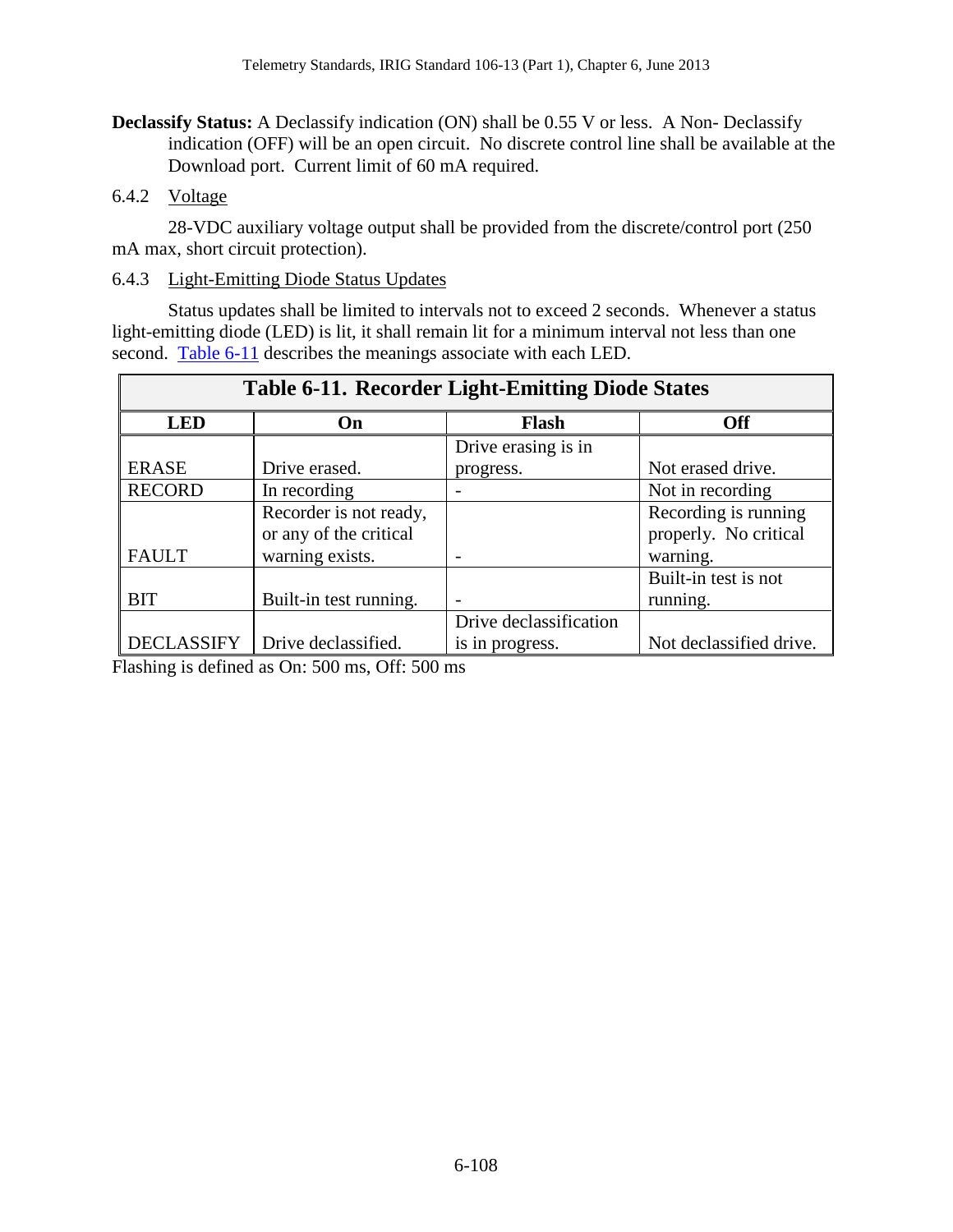**Declassify Status:** A Declassify indication (ON) shall be 0.55 V or less. A Non- Declassify indication (OFF) will be an open circuit. No discrete control line shall be available at the Download port. Current limit of 60 mA required.

# 6.4.2 Voltage

28-VDC auxiliary voltage output shall be provided from the discrete/control port (250 mA max, short circuit protection).

### 6.4.3 Light-Emitting Diode Status Updates

Status updates shall be limited to intervals not to exceed 2 seconds. Whenever a status light-emitting diode (LED) is lit, it shall remain lit for a minimum interval not less than one second. [Table 6-11](#page-111-0) describes the meanings associate with each LED.

<span id="page-111-0"></span>

| <b>Table 6-11. Recorder Light-Emitting Diode States</b> |                        |                        |                         |  |  |  |  |
|---------------------------------------------------------|------------------------|------------------------|-------------------------|--|--|--|--|
| <b>LED</b>                                              | On                     | <b>Flash</b>           | <b>Off</b>              |  |  |  |  |
|                                                         |                        | Drive erasing is in    |                         |  |  |  |  |
| <b>ERASE</b>                                            | Drive erased.          | progress.              | Not erased drive.       |  |  |  |  |
| <b>RECORD</b>                                           | In recording           |                        | Not in recording        |  |  |  |  |
|                                                         | Recorder is not ready, |                        | Recording is running    |  |  |  |  |
|                                                         | or any of the critical |                        | properly. No critical   |  |  |  |  |
| <b>FAULT</b>                                            | warning exists.        |                        | warning.                |  |  |  |  |
|                                                         |                        |                        | Built-in test is not    |  |  |  |  |
| <b>BIT</b>                                              | Built-in test running. |                        | running.                |  |  |  |  |
|                                                         |                        | Drive declassification |                         |  |  |  |  |
| <b>DECLASSIFY</b>                                       | Drive declassified.    | is in progress.        | Not declassified drive. |  |  |  |  |

Flashing is defined as On: 500 ms, Off: 500 ms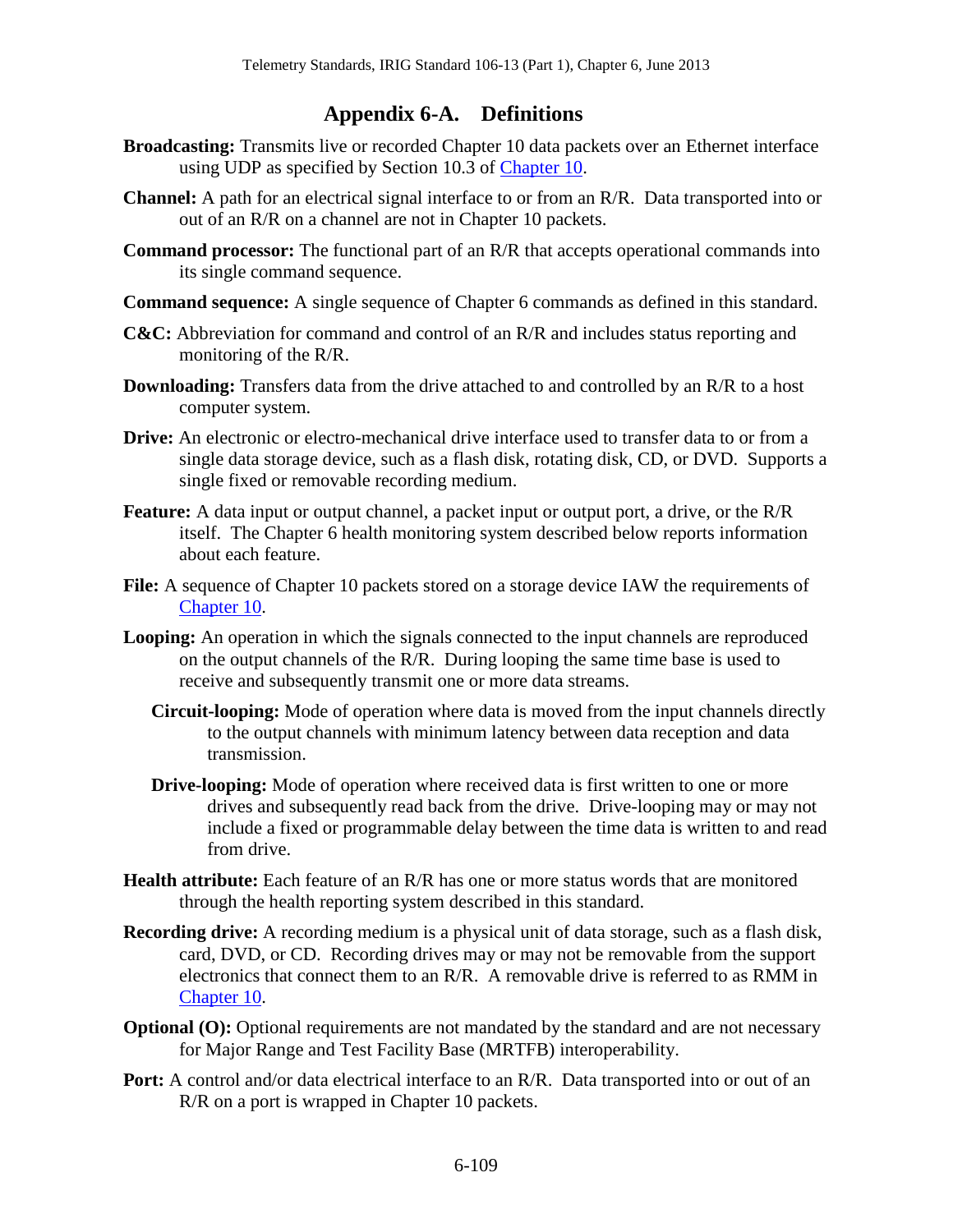# **Appendix 6-A. Definitions**

- **Broadcasting:** Transmits live or recorded Chapter 10 data packets over an Ethernet interface using UDP as specified by Section 10.3 of [Chapter 10.](http://www.wsmr.army.mil/RCCsite/Documents/106-13_Telemetry_Standards/chapter%2010.pdf)
- **Channel:** A path for an electrical signal interface to or from an R/R. Data transported into or out of an R/R on a channel are not in Chapter 10 packets.
- **Command processor:** The functional part of an R/R that accepts operational commands into its single command sequence.
- **Command sequence:** A single sequence of Chapter 6 commands as defined in this standard.
- **C&C:** Abbreviation for command and control of an R/R and includes status reporting and monitoring of the R/R.
- **Downloading:** Transfers data from the drive attached to and controlled by an R/R to a host computer system.
- **Drive:** An electronic or electro-mechanical drive interface used to transfer data to or from a single data storage device, such as a flash disk, rotating disk, CD, or DVD. Supports a single fixed or removable recording medium.
- Feature: A data input or output channel, a packet input or output port, a drive, or the R/R itself. The Chapter 6 health monitoring system described below reports information about each feature.
- File: A sequence of Chapter 10 packets stored on a storage device IAW the requirements of [Chapter 10.](http://www.wsmr.army.mil/RCCsite/Documents/106-13_Telemetry_Standards/chapter%2010.pdf)
- Looping: An operation in which the signals connected to the input channels are reproduced on the output channels of the R/R. During looping the same time base is used to receive and subsequently transmit one or more data streams.
	- **Circuit-looping:** Mode of operation where data is moved from the input channels directly to the output channels with minimum latency between data reception and data transmission.
	- **Drive-looping:** Mode of operation where received data is first written to one or more drives and subsequently read back from the drive. Drive-looping may or may not include a fixed or programmable delay between the time data is written to and read from drive.
- **Health attribute:** Each feature of an R/R has one or more status words that are monitored through the health reporting system described in this standard.
- **Recording drive:** A recording medium is a physical unit of data storage, such as a flash disk, card, DVD, or CD. Recording drives may or may not be removable from the support electronics that connect them to an R/R. A removable drive is referred to as RMM in [Chapter 10.](http://www.wsmr.army.mil/RCCsite/Documents/106-13_Telemetry_Standards/chapter%2010.pdf)
- **Optional (O):** Optional requirements are not mandated by the standard and are not necessary for Major Range and Test Facility Base (MRTFB) interoperability.
- **Port:** A control and/or data electrical interface to an R/R. Data transported into or out of an R/R on a port is wrapped in Chapter 10 packets.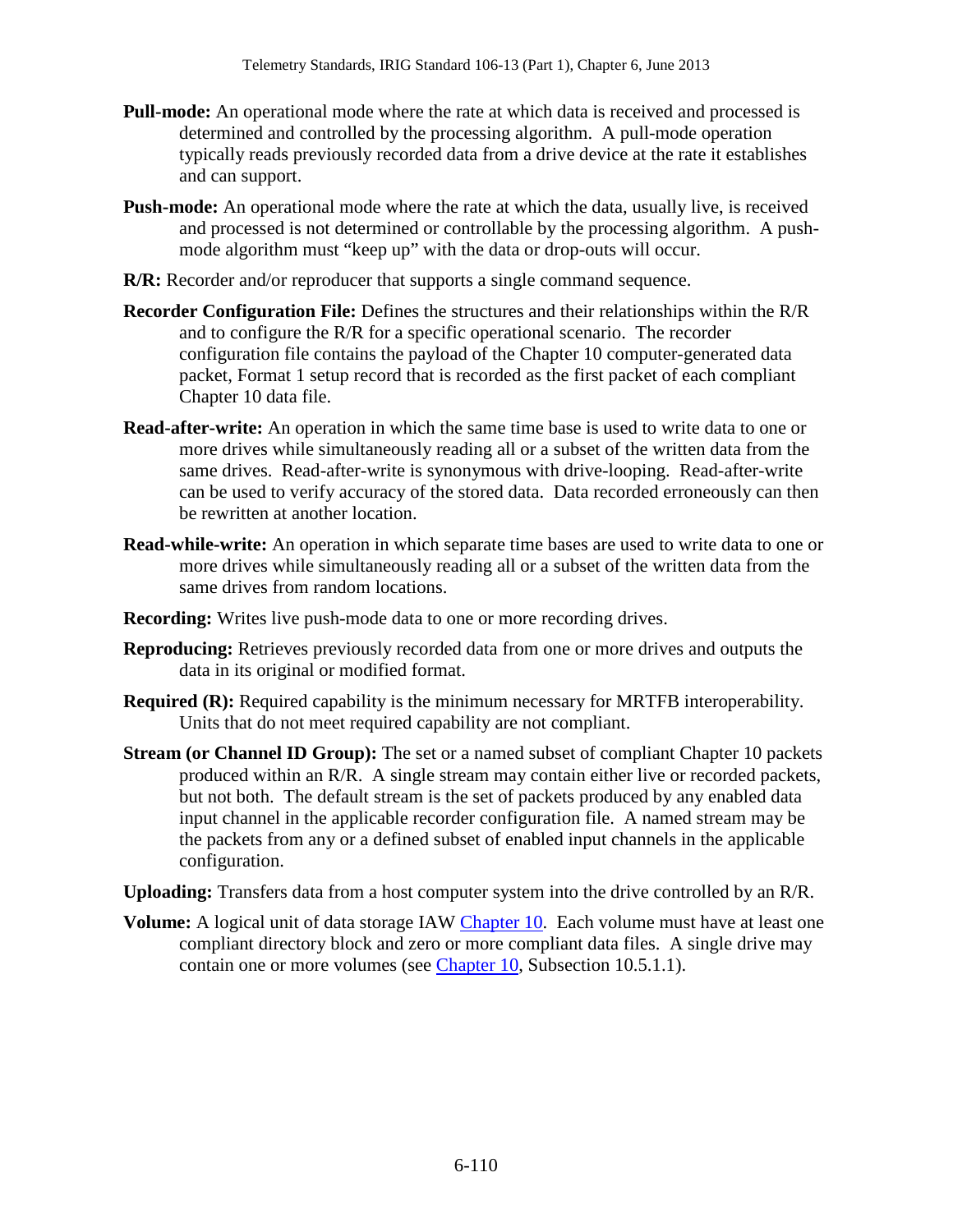- **Pull-mode:** An operational mode where the rate at which data is received and processed is determined and controlled by the processing algorithm. A pull-mode operation typically reads previously recorded data from a drive device at the rate it establishes and can support.
- **Push-mode:** An operational mode where the rate at which the data, usually live, is received and processed is not determined or controllable by the processing algorithm. A pushmode algorithm must "keep up" with the data or drop-outs will occur.
- **R/R:** Recorder and/or reproducer that supports a single command sequence.
- **Recorder Configuration File:** Defines the structures and their relationships within the R/R and to configure the R/R for a specific operational scenario. The recorder configuration file contains the payload of the Chapter 10 computer-generated data packet, Format 1 setup record that is recorded as the first packet of each compliant Chapter 10 data file.
- **Read-after-write:** An operation in which the same time base is used to write data to one or more drives while simultaneously reading all or a subset of the written data from the same drives. Read-after-write is synonymous with drive-looping. Read-after-write can be used to verify accuracy of the stored data. Data recorded erroneously can then be rewritten at another location.
- **Read-while-write:** An operation in which separate time bases are used to write data to one or more drives while simultaneously reading all or a subset of the written data from the same drives from random locations.
- **Recording:** Writes live push-mode data to one or more recording drives.
- **Reproducing:** Retrieves previously recorded data from one or more drives and outputs the data in its original or modified format.
- **Required (R):** Required capability is the minimum necessary for MRTFB interoperability. Units that do not meet required capability are not compliant.
- **Stream (or Channel ID Group):** The set or a named subset of compliant Chapter 10 packets produced within an R/R. A single stream may contain either live or recorded packets, but not both. The default stream is the set of packets produced by any enabled data input channel in the applicable recorder configuration file. A named stream may be the packets from any or a defined subset of enabled input channels in the applicable configuration.
- **Uploading:** Transfers data from a host computer system into the drive controlled by an R/R.
- **Volume:** A logical unit of data storage IAW [Chapter 10.](http://www.wsmr.army.mil/RCCsite/Documents/106-13_Telemetry_Standards/chapter%2010.pdf) Each volume must have at least one compliant directory block and zero or more compliant data files. A single drive may contain one or more volumes (see *Chapter 10*, Subsection 10.5.1.1).